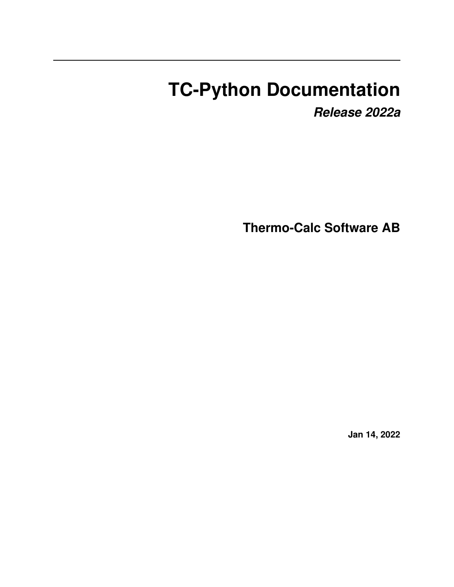# **TC-Python Documentation**

*Release 2022a*

**Thermo-Calc Software AB**

**Jan 14, 2022**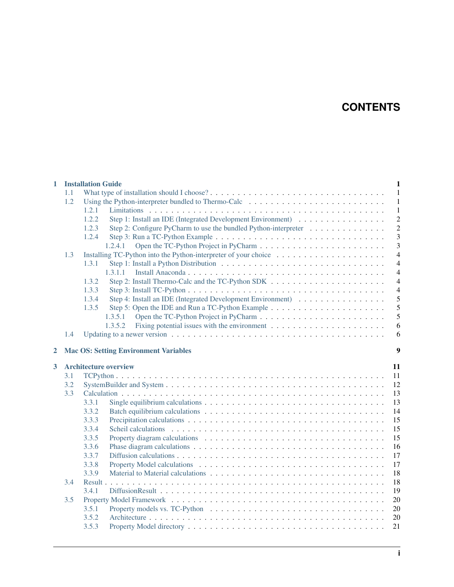# **CONTENTS**

| 1 |     | <b>Installation Guide</b>                                                                                |  |  |  |  |  |  |
|---|-----|----------------------------------------------------------------------------------------------------------|--|--|--|--|--|--|
|   | 1.1 | $\mathbf{1}$                                                                                             |  |  |  |  |  |  |
|   | 1.2 | -1                                                                                                       |  |  |  |  |  |  |
|   |     | 1.2.1<br>$\mathbf{1}$                                                                                    |  |  |  |  |  |  |
|   |     | Step 1: Install an IDE (Integrated Development Environment)<br>$\overline{c}$<br>1.2.2                   |  |  |  |  |  |  |
|   |     | $\overline{c}$<br>1.2.3<br>Step 2: Configure PyCharm to use the bundled Python-interpreter               |  |  |  |  |  |  |
|   |     | 3<br>1.2.4                                                                                               |  |  |  |  |  |  |
|   |     | $\overline{3}$<br>1.2.4.1                                                                                |  |  |  |  |  |  |
|   | 1.3 | $\overline{4}$                                                                                           |  |  |  |  |  |  |
|   |     | $\overline{4}$<br>1.3.1                                                                                  |  |  |  |  |  |  |
|   |     | $\overline{4}$<br>1.3.1.1                                                                                |  |  |  |  |  |  |
|   |     | $\overline{4}$<br>1.3.2                                                                                  |  |  |  |  |  |  |
|   |     | 1.3.3<br>$\overline{4}$                                                                                  |  |  |  |  |  |  |
|   |     | 5<br>1.3.4                                                                                               |  |  |  |  |  |  |
|   |     | 5<br>1.3.5                                                                                               |  |  |  |  |  |  |
|   |     | 5<br>1.3.5.1                                                                                             |  |  |  |  |  |  |
|   |     | 1.3.5.2<br>Fixing potential issues with the environment $\dots \dots \dots \dots \dots \dots \dots$<br>6 |  |  |  |  |  |  |
|   | 1.4 | 6                                                                                                        |  |  |  |  |  |  |
| 2 |     | 9<br><b>Mac OS: Setting Environment Variables</b>                                                        |  |  |  |  |  |  |
| 3 |     | <b>Architecture overview</b><br>11                                                                       |  |  |  |  |  |  |
|   | 3.1 | 11                                                                                                       |  |  |  |  |  |  |
|   | 3.2 | 12                                                                                                       |  |  |  |  |  |  |
|   | 3.3 | 13                                                                                                       |  |  |  |  |  |  |
|   |     | 3.3.1<br>13                                                                                              |  |  |  |  |  |  |
|   |     | 3.3.2<br>14                                                                                              |  |  |  |  |  |  |
|   |     | 15<br>3.3.3                                                                                              |  |  |  |  |  |  |
|   |     | 3.3.4<br>15                                                                                              |  |  |  |  |  |  |
|   |     |                                                                                                          |  |  |  |  |  |  |
|   |     | 3.3.5<br>15                                                                                              |  |  |  |  |  |  |
|   |     | 3.3.6<br>16                                                                                              |  |  |  |  |  |  |
|   |     | 3.3.7<br>17                                                                                              |  |  |  |  |  |  |
|   |     | 3.3.8<br>17                                                                                              |  |  |  |  |  |  |
|   |     | 3.3.9<br>18                                                                                              |  |  |  |  |  |  |
|   | 3.4 | 18                                                                                                       |  |  |  |  |  |  |
|   |     | 3.4.1<br>19                                                                                              |  |  |  |  |  |  |
|   | 3.5 | 20                                                                                                       |  |  |  |  |  |  |
|   |     | 3.5.1<br>20                                                                                              |  |  |  |  |  |  |
|   |     | 3.5.2<br>20                                                                                              |  |  |  |  |  |  |
|   |     | 3.5.3<br>21                                                                                              |  |  |  |  |  |  |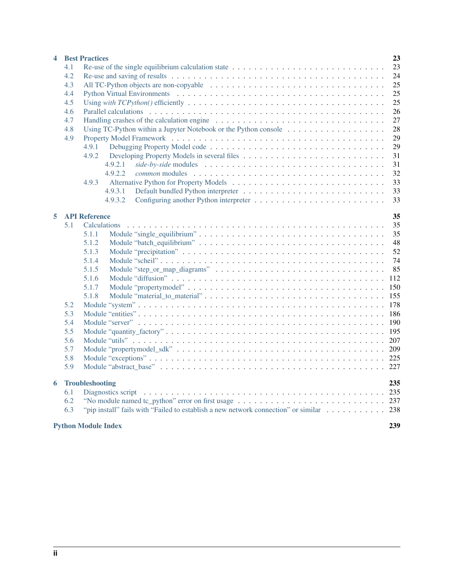| 4 |     | <b>Best Practices</b>                                                                                           | 23  |  |  |  |  |  |
|---|-----|-----------------------------------------------------------------------------------------------------------------|-----|--|--|--|--|--|
|   | 4.1 | Re-use of the single equilibrium calculation state                                                              | 23  |  |  |  |  |  |
|   | 4.2 |                                                                                                                 |     |  |  |  |  |  |
|   | 4.3 |                                                                                                                 | 25  |  |  |  |  |  |
|   | 4.4 |                                                                                                                 | 25  |  |  |  |  |  |
|   | 4.5 |                                                                                                                 | 25  |  |  |  |  |  |
|   | 4.6 |                                                                                                                 | 26  |  |  |  |  |  |
|   | 4.7 |                                                                                                                 | 27  |  |  |  |  |  |
|   | 4.8 | Using TC-Python within a Jupyter Notebook or the Python console $\dots \dots \dots \dots \dots \dots$           | 28  |  |  |  |  |  |
|   | 4.9 |                                                                                                                 | 29  |  |  |  |  |  |
|   |     | 4.9.1                                                                                                           | 29  |  |  |  |  |  |
|   |     | 4.9.2                                                                                                           | 31  |  |  |  |  |  |
|   |     | 4.9.2.1                                                                                                         | 31  |  |  |  |  |  |
|   |     | 4.9.2.2                                                                                                         | 32  |  |  |  |  |  |
|   |     | 4.9.3                                                                                                           | 33  |  |  |  |  |  |
|   |     | 4.9.3.1                                                                                                         | 33  |  |  |  |  |  |
|   |     | 4.9.3.2                                                                                                         | 33  |  |  |  |  |  |
|   |     |                                                                                                                 |     |  |  |  |  |  |
| 5 |     | <b>API Reference</b>                                                                                            | 35  |  |  |  |  |  |
|   | 5.1 | Calculations                                                                                                    | 35  |  |  |  |  |  |
|   |     | 5.1.1                                                                                                           | 35  |  |  |  |  |  |
|   |     | 5.1.2                                                                                                           | 48  |  |  |  |  |  |
|   |     | 5.1.3                                                                                                           | 52  |  |  |  |  |  |
|   |     | 5.1.4                                                                                                           | 74  |  |  |  |  |  |
|   |     | 5.1.5                                                                                                           | 85  |  |  |  |  |  |
|   |     | 5.1.6                                                                                                           | 112 |  |  |  |  |  |
|   |     | 5.1.7                                                                                                           | 150 |  |  |  |  |  |
|   |     | 5.1.8                                                                                                           | 155 |  |  |  |  |  |
|   | 5.2 |                                                                                                                 | 178 |  |  |  |  |  |
|   | 5.3 |                                                                                                                 | 186 |  |  |  |  |  |
|   | 5.4 |                                                                                                                 | 190 |  |  |  |  |  |
|   | 5.5 |                                                                                                                 | 195 |  |  |  |  |  |
|   | 5.6 |                                                                                                                 | 207 |  |  |  |  |  |
|   | 5.7 |                                                                                                                 | 209 |  |  |  |  |  |
|   | 5.8 |                                                                                                                 |     |  |  |  |  |  |
|   | 5.9 |                                                                                                                 |     |  |  |  |  |  |
| 6 |     | <b>Troubleshooting</b>                                                                                          | 235 |  |  |  |  |  |
|   | 6.1 | Diagnostics script (also contained also contained also contained also contained also contained also contained a |     |  |  |  |  |  |
|   | 6.2 |                                                                                                                 |     |  |  |  |  |  |
|   | 6.3 | "pip install" fails with "Failed to establish a new network connection" or similar 238                          |     |  |  |  |  |  |
|   |     |                                                                                                                 |     |  |  |  |  |  |
|   |     | <b>Python Module Index</b>                                                                                      | 239 |  |  |  |  |  |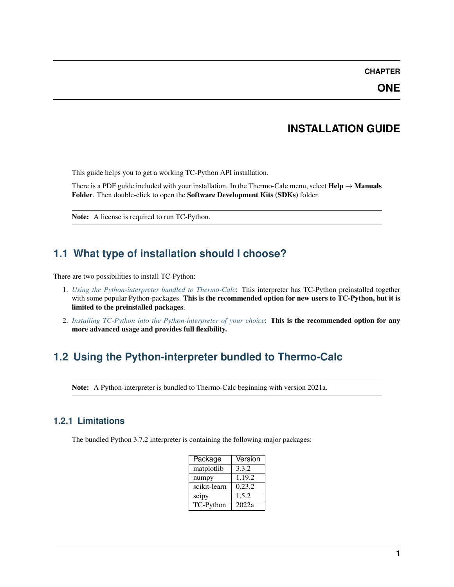#### **CHAPTER**

**ONE**

### **INSTALLATION GUIDE**

<span id="page-4-0"></span>This guide helps you to get a working TC-Python API installation.

There is a PDF guide included with your installation. In the Thermo-Calc menu, select  $\text{Help} \rightarrow \text{Manuals}$ Folder. Then double-click to open the Software Development Kits (SDKs) folder.

Note: A license is required to run TC-Python.

# <span id="page-4-1"></span>**1.1 What type of installation should I choose?**

There are two possibilities to install TC-Python:

- 1. *[Using the Python-interpreter bundled to Thermo-Calc](#page-4-2)*: This interpreter has TC-Python preinstalled together with some popular Python-packages. This is the recommended option for new users to TC-Python, but it is limited to the preinstalled packages.
- 2. *[Installing TC-Python into the Python-interpreter of your choice](#page-7-0)*: This is the recommended option for any more advanced usage and provides full flexibility.

# <span id="page-4-2"></span>**1.2 Using the Python-interpreter bundled to Thermo-Calc**

Note: A Python-interpreter is bundled to Thermo-Calc beginning with version 2021a.

#### <span id="page-4-3"></span>**1.2.1 Limitations**

The bundled Python 3.7.2 interpreter is containing the following major packages:

| Package          | Version |
|------------------|---------|
| matplotlib       | 3.3.2   |
| numpy            | 1.19.2  |
| scikit-learn     | 0.23.2  |
| scipy            | 1.5.2   |
| <b>TC-Python</b> | 2022a   |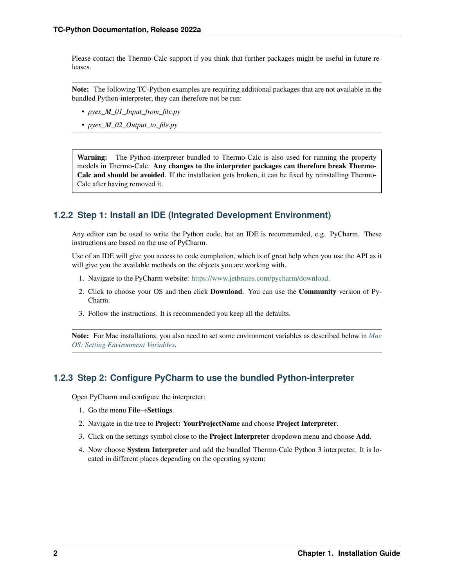Please contact the Thermo-Calc support if you think that further packages might be useful in future releases.

Note: The following TC-Python examples are requiring additional packages that are not available in the bundled Python-interpreter, they can therefore not be run:

- *pyex\_M\_01\_Input\_from\_file.py*
- *pyex\_M\_02\_Output\_to\_file.py*

Warning: The Python-interpreter bundled to Thermo-Calc is also used for running the property models in Thermo-Calc. Any changes to the interpreter packages can therefore break Thermo-Calc and should be avoided. If the installation gets broken, it can be fixed by reinstalling Thermo-Calc after having removed it.

### <span id="page-5-0"></span>**1.2.2 Step 1: Install an IDE (Integrated Development Environment)**

Any editor can be used to write the Python code, but an IDE is recommended, e.g. PyCharm. These instructions are based on the use of PyCharm.

Use of an IDE will give you access to code completion, which is of great help when you use the API as it will give you the available methods on the objects you are working with.

- 1. Navigate to the PyCharm website: [https://www.jetbrains.com/pycharm/download.](https://www.jetbrains.com/pycharm/download)
- 2. Click to choose your OS and then click Download. You can use the Community version of Py-Charm.
- 3. Follow the instructions. It is recommended you keep all the defaults.

Note: For Mac installations, you also need to set some environment variables as described below in *[Mac](#page-12-0) [OS: Setting Environment Variables](#page-12-0)*.

#### <span id="page-5-1"></span>**1.2.3 Step 2: Configure PyCharm to use the bundled Python-interpreter**

Open PyCharm and configure the interpreter:

- 1. Go the menu File→Settings.
- 2. Navigate in the tree to Project: YourProjectName and choose Project Interpreter.
- 3. Click on the settings symbol close to the Project Interpreter dropdown menu and choose Add.
- 4. Now choose System Interpreter and add the bundled Thermo-Calc Python 3 interpreter. It is located in different places depending on the operating system: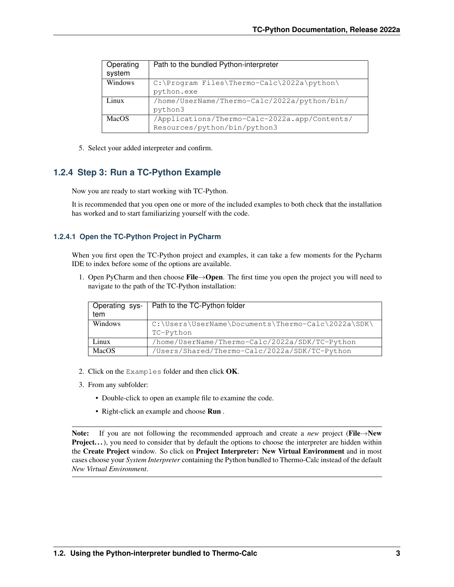| Operating | Path to the bundled Python-interpreter        |  |  |  |  |
|-----------|-----------------------------------------------|--|--|--|--|
| system    |                                               |  |  |  |  |
| Windows   | C:\Program Files\Thermo-Calc\2022a\python\    |  |  |  |  |
|           | python.exe                                    |  |  |  |  |
| Linux     | /home/UserName/Thermo-Calc/2022a/python/bin/  |  |  |  |  |
|           | python3                                       |  |  |  |  |
| MacOS     | /Applications/Thermo-Calc-2022a.app/Contents/ |  |  |  |  |
|           | Resources/python/bin/python3                  |  |  |  |  |

5. Select your added interpreter and confirm.

### <span id="page-6-0"></span>**1.2.4 Step 3: Run a TC-Python Example**

Now you are ready to start working with TC-Python.

It is recommended that you open one or more of the included examples to both check that the installation has worked and to start familiarizing yourself with the code.

#### <span id="page-6-1"></span>**1.2.4.1 Open the TC-Python Project in PyCharm**

When you first open the TC-Python project and examples, it can take a few moments for the Pycharm IDE to index before some of the options are available.

1. Open PyCharm and then choose File→Open. The first time you open the project you will need to navigate to the path of the TC-Python installation:

| Operating sys- | Path to the TC-Python folder                       |  |  |  |
|----------------|----------------------------------------------------|--|--|--|
| tem            |                                                    |  |  |  |
| Windows        | C:\Users\UserName\Documents\Thermo-Calc\2022a\SDK\ |  |  |  |
|                | TC-Python                                          |  |  |  |
| Linux          | /home/UserName/Thermo-Calc/2022a/SDK/TC-Python     |  |  |  |
| MacOS          | /Users/Shared/Thermo-Calc/2022a/SDK/TC-Python      |  |  |  |

- 2. Click on the Examples folder and then click  $OK$ .
- 3. From any subfolder:
	- Double-click to open an example file to examine the code.
	- Right-click an example and choose Run .

Note: If you are not following the recommended approach and create a *new* project (File→New Project. . .), you need to consider that by default the options to choose the interpreter are hidden within the Create Project window. So click on Project Interpreter: New Virtual Environment and in most cases choose your *System Interpreter* containing the Python bundled to Thermo-Calc instead of the default *New Virtual Environment*.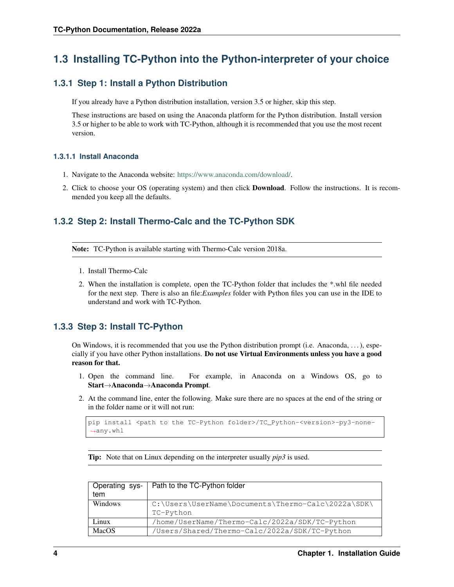# <span id="page-7-0"></span>**1.3 Installing TC-Python into the Python-interpreter of your choice**

### <span id="page-7-1"></span>**1.3.1 Step 1: Install a Python Distribution**

If you already have a Python distribution installation, version 3.5 or higher, skip this step.

These instructions are based on using the Anaconda platform for the Python distribution. Install version 3.5 or higher to be able to work with TC-Python, although it is recommended that you use the most recent version.

#### <span id="page-7-2"></span>**1.3.1.1 Install Anaconda**

- 1. Navigate to the Anaconda website: [https://www.anaconda.com/download/.](https://www.anaconda.com/download/)
- 2. Click to choose your OS (operating system) and then click Download. Follow the instructions. It is recommended you keep all the defaults.

### <span id="page-7-3"></span>**1.3.2 Step 2: Install Thermo-Calc and the TC-Python SDK**

Note: TC-Python is available starting with Thermo-Calc version 2018a.

- 1. Install Thermo-Calc
- 2. When the installation is complete, open the TC-Python folder that includes the \*.whl file needed for the next step. There is also an file:*Examples* folder with Python files you can use in the IDE to understand and work with TC-Python.

### <span id="page-7-4"></span>**1.3.3 Step 3: Install TC-Python**

On Windows, it is recommended that you use the Python distribution prompt (i.e. Anaconda, . . . ), especially if you have other Python installations. Do not use Virtual Environments unless you have a good reason for that.

- 1. Open the command line. For example, in Anaconda on a Windows OS, go to Start→Anaconda→Anaconda Prompt.
- 2. At the command line, enter the following. Make sure there are no spaces at the end of the string or in the folder name or it will not run:

```
pip install <path to the TC-Python folder>/TC_Python-<version>-py3-none-
,→any.whl
```
Tip: Note that on Linux depending on the interpreter usually *pip3* is used.

| Operating sys- | Path to the TC-Python folder                          |  |  |  |  |
|----------------|-------------------------------------------------------|--|--|--|--|
| tem            |                                                       |  |  |  |  |
| Windows        | $C:\Users\UserName\Documents\The\rm rCalc\2022a\SDK\$ |  |  |  |  |
|                | TC-Python                                             |  |  |  |  |
| Linux          | /home/UserName/Thermo-Calc/2022a/SDK/TC-Python        |  |  |  |  |
| MacOS          | /Users/Shared/Thermo-Calc/2022a/SDK/TC-Python         |  |  |  |  |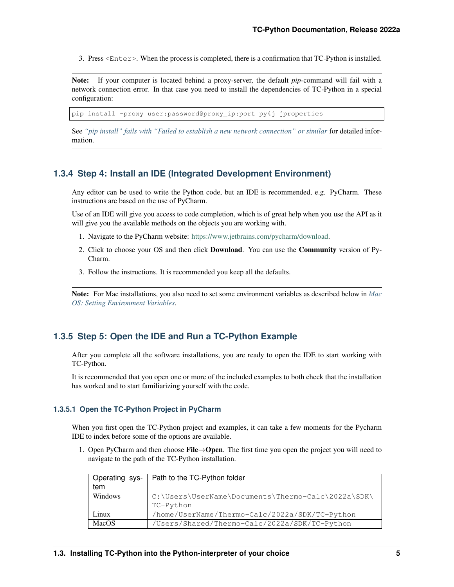3. Press <Enter>. When the process is completed, there is a confirmation that TC-Python is installed.

Note: If your computer is located behind a proxy-server, the default *pip*-command will fail with a network connection error. In that case you need to install the dependencies of TC-Python in a special configuration:

pip install -proxy user:password@proxy\_ip:port py4j jproperties

See *["pip install" fails with "Failed to establish a new network connection" or similar](#page-241-0)* for detailed information.

#### <span id="page-8-0"></span>**1.3.4 Step 4: Install an IDE (Integrated Development Environment)**

Any editor can be used to write the Python code, but an IDE is recommended, e.g. PyCharm. These instructions are based on the use of PyCharm.

Use of an IDE will give you access to code completion, which is of great help when you use the API as it will give you the available methods on the objects you are working with.

- 1. Navigate to the PyCharm website: [https://www.jetbrains.com/pycharm/download.](https://www.jetbrains.com/pycharm/download)
- 2. Click to choose your OS and then click Download. You can use the Community version of Py-Charm.
- 3. Follow the instructions. It is recommended you keep all the defaults.

Note: For Mac installations, you also need to set some environment variables as described below in *[Mac](#page-12-0) [OS: Setting Environment Variables](#page-12-0)*.

#### <span id="page-8-1"></span>**1.3.5 Step 5: Open the IDE and Run a TC-Python Example**

After you complete all the software installations, you are ready to open the IDE to start working with TC-Python.

It is recommended that you open one or more of the included examples to both check that the installation has worked and to start familiarizing yourself with the code.

#### <span id="page-8-2"></span>**1.3.5.1 Open the TC-Python Project in PyCharm**

When you first open the TC-Python project and examples, it can take a few moments for the Pycharm IDE to index before some of the options are available.

1. Open PyCharm and then choose File $\rightarrow$ Open. The first time you open the project you will need to navigate to the path of the TC-Python installation.

| Operating sys- | Path to the TC-Python folder                               |  |  |  |
|----------------|------------------------------------------------------------|--|--|--|
| tem            |                                                            |  |  |  |
| Windows        | $C:\Users\UserName\Documents\The\rmr\sim\>Calc\2022a\SDK\$ |  |  |  |
|                | TC-Python                                                  |  |  |  |
| Linux          | /home/UserName/Thermo-Calc/2022a/SDK/TC-Python             |  |  |  |
| MacOS          | /Users/Shared/Thermo-Calc/2022a/SDK/TC-Python              |  |  |  |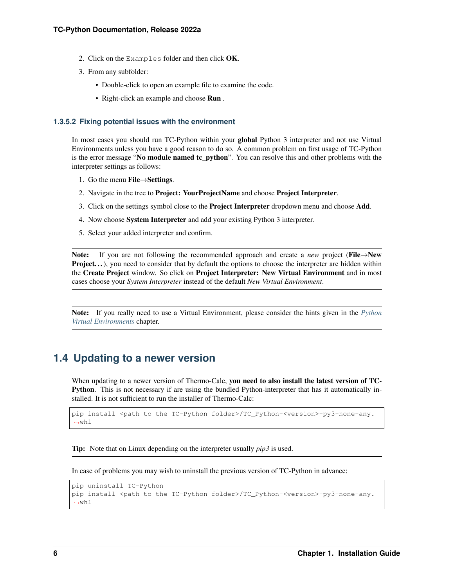- 2. Click on the Examples folder and then click  $OK$ .
- 3. From any subfolder:
	- Double-click to open an example file to examine the code.
	- Right-click an example and choose Run .

#### <span id="page-9-0"></span>**1.3.5.2 Fixing potential issues with the environment**

In most cases you should run TC-Python within your global Python 3 interpreter and not use Virtual Environments unless you have a good reason to do so. A common problem on first usage of TC-Python is the error message "No module named tc\_python". You can resolve this and other problems with the interpreter settings as follows:

- 1. Go the menu File→Settings.
- 2. Navigate in the tree to **Project: YourProjectName** and choose **Project Interpreter.**
- 3. Click on the settings symbol close to the Project Interpreter dropdown menu and choose Add.
- 4. Now choose System Interpreter and add your existing Python 3 interpreter.
- 5. Select your added interpreter and confirm.

Note: If you are not following the recommended approach and create a *new* project (File→New Project. . .), you need to consider that by default the options to choose the interpreter are hidden within the Create Project window. So click on Project Interpreter: New Virtual Environment and in most cases choose your *System Interpreter* instead of the default *New Virtual Environment*.

Note: If you really need to use a Virtual Environment, please consider the hints given in the *[Python](#page-28-1) [Virtual Environments](#page-28-1)* chapter.

## <span id="page-9-1"></span>**1.4 Updating to a newer version**

When updating to a newer version of Thermo-Calc, you need to also install the latest version of TC-Python. This is not necessary if are using the bundled Python-interpreter that has it automatically installed. It is not sufficient to run the installer of Thermo-Calc:

```
pip install <path to the TC-Python folder>/TC_Python-<version>-py3-none-any.
\rightarrowwhl
```
Tip: Note that on Linux depending on the interpreter usually *pip3* is used.

In case of problems you may wish to uninstall the previous version of TC-Python in advance:

```
pip uninstall TC-Python
pip install <path to the TC-Python folder>/TC_Python-<version>-py3-none-any.
\rightarrowwhl
```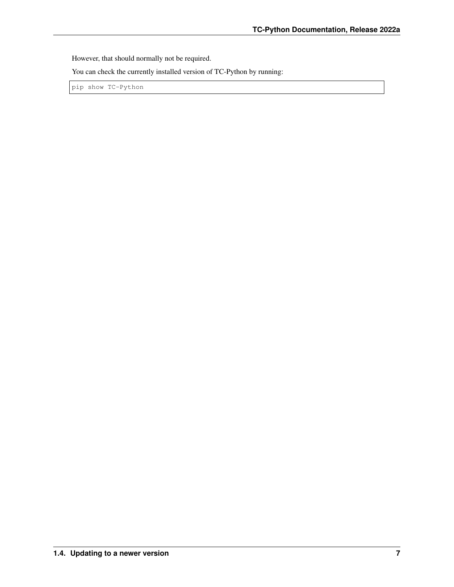However, that should normally not be required.

You can check the currently installed version of TC-Python by running:

pip show TC-Python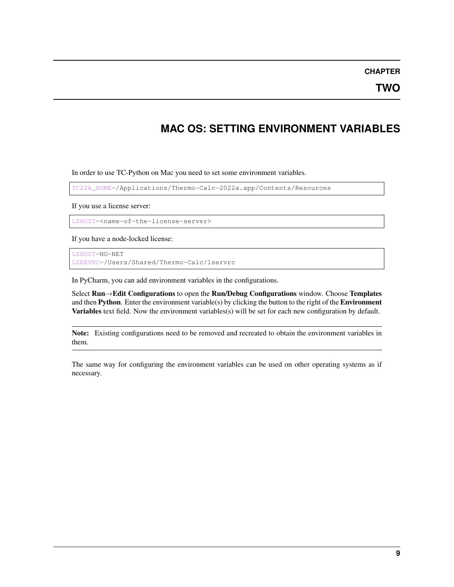#### **CHAPTER**

**TWO**

# **MAC OS: SETTING ENVIRONMENT VARIABLES**

<span id="page-12-0"></span>In order to use TC-Python on Mac you need to set some environment variables.

TC22A\_HOME=/Applications/Thermo-Calc-2022a.app/Contents/Resources

If you use a license server:

LSHOST=<name-of-the-license-server>

If you have a node-locked license:

LSHOST=NO-NET LSERVRC=/Users/Shared/Thermo-Calc/lservrc

In PyCharm, you can add environment variables in the configurations.

Select Run→Edit Configurations to open the Run/Debug Configurations window. Choose Templates and then Python. Enter the environment variable(s) by clicking the button to the right of the Environment Variables text field. Now the environment variables(s) will be set for each new configuration by default.

Note: Existing configurations need to be removed and recreated to obtain the environment variables in them.

The same way for configuring the environment variables can be used on other operating systems as if necessary.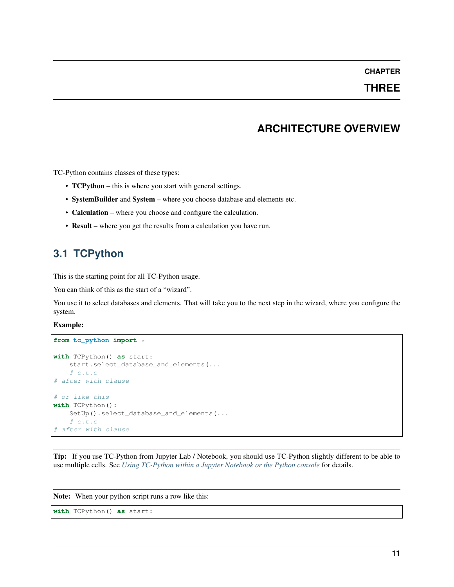#### **CHAPTER**

### **THREE**

# **ARCHITECTURE OVERVIEW**

<span id="page-14-0"></span>TC-Python contains classes of these types:

- **TCPython** this is where you start with general settings.
- SystemBuilder and System where you choose database and elements etc.
- Calculation where you choose and configure the calculation.
- Result where you get the results from a calculation you have run.

# <span id="page-14-1"></span>**3.1 TCPython**

This is the starting point for all TC-Python usage.

You can think of this as the start of a "wizard".

You use it to select databases and elements. That will take you to the next step in the wizard, where you configure the system.

#### Example:

```
from tc_python import *
with TCPython() as start:
    start.select_database_and_elements(...
    # e.t.c
# after with clause
# or like this
with TCPython():
   SetUp().select_database_and_elements(...
    # e.t.c
# after with clause
```
Tip: If you use TC-Python from Jupyter Lab / Notebook, you should use TC-Python slightly different to be able to use multiple cells. See *[Using TC-Python within a Jupyter Notebook or the Python console](#page-31-0)* for details.

Note: When your python script runs a row like this:

```
with TCPython() as start:
```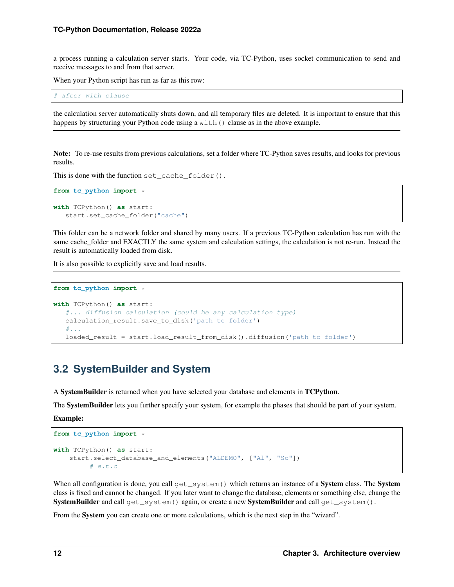a process running a calculation server starts. Your code, via TC-Python, uses socket communication to send and receive messages to and from that server.

When your Python script has run as far as this row:

# after with clause

the calculation server automatically shuts down, and all temporary files are deleted. It is important to ensure that this happens by structuring your Python code using a  $with()$  clause as in the above example.

Note: To re-use results from previous calculations, set a folder where TC-Python saves results, and looks for previous results.

This is done with the function set\_cache\_folder().

```
from tc_python import *
with TCPython() as start:
   start.set_cache_folder("cache")
```
This folder can be a network folder and shared by many users. If a previous TC-Python calculation has run with the same cache\_folder and EXACTLY the same system and calculation settings, the calculation is not re-run. Instead the result is automatically loaded from disk.

It is also possible to explicitly save and load results.

```
from tc_python import *
with TCPython() as start:
   #... diffusion calculation (could be any calculation type)
   calculation_result.save_to_disk('path to folder')
   #...loaded_result = start.load_result_from_disk().diffusion('path to folder')
```
# <span id="page-15-0"></span>**3.2 SystemBuilder and System**

A SystemBuilder is returned when you have selected your database and elements in TCPython.

The SystemBuilder lets you further specify your system, for example the phases that should be part of your system.

Example:

```
from tc_python import *
with TCPython() as start:
    start.select_database_and_elements("ALDEMO", ["Al", "Sc"])
         # e.t.c
```
When all configuration is done, you call get\_system() which returns an instance of a System class. The System class is fixed and cannot be changed. If you later want to change the database, elements or something else, change the SystemBuilder and call get\_system() again, or create a new SystemBuilder and call get\_system().

From the System you can create one or more calculations, which is the next step in the "wizard".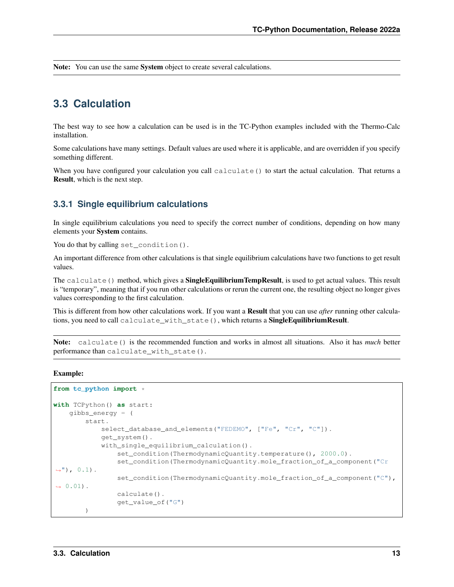Note: You can use the same System object to create several calculations.

# <span id="page-16-0"></span>**3.3 Calculation**

The best way to see how a calculation can be used is in the TC-Python examples included with the Thermo-Calc installation.

Some calculations have many settings. Default values are used where it is applicable, and are overridden if you specify something different.

When you have configured your calculation you call calculate () to start the actual calculation. That returns a Result, which is the next step.

#### <span id="page-16-1"></span>**3.3.1 Single equilibrium calculations**

In single equilibrium calculations you need to specify the correct number of conditions, depending on how many elements your System contains.

You do that by calling set\_condition().

An important difference from other calculations is that single equilibrium calculations have two functions to get result values.

The calculate () method, which gives a **SingleEquilibriumTempResult**, is used to get actual values. This result is "temporary", meaning that if you run other calculations or rerun the current one, the resulting object no longer gives values corresponding to the first calculation.

This is different from how other calculations work. If you want a Result that you can use *after* running other calculations, you need to call calculate\_with\_state(), which returns a SingleEquilibriumResult.

Note: calculate() is the recommended function and works in almost all situations. Also it has *much* better performance than calculate\_with\_state().

```
from tc_python import *
with TCPython() as start:
    gibbs_energy = (
        start.
            select_database_and_elements("FEDEMO", ["Fe", "Cr", "C"]).
            get_system().
            with_single_equilibrium_calculation().
                 set_condition(ThermodynamicQuantity.temperature(), 2000.0).
                 set_condition(ThermodynamicQuantity.mole_fraction_of_a_component("Cr
\leftrightarrow"), 0.1).
                 set_condition(ThermodynamicQuantity.mole_fraction_of_a_component("C"),
\rightarrow 0.01).
                 calculate().
                 get_value_of("G")
        )
```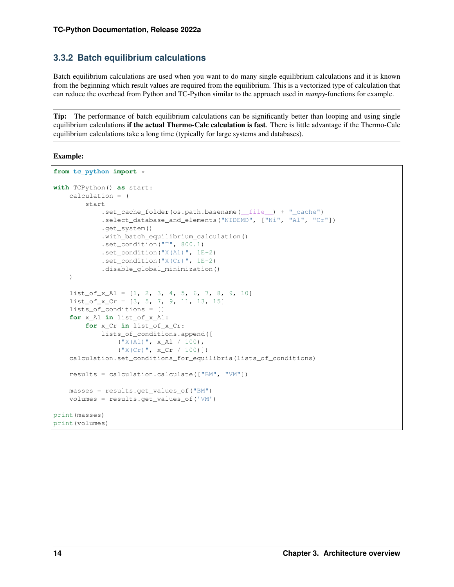### <span id="page-17-0"></span>**3.3.2 Batch equilibrium calculations**

Batch equilibrium calculations are used when you want to do many single equilibrium calculations and it is known from the beginning which result values are required from the equilibrium. This is a vectorized type of calculation that can reduce the overhead from Python and TC-Python similar to the approach used in *numpy*-functions for example.

Tip: The performance of batch equilibrium calculations can be significantly better than looping and using single equilibrium calculations if the actual Thermo-Calc calculation is fast. There is little advantage if the Thermo-Calc equilibrium calculations take a long time (typically for large systems and databases).

```
from tc_python import *
with TCPython() as start:
    calculation = (
        start
            .set_cache_folder(os.path.basename(__file__) + "_cache")
            .select_database_and_elements("NIDEMO", ["Ni", "Al", "Cr"])
            .get_system()
            .with_batch_equilibrium_calculation()
            .set_condition("T", 800.1)
            .set_condition("X(Al)", 1E-2)
            .set_condition("X(Cr)", 1E-2)
            .disable_global_minimization()
    )
    list_of_xAl = [1, 2, 3, 4, 5, 6, 7, 8, 9, 10]list_of_x_Cr = [3, 5, 7, 9, 11, 13, 15]
    lists_of_conditions = []
    for x_Al in list_of_x_Al:
        for x_Cr in list_of_x_Cr:
            lists_of_conditions.append([
                 ("X(Al)", x_Al / 100),
                 (\sqrt{\mathbb{Y}}X(Cr), \sqrt{\mathbb{Y}}, x_Cr / 100)]calculation.set_conditions_for_equilibria(lists_of_conditions)
    results = calculation.calculate(["BM", "VM"])
    masses = results.get_values_of("BM")
    volumes = results.get_values_of('VM')
print(masses)
print(volumes)
```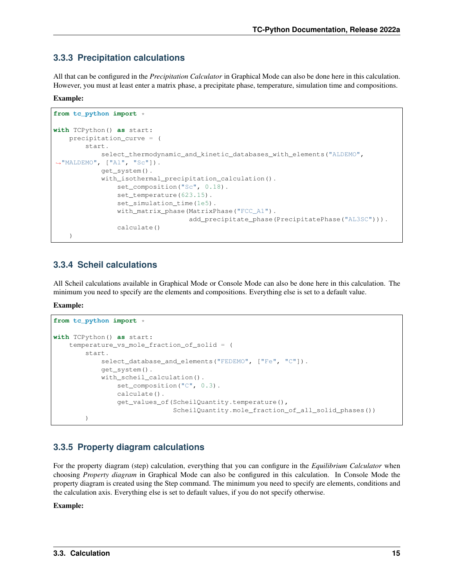### <span id="page-18-0"></span>**3.3.3 Precipitation calculations**

All that can be configured in the *Precipitation Calculator* in Graphical Mode can also be done here in this calculation. However, you must at least enter a matrix phase, a precipitate phase, temperature, simulation time and compositions.

#### Example:

```
from tc_python import *
with TCPython() as start:
    precipitation_curve = (
        start.
            select_thermodynamic_and_kinetic_databases_with_elements("ALDEMO",
\hookrightarrow"MALDEMO", ["Al", "Sc"]).
            get_system().
            with_isothermal_precipitation_calculation().
                set_composition("Sc", 0.18).
                set_temperature(623.15).
                 set_simulation_time(1e5).
                with_matrix_phase(MatrixPhase("FCC_A1").
                                   add precipitate phase(PrecipitatePhase("AL3SC"))).
                calculate()
    )
```
#### <span id="page-18-1"></span>**3.3.4 Scheil calculations**

All Scheil calculations available in Graphical Mode or Console Mode can also be done here in this calculation. The minimum you need to specify are the elements and compositions. Everything else is set to a default value.

Example:

```
from tc_python import *
with TCPython() as start:
   temperature_vs_mole_fraction_of_solid = (
        start.
            select_database_and_elements("FEDEMO", ["Fe", "C"]).
            get_system().
            with_scheil_calculation().
                set composition("C", 0.3).
                calculate().
                get_values_of(ScheilQuantity.temperature(),
                              ScheilQuantity.mole_fraction_of_all_solid_phases())
        )
```
#### <span id="page-18-2"></span>**3.3.5 Property diagram calculations**

For the property diagram (step) calculation, everything that you can configure in the *Equilibrium Calculator* when choosing *Property diagram* in Graphical Mode can also be configured in this calculation. In Console Mode the property diagram is created using the Step command. The minimum you need to specify are elements, conditions and the calculation axis. Everything else is set to default values, if you do not specify otherwise.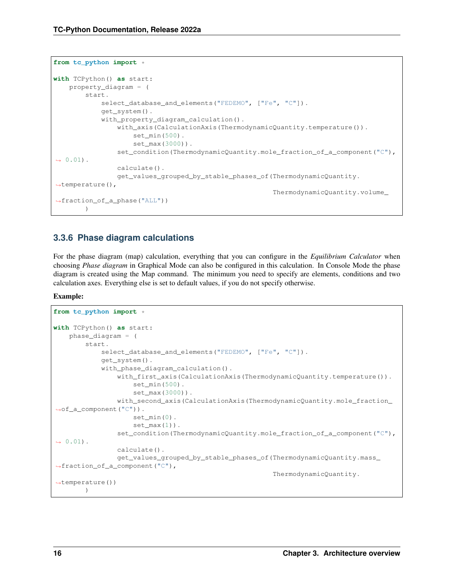```
from tc_python import *
with TCPython() as start:
    property_diagram = (
        start.
            select_database_and_elements("FEDEMO", ["Fe", "C"]).
            get_system().
            with_property_diagram_calculation().
                with_axis(CalculationAxis(ThermodynamicQuantity.temperature()).
                    set_min(500).
                     set_max(3000)).
                set_condition(ThermodynamicQuantity.mole_fraction_of_a_component("C"),
\rightarrow 0.01).
                calculate().
                get_values_grouped_by_stable_phases_of(ThermodynamicQuantity.
,→temperature(),
                                                         ThermodynamicQuantity.volume_
,→fraction_of_a_phase("ALL"))
        )
```
### <span id="page-19-0"></span>**3.3.6 Phase diagram calculations**

For the phase diagram (map) calculation, everything that you can configure in the *Equilibrium Calculator* when choosing *Phase diagram* in Graphical Mode can also be configured in this calculation. In Console Mode the phase diagram is created using the Map command. The minimum you need to specify are elements, conditions and two calculation axes. Everything else is set to default values, if you do not specify otherwise.

```
from tc_python import *
with TCPython() as start:
    phase_diagram = (
        start.
            select_database_and_elements("FEDEMO", ["Fe", "C"]).
            get_system().
            with_phase_diagram_calculation().
                with_first_axis(CalculationAxis(ThermodynamicQuantity.temperature()).
                     set_min(500).
                     set_max(3000)).
                with_second_axis(CalculationAxis(ThermodynamicQuantity.mole_fraction_
,→of_a_component("C")).
                     set_min(0).
                     set_max(1).
                set_condition(ThermodynamicQuantity.mole_fraction_of_a_component("C"),
\leftrightarrow 0.01).
                calculate().
                 get_values_grouped_by_stable_phases_of(ThermodynamicQuantity.mass_
,→fraction_of_a_component("C"),
                                                          ThermodynamicQuantity.
\rightarrowtemperature())
        )
```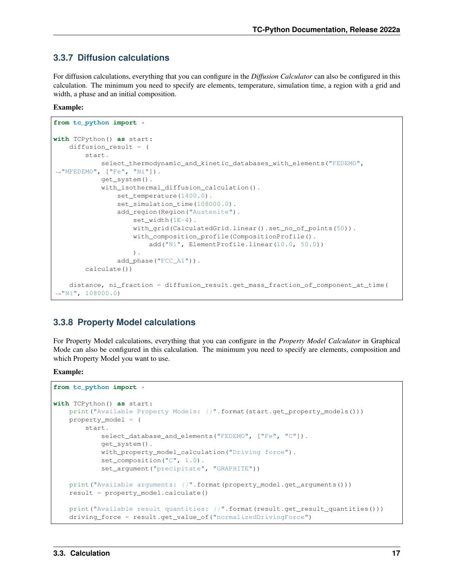### <span id="page-20-0"></span>**3.3.7 Diffusion calculations**

For diffusion calculations, everything that you can configure in the *Diffusion Calculator* can also be configured in this calculation. The minimum you need to specify are elements, temperature, simulation time, a region with a grid and width, a phase and an initial composition.

#### Example:

```
from tc_python import *
with TCPython() as start:
    diffusion_result = (
        start.
            select_thermodynamic_and_kinetic_databases_with_elements("FEDEMO",
,→"MFEDEMO", ["Fe", "Ni"]).
            get_system().
            with_isothermal_diffusion_calculation().
                set_temperature(1400.0).
                set_simulation_time(108000.0).
                add_region(Region("Austenite").
                    set_width(1E-4).
                    with_grid(CalculatedGrid.linear().set_no_of_points(50)).
                    with_composition_profile(CompositionProfile().
                        add("Ni", ElementProfile.linear(10.0, 50.0))
                    ).
                add_phase("FCC_A1")).
        calculate())
    distance, ni_fraction = diffusion_result.get_mass_fraction_of_component_at_time(
\rightarrow"Ni", 108000.0)
```
### <span id="page-20-1"></span>**3.3.8 Property Model calculations**

For Property Model calculations, everything that you can configure in the *Property Model Calculator* in Graphical Mode can also be configured in this calculation. The minimum you need to specify are elements, composition and which Property Model you want to use.

```
from tc_python import *
with TCPython() as start:
   print("Available Property Models: {}".format(start.get_property_models()))
   property_model = (
       start.
            select_database_and_elements("FEDEMO", ["Fe", "C"]).
            get_system().
           with_property_model_calculation("Driving force").
            set_composition("C", 1.0).
            set_argument("precipitate", "GRAPHITE"))
   print("Available arguments: {}".format(property_model.get_arguments()))
    result = property_model.calculate()
    print("Available result quantities: \{ )".format(result.get_result_quantities()))
    driving_force = result.get_value_of("normalizedDrivingForce")
```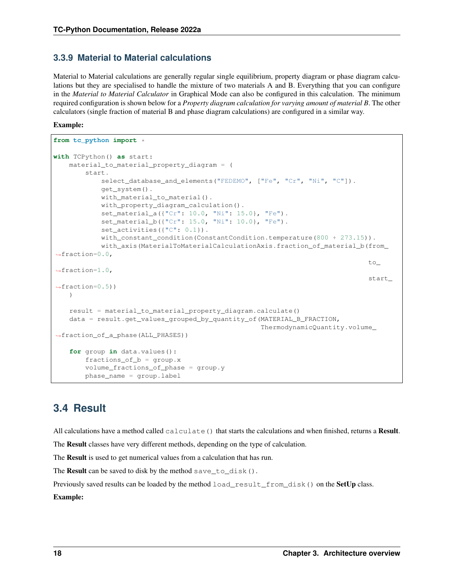### <span id="page-21-0"></span>**3.3.9 Material to Material calculations**

Material to Material calculations are generally regular single equilibrium, property diagram or phase diagram calculations but they are specialised to handle the mixture of two materials A and B. Everything that you can configure in the *Material to Material Calculator* in Graphical Mode can also be configured in this calculation. The minimum required configuration is shown below for a *Property diagram calculation for varying amount of material B*. The other calculators (single fraction of material B and phase diagram calculations) are configured in a similar way.

#### Example:

```
from tc_python import *
with TCPython() as start:
   material_to_material_property_diagram = (
        start.
            select_database_and_elements("FEDEMO", ["Fe", "Cr", "Ni", "C"]).
            get_system().
            with_material_to_material().
            with_property_diagram_calculation().
            set_material_a({"Cr": 10.0, "Ni": 15.0}, "Fe").
            set material b({"Cr": 15.0, "Ni": 10.0}, "Fe").
            set_activities({"C": 0.1}).
            with_constant_condition(ConstantCondition.temperature(800 + 273.15)).
            with_axis(MaterialToMaterialCalculationAxis.fraction_of_material_b(from_
\rightarrowfraction=0.0,
                                                                                   to_
\rightarrowfraction=1.0,
                                                                                   start_
\rightarrowfraction=0.5))
   )
    result = material_to_material_property_diagram.calculate()
    data = result.get_values_grouped_by_quantity_of(MATERIAL_B_FRACTION,
                                                      ThermodynamicQuantity.volume_
,→fraction_of_a_phase(ALL_PHASES))
    for group in data.values():
        fractions_of_b = group.xvolume_fractions_of_phase = group.y
        phase_name = group.label
```
# <span id="page-21-1"></span>**3.4 Result**

All calculations have a method called calculate () that starts the calculations and when finished, returns a Result.

The Result classes have very different methods, depending on the type of calculation.

The Result is used to get numerical values from a calculation that has run.

The **Result** can be saved to disk by the method save\_to\_disk().

Previously saved results can be loaded by the method load\_result\_from\_disk() on the SetUp class.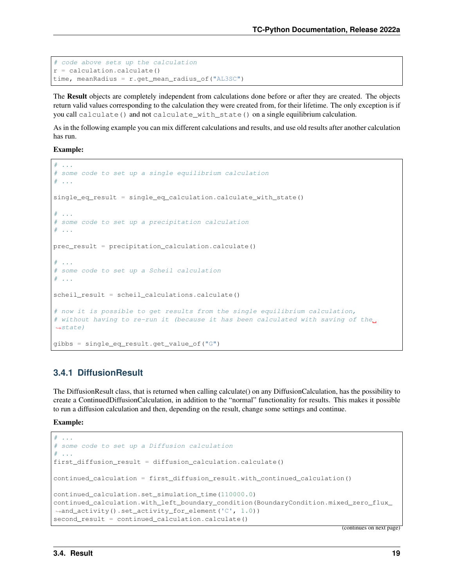```
# code above sets up the calculation
r = calculation.calculate()time, meanRadius = r \cdot qet mean radius of("AL3SC")
```
The Result objects are completely independent from calculations done before or after they are created. The objects return valid values corresponding to the calculation they were created from, for their lifetime. The only exception is if you call calculate() and not calculate\_with\_state() on a single equilibrium calculation.

As in the following example you can mix different calculations and results, and use old results after another calculation has run.

Example:

```
# ...
# some code to set up a single equilibrium calculation
# ...
single_eq_result = single_eq_calculation.calculate_with_state()
# ...
# some code to set up a precipitation calculation
# ...
prec_result = precipitation_calculation.calculate()
\# ...
# some code to set up a Scheil calculation
# ...
scheil_result = scheil_calculations.calculate()
# now it is possible to get results from the single equilibrium calculation,
# without having to re-run it (because it has been calculated with saving of the
\leftrightarrowstate)
gibbs = single_eq_result.get_value_of("G")
```
#### <span id="page-22-0"></span>**3.4.1 DiffusionResult**

The DiffusionResult class, that is returned when calling calculate() on any DiffusionCalculation, has the possibility to create a ContinuedDiffusionCalculation, in addition to the "normal" functionality for results. This makes it possible to run a diffusion calculation and then, depending on the result, change some settings and continue.

Example:

```
## some code to set up a Diffusion calculation
# ...
first_diffusion_result = diffusion_calculation.calculate()
continued_calculation = first_diffusion_result.with_continued_calculation()
continued_calculation.set_simulation_time(110000.0)
continued_calculation.with_left_boundary_condition(BoundaryCondition.mixed_zero_flux_
,→and_activity().set_activity_for_element('C', 1.0))
second_result = continued_calculation.calculate()
```
(continues on next page)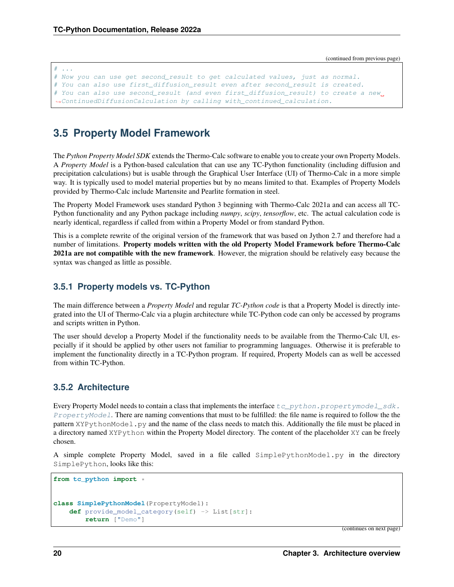(continued from previous page)

```
# ...
# Now you can use get second_result to get calculated values, just as normal.
# You can also use first_diffusion_result even after second_result is created.
# You can also use second_result (and even first_diffusion_result) to create a new_
,→ContinuedDiffusionCalculation by calling with_continued_calculation.
```
# <span id="page-23-0"></span>**3.5 Property Model Framework**

The *Python Property Model SDK* extends the Thermo-Calc software to enable you to create your own Property Models. A *Property Model* is a Python-based calculation that can use any TC-Python functionality (including diffusion and precipitation calculations) but is usable through the Graphical User Interface (UI) of Thermo-Calc in a more simple way. It is typically used to model material properties but by no means limited to that. Examples of Property Models provided by Thermo-Calc include Martensite and Pearlite formation in steel.

The Property Model Framework uses standard Python 3 beginning with Thermo-Calc 2021a and can access all TC-Python functionality and any Python package including *numpy*, *scipy*, *tensorflow*, etc. The actual calculation code is nearly identical, regardless if called from within a Property Model or from standard Python.

This is a complete rewrite of the original version of the framework that was based on Jython 2.7 and therefore had a number of limitations. Property models written with the old Property Model Framework before Thermo-Calc 2021a are not compatible with the new framework. However, the migration should be relatively easy because the syntax was changed as little as possible.

### <span id="page-23-1"></span>**3.5.1 Property models vs. TC-Python**

The main difference between a *Property Model* and regular *TC-Python code* is that a Property Model is directly integrated into the UI of Thermo-Calc via a plugin architecture while TC-Python code can only be accessed by programs and scripts written in Python.

The user should develop a Property Model if the functionality needs to be available from the Thermo-Calc UI, especially if it should be applied by other users not familiar to programming languages. Otherwise it is preferable to implement the functionality directly in a TC-Python program. If required, Property Models can as well be accessed from within TC-Python.

### <span id="page-23-2"></span>**3.5.2 Architecture**

Every Property Model needs to contain a class that implements the interface  $tc\_python$ .propertymodel\_sdk. [PropertyModel](#page-215-0). There are naming conventions that must to be fulfilled: the file name is required to follow the the pattern XYPythonModel.py and the name of the class needs to match this. Additionally the file must be placed in a directory named XYPython within the Property Model directory. The content of the placeholder XY can be freely chosen.

A simple complete Property Model, saved in a file called SimplePythonModel.py in the directory SimplePython, looks like this:

```
from tc_python import *
class SimplePythonModel(PropertyModel):
    def provide_model_category(self) -> List[str]:
        return ["Demo"]
```
(continues on next page)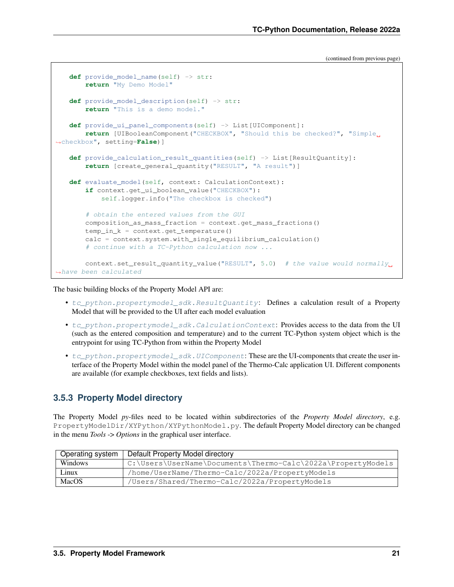(continued from previous page)

```
def provide_model_name(self) -> str:
       return "My Demo Model"
   def provide_model_description(self) -> str:
       return "This is a demo model."
   def provide_ui_panel_components(self) -> List[UIComponent]:
       return [UIBooleanComponent("CHECKBOX", "Should this be checked?", "Simple
,→checkbox", setting=False)]
   def provide_calculation_result_quantities(self) -> List[ResultQuantity]:
       return [create_general_quantity("RESULT", "A result")]
   def evaluate model(self, context: CalculationContext):
       if context.get_ui_boolean_value("CHECKBOX"):
           self.logger.info("The checkbox is checked")
       # obtain the entered values from the GUI
       composition_as_mass_fraction = context.get_mass_fractions()
       temp_in_k = context.get_temperature()
       calc = context.system.with_single_equilibrium_calculation()
       # continue with a TC-Python calculation now ...
       context.set_result_quantity_value("RESULT", 5.0) # the value would normally_
,→have been calculated
```
The basic building blocks of the Property Model API are:

- [tc\\_python.propertymodel\\_sdk.ResultQuantity](#page-217-0): Defines a calculation result of a Property Model that will be provided to the UI after each model evaluation
- [tc\\_python.propertymodel\\_sdk.CalculationContext](#page-212-1): Provides access to the data from the UI (such as the entered composition and temperature) and to the current TC-Python system object which is the entrypoint for using TC-Python from within the Property Model
- [tc\\_python.propertymodel\\_sdk.UIComponent](#page-219-0): These are the UI-components that create the user interface of the Property Model within the model panel of the Thermo-Calc application UI. Different components are available (for example checkboxes, text fields and lists).

### <span id="page-24-0"></span>**3.5.3 Property Model directory**

The Property Model *py*-files need to be located within subdirectories of the *Property Model directory*, e.g. PropertyModelDir/XYPython/XYPythonModel.py. The default Property Model directory can be changed in the menu *Tools* -> *Options* in the graphical user interface.

| Operating system | Default Property Model directory                             |
|------------------|--------------------------------------------------------------|
| Windows          | C:\Users\UserName\Documents\Thermo-Calc\2022a\PropertyModels |
| Linux            | /home/UserName/Thermo-Calc/2022a/PropertyModels              |
| MacOS            | /Users/Shared/Thermo-Calc/2022a/PropertyModels               |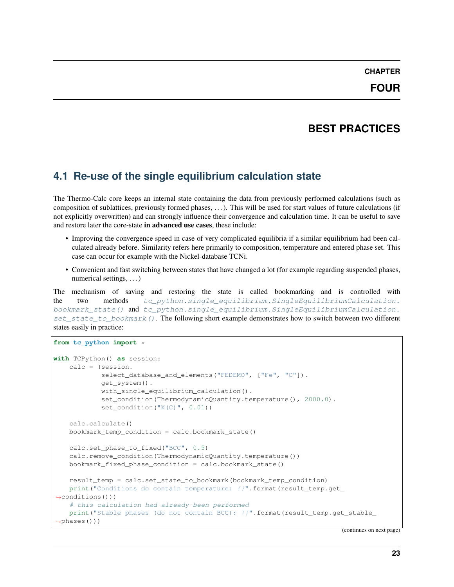# **BEST PRACTICES**

# <span id="page-26-1"></span><span id="page-26-0"></span>**4.1 Re-use of the single equilibrium calculation state**

The Thermo-Calc core keeps an internal state containing the data from previously performed calculations (such as composition of sublattices, previously formed phases, . . . ). This will be used for start values of future calculations (if not explicitly overwritten) and can strongly influence their convergence and calculation time. It can be useful to save and restore later the core-state in advanced use cases, these include:

- Improving the convergence speed in case of very complicated equilibria if a similar equilibrium had been calculated already before. Similarity refers here primarily to composition, temperature and entered phase set. This case can occur for example with the Nickel-database TCNi.
- Convenient and fast switching between states that have changed a lot (for example regarding suspended phases, numerical settings, . . . )

The mechanism of saving and restoring the state is called bookmarking and is controlled with the two methods [tc\\_python.single\\_equilibrium.SingleEquilibriumCalculation.](#page-41-0) [bookmark\\_state\(\)](#page-41-0) and [tc\\_python.single\\_equilibrium.SingleEquilibriumCalculation.](#page-44-0) [set\\_state\\_to\\_bookmark\(\)](#page-44-0). The following short example demonstrates how to switch between two different states easily in practice:

```
from tc_python import *
with TCPython() as session:
    calc = (session.
            select_database_and_elements("FEDEMO", ["Fe", "C"]).
            get_system().
            with_single_equilibrium_calculation().
            set_condition(ThermodynamicQuantity.temperature(), 2000.0).
            set_condition("X(C)", 0.01))
    calc.calculate()
   bookmark_temp_condition = calc.bookmark_state()
    calc.set_phase_to_fixed("BCC", 0.5)
    calc.remove_condition(ThermodynamicQuantity.temperature())
    bookmark_fixed_phase_condition = calc.bookmark_state()
    result_temp = calc.set_state_to_bookmark(bookmark_temp_condition)
    print("Conditions do contain temperature: {}".format(result_temp.get_
\rightarrowconditions()))
    # this calculation had already been performed
    print("Stable phases (do not contain BCC): {}".format(result_temp.get_stable_
\rightarrowphases()))
```
(continues on next page)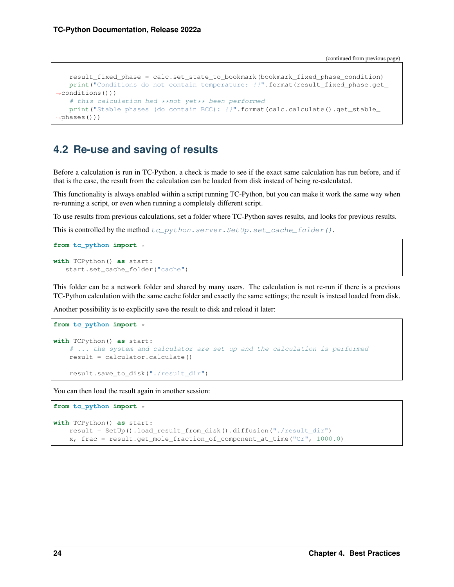(continued from previous page)

```
result_fixed_phase = calc.set_state_to_bookmark(bookmark_fixed_phase_condition)
   print("Conditions do not contain temperature: {}".format(result_fixed_phase.get_
\rightarrowconditions()))
   # this calculation had **not yet** been performed
   print("Stable phases (do contain BCC): {}".format(calc.calculate().get_stable_
\rightarrowphases()))
```
# <span id="page-27-0"></span>**4.2 Re-use and saving of results**

Before a calculation is run in TC-Python, a check is made to see if the exact same calculation has run before, and if that is the case, the result from the calculation can be loaded from disk instead of being re-calculated.

This functionality is always enabled within a script running TC-Python, but you can make it work the same way when re-running a script, or even when running a completely different script.

To use results from previous calculations, set a folder where TC-Python saves results, and looks for previous results.

This is controlled by the method  $tc\_python.server.SetUp.set\_cache\_folder()$ .

```
from tc_python import *
with TCPython() as start:
   start.set_cache_folder("cache")
```
This folder can be a network folder and shared by many users. The calculation is not re-run if there is a previous TC-Python calculation with the same cache folder and exactly the same settings; the result is instead loaded from disk.

Another possibility is to explicitly save the result to disk and reload it later:

```
from tc_python import *
with TCPython() as start:
    # ... the system and calculator are set up and the calculation is performed
   result = calculator.calculate()
    result.save_to_disk("./result_dir")
```
You can then load the result again in another session:

```
from tc_python import *
with TCPython() as start:
   result = SetUp().load_result_from_disk().diffusion("./result_dir")
   x, frac = result.get_mole_fraction_of_component_at_time("Cr", 1000.0)
```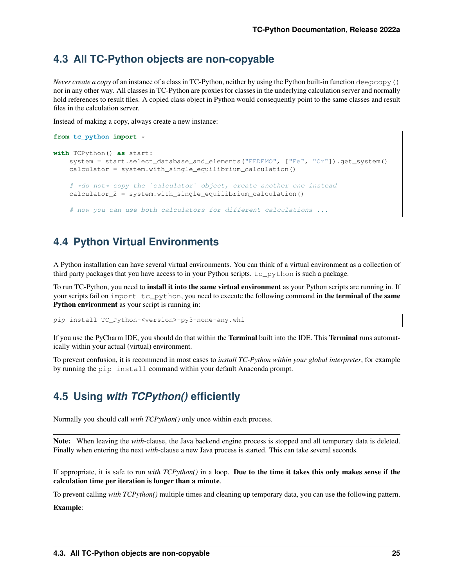# <span id="page-28-0"></span>**4.3 All TC-Python objects are non-copyable**

*Never create a copy* of an instance of a class in TC-Python, neither by using the Python built-in function deepcopy() nor in any other way. All classes in TC-Python are proxies for classes in the underlying calculation server and normally hold references to result files. A copied class object in Python would consequently point to the same classes and result files in the calculation server.

Instead of making a copy, always create a new instance:

```
from tc_python import *
with TCPython() as start:
    system = start.select_database_and_elements("FEDEMO", ["Fe", "Cr"]).get_system()
    calculator = system.with_single_equilibrium_calculation()
    # *do not* copy the `calculator` object, create another one instead
    calculator 2 = system.with single equilibrium calculation()
    # now you can use both calculators for different calculations ...
```
# <span id="page-28-1"></span>**4.4 Python Virtual Environments**

A Python installation can have several virtual environments. You can think of a virtual environment as a collection of third party packages that you have access to in your Python scripts.  $tc\_python$  is such a package.

To run TC-Python, you need to **install it into the same virtual environment** as your Python scripts are running in. If your scripts fail on import tc\_python, you need to execute the following command in the terminal of the same Python environment as your script is running in:

pip install TC\_Python-<version>-py3-none-any.whl

If you use the PyCharm IDE, you should do that within the **Terminal** built into the IDE. This **Terminal** runs automatically within your actual (virtual) environment.

To prevent confusion, it is recommend in most cases to *install TC-Python within your global interpreter*, for example by running the pip install command within your default Anaconda prompt.

# <span id="page-28-2"></span>**4.5 Using** *with TCPython()* **efficiently**

Normally you should call *with TCPython()* only once within each process.

Note: When leaving the *with*-clause, the Java backend engine process is stopped and all temporary data is deleted. Finally when entering the next *with*-clause a new Java process is started. This can take several seconds.

If appropriate, it is safe to run *with TCPython()* in a loop. Due to the time it takes this only makes sense if the calculation time per iteration is longer than a minute.

To prevent calling *with TCPython()* multiple times and cleaning up temporary data, you can use the following pattern.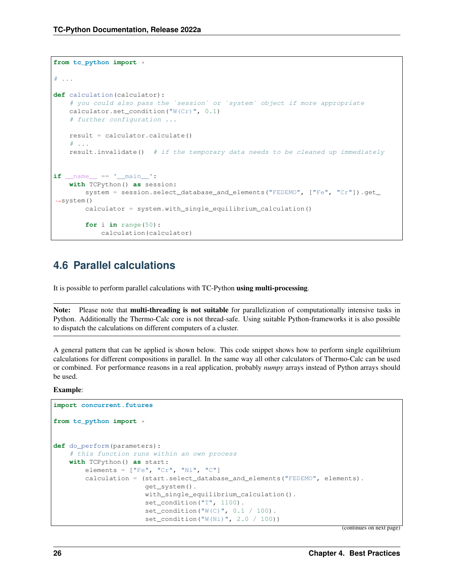```
from tc_python import *
# . . .
def calculation(calculator):
   # you could also pass the `session` or `system` object if more appropriate
   calculator.set_condition("W(Cr)", 0.1)
    # further configuration ...
   result = calculator.calculate()
    \# ...
    result.invalidate() # if the temporary data needs to be cleaned up immediately
if __name__ == '__main__':
    with TCPython() as session:
        system = session.select_database_and_elements("FEDEMO", ["Fe", "Cr"]).get_
\rightarrowsystem()
        calculator = system.with_single_equilibrium_calculation()
        for i in range(50):
            calculation(calculator)
```
# <span id="page-29-0"></span>**4.6 Parallel calculations**

It is possible to perform parallel calculations with TC-Python using multi-processing.

Note: Please note that multi-threading is not suitable for parallelization of computationally intensive tasks in Python. Additionally the Thermo-Calc core is not thread-safe. Using suitable Python-frameworks it is also possible to dispatch the calculations on different computers of a cluster.

A general pattern that can be applied is shown below. This code snippet shows how to perform single equilibrium calculations for different compositions in parallel. In the same way all other calculators of Thermo-Calc can be used or combined. For performance reasons in a real application, probably *numpy* arrays instead of Python arrays should be used.

Example:

```
import concurrent.futures
from tc_python import *
def do_perform(parameters):
    # this function runs within an own process
   with TCPython() as start:
       elements = ["Fe", "Cr", "Ni", "C"]calculation = (start.select_database_and_elements("FEDEMO", elements).
                       get_system().
                       with_single_equilibrium_calculation().
                       set_condition("T", 1100).
                       set condition("W(C)", 0.1 / 100).
                       set_condition("W(Ni)", 2.0 / 100))
```
(continues on next page)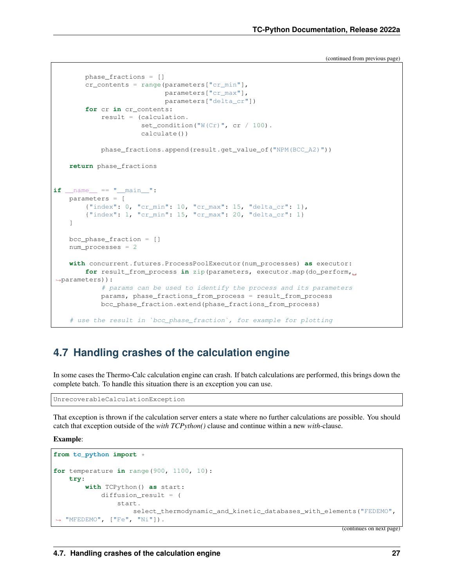(continued from previous page)

```
phase_fractions = []
        cr_contents = range(parameters["cr_min"],
                            parameters["cr_max"],
                            parameters["delta_cr"])
        for cr in cr_contents:
            result = (calculation.
                     set_condition("W(Cr)", cr / 100).
                      calculate())
            phase_fractions.append(result.get_value_of("NPM(BCC_A2)"))
    return phase_fractions
if name == "main ":
   parameters = [
        {"index": 0, "cr_min": 10, "cr_max": 15, "delta_cr": 1},
        {"index": 1, "cr_min": 15, "cr_max": 20, "delta_cr": 1}
    ]
   bcc_phase_fraction = []
   num_processes = 2
   with concurrent.futures.ProcessPoolExecutor(num_processes) as executor:
        for result_from_process in zip(parameters, executor.map(do_perform,
,→parameters)):
            # params can be used to identify the process and its parameters
           params, phase_fractions_from_process = result_from_process
           bcc_phase_fraction.extend(phase_fractions_from_process)
    # use the result in `bcc_phase_fraction`, for example for plotting
```
# <span id="page-30-0"></span>**4.7 Handling crashes of the calculation engine**

In some cases the Thermo-Calc calculation engine can crash. If batch calculations are performed, this brings down the complete batch. To handle this situation there is an exception you can use.

```
UnrecoverableCalculationException
```
That exception is thrown if the calculation server enters a state where no further calculations are possible. You should catch that exception outside of the *with TCPython()* clause and continue within a new *with*-clause.

Example:

```
from tc_python import *
for temperature in range(900, 1100, 10):
   try:
        with TCPython() as start:
            diffusion result = (start.
                    select_thermodynamic_and_kinetic_databases_with_elements("FEDEMO",
,→ "MFEDEMO", ["Fe", "Ni"]).
```
(continues on next page)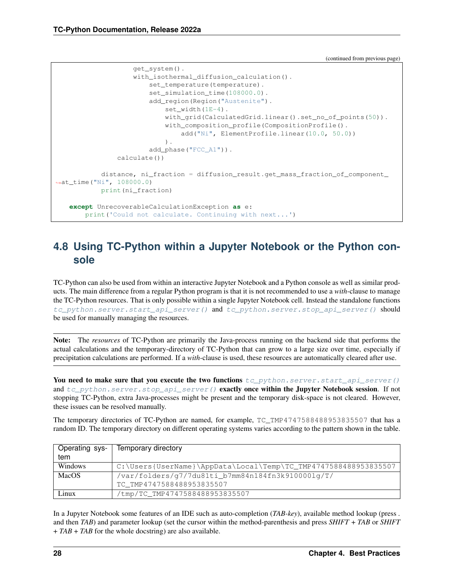(continued from previous page)

```
get_system().
                    with_isothermal_diffusion_calculation().
                        set_temperature(temperature).
                        set_simulation_time(108000.0).
                        add_region(Region("Austenite").
                            set_width(1E-4).
                            with_grid(CalculatedGrid.linear().set_no_of_points(50)).
                            with_composition_profile(CompositionProfile().
                                add("Ni", ElementProfile.linear(10.0, 50.0))
                            ).
                        add_phase("FCC_A1")).
                calculate())
           distance, ni_fraction = diffusion_result.get_mass_fraction_of_component_
\rightarrowat time("Ni", 108000.0)
           print(ni_fraction)
   except UnrecoverableCalculationException as e:
       print('Could not calculate. Continuing with next...')
```
# <span id="page-31-0"></span>**4.8 Using TC-Python within a Jupyter Notebook or the Python console**

TC-Python can also be used from within an interactive Jupyter Notebook and a Python console as well as similar products. The main difference from a regular Python program is that it is not recommended to use a *with*-clause to manage the TC-Python resources. That is only possible within a single Jupyter Notebook cell. Instead the standalone functions [tc\\_python.server.start\\_api\\_server\(\)](#page-197-0) and [tc\\_python.server.stop\\_api\\_server\(\)](#page-198-1) should be used for manually managing the resources.

Note: The *resources* of TC-Python are primarily the Java-process running on the backend side that performs the actual calculations and the temporary-directory of TC-Python that can grow to a large size over time, especially if precipitation calculations are performed. If a *with*-clause is used, these resources are automatically cleared after use.

You need to make sure that you execute the two functions  $tc\_python.server.start\_api\_server()$ and [tc\\_python.server.stop\\_api\\_server\(\)](#page-198-1) exactly once within the Jupyter Notebook session. If not stopping TC-Python, extra Java-processes might be present and the temporary disk-space is not cleared. However, these issues can be resolved manually.

The temporary directories of TC-Python are named, for example, TC\_TMP4747588488953835507 that has a random ID. The temporary directory on different operating systems varies according to the pattern shown in the table.

| Operating sys- | Temporary directory                                             |
|----------------|-----------------------------------------------------------------|
| tem            |                                                                 |
| Windows        | C:\Users{UserName}\AppData\Local\Temp\TC_TMP4747588488953835507 |
| MacOS          | /var/folders/g7/7du81ti_b7mm84n184fn3k910000lg/T/               |
|                | TC TMP4747588488953835507                                       |
| Linux          | /tmp/TC_TMP4747588488953835507                                  |

In a Jupyter Notebook some features of an IDE such as auto-completion (*TAB-key*), available method lookup (press *.* and then *TAB*) and parameter lookup (set the cursor within the method-parenthesis and press *SHIFT* + *TAB* or *SHIFT* + *TAB* + *TAB* for the whole docstring) are also available.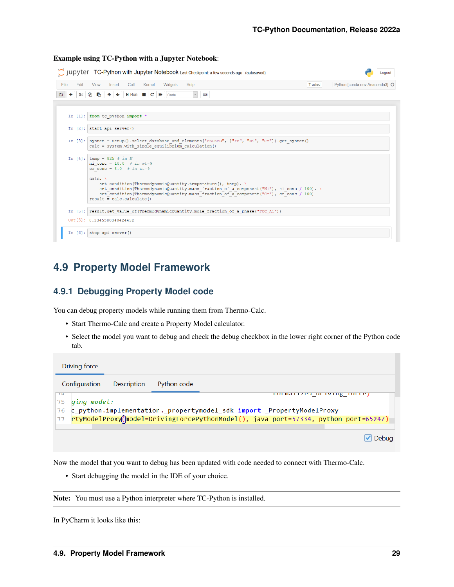#### Example using TC-Python with a Jupyter Notebook:

| C JUDY ter TC-Python with Jupyter Notebook Last Checkpoint: a few seconds ago (autosaved)<br>Logout                                                                                                                                                                                                                                                                                                                                                                                                                         |         |                                |  |  |  |  |                              |  |  |  |  |  |  |  |
|-----------------------------------------------------------------------------------------------------------------------------------------------------------------------------------------------------------------------------------------------------------------------------------------------------------------------------------------------------------------------------------------------------------------------------------------------------------------------------------------------------------------------------|---------|--------------------------------|--|--|--|--|------------------------------|--|--|--|--|--|--|--|
| Fdit<br>Widgets<br>Help<br>View<br>Cell<br>Kernel<br>File<br>Insert                                                                                                                                                                                                                                                                                                                                                                                                                                                         | Trusted | Python [conda env:Anaconda3] O |  |  |  |  |                              |  |  |  |  |  |  |  |
| <b>QB</b><br>$+ +$<br>$H$ Run $C$ $H$<br>٠<br>$\infty$<br>B<br>goog<br>Code<br>$\scriptstyle\!\times$                                                                                                                                                                                                                                                                                                                                                                                                                       |         |                                |  |  |  |  |                              |  |  |  |  |  |  |  |
|                                                                                                                                                                                                                                                                                                                                                                                                                                                                                                                             |         |                                |  |  |  |  |                              |  |  |  |  |  |  |  |
| In $[1]$ : from to python import *                                                                                                                                                                                                                                                                                                                                                                                                                                                                                          |         |                                |  |  |  |  |                              |  |  |  |  |  |  |  |
| In $[2]$ : start api server()                                                                                                                                                                                                                                                                                                                                                                                                                                                                                               |         |                                |  |  |  |  |                              |  |  |  |  |  |  |  |
| In [3]: system = SetUp() select database and elements ("FEDEMO", ["Fe", "Ni", "Cr"]) get system()<br>calc = system.with single equilibrium calculation()                                                                                                                                                                                                                                                                                                                                                                    |         |                                |  |  |  |  |                              |  |  |  |  |  |  |  |
| In [4]: temp = 825 # in K<br>ni conc = $10.0$ # in wt-%<br>cr conc = $8.0$ # in wt-%<br>$calc. \setminus$<br>set condition (ThermodynamicQuantity.temperature(), temp). \<br>set condition (ThermodynamicQuantity.mass fraction of a component ("Ni"), ni conc / 100).<br>set condition (ThermodynamicQuantity.mass fraction of a component ("Cr"), cr conc / 100)<br>$result = calc.calculate()$<br>In [5]: result.get value of (ThermodynamicQuantity.mole fraction of a phase ("FCC A1"))<br>Out [5]: 0.3345580340424432 |         |                                |  |  |  |  |                              |  |  |  |  |  |  |  |
|                                                                                                                                                                                                                                                                                                                                                                                                                                                                                                                             |         |                                |  |  |  |  | In $[6]$ : stop api server() |  |  |  |  |  |  |  |

# <span id="page-32-0"></span>**4.9 Property Model Framework**

#### <span id="page-32-1"></span>**4.9.1 Debugging Property Model code**

You can debug property models while running them from Thermo-Calc.

- Start Thermo-Calc and create a Property Model calculator.
- Select the model you want to debug and check the debug checkbox in the lower right corner of the Python code tab.

|       | Driving force |             |             |                                                                                     |
|-------|---------------|-------------|-------------|-------------------------------------------------------------------------------------|
|       | Configuration | Description | Python code |                                                                                     |
| $7 +$ |               |             |             | HOT MOTTLED OF TATILE TOLCE!                                                        |
| 75    | ging model:   |             |             |                                                                                     |
|       |               |             |             | 76 c_python.implementation._propertymodel_sdk import _PropertyModelProxy            |
| 77    |               |             |             | rtyModelProxy(\model=DrivingForcePythonModel(), java_port=57334, python_port=65247) |
|       |               |             |             |                                                                                     |
|       |               |             |             | $ {\mathcal{S}} $ Debug                                                             |

Now the model that you want to debug has been updated with code needed to connect with Thermo-Calc.

• Start debugging the model in the IDE of your choice.

Note: You must use a Python interpreter where TC-Python is installed.

In PyCharm it looks like this: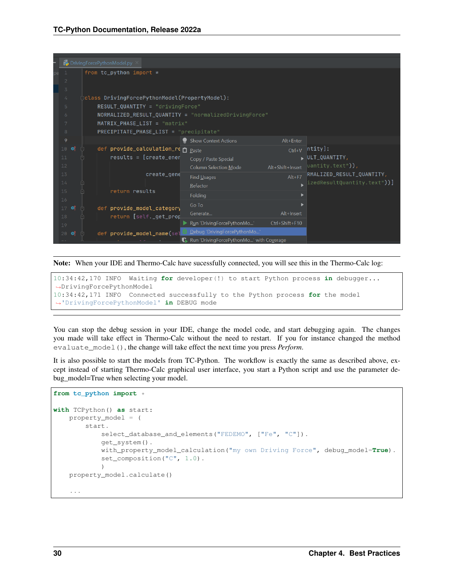| <b>Pa</b> DrivingForcePythonModel.py |                                                                 |  |  |                                        |             |                                                       |                  |                                |  |  |
|--------------------------------------|-----------------------------------------------------------------|--|--|----------------------------------------|-------------|-------------------------------------------------------|------------------|--------------------------------|--|--|
| $\overline{1}$                       | from tc_python import $*$                                       |  |  |                                        |             |                                                       |                  |                                |  |  |
| $\overline{2}$                       |                                                                 |  |  |                                        |             |                                                       |                  |                                |  |  |
| $\mathcal{L}_{1}$                    | $\overline{3}$<br>class DrivingForcePythonModel(PropertyModel): |  |  |                                        |             |                                                       |                  |                                |  |  |
| 5                                    |                                                                 |  |  | $RESULT_QUANTITY = "drivingForce"$     |             |                                                       |                  |                                |  |  |
| 6                                    |                                                                 |  |  |                                        |             | NORMALIZED_RESULT_QUANTITY = "normalizedDrivingForce" |                  |                                |  |  |
| 7                                    |                                                                 |  |  | MATRIX_PHASE_LIST = "matrix"           |             |                                                       |                  |                                |  |  |
| $\,$ 8                               |                                                                 |  |  | PRECIPITATE_PHASE_LIST = "precipitate" |             |                                                       |                  |                                |  |  |
| 9                                    |                                                                 |  |  |                                        |             | <b>Show Context Actions</b>                           | Alt+Enter        |                                |  |  |
| 10 <sub>1</sub>                      | া                                                               |  |  | def provide_calculation_re n Paste     |             |                                                       | $Ctrl + V$       | $ntity$ :                      |  |  |
| 11                                   |                                                                 |  |  | $results = [create\_ener]$             |             | Copy / Paste Special                                  |                  | $\triangleright$ ULT_QUANTITY, |  |  |
| 12                                   |                                                                 |  |  |                                        |             | <b>Column Selection Mode</b>                          | Alt+Shift+Insert | $ $ uantity.text")),           |  |  |
| 13                                   |                                                                 |  |  |                                        | create_gene | Find Usages                                           | $Alt + F7$       | RMALIZED_RESULT_QUANTITY,      |  |  |
| 14                                   |                                                                 |  |  |                                        |             | Refactor                                              |                  | $ izedResultQuantity.text")$ ] |  |  |
| 15<br>16                             |                                                                 |  |  | return results                         |             | Folding                                               |                  |                                |  |  |
| $17$ of                              |                                                                 |  |  | def provide_model_category             |             | Go To                                                 |                  |                                |  |  |
| 18                                   |                                                                 |  |  | return [self._get_prop                 |             | Generate                                              | Alt+Insert       |                                |  |  |
| 19                                   |                                                                 |  |  |                                        |             | Run 'DrivingForcePythonMo'                            | Ctrl+Shift+F10   |                                |  |  |
| $20 -$                               | া                                                               |  |  | def provide_model_name(sel             |             | Debug 'DrivingForcePythonMo'                          |                  |                                |  |  |
|                                      |                                                                 |  |  |                                        |             | <b>C.</b> Run 'DrivingForcePythonMo' with Coverage    |                  |                                |  |  |

Note: When your IDE and Thermo-Calc have sucessfully connected, you will see this in the Thermo-Calc log:

10:34:42,170 INFO Waiting **for** developer(!) to start Python process **in** debugger... ,<sup>→</sup>DrivingForcePythonModel 10:34:42,171 INFO Connected successfully to the Python process **for** the model ,<sup>→</sup>'DrivingForcePythonModel' **in** DEBUG mode

You can stop the debug session in your IDE, change the model code, and start debugging again. The changes you made will take effect in Thermo-Calc without the need to restart. If you for instance changed the method evaluate\_model(), the change will take effect the next time you press *Perform*.

It is also possible to start the models from TC-Python. The workflow is exactly the same as described above, except instead of starting Thermo-Calc graphical user interface, you start a Python script and use the parameter debug\_model=True when selecting your model.

```
from tc_python import *
```

```
with TCPython() as start:
   property_model = (
       start.
           select_database_and_elements("FEDEMO", ["Fe", "C"]).
           get_system().
           with_property_model_calculation("my own Driving Force", debug_model=True).
           set_composition("C", 1.0).
            )
   property_model.calculate()
    ...
```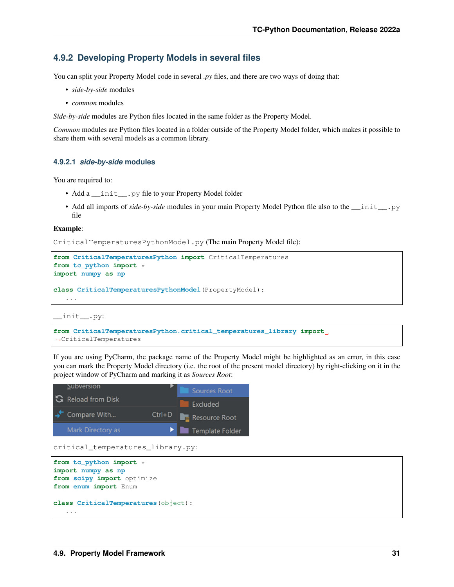#### <span id="page-34-0"></span>**4.9.2 Developing Property Models in several files**

You can split your Property Model code in several *py* files, and there are two ways of doing that:

- *side-by-side* modules
- *common* modules

*Side-by-side* modules are Python files located in the same folder as the Property Model.

*Common* modules are Python files located in a folder outside of the Property Model folder, which makes it possible to share them with several models as a common library.

#### <span id="page-34-1"></span>**4.9.2.1** *side-by-side* **modules**

You are required to:

- Add a \_\_init \_\_.py file to your Property Model folder
- Add all imports of *side-by-side* modules in your main Property Model Python file also to the *\_\_init\_\_.py* file

#### Example:

CriticalTemperaturesPythonModel.py (The main Property Model file):

```
from CriticalTemperaturesPython import CriticalTemperatures
from tc_python import *
import numpy as np
class CriticalTemperaturesPythonModel(PropertyModel):
   ...
```
\_\_init\_\_.py:

```
from CriticalTemperaturesPython.critical_temperatures_library import
,→CriticalTemperatures
```
If you are using PyCharm, the package name of the Property Model might be highlighted as an error, in this case you can mark the Property Model directory (i.e. the root of the present model directory) by right-clicking on it in the project window of PyCharm and marking it as *Sources Root*:



critical\_temperatures\_library.py:

```
from tc_python import *
import numpy as np
from scipy import optimize
from enum import Enum
class CriticalTemperatures(object):
   ...
```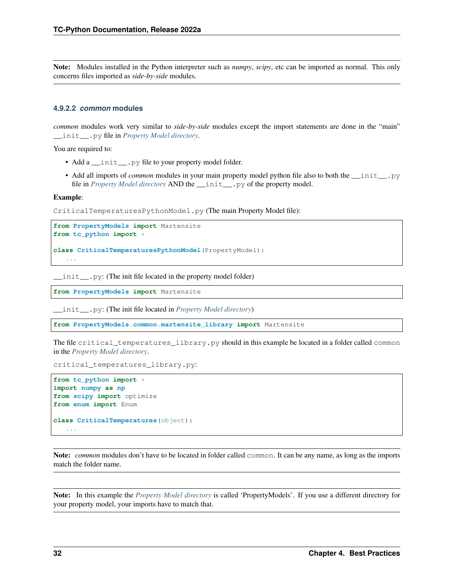Note: Modules installed in the Python interpreter such as *numpy*, *scipy*, etc can be imported as normal. This only concerns files imported as *side-by-side* modules.

#### <span id="page-35-0"></span>**4.9.2.2** *common* **modules**

*common* modules work very similar to *side-by-side* modules except the import statements are done in the "main" \_\_init\_\_.py file in *[Property Model directory](#page-24-0)*.

You are required to:

- Add a \_\_init\_\_.py file to your property model folder.
- Add all imports of *common* modules in your main property model python file also to both the *\_\_init \_\_.*py file in *[Property Model directory](#page-24-0)* AND the \_\_init\_\_.py of the property model.

#### Example:

CriticalTemperaturesPythonModel.py (The main Property Model file):

```
from PropertyModels import Martensite
from tc_python import *
```

```
class CriticalTemperaturesPythonModel(PropertyModel):
   ...
```
\_\_init\_\_.py: (The init file located in the property model folder)

**from PropertyModels import** Martensite

\_\_init\_\_.py: (The init file located in *[Property Model directory](#page-24-0)*)

**from PropertyModels.common.martensite\_library import** Martensite

The file critical\_temperatures\_library.py should in this example be located in a folder called common in the *[Property Model directory](#page-24-0)*.

```
critical_temperatures_library.py:
```

```
from tc_python import *
import numpy as np
from scipy import optimize
from enum import Enum
class CriticalTemperatures(object):
   ...
```
Note: *common* modules don't have to be located in folder called common. It can be any name, as long as the imports match the folder name.

Note: In this example the *[Property Model directory](#page-24-0)* is called 'PropertyModels'. If you use a different directory for your property model, your imports have to match that.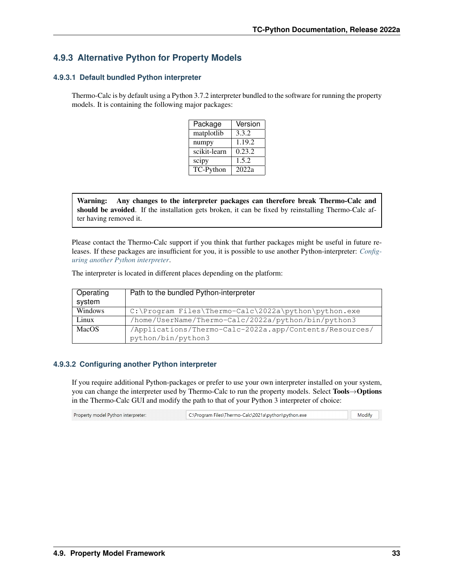# **4.9.3 Alternative Python for Property Models**

# **4.9.3.1 Default bundled Python interpreter**

Thermo-Calc is by default using a Python 3.7.2 interpreter bundled to the software for running the property models. It is containing the following major packages:

| Package      | Version |
|--------------|---------|
| matplotlib   | 3.3.2   |
| numpy        | 1.19.2  |
| scikit-learn | 0.23.2  |
| scipy        | 1.5.2   |
| TC-Python    | 2022a   |

Warning: Any changes to the interpreter packages can therefore break Thermo-Calc and should be avoided. If the installation gets broken, it can be fixed by reinstalling Thermo-Calc after having removed it.

Please contact the Thermo-Calc support if you think that further packages might be useful in future releases. If these packages are insufficient for you, it is possible to use another Python-interpreter: *[Config](#page-36-0)[uring another Python interpreter](#page-36-0)*.

The interpreter is located in different places depending on the platform:

| Operating<br>system | Path to the bundled Python-interpreter                                         |
|---------------------|--------------------------------------------------------------------------------|
| Windows             | $C:\Perogram \ files \ The \ Two - \Calc \ 2022a \ python \ python \ . \ exec$ |
| Linux               | /home/UserName/Thermo-Calc/2022a/python/bin/python3                            |
| <b>MacOS</b>        | /Applications/Thermo-Calc-2022a.app/Contents/Resources/                        |
|                     | python/bin/python3                                                             |

# <span id="page-36-0"></span>**4.9.3.2 Configuring another Python interpreter**

If you require additional Python-packages or prefer to use your own interpreter installed on your system, you can change the interpreter used by Thermo-Calc to run the property models. Select Tools→Options in the Thermo-Calc GUI and modify the path to that of your Python 3 interpreter of choice:

| Property model Python interpreter: | C:\Program Files\Thermo-Calc\2021a\python\python.exe | Modify |  |
|------------------------------------|------------------------------------------------------|--------|--|
|                                    |                                                      |        |  |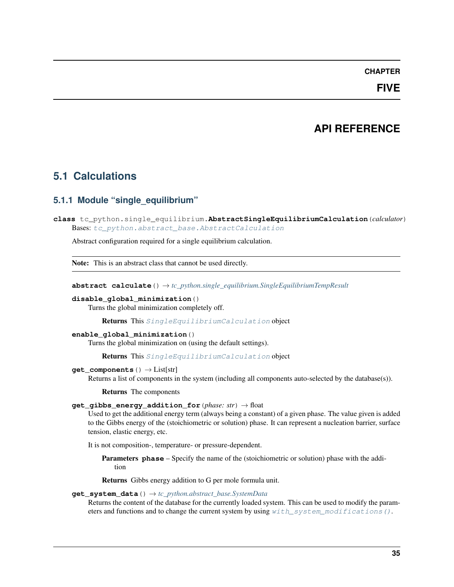# **CHAPTER**

# **FIVE**

# **API REFERENCE**

# **5.1 Calculations**

# **5.1.1 Module "single\_equilibrium"**

<span id="page-38-0"></span>**class** tc\_python.single\_equilibrium.**AbstractSingleEquilibriumCalculation**(*calculator*) Bases: [tc\\_python.abstract\\_base.AbstractCalculation](#page-230-0)

Abstract configuration required for a single equilibrium calculation.

Note: This is an abstract class that cannot be used directly.

**abstract calculate**() → *[tc\\_python.single\\_equilibrium.SingleEquilibriumTempResult](#page-49-0)*

# **disable\_global\_minimization**()

Turns the global minimization completely off.

Returns This [SingleEquilibriumCalculation](#page-41-0) object

# **enable\_global\_minimization**()

Turns the global minimization on (using the default settings).

Returns This [SingleEquilibriumCalculation](#page-41-0) object

# **get\_components**() → List[str]

Returns a list of components in the system (including all components auto-selected by the database(s)).

Returns The components

# **get\_gibbs\_energy\_addition\_for**(*phase: str*) → float

Used to get the additional energy term (always being a constant) of a given phase. The value given is added to the Gibbs energy of the (stoichiometric or solution) phase. It can represent a nucleation barrier, surface tension, elastic energy, etc.

It is not composition-, temperature- or pressure-dependent.

Parameters **phase** – Specify the name of the (stoichiometric or solution) phase with the addition

Returns Gibbs energy addition to G per mole formula unit.

# **get\_system\_data**() → *[tc\\_python.abstract\\_base.SystemData](#page-232-0)*

Returns the content of the database for the currently loaded system. This can be used to modify the parameters and functions and to change the current system by using  $with$  system modifications ().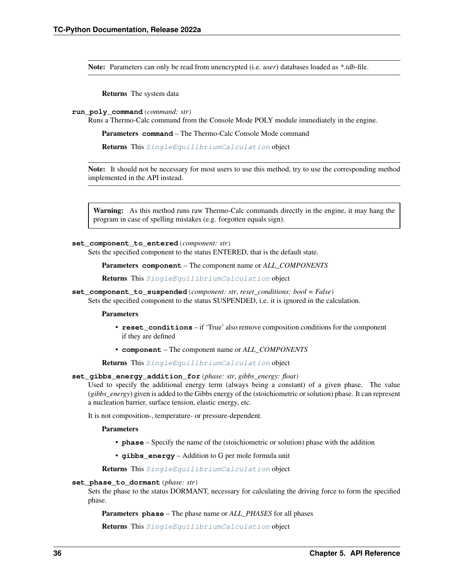Note: Parameters can only be read from unencrypted (i.e. *user*) databases loaded as *\*.tdb*-file.

Returns The system data

**run\_poly\_command**(*command: str*)

Runs a Thermo-Calc command from the Console Mode POLY module immediately in the engine.

Parameters **command** – The Thermo-Calc Console Mode command

Returns This [SingleEquilibriumCalculation](#page-41-0) object

Note: It should not be necessary for most users to use this method, try to use the corresponding method implemented in the API instead.

Warning: As this method runs raw Thermo-Calc commands directly in the engine, it may hang the program in case of spelling mistakes (e.g. forgotten equals sign).

#### **set\_component\_to\_entered**(*component: str*)

Sets the specified component to the status ENTERED, that is the default state.

Parameters **component** – The component name or *ALL\_COMPONENTS*

Returns This [SingleEquilibriumCalculation](#page-41-0) object

**set\_component\_to\_suspended**(*component: str*, *reset\_conditions: bool = False*)

Sets the specified component to the status SUSPENDED, i.e. it is ignored in the calculation.

**Parameters** 

- **reset\_conditions** if 'True' also remove composition conditions for the component if they are defined
- **component** The component name or *ALL\_COMPONENTS*

Returns This [SingleEquilibriumCalculation](#page-41-0) object

# **set\_gibbs\_energy\_addition\_for**(*phase: str*, *gibbs\_energy: float*)

Used to specify the additional energy term (always being a constant) of a given phase. The value (*gibbs\_energy*) given is added to the Gibbs energy of the (stoichiometric or solution) phase. It can represent a nucleation barrier, surface tension, elastic energy, etc.

It is not composition-, temperature- or pressure-dependent.

Parameters

- **phase** Specify the name of the (stoichiometric or solution) phase with the addition
- **gibbs\_energy** Addition to G per mole formula unit

Returns This [SingleEquilibriumCalculation](#page-41-0) object

#### **set\_phase\_to\_dormant**(*phase: str*)

Sets the phase to the status DORMANT, necessary for calculating the driving force to form the specified phase.

Parameters **phase** – The phase name or *ALL\_PHASES* for all phases

Returns This [SingleEquilibriumCalculation](#page-41-0) object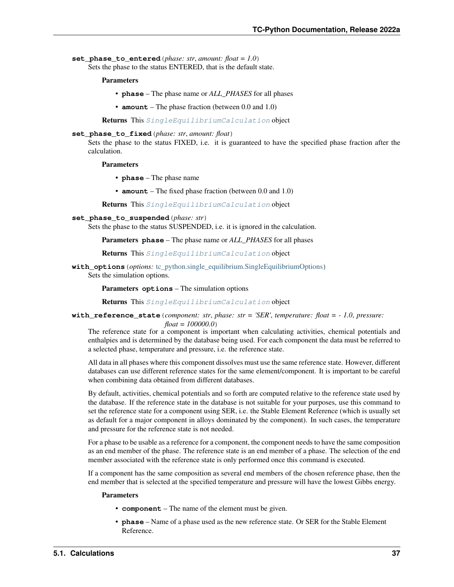set phase to entered (*phase: str. amount: float = 1.0*) Sets the phase to the status ENTERED, that is the default state.

Parameters

- **phase** The phase name or *ALL\_PHASES* for all phases
- **amount** The phase fraction (between 0.0 and 1.0)

Returns This [SingleEquilibriumCalculation](#page-41-0) object

# **set\_phase\_to\_fixed**(*phase: str*, *amount: float*)

Sets the phase to the status FIXED, i.e. it is guaranteed to have the specified phase fraction after the calculation.

Parameters

- **phase** The phase name
- **amount** The fixed phase fraction (between 0.0 and 1.0)

Returns This [SingleEquilibriumCalculation](#page-41-0) object

- **set\_phase\_to\_suspended**(*phase: str*)
	- Sets the phase to the status SUSPENDED, i.e. it is ignored in the calculation.

Parameters **phase** – The phase name or *ALL\_PHASES* for all phases

Returns This [SingleEquilibriumCalculation](#page-41-0) object

**with\_options**(*options:* [tc\\_python.single\\_equilibrium.SingleEquilibriumOptions](#page-45-0)) Sets the simulation options.

Parameters **options** – The simulation options

Returns This [SingleEquilibriumCalculation](#page-41-0) object

# **with\_reference\_state**(*component: str*, *phase: str = 'SER'*, *temperature: float = - 1.0*, *pressure: float = 100000.0*)

The reference state for a component is important when calculating activities, chemical potentials and enthalpies and is determined by the database being used. For each component the data must be referred to a selected phase, temperature and pressure, i.e. the reference state.

All data in all phases where this component dissolves must use the same reference state. However, different databases can use different reference states for the same element/component. It is important to be careful when combining data obtained from different databases.

By default, activities, chemical potentials and so forth are computed relative to the reference state used by the database. If the reference state in the database is not suitable for your purposes, use this command to set the reference state for a component using SER, i.e. the Stable Element Reference (which is usually set as default for a major component in alloys dominated by the component). In such cases, the temperature and pressure for the reference state is not needed.

For a phase to be usable as a reference for a component, the component needs to have the same composition as an end member of the phase. The reference state is an end member of a phase. The selection of the end member associated with the reference state is only performed once this command is executed.

If a component has the same composition as several end members of the chosen reference phase, then the end member that is selected at the specified temperature and pressure will have the lowest Gibbs energy.

#### Parameters

- **component** The name of the element must be given.
- **phase** Name of a phase used as the new reference state. Or SER for the Stable Element Reference.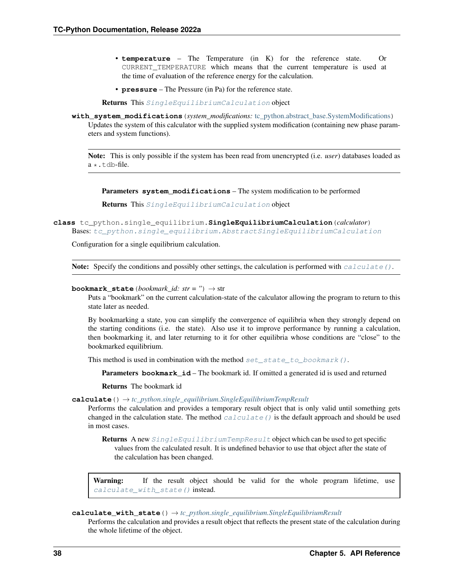- **temperature** The Temperature (in K) for the reference state. Or CURRENT\_TEMPERATURE which means that the current temperature is used at the time of evaluation of the reference energy for the calculation.
- **pressure** The Pressure (in Pa) for the reference state.

Returns This [SingleEquilibriumCalculation](#page-41-0) object

<span id="page-41-1"></span>**with\_system\_modifications**(*system\_modifications:* [tc\\_python.abstract\\_base.SystemModifications](#page-234-0))

Updates the system of this calculator with the supplied system modification (containing new phase parameters and system functions).

Note: This is only possible if the system has been read from unencrypted (i.e. *user*) databases loaded as a \*.tdb-file.

Parameters **system\_modifications** – The system modification to be performed

Returns This [SingleEquilibriumCalculation](#page-41-0) object

<span id="page-41-0"></span>**class** tc\_python.single\_equilibrium.**SingleEquilibriumCalculation**(*calculator*) Bases: [tc\\_python.single\\_equilibrium.AbstractSingleEquilibriumCalculation](#page-38-0)

Configuration for a single equilibrium calculation.

Note: Specify the conditions and possibly other settings, the calculation is performed with [calculate\(\)](#page-41-2).

#### <span id="page-41-4"></span>**bookmark\_state**(*bookmark\_id: str = ''*) → str

Puts a "bookmark" on the current calculation-state of the calculator allowing the program to return to this state later as needed.

By bookmarking a state, you can simplify the convergence of equilibria when they strongly depend on the starting conditions (i.e. the state). Also use it to improve performance by running a calculation, then bookmarking it, and later returning to it for other equilibria whose conditions are "close" to the bookmarked equilibrium.

This method is used in combination with the method set state to bookmark().

**Parameters bookmark\_id** – The bookmark id. If omitted a generated id is used and returned

Returns The bookmark id

<span id="page-41-2"></span>**calculate**() → *[tc\\_python.single\\_equilibrium.SingleEquilibriumTempResult](#page-49-0)*

Performs the calculation and provides a temporary result object that is only valid until something gets changed in the calculation state. The method  $caluculate()$  is the default approach and should be used in most cases.

Returns A new [SingleEquilibriumTempResult](#page-49-0) object which can be used to get specific values from the calculated result. It is undefined behavior to use that object after the state of the calculation has been changed.

Warning: If the result object should be valid for the whole program lifetime, use [calculate\\_with\\_state\(\)](#page-41-3) instead.

<span id="page-41-3"></span>**calculate\_with\_state**() → *[tc\\_python.single\\_equilibrium.SingleEquilibriumResult](#page-47-0)*

Performs the calculation and provides a result object that reflects the present state of the calculation during the whole lifetime of the object.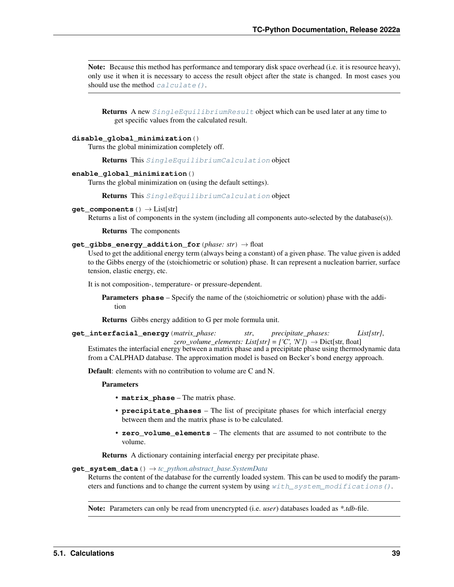Note: Because this method has performance and temporary disk space overhead (i.e. it is resource heavy), only use it when it is necessary to access the result object after the state is changed. In most cases you should use the method  $calu$ late().

**Returns** A new  $SingleEquilibriumResult$  object which can be used later at any time to get specific values from the calculated result.

#### **disable\_global\_minimization**()

Turns the global minimization completely off.

Returns This [SingleEquilibriumCalculation](#page-41-0) object

#### **enable\_global\_minimization**()

Turns the global minimization on (using the default settings).

Returns This [SingleEquilibriumCalculation](#page-41-0) object

#### **get\_components**() → List[str]

Returns a list of components in the system (including all components auto-selected by the database(s)).

#### Returns The components

# **get\_gibbs\_energy\_addition\_for**(*phase: str*) → float

Used to get the additional energy term (always being a constant) of a given phase. The value given is added to the Gibbs energy of the (stoichiometric or solution) phase. It can represent a nucleation barrier, surface tension, elastic energy, etc.

It is not composition-, temperature- or pressure-dependent.

Parameters **phase** – Specify the name of the (stoichiometric or solution) phase with the addition

Returns Gibbs energy addition to G per mole formula unit.

**get\_interfacial\_energy**(*matrix\_phase: str*, *precipitate\_phases: List[str]*,

*zero\_volume\_elements: List[str]* =  $\Gamma$ 'C', 'N'])  $\rightarrow$  Dict[str, float] Estimates the interfacial energy between a matrix phase and a precipitate phase using thermodynamic data from a CALPHAD database. The approximation model is based on Becker's bond energy approach.

Default: elements with no contribution to volume are C and N.

#### Parameters

- **matrix\_phase** The matrix phase.
- **precipitate\_phases** The list of precipitate phases for which interfacial energy between them and the matrix phase is to be calculated.
- **zero\_volume\_elements** The elements that are assumed to not contribute to the volume.

Returns A dictionary containing interfacial energy per precipitate phase.

# **get\_system\_data**() → *[tc\\_python.abstract\\_base.SystemData](#page-232-0)*

Returns the content of the database for the currently loaded system. This can be used to modify the parameters and functions and to change the current system by using  $with\_system\_modifications()$ .

Note: Parameters can only be read from unencrypted (i.e. *user*) databases loaded as *\*.tdb*-file.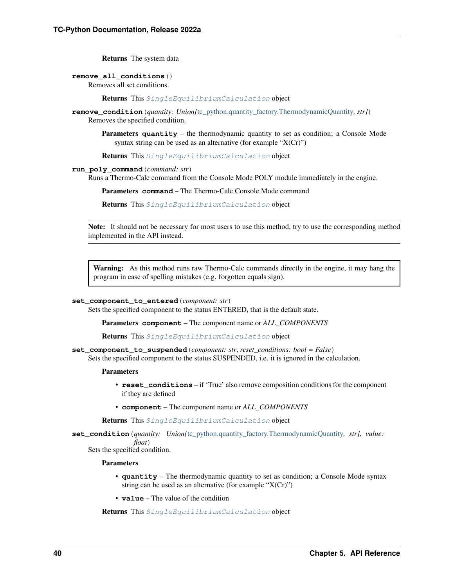Returns The system data

#### **remove\_all\_conditions**()

Removes all set conditions.

Returns This [SingleEquilibriumCalculation](#page-41-0) object

**remove\_condition**(*quantity: Union*/[tc\\_python.quantity\\_factory.ThermodynamicQuantity](#page-207-0), str]) Removes the specified condition.

**Parameters quantity** – the thermodynamic quantity to set as condition; a Console Mode syntax string can be used as an alternative (for example "X(Cr)")

Returns This [SingleEquilibriumCalculation](#page-41-0) object

# **run\_poly\_command**(*command: str*)

Runs a Thermo-Calc command from the Console Mode POLY module immediately in the engine.

Parameters **command** – The Thermo-Calc Console Mode command

Returns This [SingleEquilibriumCalculation](#page-41-0) object

Note: It should not be necessary for most users to use this method, try to use the corresponding method implemented in the API instead.

Warning: As this method runs raw Thermo-Calc commands directly in the engine, it may hang the program in case of spelling mistakes (e.g. forgotten equals sign).

#### **set\_component\_to\_entered**(*component: str*)

Sets the specified component to the status ENTERED, that is the default state.

Parameters **component** – The component name or *ALL\_COMPONENTS*

Returns This [SingleEquilibriumCalculation](#page-41-0) object

**set\_component\_to\_suspended**(*component: str*, *reset\_conditions: bool = False*)

Sets the specified component to the status SUSPENDED, i.e. it is ignored in the calculation.

#### Parameters

- **reset** conditions if 'True' also remove composition conditions for the component if they are defined
- **component** The component name or *ALL\_COMPONENTS*

Returns This [SingleEquilibriumCalculation](#page-41-0) object

**set\_condition**(*quantity: Union[*[tc\\_python.quantity\\_factory.ThermodynamicQuantity](#page-207-0)*, str]*, *value: float*)

Sets the specified condition.

#### **Parameters**

- **quantity** The thermodynamic quantity to set as condition; a Console Mode syntax string can be used as an alternative (for example " $X(Cr)$ ")
- **value** The value of the condition

Returns This [SingleEquilibriumCalculation](#page-41-0) object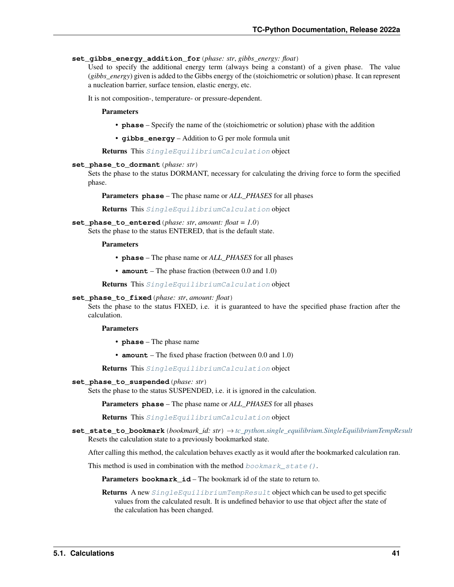### **set\_gibbs\_energy\_addition\_for**(*phase: str*, *gibbs\_energy: float*)

Used to specify the additional energy term (always being a constant) of a given phase. The value (*gibbs\_energy*) given is added to the Gibbs energy of the (stoichiometric or solution) phase. It can represent a nucleation barrier, surface tension, elastic energy, etc.

It is not composition-, temperature- or pressure-dependent.

#### Parameters

- **phase** Specify the name of the (stoichiometric or solution) phase with the addition
- **gibbs\_energy** Addition to G per mole formula unit

Returns This [SingleEquilibriumCalculation](#page-41-0) object

#### **set\_phase\_to\_dormant**(*phase: str*)

Sets the phase to the status DORMANT, necessary for calculating the driving force to form the specified phase.

Parameters **phase** – The phase name or *ALL\_PHASES* for all phases

Returns This [SingleEquilibriumCalculation](#page-41-0) object

#### **set\_phase\_to\_entered**(*phase: str*, *amount: float = 1.0*)

Sets the phase to the status ENTERED, that is the default state.

#### Parameters

- **phase** The phase name or *ALL\_PHASES* for all phases
- **amount** The phase fraction (between 0.0 and 1.0)

Returns This [SingleEquilibriumCalculation](#page-41-0) object

# **set\_phase\_to\_fixed**(*phase: str*, *amount: float*)

Sets the phase to the status FIXED, i.e. it is guaranteed to have the specified phase fraction after the calculation.

#### **Parameters**

- **phase** The phase name
- **amount** The fixed phase fraction (between 0.0 and 1.0)

Returns This [SingleEquilibriumCalculation](#page-41-0) object

#### **set\_phase\_to\_suspended**(*phase: str*)

Sets the phase to the status SUSPENDED, i.e. it is ignored in the calculation.

Parameters **phase** – The phase name or *ALL\_PHASES* for all phases

Returns This [SingleEquilibriumCalculation](#page-41-0) object

<span id="page-44-0"></span>**set\_state\_to\_bookmark**(*bookmark\_id: str*) → *[tc\\_python.single\\_equilibrium.SingleEquilibriumTempResult](#page-49-0)* Resets the calculation state to a previously bookmarked state.

After calling this method, the calculation behaves exactly as it would after the bookmarked calculation ran.

This method is used in combination with the method  $\text{bookmark}\_state()$ .

**Parameters bookmark id** – The bookmark id of the state to return to.

Returns A new [SingleEquilibriumTempResult](#page-49-0) object which can be used to get specific values from the calculated result. It is undefined behavior to use that object after the state of the calculation has been changed.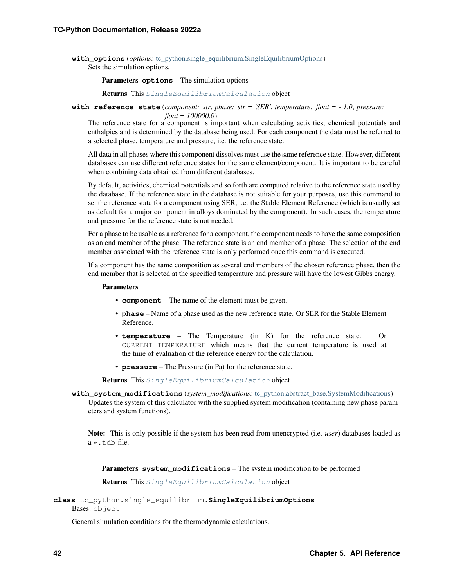**with options** (*options:* [tc\\_python.single\\_equilibrium.SingleEquilibriumOptions](#page-45-0)) Sets the simulation options.

Parameters **options** – The simulation options

Returns This [SingleEquilibriumCalculation](#page-41-0) object

**with reference state** (*component: str, phase: str = 'SER', temperature: float =*  $-1.0$ *, pressure:* 

*float = 100000.0*)

The reference state for a component is important when calculating activities, chemical potentials and enthalpies and is determined by the database being used. For each component the data must be referred to a selected phase, temperature and pressure, i.e. the reference state.

All data in all phases where this component dissolves must use the same reference state. However, different databases can use different reference states for the same element/component. It is important to be careful when combining data obtained from different databases.

By default, activities, chemical potentials and so forth are computed relative to the reference state used by the database. If the reference state in the database is not suitable for your purposes, use this command to set the reference state for a component using SER, i.e. the Stable Element Reference (which is usually set as default for a major component in alloys dominated by the component). In such cases, the temperature and pressure for the reference state is not needed.

For a phase to be usable as a reference for a component, the component needs to have the same composition as an end member of the phase. The reference state is an end member of a phase. The selection of the end member associated with the reference state is only performed once this command is executed.

If a component has the same composition as several end members of the chosen reference phase, then the end member that is selected at the specified temperature and pressure will have the lowest Gibbs energy.

# Parameters

- **component** The name of the element must be given.
- **phase** Name of a phase used as the new reference state. Or SER for the Stable Element Reference.
- **temperature** The Temperature (in K) for the reference state. Or CURRENT\_TEMPERATURE which means that the current temperature is used at the time of evaluation of the reference energy for the calculation.
- **pressure** The Pressure (in Pa) for the reference state.

Returns This [SingleEquilibriumCalculation](#page-41-0) object

<span id="page-45-1"></span>**with\_system\_modifications**(*system\_modifications:* [tc\\_python.abstract\\_base.SystemModifications](#page-234-0)) Updates the system of this calculator with the supplied system modification (containing new phase parameters and system functions).

Note: This is only possible if the system has been read from unencrypted (i.e. *user*) databases loaded as  $a \star$ .tdb-file.

Parameters **system\_modifications** – The system modification to be performed

Returns This [SingleEquilibriumCalculation](#page-41-0) object

```
class tc_python.single_equilibrium.SingleEquilibriumOptions
    Bases: object
```
<span id="page-45-2"></span>General simulation conditions for the thermodynamic calculations.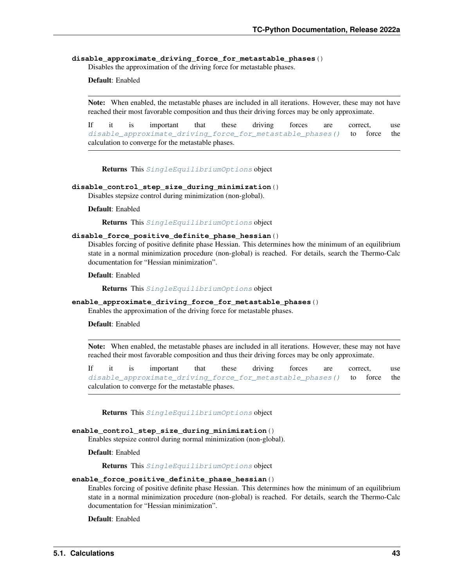#### **disable\_approximate\_driving\_force\_for\_metastable\_phases**()

Disables the approximation of the driving force for metastable phases.

# Default: Enabled

Note: When enabled, the metastable phases are included in all iterations. However, these may not have reached their most favorable composition and thus their driving forces may be only approximate.

If it is important that these driving forces are correct, use [disable\\_approximate\\_driving\\_force\\_for\\_metastable\\_phases\(\)](#page-45-2) to force the calculation to converge for the metastable phases.

Returns This [SingleEquilibriumOptions](#page-45-0) object

## **disable\_control\_step\_size\_during\_minimization**()

Disables stepsize control during minimization (non-global).

#### Default: Enabled

Returns This [SingleEquilibriumOptions](#page-45-0) object

#### **disable\_force\_positive\_definite\_phase\_hessian**()

Disables forcing of positive definite phase Hessian. This determines how the minimum of an equilibrium state in a normal minimization procedure (non-global) is reached. For details, search the Thermo-Calc documentation for "Hessian minimization".

Default: Enabled

Returns This [SingleEquilibriumOptions](#page-45-0) object

# **enable\_approximate\_driving\_force\_for\_metastable\_phases**()

Enables the approximation of the driving force for metastable phases.

### Default: Enabled

Note: When enabled, the metastable phases are included in all iterations. However, these may not have reached their most favorable composition and thus their driving forces may be only approximate.

If it is important that these driving forces are correct, use disable approximate driving force for metastable phases() to force the calculation to converge for the metastable phases.

Returns This [SingleEquilibriumOptions](#page-45-0) object

#### **enable\_control\_step\_size\_during\_minimization**()

Enables stepsize control during normal minimization (non-global).

Default: Enabled

Returns This [SingleEquilibriumOptions](#page-45-0) object

#### **enable\_force\_positive\_definite\_phase\_hessian**()

Enables forcing of positive definite phase Hessian. This determines how the minimum of an equilibrium state in a normal minimization procedure (non-global) is reached. For details, search the Thermo-Calc documentation for "Hessian minimization".

Default: Enabled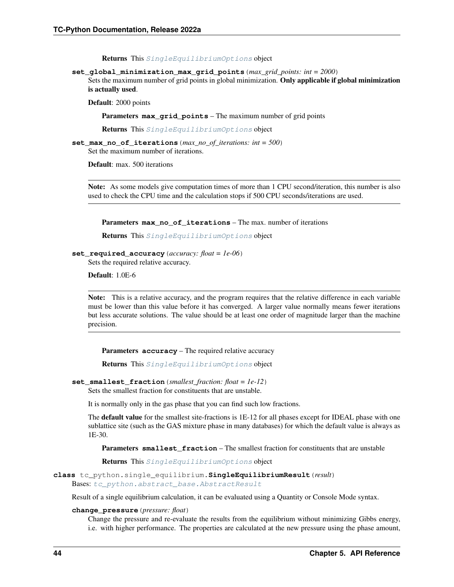Returns This [SingleEquilibriumOptions](#page-45-0) object

**set\_global\_minimization\_max\_grid\_points**(*max\_grid\_points: int = 2000*)

Sets the maximum number of grid points in global minimization. Only applicable if global minimization is actually used.

Default: 2000 points

Parameters **max\_grid\_points** – The maximum number of grid points

Returns This [SingleEquilibriumOptions](#page-45-0) object

**set\_max\_no\_of\_iterations**(*max\_no\_of\_iterations: int = 500*) Set the maximum number of iterations.

Default: max. 500 iterations

Note: As some models give computation times of more than 1 CPU second/iteration, this number is also used to check the CPU time and the calculation stops if 500 CPU seconds/iterations are used.

Parameters **max\_no\_of\_iterations** – The max. number of iterations

Returns This [SingleEquilibriumOptions](#page-45-0) object

**set\_required\_accuracy**(*accuracy: float = 1e-06*)

Sets the required relative accuracy.

Default: 1.0E-6

Note: This is a relative accuracy, and the program requires that the relative difference in each variable must be lower than this value before it has converged. A larger value normally means fewer iterations but less accurate solutions. The value should be at least one order of magnitude larger than the machine precision.

Parameters **accuracy** – The required relative accuracy

Returns This [SingleEquilibriumOptions](#page-45-0) object

```
set smallest fraction (smallest fraction: float = 1e-12)
```
Sets the smallest fraction for constituents that are unstable.

It is normally only in the gas phase that you can find such low fractions.

The default value for the smallest site-fractions is 1E-12 for all phases except for IDEAL phase with one sublattice site (such as the GAS mixture phase in many databases) for which the default value is always as 1E-30.

Parameters **smallest\_fraction** – The smallest fraction for constituents that are unstable

Returns This [SingleEquilibriumOptions](#page-45-0) object

<span id="page-47-0"></span>**class** tc\_python.single\_equilibrium.**SingleEquilibriumResult**(*result*) Bases: [tc\\_python.abstract\\_base.AbstractResult](#page-230-1)

Result of a single equilibrium calculation, it can be evaluated using a Quantity or Console Mode syntax.

#### **change\_pressure**(*pressure: float*)

Change the pressure and re-evaluate the results from the equilibrium without minimizing Gibbs energy, i.e. with higher performance. The properties are calculated at the new pressure using the phase amount,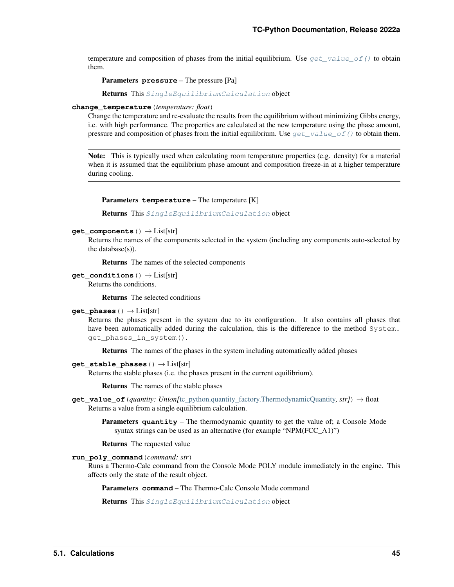temperature and composition of phases from the initial equilibrium. Use get value of () to obtain them.

Parameters **pressure** – The pressure [Pa]

Returns This [SingleEquilibriumCalculation](#page-41-0) object

#### **change\_temperature**(*temperature: float*)

Change the temperature and re-evaluate the results from the equilibrium without minimizing Gibbs energy, i.e. with high performance. The properties are calculated at the new temperature using the phase amount, pressure and composition of phases from the initial equilibrium. Use  $get\_value\_of()$  to obtain them.

Note: This is typically used when calculating room temperature properties (e.g. density) for a material when it is assumed that the equilibrium phase amount and composition freeze-in at a higher temperature during cooling.

#### Parameters **temperature** – The temperature [K]

Returns This [SingleEquilibriumCalculation](#page-41-0) object

#### **get\_components**() → List[str]

Returns the names of the components selected in the system (including any components auto-selected by the database(s)).

Returns The names of the selected components

```
get_conditions () → List[str]
```
Returns the conditions.

Returns The selected conditions

#### **get\_phases**()  $\rightarrow$  List[str]

Returns the phases present in the system due to its configuration. It also contains all phases that have been automatically added during the calculation, this is the difference to the method System. get\_phases\_in\_system().

Returns The names of the phases in the system including automatically added phases

#### **get stable phases** () → List[str]

Returns the stable phases (i.e. the phases present in the current equilibrium).

Returns The names of the stable phases

<span id="page-48-0"></span>**get\_value\_of**(*quantity: Union[*[tc\\_python.quantity\\_factory.ThermodynamicQuantity](#page-207-0)*, str]*) → float Returns a value from a single equilibrium calculation.

Parameters **quantity** – The thermodynamic quantity to get the value of; a Console Mode syntax strings can be used as an alternative (for example "NPM(FCC\_A1)")

Returns The requested value

**run\_poly\_command**(*command: str*)

Runs a Thermo-Calc command from the Console Mode POLY module immediately in the engine. This affects only the state of the result object.

Parameters **command** – The Thermo-Calc Console Mode command

Returns This [SingleEquilibriumCalculation](#page-41-0) object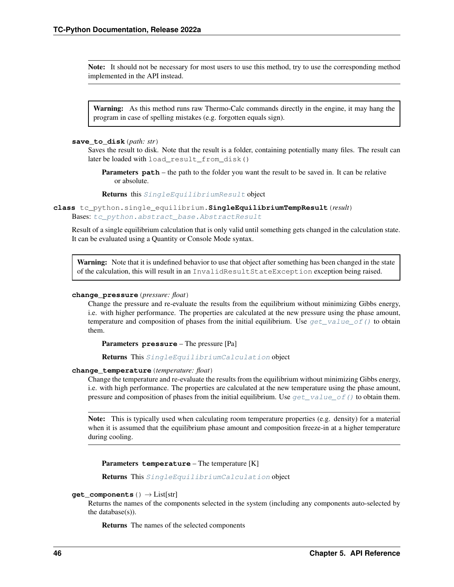Note: It should not be necessary for most users to use this method, try to use the corresponding method implemented in the API instead.

Warning: As this method runs raw Thermo-Calc commands directly in the engine, it may hang the program in case of spelling mistakes (e.g. forgotten equals sign).

#### **save\_to\_disk**(*path: str*)

Saves the result to disk. Note that the result is a folder, containing potentially many files. The result can later be loaded with load\_result\_from\_disk()

**Parameters path** – the path to the folder you want the result to be saved in. It can be relative or absolute.

Returns this [SingleEquilibriumResult](#page-47-0) object

<span id="page-49-0"></span>**class** tc\_python.single\_equilibrium.**SingleEquilibriumTempResult**(*result*) Bases: [tc\\_python.abstract\\_base.AbstractResult](#page-230-1)

Result of a single equilibrium calculation that is only valid until something gets changed in the calculation state. It can be evaluated using a Quantity or Console Mode syntax.

Warning: Note that it is undefined behavior to use that object after something has been changed in the state of the calculation, this will result in an InvalidResultStateException exception being raised.

#### **change\_pressure**(*pressure: float*)

Change the pressure and re-evaluate the results from the equilibrium without minimizing Gibbs energy, i.e. with higher performance. The properties are calculated at the new pressure using the phase amount, temperature and composition of phases from the initial equilibrium. Use  $get\_value\_of()$  to obtain them.

Parameters **pressure** – The pressure [Pa]

Returns This [SingleEquilibriumCalculation](#page-41-0) object

### **change\_temperature**(*temperature: float*)

Change the temperature and re-evaluate the results from the equilibrium without minimizing Gibbs energy, i.e. with high performance. The properties are calculated at the new temperature using the phase amount, pressure and composition of phases from the initial equilibrium. Use get value of () to obtain them.

Note: This is typically used when calculating room temperature properties (e.g. density) for a material when it is assumed that the equilibrium phase amount and composition freeze-in at a higher temperature during cooling.

Parameters **temperature** – The temperature [K]

Returns This [SingleEquilibriumCalculation](#page-41-0) object

#### **get\_components**() → List[str]

Returns the names of the components selected in the system (including any components auto-selected by the database(s)).

Returns The names of the selected components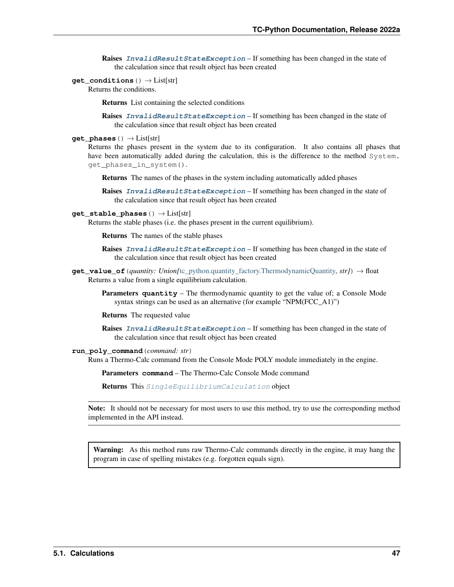Raises **[InvalidResultStateException](#page-228-0)** – If something has been changed in the state of the calculation since that result object has been created

**get\_conditions**() → List[str]

Returns the conditions.

Returns List containing the selected conditions

Raises **[InvalidResultStateException](#page-228-0)** – If something has been changed in the state of the calculation since that result object has been created

### **get\_phases**() → List[str]

Returns the phases present in the system due to its configuration. It also contains all phases that have been automatically added during the calculation, this is the difference to the method System. get\_phases\_in\_system().

Returns The names of the phases in the system including automatically added phases

Raises **[InvalidResultStateException](#page-228-0)** – If something has been changed in the state of the calculation since that result object has been created

# **get\_stable\_phases**() → List[str]

Returns the stable phases (i.e. the phases present in the current equilibrium).

Returns The names of the stable phases

Raises **[InvalidResultStateException](#page-228-0)** – If something has been changed in the state of the calculation since that result object has been created

<span id="page-50-0"></span>**get\_value\_of**(*quantity: Union[*[tc\\_python.quantity\\_factory.ThermodynamicQuantity](#page-207-0)*, str]*) → float Returns a value from a single equilibrium calculation.

Parameters **quantity** – The thermodynamic quantity to get the value of; a Console Mode syntax strings can be used as an alternative (for example "NPM(FCC\_A1)")

Returns The requested value

Raises **[InvalidResultStateException](#page-228-0)** – If something has been changed in the state of the calculation since that result object has been created

# **run\_poly\_command**(*command: str*)

Runs a Thermo-Calc command from the Console Mode POLY module immediately in the engine.

Parameters **command** – The Thermo-Calc Console Mode command

Returns This [SingleEquilibriumCalculation](#page-41-0) object

Note: It should not be necessary for most users to use this method, try to use the corresponding method implemented in the API instead.

Warning: As this method runs raw Thermo-Calc commands directly in the engine, it may hang the program in case of spelling mistakes (e.g. forgotten equals sign).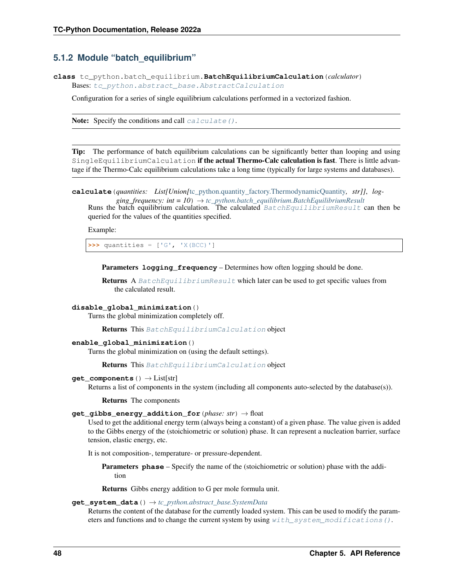# **5.1.2 Module "batch\_equilibrium"**

<span id="page-51-1"></span>**class** tc\_python.batch\_equilibrium.**BatchEquilibriumCalculation**(*calculator*) Bases: [tc\\_python.abstract\\_base.AbstractCalculation](#page-230-0)

Configuration for a series of single equilibrium calculations performed in a vectorized fashion.

Note: Specify the conditions and call calculate  $()$ .

Tip: The performance of batch equilibrium calculations can be significantly better than looping and using SingleEquilibriumCalculation if the actual Thermo-Calc calculation is fast. There is little advantage if the Thermo-Calc equilibrium calculations take a long time (typically for large systems and databases).

<span id="page-51-0"></span>**calculate**(*quantities: List[Union[*[tc\\_python.quantity\\_factory.ThermodynamicQuantity](#page-207-0)*, str]]*, *log-*

*ging\_frequency: int = 10*) → *[tc\\_python.batch\\_equilibrium.BatchEquilibriumResult](#page-55-0)* Runs the batch equilibrium calculation. The calculated  $BatchEquilibrium$  mesult can then be queried for the values of the quantities specified.

Example:

**>>>** quantities = ['G', 'X(BCC)']

Parameters **logging\_frequency** – Determines how often logging should be done.

Returns A [BatchEquilibriumResult](#page-55-0) which later can be used to get specific values from the calculated result.

#### **disable\_global\_minimization**()

Turns the global minimization completely off.

Returns This [BatchEquilibriumCalculation](#page-51-1) object

# **enable\_global\_minimization**()

Turns the global minimization on (using the default settings).

**Returns** This [BatchEquilibriumCalculation](#page-51-1) object

#### **get\_components**() → List[str]

Returns a list of components in the system (including all components auto-selected by the database(s)).

Returns The components

# **get\_gibbs\_energy\_addition\_for**(*phase: str*) → float

Used to get the additional energy term (always being a constant) of a given phase. The value given is added to the Gibbs energy of the (stoichiometric or solution) phase. It can represent a nucleation barrier, surface tension, elastic energy, etc.

It is not composition-, temperature- or pressure-dependent.

**Parameters phase** – Specify the name of the (stoichiometric or solution) phase with the addition

Returns Gibbs energy addition to G per mole formula unit.

#### **get\_system\_data**() → *[tc\\_python.abstract\\_base.SystemData](#page-232-0)*

Returns the content of the database for the currently loaded system. This can be used to modify the parameters and functions and to change the current system by using  $with\_system\_modifications()$ .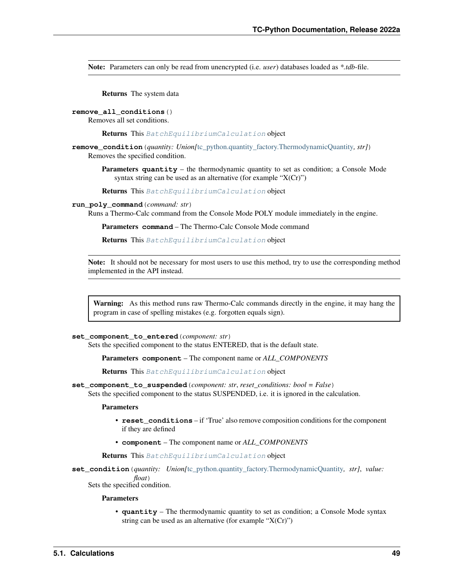Note: Parameters can only be read from unencrypted (i.e. *user*) databases loaded as *\*.tdb*-file.

Returns The system data

#### **remove\_all\_conditions**()

Removes all set conditions.

Returns This [BatchEquilibriumCalculation](#page-51-1) object

- **remove\_condition**(*quantity: Union[*[tc\\_python.quantity\\_factory.ThermodynamicQuantity](#page-207-0)*, str]*) Removes the specified condition.
	- **Parameters quantity** the thermodynamic quantity to set as condition; a Console Mode syntax string can be used as an alternative (for example " $X(Cr)$ ")

Returns This [BatchEquilibriumCalculation](#page-51-1) object

#### **run\_poly\_command**(*command: str*)

Runs a Thermo-Calc command from the Console Mode POLY module immediately in the engine.

Parameters **command** – The Thermo-Calc Console Mode command

Returns This [BatchEquilibriumCalculation](#page-51-1) object

Note: It should not be necessary for most users to use this method, try to use the corresponding method implemented in the API instead.

Warning: As this method runs raw Thermo-Calc commands directly in the engine, it may hang the program in case of spelling mistakes (e.g. forgotten equals sign).

#### **set\_component\_to\_entered**(*component: str*)

Sets the specified component to the status ENTERED, that is the default state.

Parameters **component** – The component name or *ALL\_COMPONENTS*

Returns This [BatchEquilibriumCalculation](#page-51-1) object

**set\_component\_to\_suspended**(*component: str*, *reset\_conditions: bool = False*)

Sets the specified component to the status SUSPENDED, i.e. it is ignored in the calculation.

# Parameters

- **reset\_conditions** if 'True' also remove composition conditions for the component if they are defined
- **component** The component name or *ALL\_COMPONENTS*

Returns This [BatchEquilibriumCalculation](#page-51-1) object

**set\_condition**(*quantity: Union[*[tc\\_python.quantity\\_factory.ThermodynamicQuantity](#page-207-0)*, str]*, *value: float*) Sets the specified condition.

### Parameters

• **quantity** – The thermodynamic quantity to set as condition; a Console Mode syntax string can be used as an alternative (for example " $X(Cr)$ ")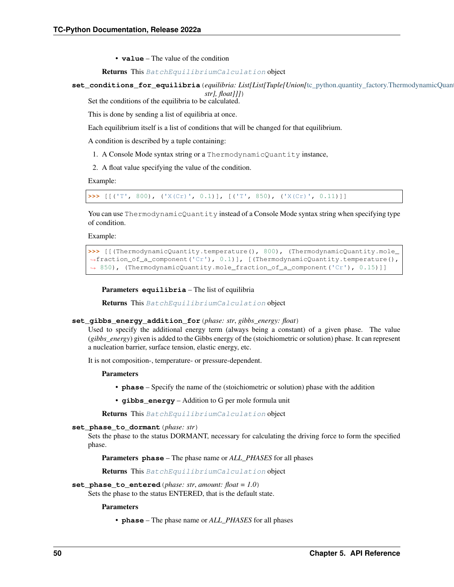• **value** – The value of the condition

Returns This [BatchEquilibriumCalculation](#page-51-1) object

**set\_conditions\_for\_equilibria**(*equilibria: List[List[Tuple[Union[*[tc\\_python.quantity\\_factory.ThermodynamicQuantity](#page-207-0)*, str], float]]]*)

Set the conditions of the equilibria to be calculated.

This is done by sending a list of equilibria at once.

Each equilibrium itself is a list of conditions that will be changed for that equilibrium.

A condition is described by a tuple containing:

- 1. A Console Mode syntax string or a ThermodynamicQuantity instance,
- 2. A float value specifying the value of the condition.

Example:

**>>>** [[('T', 800), ('X(Cr)', 0.1)], [('T', 850), ('X(Cr)', 0.11)]]

You can use ThermodynamicQuantity instead of a Console Mode syntax string when specifying type of condition.

Example:

```
>>> [[(ThermodynamicQuantity.temperature(), 800), (ThermodynamicQuantity.mole_
,→fraction_of_a_component('Cr'), 0.1)], [(ThermodynamicQuantity.temperature(),
→ 850), (ThermodynamicQuantity.mole_fraction_of_a_component('Cr'), 0.15)]]
```
Parameters **equilibria** – The list of equilibria

Returns This [BatchEquilibriumCalculation](#page-51-1) object

#### **set\_gibbs\_energy\_addition\_for**(*phase: str*, *gibbs\_energy: float*)

Used to specify the additional energy term (always being a constant) of a given phase. The value (*gibbs\_energy*) given is added to the Gibbs energy of the (stoichiometric or solution) phase. It can represent a nucleation barrier, surface tension, elastic energy, etc.

It is not composition-, temperature- or pressure-dependent.

Parameters

- **phase** Specify the name of the (stoichiometric or solution) phase with the addition
- **gibbs** energy Addition to G per mole formula unit

Returns This [BatchEquilibriumCalculation](#page-51-1) object

**set\_phase\_to\_dormant**(*phase: str*)

Sets the phase to the status DORMANT, necessary for calculating the driving force to form the specified phase.

Parameters **phase** – The phase name or *ALL\_PHASES* for all phases

Returns This [BatchEquilibriumCalculation](#page-51-1) object

# **set\_phase\_to\_entered**(*phase: str*, *amount: float = 1.0*)

Sets the phase to the status ENTERED, that is the default state.

Parameters

• **phase** – The phase name or *ALL\_PHASES* for all phases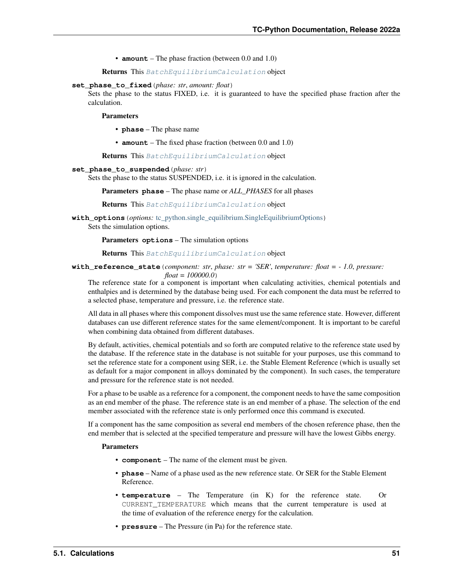• **amount** – The phase fraction (between 0.0 and 1.0)

Returns This [BatchEquilibriumCalculation](#page-51-1) object

**set\_phase\_to\_fixed**(*phase: str*, *amount: float*)

Sets the phase to the status FIXED, i.e. it is guaranteed to have the specified phase fraction after the calculation.

**Parameters** 

- **phase** The phase name
- **amount** The fixed phase fraction (between 0.0 and 1.0)

Returns This [BatchEquilibriumCalculation](#page-51-1) object

### **set\_phase\_to\_suspended**(*phase: str*)

Sets the phase to the status SUSPENDED, i.e. it is ignored in the calculation.

Parameters **phase** – The phase name or *ALL\_PHASES* for all phases

Returns This [BatchEquilibriumCalculation](#page-51-1) object

**with\_options**(*options:* [tc\\_python.single\\_equilibrium.SingleEquilibriumOptions](#page-45-0)) Sets the simulation options.

Parameters **options** – The simulation options

Returns This [BatchEquilibriumCalculation](#page-51-1) object

**with\_reference\_state**(*component: str*, *phase: str = 'SER'*, *temperature: float = - 1.0*, *pressure:*

*float = 100000.0*) The reference state for a component is important when calculating activities, chemical potentials and enthalpies and is determined by the database being used. For each component the data must be referred to a selected phase, temperature and pressure, i.e. the reference state.

All data in all phases where this component dissolves must use the same reference state. However, different databases can use different reference states for the same element/component. It is important to be careful when combining data obtained from different databases.

By default, activities, chemical potentials and so forth are computed relative to the reference state used by the database. If the reference state in the database is not suitable for your purposes, use this command to set the reference state for a component using SER, i.e. the Stable Element Reference (which is usually set as default for a major component in alloys dominated by the component). In such cases, the temperature and pressure for the reference state is not needed.

For a phase to be usable as a reference for a component, the component needs to have the same composition as an end member of the phase. The reference state is an end member of a phase. The selection of the end member associated with the reference state is only performed once this command is executed.

If a component has the same composition as several end members of the chosen reference phase, then the end member that is selected at the specified temperature and pressure will have the lowest Gibbs energy.

# Parameters

- **component** The name of the element must be given.
- **phase** Name of a phase used as the new reference state. Or SER for the Stable Element Reference.
- **temperature** The Temperature (in K) for the reference state. Or CURRENT\_TEMPERATURE which means that the current temperature is used at the time of evaluation of the reference energy for the calculation.
- **pressure** The Pressure (in Pa) for the reference state.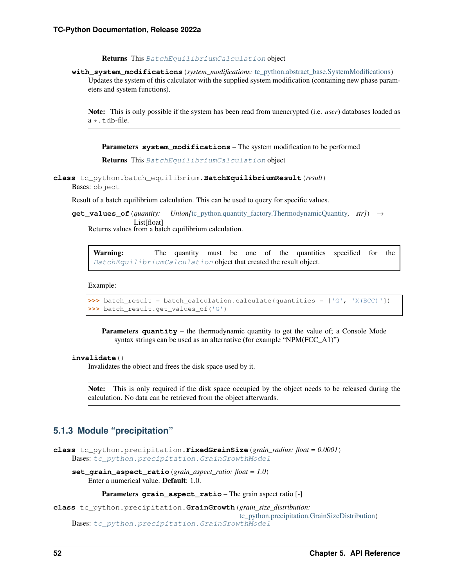Returns This [BatchEquilibriumCalculation](#page-51-1) object

<span id="page-55-1"></span>**with\_system\_modifications**(*system\_modifications:* [tc\\_python.abstract\\_base.SystemModifications](#page-234-0)) Updates the system of this calculator with the supplied system modification (containing new phase parameters and system functions).

Note: This is only possible if the system has been read from unencrypted (i.e. *user*) databases loaded as  $a \star$ .tdb-file.

Parameters **system\_modifications** – The system modification to be performed

Returns This [BatchEquilibriumCalculation](#page-51-1) object

<span id="page-55-0"></span>**class** tc\_python.batch\_equilibrium.**BatchEquilibriumResult**(*result*) Bases: object

Result of a batch equilibrium calculation. This can be used to query for specific values.

**get\_values\_of**(*quantity: Union*[[tc\\_python.quantity\\_factory.ThermodynamicQuantity](#page-207-0), str]) → List[float]

Returns values from a batch equilibrium calculation.

Warning: The quantity must be one of the quantities specified for the [BatchEquilibriumCalculation](#page-51-1) object that created the result object.

Example:

```
>>> batch_result = batch_calculation.calculate(quantities = ['G', 'X(BCC)'])
>>> batch_result.get_values_of('G')
```
Parameters **quantity** – the thermodynamic quantity to get the value of; a Console Mode syntax strings can be used as an alternative (for example "NPM(FCC\_A1)")

# **invalidate**()

Invalidates the object and frees the disk space used by it.

Note: This is only required if the disk space occupied by the object needs to be released during the calculation. No data can be retrieved from the object afterwards.

# **5.1.3 Module "precipitation"**

**class** tc\_python.precipitation.**FixedGrainSize**(*grain\_radius: float = 0.0001*) Bases: [tc\\_python.precipitation.GrainGrowthModel](#page-56-0)

**set\_grain\_aspect\_ratio**(*grain\_aspect\_ratio: float = 1.0*) Enter a numerical value. Default: 1.0.

Parameters **grain\_aspect\_ratio** – The grain aspect ratio [-]

**class** tc\_python.precipitation.**GrainGrowth**(*grain\_size\_distribution:*

[tc\\_python.precipitation.GrainSizeDistribution](#page-56-1)) Bases: [tc\\_python.precipitation.GrainGrowthModel](#page-56-0)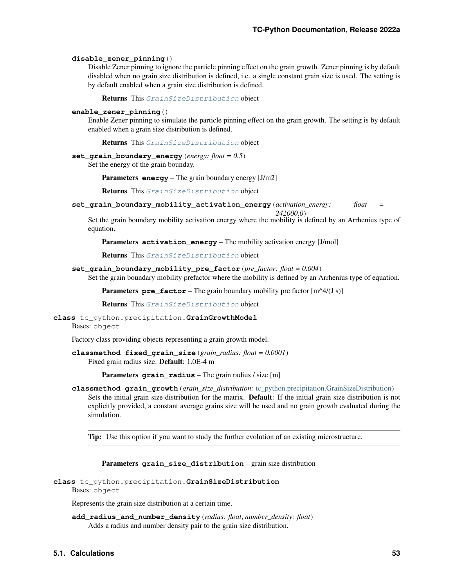#### **disable\_zener\_pinning**()

Disable Zener pinning to ignore the particle pinning effect on the grain growth. Zener pinning is by default disabled when no grain size distribution is defined, i.e. a single constant grain size is used. The setting is by default enabled when a grain size distribution is defined.

Returns This [GrainSizeDistribution](#page-56-1) object

#### **enable\_zener\_pinning**()

Enable Zener pinning to simulate the particle pinning effect on the grain growth. The setting is by default enabled when a grain size distribution is defined.

Returns This [GrainSizeDistribution](#page-56-1) object

**set\_grain\_boundary\_energy**(*energy: float = 0.5*)

Set the energy of the grain bounday.

Parameters **energy** – The grain boundary energy [J/m2]

Returns This [GrainSizeDistribution](#page-56-1) object

**set\_grain\_boundary\_mobility\_activation\_energy**(*activation\_energy: float =*

*242000.0*)

Set the grain boundary mobility activation energy where the mobility is defined by an Arrhenius type of equation.

**Parameters activation energy** – The mobility activation energy [J/mol]

Returns This [GrainSizeDistribution](#page-56-1) object

**set\_grain\_boundary\_mobility\_pre\_factor**(*pre\_factor: float = 0.004*)

Set the grain boundary mobility prefactor where the mobility is defined by an Arrhenius type of equation.

**Parameters**  $pre\_factor$  – The grain boundary mobility pre factor  $[m^{\wedge}4/(J\ s)]$ 

Returns This [GrainSizeDistribution](#page-56-1) object

#### <span id="page-56-0"></span>**class** tc\_python.precipitation.**GrainGrowthModel**

Bases: object

Factory class providing objects representing a grain growth model.

**classmethod fixed\_grain\_size**(*grain\_radius: float = 0.0001*) Fixed grain radius size. Default: 1.0E-4 m

Parameters **grain\_radius** – The grain radius / size [m]

**classmethod grain\_growth**(*grain\_size\_distribution:* [tc\\_python.precipitation.GrainSizeDistribution](#page-56-1)) Sets the initial grain size distribution for the matrix. Default: If the initial grain size distribution is not explicitly provided, a constant average grains size will be used and no grain growth evaluated during the simulation.

**Tip:** Use this option if you want to study the further evolution of an existing microstructure.

Parameters **grain\_size\_distribution** – grain size distribution

```
class tc_python.precipitation.GrainSizeDistribution
    Bases: object
```
Represents the grain size distribution at a certain time.

**add\_radius\_and\_number\_density**(*radius: float*, *number\_density: float*) Adds a radius and number density pair to the grain size distribution.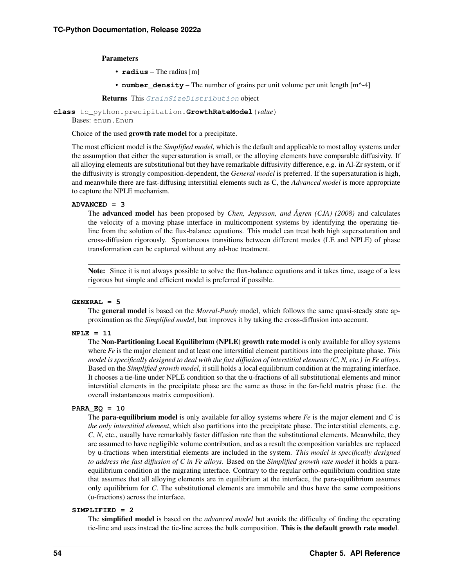Parameters

- **radius** The radius [m]
- **number\_density** The number of grains per unit volume per unit length [m^-4]

Returns This [GrainSizeDistribution](#page-56-1) object

<span id="page-57-0"></span>**class** tc\_python.precipitation.**GrowthRateModel**(*value*)

Bases: enum.Enum

Choice of the used growth rate model for a precipitate.

The most efficient model is the *Simplified model*, which is the default and applicable to most alloy systems under the assumption that either the supersaturation is small, or the alloying elements have comparable diffusivity. If all alloying elements are substitutional but they have remarkable diffusivity difference, e.g. in Al-Zr system, or if the diffusivity is strongly composition-dependent, the *General model* is preferred. If the supersaturation is high, and meanwhile there are fast-diffusing interstitial elements such as C, the *Advanced model* is more appropriate to capture the NPLE mechanism.

# **ADVANCED = 3**

The advanced model has been proposed by *Chen, Jeppsson, and Ågren (CJA) (2008)* and calculates the velocity of a moving phase interface in multicomponent systems by identifying the operating tieline from the solution of the flux-balance equations. This model can treat both high supersaturation and cross-diffusion rigorously. Spontaneous transitions between different modes (LE and NPLE) of phase transformation can be captured without any ad-hoc treatment.

Note: Since it is not always possible to solve the flux-balance equations and it takes time, usage of a less rigorous but simple and efficient model is preferred if possible.

# **GENERAL = 5**

The general model is based on the *Morral-Purdy* model, which follows the same quasi-steady state approximation as the *Simplified model*, but improves it by taking the cross-diffusion into account.

# **NPLE = 11**

The Non-Partitioning Local Equilibrium (NPLE) growth rate model is only available for alloy systems where *Fe* is the major element and at least one interstitial element partitions into the precipitate phase. *This model is specifically designed to deal with the fast diffusion of interstitial elements (C, N, etc.) in Fe alloys*. Based on the *Simplified growth model*, it still holds a local equilibrium condition at the migrating interface. It chooses a tie-line under NPLE condition so that the u-fractions of all substitutional elements and minor interstitial elements in the precipitate phase are the same as those in the far-field matrix phase (i.e. the overall instantaneous matrix composition).

#### **PARA\_EQ = 10**

The para-equilibrium model is only available for alloy systems where *Fe* is the major element and *C* is *the only interstitial element*, which also partitions into the precipitate phase. The interstitial elements, e.g. *C*, *N*, etc., usually have remarkably faster diffusion rate than the substitutional elements. Meanwhile, they are assumed to have negligible volume contribution, and as a result the composition variables are replaced by u-fractions when interstitial elements are included in the system. *This model is specifically designed to address the fast diffusion of C in Fe alloys*. Based on the *Simplified growth rate model* it holds a paraequilibrium condition at the migrating interface. Contrary to the regular ortho-equilibrium condition state that assumes that all alloying elements are in equilibrium at the interface, the para-equilibrium assumes only equilibrium for *C*. The substitutional elements are immobile and thus have the same compositions (u-fractions) across the interface.

# <span id="page-57-2"></span><span id="page-57-1"></span>**SIMPLIFIED = 2**

The simplified model is based on the *advanced model* but avoids the difficulty of finding the operating tie-line and uses instead the tie-line across the bulk composition. This is the default growth rate model.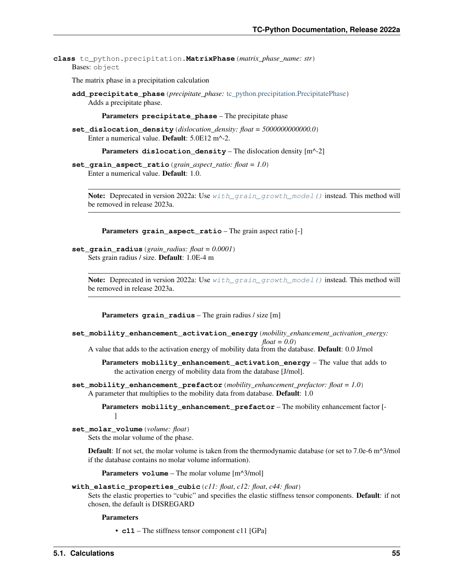**class** tc\_python.precipitation.**MatrixPhase**(*matrix\_phase\_name: str*) Bases: object

The matrix phase in a precipitation calculation

**add\_precipitate\_phase**(*precipitate\_phase:* [tc\\_python.precipitation.PrecipitatePhase](#page-62-0)) Adds a precipitate phase.

Parameters **precipitate\_phase** – The precipitate phase

**set\_dislocation\_density**(*dislocation\_density: float = 5000000000000.0*) Enter a numerical value. Default: 5.0E12 m^-2.

Parameters dislocation\_density – The dislocation density [m<sup>^</sup>-2]

**set\_grain\_aspect\_ratio**(*grain\_aspect\_ratio: float = 1.0*) Enter a numerical value. Default: 1.0.

Note: Deprecated in version 2022a: Use [with\\_grain\\_growth\\_model\(\)](#page-59-0) instead. This method will be removed in release 2023a.

Parameters **grain\_aspect\_ratio** – The grain aspect ratio [-]

**set\_grain\_radius**(*grain\_radius: float = 0.0001*) Sets grain radius / size. Default: 1.0E-4 m

> Note: Deprecated in version 2022a: Use  $with\_grain\_growth\_model$  () instead. This method will be removed in release 2023a.

Parameters **grain\_radius** – The grain radius / size [m]

**set\_mobility\_enhancement\_activation\_energy**(*mobility\_enhancement\_activation\_energy: float = 0.0*)

A value that adds to the activation energy of mobility data from the database. Default: 0.0 J/mol

Parameters **mobility\_enhancement\_activation\_energy** – The value that adds to the activation energy of mobility data from the database [J/mol].

**set\_mobility\_enhancement\_prefactor**(*mobility\_enhancement\_prefactor: float = 1.0*) A parameter that multiplies to the mobility data from database. Default: 1.0

> Parameters **mobility\_enhancement\_prefactor** – The mobility enhancement factor [-  $\mathbf{I}$

**set\_molar\_volume**(*volume: float*)

Sets the molar volume of the phase.

Default: If not set, the molar volume is taken from the thermodynamic database (or set to 7.0e-6 m^3/mol if the database contains no molar volume information).

Parameters **volume** – The molar volume [m^3/mol]

**with\_elastic\_properties\_cubic**(*c11: float*, *c12: float*, *c44: float*)

Sets the elastic properties to "cubic" and specifies the elastic stiffness tensor components. Default: if not chosen, the default is DISREGARD

Parameters

• **c11** – The stiffness tensor component c11 [GPa]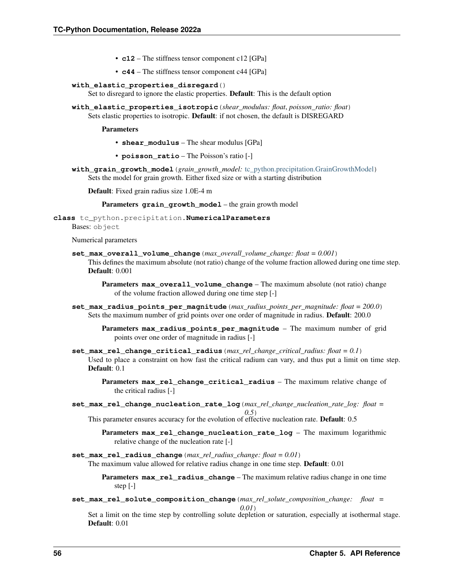- **c12** The stiffness tensor component c12 [GPa]
- **c44** The stiffness tensor component c44 [GPa]

### **with\_elastic\_properties\_disregard**()

Set to disregard to ignore the elastic properties. Default: This is the default option

**with\_elastic\_properties\_isotropic**(*shear\_modulus: float*, *poisson\_ratio: float*) Sets elastic properties to isotropic. Default: if not chosen, the default is DISREGARD

#### Parameters

- **shear\_modulus** The shear modulus [GPa]
- **poisson\_ratio** The Poisson's ratio [-]
- <span id="page-59-0"></span>**with\_grain\_growth\_model**(*grain\_growth\_model:* [tc\\_python.precipitation.GrainGrowthModel](#page-56-0)) Sets the model for grain growth. Either fixed size or with a starting distribution

Default: Fixed grain radius size 1.0E-4 m

Parameters **grain\_growth\_model** – the grain growth model

<span id="page-59-1"></span>**class** tc\_python.precipitation.**NumericalParameters**

Bases: object

Numerical parameters

- **set\_max\_overall\_volume\_change**(*max\_overall\_volume\_change: float = 0.001*) This defines the maximum absolute (not ratio) change of the volume fraction allowed during one time step. Default: 0.001
	- Parameters **max\_overall\_volume\_change** The maximum absolute (not ratio) change of the volume fraction allowed during one time step [-]
- **set\_max\_radius\_points\_per\_magnitude**(*max\_radius\_points\_per\_magnitude: float = 200.0*) Sets the maximum number of grid points over one order of magnitude in radius. **Default**: 200.0
	- Parameters **max\_radius\_points\_per\_magnitude** The maximum number of grid points over one order of magnitude in radius [-]
- **set\_max\_rel\_change\_critical\_radius**(*max\_rel\_change\_critical\_radius: float = 0.1*) Used to place a constraint on how fast the critical radium can vary, and thus put a limit on time step. Default:  $0.1$ 
	- Parameters **max\_rel\_change\_critical\_radius** The maximum relative change of the critical radius [-]
- **set\_max\_rel\_change\_nucleation\_rate\_log**(*max\_rel\_change\_nucleation\_rate\_log: float = 0.5*)
	- This parameter ensures accuracy for the evolution of effective nucleation rate. Default: 0.5
		- Parameters **max\_rel\_change\_nucleation\_rate\_log** The maximum logarithmic relative change of the nucleation rate [-]
- **set\_max\_rel\_radius\_change**(*max\_rel\_radius\_change: float = 0.01*) The maximum value allowed for relative radius change in one time step. Default: 0.01

Parameters **max\_rel\_radius\_change** – The maximum relative radius change in one time step [-]

**set\_max\_rel\_solute\_composition\_change**(*max\_rel\_solute\_composition\_change: float =*

*0.01*)

Set a limit on the time step by controlling solute depletion or saturation, especially at isothermal stage. Default: 0.01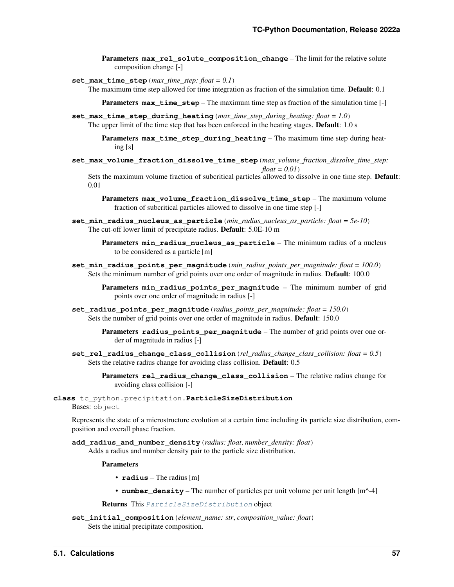- **Parameters max rel solute composition change** The limit for the relative solute composition change [-]
- **set\_max\_time\_step**(*max\_time\_step: float = 0.1*)

The maximum time step allowed for time integration as fraction of the simulation time. **Default**: 0.1

**Parameters max time step** – The maximum time step as fraction of the simulation time [-]

**set\_max\_time\_step\_during\_heating**(*max\_time\_step\_during\_heating: float = 1.0*) The upper limit of the time step that has been enforced in the heating stages. **Default**: 1.0 s

> Parameters **max\_time\_step\_during\_heating** – The maximum time step during heating [s]

**set\_max\_volume\_fraction\_dissolve\_time\_step**(*max\_volume\_fraction\_dissolve\_time\_step: float = 0.01*)

Sets the maximum volume fraction of subcritical particles allowed to dissolve in one time step. Default: 0.01

Parameters **max\_volume\_fraction\_dissolve\_time\_step** – The maximum volume fraction of subcritical particles allowed to dissolve in one time step [-]

- **set\_min\_radius\_nucleus\_as\_particle**(*min\_radius\_nucleus\_as\_particle: float = 5e-10*) The cut-off lower limit of precipitate radius. Default: 5.0E-10 m
	- Parameters min\_radius\_nucleus\_as\_particle The minimum radius of a nucleus to be considered as a particle [m]
- **set\_min\_radius\_points\_per\_magnitude**(*min\_radius\_points\_per\_magnitude: float = 100.0*) Sets the minimum number of grid points over one order of magnitude in radius. Default: 100.0

Parameters **min\_radius\_points\_per\_magnitude** – The minimum number of grid points over one order of magnitude in radius [-]

- **set\_radius\_points\_per\_magnitude**(*radius\_points\_per\_magnitude: float = 150.0*) Sets the number of grid points over one order of magnitude in radius. Default: 150.0
	- Parameters **radius\_points\_per\_magnitude** The number of grid points over one order of magnitude in radius [-]
- **set\_rel\_radius\_change\_class\_collision**(*rel\_radius\_change\_class\_collision: float = 0.5*) Sets the relative radius change for avoiding class collision. Default: 0.5

Parameters **rel\_radius\_change\_class\_collision** – The relative radius change for avoiding class collision [-]

<span id="page-60-0"></span>**class** tc\_python.precipitation.**ParticleSizeDistribution** Bases: object

Represents the state of a microstructure evolution at a certain time including its particle size distribution, composition and overall phase fraction.

**add\_radius\_and\_number\_density**(*radius: float*, *number\_density: float*) Adds a radius and number density pair to the particle size distribution.

**Parameters** 

- **radius** The radius [m]
- **number\_density** The number of particles per unit volume per unit length  $[m^{\wedge} -4]$

Returns This [ParticleSizeDistribution](#page-60-0) object

**set\_initial\_composition**(*element\_name: str*, *composition\_value: float*) Sets the initial precipitate composition.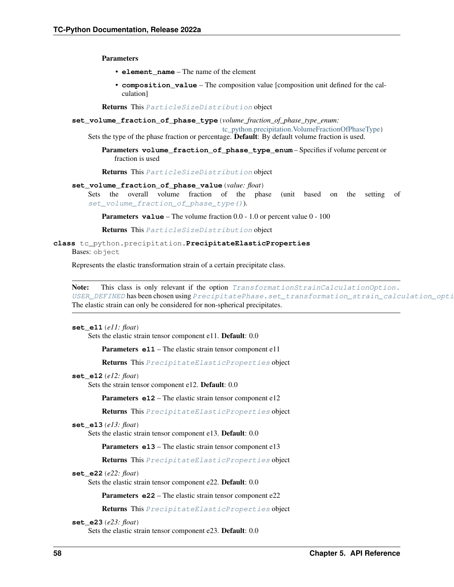Parameters

- **element\_name** The name of the element
- **composition\_value** The composition value [composition unit defined for the calculation]

Returns This [ParticleSizeDistribution](#page-60-0) object

<span id="page-61-0"></span>**set\_volume\_fraction\_of\_phase\_type**(*volume\_fraction\_of\_phase\_type\_enum:*

[tc\\_python.precipitation.VolumeFractionOfPhaseType](#page-77-0))

Sets the type of the phase fraction or percentage. Default: By default volume fraction is used.

Parameters **volume\_fraction\_of\_phase\_type\_enum** – Specifies if volume percent or fraction is used

Returns This [ParticleSizeDistribution](#page-60-0) object

#### **set\_volume\_fraction\_of\_phase\_value**(*value: float*)

Sets the overall volume fraction of the phase (unit based on the setting of [set\\_volume\\_fraction\\_of\\_phase\\_type\(\)](#page-61-0)).

**Parameters value** – The volume fraction 0.0 - 1.0 or percent value 0 - 100

Returns This [ParticleSizeDistribution](#page-60-0) object

<span id="page-61-1"></span>**class** tc\_python.precipitation.**PrecipitateElasticProperties**

Bases: object

Represents the elastic transformation strain of a certain precipitate class.

Note: This class is only relevant if the option *TransformationStrainCalculationOption*. [USER\\_DEFINED](#page-77-1) has been chosen using PrecipitatePhase.set\_transformation\_strain\_calculation\_opti The elastic strain can only be considered for non-spherical precipitates.

#### **set\_e11**(*e11: float*)

Sets the elastic strain tensor component e11. Default: 0.0

Parameters **e11** – The elastic strain tensor component e11

Returns This [PrecipitateElasticProperties](#page-61-1) object

#### **set\_e12**(*e12: float*)

Sets the strain tensor component e12. Default: 0.0

Parameters **e12** – The elastic strain tensor component e12

Returns This [PrecipitateElasticProperties](#page-61-1) object

# **set\_e13**(*e13: float*)

Sets the elastic strain tensor component e13. Default: 0.0

Parameters **e13** – The elastic strain tensor component e13

Returns This [PrecipitateElasticProperties](#page-61-1) object

# **set\_e22**(*e22: float*)

Sets the elastic strain tensor component e22. Default: 0.0

Parameters **e22** – The elastic strain tensor component e22

Returns This [PrecipitateElasticProperties](#page-61-1) object

# **set\_e23**(*e23: float*)

Sets the elastic strain tensor component e23. Default: 0.0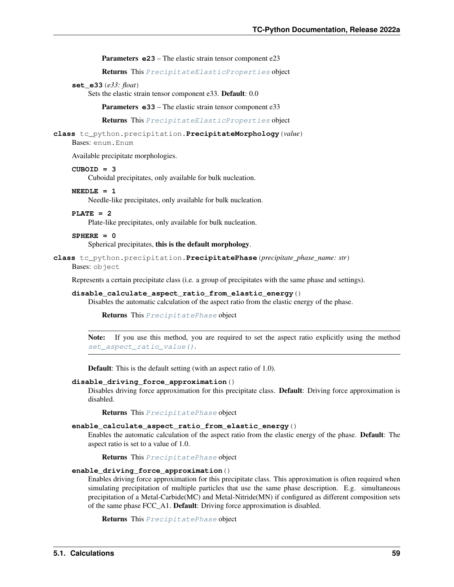Parameters **e23** – The elastic strain tensor component e23

Returns This [PrecipitateElasticProperties](#page-61-1) object

#### **set\_e33**(*e33: float*)

Sets the elastic strain tensor component e33. Default: 0.0

Parameters **e33** – The elastic strain tensor component e33

Returns This [PrecipitateElasticProperties](#page-61-1) object

# <span id="page-62-2"></span>**class** tc\_python.precipitation.**PrecipitateMorphology**(*value*)

Bases: enum.Enum

Available precipitate morphologies.

#### <span id="page-62-6"></span>**CUBOID = 3**

Cuboidal precipitates, only available for bulk nucleation.

#### <span id="page-62-4"></span>**NEEDLE = 1**

Needle-like precipitates, only available for bulk nucleation.

# <span id="page-62-5"></span>**PLATE = 2**

Plate-like precipitates, only available for bulk nucleation.

# <span id="page-62-3"></span>**SPHERE = 0**

Spherical precipitates, this is the default morphology.

#### <span id="page-62-0"></span>**class** tc\_python.precipitation.**PrecipitatePhase**(*precipitate\_phase\_name: str*)

Bases: object

Represents a certain precipitate class (i.e. a group of precipitates with the same phase and settings).

# <span id="page-62-1"></span>**disable\_calculate\_aspect\_ratio\_from\_elastic\_energy**()

Disables the automatic calculation of the aspect ratio from the elastic energy of the phase.

Returns This [PrecipitatePhase](#page-62-0) object

Note: If you use this method, you are required to set the aspect ratio explicitly using the method [set\\_aspect\\_ratio\\_value\(\)](#page-63-0).

Default: This is the default setting (with an aspect ratio of 1.0).

#### **disable\_driving\_force\_approximation**()

Disables driving force approximation for this precipitate class. Default: Driving force approximation is disabled.

Returns This [PrecipitatePhase](#page-62-0) object

#### **enable\_calculate\_aspect\_ratio\_from\_elastic\_energy**()

Enables the automatic calculation of the aspect ratio from the elastic energy of the phase. Default: The aspect ratio is set to a value of 1.0.

Returns This [PrecipitatePhase](#page-62-0) object

#### **enable\_driving\_force\_approximation**()

Enables driving force approximation for this precipitate class. This approximation is often required when simulating precipitation of multiple particles that use the same phase description. E.g. simultaneous precipitation of a Metal-Carbide(MC) and Metal-Nitride(MN) if configured as different composition sets of the same phase FCC\_A1. Default: Driving force approximation is disabled.

Returns This [PrecipitatePhase](#page-62-0) object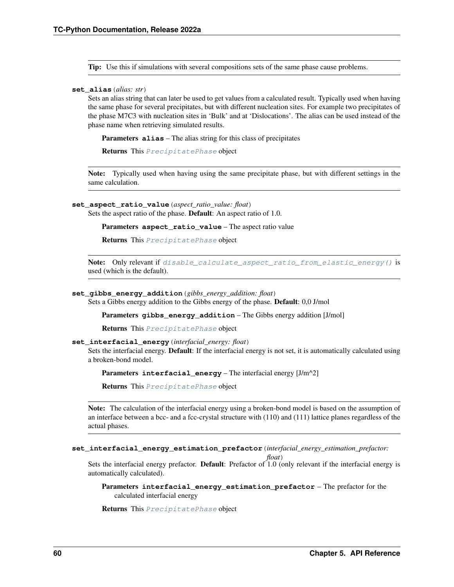Tip: Use this if simulations with several compositions sets of the same phase cause problems.

### **set\_alias**(*alias: str*)

Sets an alias string that can later be used to get values from a calculated result. Typically used when having the same phase for several precipitates, but with different nucleation sites. For example two precipitates of the phase M7C3 with nucleation sites in 'Bulk' and at 'Dislocations'. The alias can be used instead of the phase name when retrieving simulated results.

Parameters **alias** – The alias string for this class of precipitates

Returns This [PrecipitatePhase](#page-62-0) object

Note: Typically used when having using the same precipitate phase, but with different settings in the same calculation.

<span id="page-63-0"></span>**set\_aspect\_ratio\_value**(*aspect\_ratio\_value: float*)

Sets the aspect ratio of the phase. Default: An aspect ratio of 1.0.

Parameters **aspect\_ratio\_value** – The aspect ratio value

Returns This [PrecipitatePhase](#page-62-0) object

Note: Only relevant if [disable\\_calculate\\_aspect\\_ratio\\_from\\_elastic\\_energy\(\)](#page-62-1) is used (which is the default).

#### **set\_gibbs\_energy\_addition**(*gibbs\_energy\_addition: float*)

Sets a Gibbs energy addition to the Gibbs energy of the phase. Default: 0,0 J/mol

Parameters **gibbs\_energy\_addition** – The Gibbs energy addition [J/mol]

Returns This [PrecipitatePhase](#page-62-0) object

#### **set\_interfacial\_energy**(*interfacial\_energy: float*)

Sets the interfacial energy. **Default**: If the interfacial energy is not set, it is automatically calculated using a broken-bond model.

Parameters **interfacial\_energy** – The interfacial energy [J/m^2]

Returns This [PrecipitatePhase](#page-62-0) object

Note: The calculation of the interfacial energy using a broken-bond model is based on the assumption of an interface between a bcc- and a fcc-crystal structure with (110) and (111) lattice planes regardless of the actual phases.

**set\_interfacial\_energy\_estimation\_prefactor**(*interfacial\_energy\_estimation\_prefactor:*

*float*)

Sets the interfacial energy prefactor. Default: Prefactor of 1.0 (only relevant if the interfacial energy is automatically calculated).

Parameters **interfacial\_energy\_estimation\_prefactor** – The prefactor for the calculated interfacial energy

Returns This [PrecipitatePhase](#page-62-0) object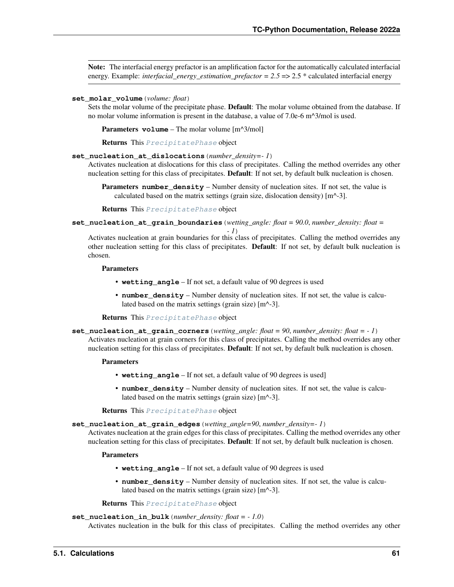Note: The interfacial energy prefactor is an amplification factor for the automatically calculated interfacial energy. Example: *interfacial energy estimation prefactor* =  $2.5$  =>  $2.5$  \* calculated interfacial energy

#### **set\_molar\_volume**(*volume: float*)

Sets the molar volume of the precipitate phase. **Default**: The molar volume obtained from the database. If no molar volume information is present in the database, a value of 7.0e-6 m^3/mol is used.

Parameters **volume** – The molar volume [m^3/mol]

Returns This [PrecipitatePhase](#page-62-0) object

#### **set\_nucleation\_at\_dislocations**(*number\_density=- 1*)

Activates nucleation at dislocations for this class of precipitates. Calling the method overrides any other nucleation setting for this class of precipitates. **Default**: If not set, by default bulk nucleation is chosen.

**Parameters number\_density** – Number density of nucleation sites. If not set, the value is calculated based on the matrix settings (grain size, dislocation density)  $[m^2-3]$ .

Returns This [PrecipitatePhase](#page-62-0) object

**set\_nucleation\_at\_grain\_boundaries**(*wetting\_angle: float = 90.0*, *number\_density: float =*

*- 1*) Activates nucleation at grain boundaries for this class of precipitates. Calling the method overrides any other nucleation setting for this class of precipitates. **Default**: If not set, by default bulk nucleation is chosen.

### **Parameters**

- **wetting\_angle** If not set, a default value of 90 degrees is used
- **number\_density** Number density of nucleation sites. If not set, the value is calculated based on the matrix settings (grain size)  $[m^2-3]$ .

Returns This [PrecipitatePhase](#page-62-0) object

**set\_nucleation\_at\_grain\_corners**(*wetting\_angle: float = 90*, *number\_density: float = - 1*) Activates nucleation at grain corners for this class of precipitates. Calling the method overrides any other nucleation setting for this class of precipitates. **Default**: If not set, by default bulk nucleation is chosen.

#### Parameters

- **wetting\_angle** If not set, a default value of 90 degrees is used]
- **number** density Number density of nucleation sites. If not set, the value is calculated based on the matrix settings (grain size)  $[m^2-3]$ .

Returns This [PrecipitatePhase](#page-62-0) object

**set\_nucleation\_at\_grain\_edges**(*wetting\_angle=90*, *number\_density=- 1*)

Activates nucleation at the grain edges for this class of precipitates. Calling the method overrides any other nucleation setting for this class of precipitates. **Default**: If not set, by default bulk nucleation is chosen.

### **Parameters**

- **wetting\_angle** If not set, a default value of 90 degrees is used
- **number\_density** Number density of nucleation sites. If not set, the value is calculated based on the matrix settings (grain size)  $[m^2-3]$ .

Returns This [PrecipitatePhase](#page-62-0) object

### **set\_nucleation\_in\_bulk**(*number\_density: float = - 1.0*)

Activates nucleation in the bulk for this class of precipitates. Calling the method overrides any other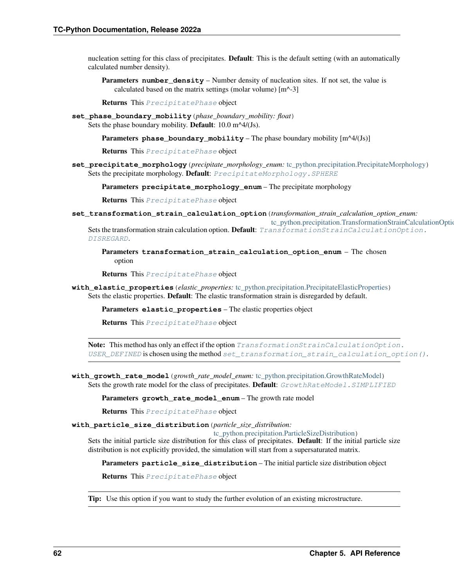nucleation setting for this class of precipitates. **Default**: This is the default setting (with an automatically calculated number density).

Parameters **number\_density** – Number density of nucleation sites. If not set, the value is calculated based on the matrix settings (molar volume) [m^-3]

Returns This [PrecipitatePhase](#page-62-0) object

- **set\_phase\_boundary\_mobility**(*phase\_boundary\_mobility: float*) Sets the phase boundary mobility. **Default**:  $10.0 \text{ m}^4/(J\text{s})$ .
	- Parameters **phase\_boundary\_mobility** The phase boundary mobility [m^4/(Js)]

Returns This [PrecipitatePhase](#page-62-0) object

**set\_precipitate\_morphology**(*precipitate\_morphology\_enum:* [tc\\_python.precipitation.PrecipitateMorphology](#page-62-2)) Sets the precipitate morphology. Default:  $PrecriptateMorphology$ . SPHERE

Parameters **precipitate\_morphology\_enum** – The precipitate morphology

Returns This [PrecipitatePhase](#page-62-0) object

<span id="page-65-0"></span>**set\_transformation\_strain\_calculation\_option**(*transformation\_strain\_calculation\_option\_enum:*

tc\_python.precipitation.TransformationStrainCalculationOptio Sets the transformation strain calculation option. Default: [TransformationStrainCalculationOp](#page-76-1)tion. [DISREGARD](#page-76-1).

Parameters **transformation\_strain\_calculation\_option\_enum** – The chosen option

Returns This [PrecipitatePhase](#page-62-0) object

**with\_elastic\_properties**(*elastic\_properties:* [tc\\_python.precipitation.PrecipitateElasticProperties](#page-61-1)) Sets the elastic properties. Default: The elastic transformation strain is disregarded by default.

Parameters **elastic\_properties** – The elastic properties object

Returns This [PrecipitatePhase](#page-62-0) object

Note: This method has only an effect if the option [TransformationStrainCalculationOption.](#page-77-1) [USER\\_DEFINED](#page-77-1) is chosen using the method [set\\_transformation\\_strain\\_calculation\\_option\(\)](#page-65-0).

**with\_growth\_rate\_model**(*growth\_rate\_model\_enum:* [tc\\_python.precipitation.GrowthRateModel](#page-57-0)) Sets the growth rate model for the class of precipitates. Default: GrowthRateModel. SIMPLIFIED

Parameters **growth\_rate\_model\_enum** – The growth rate model

Returns This [PrecipitatePhase](#page-62-0) object

**with\_particle\_size\_distribution**(*particle\_size\_distribution:*

[tc\\_python.precipitation.ParticleSizeDistribution](#page-60-0))

Sets the initial particle size distribution for this class of precipitates. Default: If the initial particle size distribution is not explicitly provided, the simulation will start from a supersaturated matrix.

Parameters **particle\_size\_distribution** – The initial particle size distribution object

Returns This [PrecipitatePhase](#page-62-0) object

<span id="page-65-1"></span>**Tip:** Use this option if you want to study the further evolution of an existing microstructure.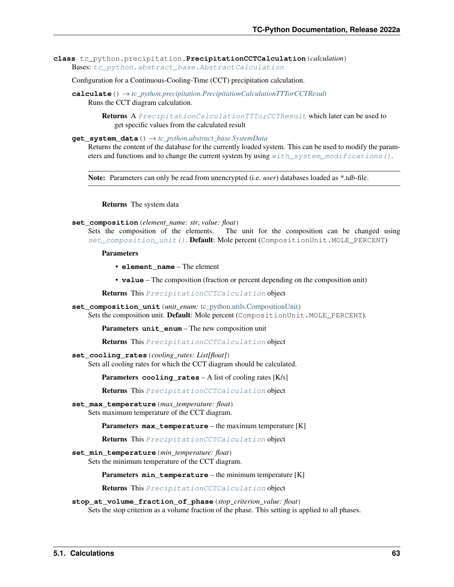**class** tc\_python.precipitation.**PrecipitationCCTCalculation**(*calculation*) Bases: [tc\\_python.abstract\\_base.AbstractCalculation](#page-230-0)

Configuration for a Continuous-Cooling-Time (CCT) precipitation calculation.

**calculate**() → *[tc\\_python.precipitation.PrecipitationCalculationTTTorCCTResult](#page-72-0)* Runs the CCT diagram calculation.

> Returns A [PrecipitationCalculationTTTorCCTResult](#page-72-0) which later can be used to get specific values from the calculated result

**get\_system\_data**() → *[tc\\_python.abstract\\_base.SystemData](#page-232-0)*

Returns the content of the database for the currently loaded system. This can be used to modify the parameters and functions and to change the current system by using  $with\_system\_modifications()$ .

Note: Parameters can only be read from unencrypted (i.e. *user*) databases loaded as *\*.tdb*-file.

Returns The system data

**set\_composition**(*element\_name: str*, *value: float*)

Sets the composition of the elements. The unit for the composition can be changed using [set\\_composition\\_unit\(\)](#page-66-0). Default: Mole percent (CompositionUnit.MOLE\_PERCENT)

#### Parameters

• **element\_name** – The element

• **value** – The composition (fraction or percent depending on the composition unit)

Returns This [PrecipitationCCTCalculation](#page-65-1) object

<span id="page-66-0"></span>**set\_composition\_unit**(*unit\_enum:* [tc\\_python.utils.CompositionUnit](#page-210-0))

Sets the composition unit. Default: Mole percent (CompositionUnit.MOLE\_PERCENT).

Parameters **unit\_enum** – The new composition unit

Returns This [PrecipitationCCTCalculation](#page-65-1) object

**set\_cooling\_rates**(*cooling\_rates: List[float]*) Sets all cooling rates for which the CCT diagram should be calculated.

Parameters **cooling\_rates** – A list of cooling rates [K/s]

Returns This [PrecipitationCCTCalculation](#page-65-1) object

**set\_max\_temperature**(*max\_temperature: float*) Sets maximum temperature of the CCT diagram.

**Parameters max temperature** – the maximum temperature [K]

Returns This [PrecipitationCCTCalculation](#page-65-1) object

**set\_min\_temperature**(*min\_temperature: float*) Sets the minimum temperature of the CCT diagram.

Parameters  $min$ \_temperature – the minimum temperature [K]

Returns This [PrecipitationCCTCalculation](#page-65-1) object

**stop\_at\_volume\_fraction\_of\_phase**(*stop\_criterion\_value: float*) Sets the stop criterion as a volume fraction of the phase. This setting is applied to all phases.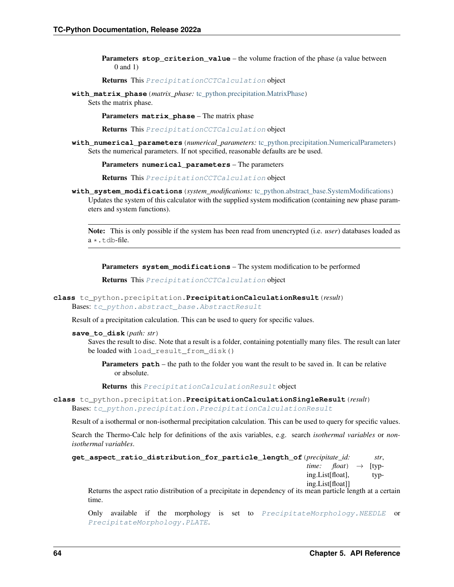**Parameters stop criterion value** – the volume fraction of the phase (a value between 0 and 1)

Returns This [PrecipitationCCTCalculation](#page-65-1) object

**with\_matrix\_phase**(*matrix\_phase:* [tc\\_python.precipitation.MatrixPhase](#page-57-2)) Sets the matrix phase.

Parameters **matrix\_phase** – The matrix phase

Returns This [PrecipitationCCTCalculation](#page-65-1) object

**with\_numerical\_parameters**(*numerical\_parameters:* [tc\\_python.precipitation.NumericalParameters](#page-59-1)) Sets the numerical parameters. If not specified, reasonable defaults are be used.

Parameters **numerical\_parameters** – The parameters

Returns This [PrecipitationCCTCalculation](#page-65-1) object

<span id="page-67-0"></span>**with\_system\_modifications**(*system\_modifications:* [tc\\_python.abstract\\_base.SystemModifications](#page-234-0)) Updates the system of this calculator with the supplied system modification (containing new phase parameters and system functions).

Note: This is only possible if the system has been read from unencrypted (i.e. *user*) databases loaded as  $a \star$ .tdb-file.

Parameters **system\_modifications** – The system modification to be performed

Returns This [PrecipitationCCTCalculation](#page-65-1) object

# <span id="page-67-1"></span>**class** tc\_python.precipitation.**PrecipitationCalculationResult**(*result*) Bases: [tc\\_python.abstract\\_base.AbstractResult](#page-230-1)

Result of a precipitation calculation. This can be used to query for specific values.

#### **save\_to\_disk**(*path: str*)

Saves the result to disc. Note that a result is a folder, containing potentially many files. The result can later be loaded with load\_result\_from\_disk()

**Parameters path** – the path to the folder you want the result to be saved in. It can be relative or absolute.

Returns this [PrecipitationCalculationResult](#page-67-1) object

**class** tc\_python.precipitation.**PrecipitationCalculationSingleResult**(*result*) Bases: [tc\\_python.precipitation.PrecipitationCalculationResult](#page-67-1)

Result of a isothermal or non-isothermal precipitation calculation. This can be used to query for specific values.

Search the Thermo-Calc help for definitions of the axis variables, e.g. search *isothermal variables* or *nonisothermal variables*.

```
get_aspect_ratio_distribution_for_particle_length_of(precipitate_id: str,
                                                                 time: float) \rightarrow [typ-ing.List[float], typ-
                                                                ing.List[float]]
```
Returns the aspect ratio distribution of a precipitate in dependency of its mean particle length at a certain time.

Only available if the morphology is set to [PrecipitateMorphology.NEEDLE](#page-62-4) or [PrecipitateMorphology.PLATE](#page-62-5).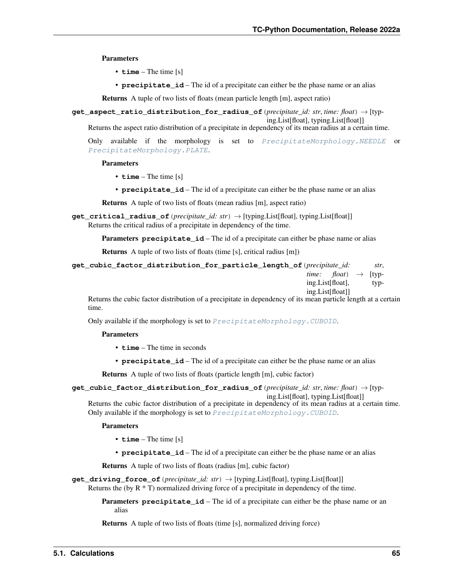Parameters

- **time** The time [s]
- **precipitate\_id** The id of a precipitate can either be the phase name or an alias

Returns A tuple of two lists of floats (mean particle length [m], aspect ratio)

```
get_aspect_ratio_distribution_for_radius_of(precipitate_id: str, time: float) → [typ-
                                                          ing.List[float], typing.List[float]]
```
Returns the aspect ratio distribution of a precipitate in dependency of its mean radius at a certain time.

Only available if the morphology is set to [PrecipitateMorphology.NEEDLE](#page-62-4) or [PrecipitateMorphology.PLATE](#page-62-5).

# Parameters

- **time** The time [s]
- **precipitate\_id** The id of a precipitate can either be the phase name or an alias

Returns A tuple of two lists of floats (mean radius [m], aspect ratio)

**get\_critical\_radius\_of**(*precipitate\_id: str*) → [typing.List[float], typing.List[float]] Returns the critical radius of a precipitate in dependency of the time.

**Parameters precipitate id** – The id of a precipitate can either be phase name or alias

Returns A tuple of two lists of floats (time [s], critical radius [m])

| get cubic factor distribution for particle length of (precipitate id: |                  |                                          | str. |
|-----------------------------------------------------------------------|------------------|------------------------------------------|------|
|                                                                       |                  | <i>time: float</i> ) $\rightarrow$ [typ- |      |
|                                                                       | ing.List[float], |                                          | typ- |
|                                                                       | ing.List[float]] |                                          |      |

Returns the cubic factor distribution of a precipitate in dependency of its mean particle length at a certain time.

Only available if the morphology is set to [PrecipitateMorphology.CUBOID](#page-62-6).

# Parameters

- **time** The time in seconds
- **precipitate\_id** The id of a precipitate can either be the phase name or an alias

Returns A tuple of two lists of floats (particle length [m], cubic factor)

```
get_cubic_factor_distribution_for_radius_of(precipitate_id: str, time: float) → [typ-
```
ing.List[float], typing.List[float]]

Returns the cubic factor distribution of a precipitate in dependency of its mean radius at a certain time. Only available if the morphology is set to [PrecipitateMorphology.CUBOID](#page-62-6).

#### Parameters

- **time** The time [s]
- **precipitate\_id** The id of a precipitate can either be the phase name or an alias

Returns A tuple of two lists of floats (radius [m], cubic factor)

**get driving force of** (*precipitate id: str*)  $\rightarrow$  [typing.List[float], typing.List[float]] Returns the (by  $R * T$ ) normalized driving force of a precipitate in dependency of the time.

> Parameters **precipitate\_id** – The id of a precipitate can either be the phase name or an alias

Returns A tuple of two lists of floats (time [s], normalized driving force)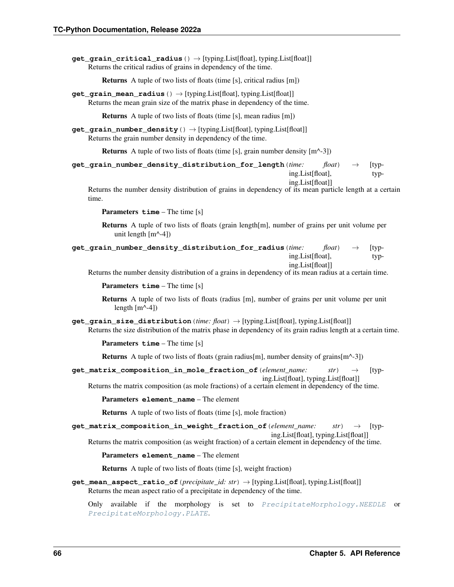**get grain critical radius** ()  $\rightarrow$  [typing.List[float], typing.List[float]] Returns the critical radius of grains in dependency of the time.

Returns A tuple of two lists of floats (time [s], critical radius [m])

**get\_grain\_mean\_radius**() → [typing.List[float], typing.List[float]] Returns the mean grain size of the matrix phase in dependency of the time.

Returns A tuple of two lists of floats (time [s], mean radius [m])

**get\_grain\_number\_density**() → [typing.List[float], typing.List[float]] Returns the grain number density in dependency of the time.

**Returns** A tuple of two lists of floats (time [s], grain number density  $[m^2-3]$ )

| get_grain_number_density_distribution_for_length(time: | $float \rightarrow$ | $ $ typ- |
|--------------------------------------------------------|---------------------|----------|
| ing.List[float],                                       |                     | typ-     |
| ing.List[float]]                                       |                     |          |

Returns the number density distribution of grains in dependency of its mean particle length at a certain time.

Parameters **time** – The time [s]

Returns A tuple of two lists of floats (grain length[m], number of grains per unit volume per unit length  $[m^{\wedge}-4]$ 

| $get\_grain\_number\_density\_distribution\_for\_radius$ ( <i>time</i> : float) $\rightarrow$ [typ- |  |      |
|-----------------------------------------------------------------------------------------------------|--|------|
| ing.List[float],                                                                                    |  | typ- |
| ing.List[float]]                                                                                    |  |      |

Returns the number density distribution of a grains in dependency of its mean radius at a certain time.

Parameters  $\tt time$  – The time [s]

Returns A tuple of two lists of floats (radius [m], number of grains per unit volume per unit length  $[m^{\wedge} -4]$ 

**get\_grain\_size\_distribution**(*time: float*) → [typing.List[float], typing.List[float]] Returns the size distribution of the matrix phase in dependency of its grain radius length at a certain time.

Parameters **time** – The time [s]

Returns A tuple of two lists of floats (grain radius[m], number density of grains[m^-3])

**get\_matrix\_composition\_in\_mole\_fraction\_of**(*element\_name: str*) → [typing.List[float], typing.List[float]]

Returns the matrix composition (as mole fractions) of a certain element in dependency of the time.

Parameters **element\_name** – The element

Returns A tuple of two lists of floats (time [s], mole fraction)

**get\_matrix\_composition\_in\_weight\_fraction\_of**(*element\_name: str*) → [typ-

ing.List[float], typing.List[float]] Returns the matrix composition (as weight fraction) of a certain element in dependency of the time.

Parameters **element\_name** – The element

Returns A tuple of two lists of floats (time [s], weight fraction)

**get\_mean\_aspect\_ratio\_of**(*precipitate\_id: str*) → [typing.List[float], typing.List[float]] Returns the mean aspect ratio of a precipitate in dependency of the time.

Only available if the morphology is set to [PrecipitateMorphology.NEEDLE](#page-62-4) or [PrecipitateMorphology.PLATE](#page-62-5).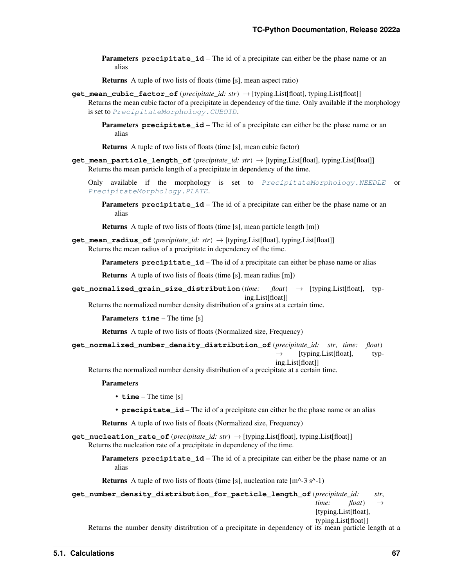**Parameters precipitate id** – The id of a precipitate can either be the phase name or an alias

Returns A tuple of two lists of floats (time [s], mean aspect ratio)

**get\_mean\_cubic\_factor\_of**(*precipitate\_id: str*) → [typing.List[float], typing.List[float]] Returns the mean cubic factor of a precipitate in dependency of the time. Only available if the morphology is set to [PrecipitateMorphology.CUBOID](#page-62-6).

**Parameters precipitate id** – The id of a precipitate can either be the phase name or an alias

Returns A tuple of two lists of floats (time [s], mean cubic factor)

**get\_mean\_particle\_length\_of**(*precipitate\_id: str*) → [typing.List[float], typing.List[float]] Returns the mean particle length of a precipitate in dependency of the time.

Only available if the morphology is set to [PrecipitateMorphology.NEEDLE](#page-62-4) or [PrecipitateMorphology.PLATE](#page-62-5).

**Parameters precipitate\_id** – The id of a precipitate can either be the phase name or an alias

Returns A tuple of two lists of floats (time [s], mean particle length [m])

**get\_mean\_radius\_of**(*precipitate\_id: str*) → [typing.List[float], typing.List[float]] Returns the mean radius of a precipitate in dependency of the time.

**Parameters precipitate id** – The id of a precipitate can either be phase name or alias

Returns A tuple of two lists of floats (time [s], mean radius [m])

**get\_normalized\_grain\_size\_distribution**(*time: float*) → [typing.List[float], typing.List[float]]

Returns the normalized number density distribution of a grains at a certain time.

Parameters **time** – The time [s]

Returns A tuple of two lists of floats (Normalized size, Frequency)

**get\_normalized\_number\_density\_distribution\_of**(*precipitate\_id: str*, *time: float*)  $\rightarrow$  [typing.List[float], typ-

ing.List[float]]

Returns the normalized number density distribution of a precipitate at a certain time.

## Parameters

- **time** The time [s]
- **precipitate\_id** The id of a precipitate can either be the phase name or an alias

Returns A tuple of two lists of floats (Normalized size, Frequency)

**get\_nucleation\_rate\_of**(*precipitate\_id: str*) → [typing.List[float], typing.List[float]] Returns the nucleation rate of a precipitate in dependency of the time.

> **Parameters precipitate\_id** – The id of a precipitate can either be the phase name or an alias

**Returns** A tuple of two lists of floats (time [s], nucleation rate  $[m^2-3 s^2-1]$ )

**get\_number\_density\_distribution\_for\_particle\_length\_of**(*precipitate\_id: str*,

*time: float*)  $\rightarrow$ [typing.List[float], typing.List[float]]

Returns the number density distribution of a precipitate in dependency of its mean particle length at a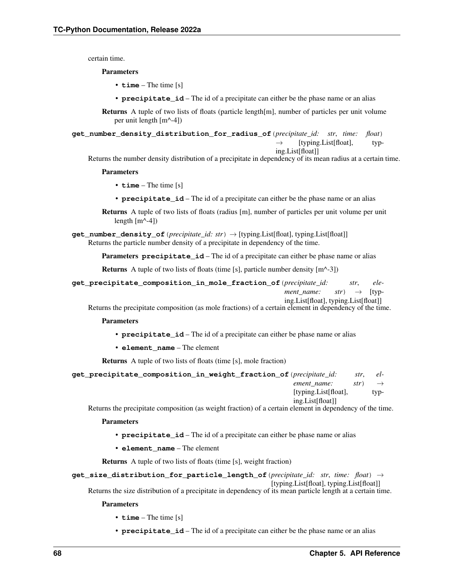certain time.

## Parameters

- **time** The time [s]
- **precipitate\_id** The id of a precipitate can either be the phase name or an alias

Returns A tuple of two lists of floats (particle length[m], number of particles per unit volume per unit length [m^-4])

**get\_number\_density\_distribution\_for\_radius\_of**(*precipitate\_id: str*, *time: float*)  $\rightarrow$  [typing.List[float], typ-

ing.List[float]]

Returns the number density distribution of a precipitate in dependency of its mean radius at a certain time.

#### Parameters

- **time** The time [s]
- **precipitate\_id** The id of a precipitate can either be the phase name or an alias

Returns A tuple of two lists of floats (radius [m], number of particles per unit volume per unit length  $[m^{\wedge}-4]$ )

**get\_number\_density\_of**(*precipitate\_id: str*) → [typing.List[float], typing.List[float]] Returns the particle number density of a precipitate in dependency of the time.

Parameters **precipitate\_id** – The id of a precipitate can either be phase name or alias

**Returns** A tuple of two lists of floats (time [s], particle number density  $[m^{\wedge} -3]$ )

**get\_precipitate\_composition\_in\_mole\_fraction\_of**(*precipitate\_id: str*, *element name:*  $str$   $\rightarrow$  [typing.List[float], typing.List[float]]

Returns the precipitate composition (as mole fractions) of a certain element in dependency of the time.

#### Parameters

- **precipitate\_id** The id of a precipitate can either be phase name or alias
- **element\_name** The element

Returns A tuple of two lists of floats (time [s], mole fraction)

```
get_precipitate_composition_in_weight_fraction_of(precipitate_id: str, el-
                                                            ement\_name: str) \rightarrow[typing.List[float], typ-
                                                            ing.List[float]]
```
Returns the precipitate composition (as weight fraction) of a certain element in dependency of the time.

#### Parameters

- **precipitate\_id** The id of a precipitate can either be phase name or alias
- **element\_name** The element

Returns A tuple of two lists of floats (time [s], weight fraction)

```
get_size_distribution_for_particle_length_of(precipitate_id: str, time: float) →
                                                         [typing.List[float], typing.List[float]]
```
Returns the size distribution of a precipitate in dependency of its mean particle length at a certain time.

#### **Parameters**

- **time** The time [s]
- **precipitate** id The id of a precipitate can either be the phase name or an alias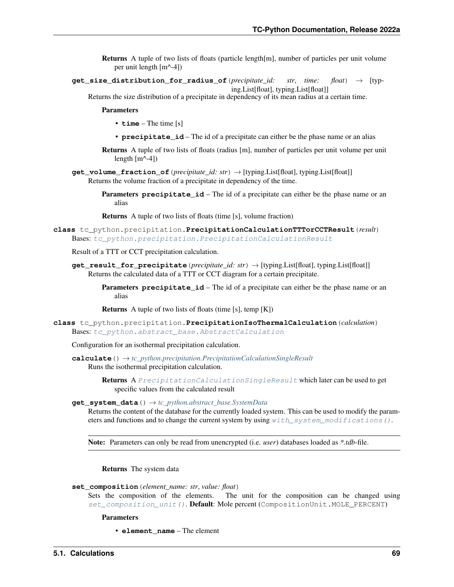- Returns A tuple of two lists of floats (particle length[m], number of particles per unit volume per unit length [m^-4])
- **get\_size\_distribution\_for\_radius\_of**(*precipitate\_id: str*, *time: float*) → [typing.List[float], typing.List[float]]
	- Returns the size distribution of a precipitate in dependency of its mean radius at a certain time.

**Parameters** 

- **time** The time [s]
- **precipitate** id The id of a precipitate can either be the phase name or an alias
- Returns A tuple of two lists of floats (radius [m], number of particles per unit volume per unit length  $[m^{\wedge}-4]$ )
- **get\_volume\_fraction\_of**(*precipitate\_id: str*) → [typing.List[float], typing.List[float]] Returns the volume fraction of a precipitate in dependency of the time.
	- Parameters **precipitate\_id** The id of a precipitate can either be the phase name or an alias

Returns A tuple of two lists of floats (time [s], volume fraction)

<span id="page-72-1"></span>**class** tc\_python.precipitation.**PrecipitationCalculationTTTorCCTResult**(*result*) Bases: [tc\\_python.precipitation.PrecipitationCalculationResult](#page-67-0)

Result of a TTT or CCT precipitation calculation.

- **get\_result\_for\_precipitate**(*precipitate\_id: str*) → [typing.List[float], typing.List[float]] Returns the calculated data of a TTT or CCT diagram for a certain precipitate.
	- **Parameters precipitate\_id** The id of a precipitate can either be the phase name or an alias

Returns A tuple of two lists of floats (time [s], temp [K])

<span id="page-72-0"></span>**class** tc\_python.precipitation.**PrecipitationIsoThermalCalculation**(*calculation*) Bases: [tc\\_python.abstract\\_base.AbstractCalculation](#page-230-0)

Configuration for an isothermal precipitation calculation.

- **calculate**() → *[tc\\_python.precipitation.PrecipitationCalculationSingleResult](#page-67-1)* Runs the isothermal precipitation calculation.
	- Returns A [PrecipitationCalculationSingleResult](#page-67-1) which later can be used to get specific values from the calculated result

## **get\_system\_data**() → *[tc\\_python.abstract\\_base.SystemData](#page-232-0)*

Returns the content of the database for the currently loaded system. This can be used to modify the parameters and functions and to change the current system by using  $with\_system\_modifications()$ .

Note: Parameters can only be read from unencrypted (i.e. *user*) databases loaded as *\*.tdb*-file.

Returns The system data

- **set\_composition**(*element\_name: str*, *value: float*)
	- Sets the composition of the elements. The unit for the composition can be changed using [set\\_composition\\_unit\(\)](#page-73-1). Default: Mole percent (CompositionUnit.MOLE\_PERCENT)

Parameters

• **element\_name** – The element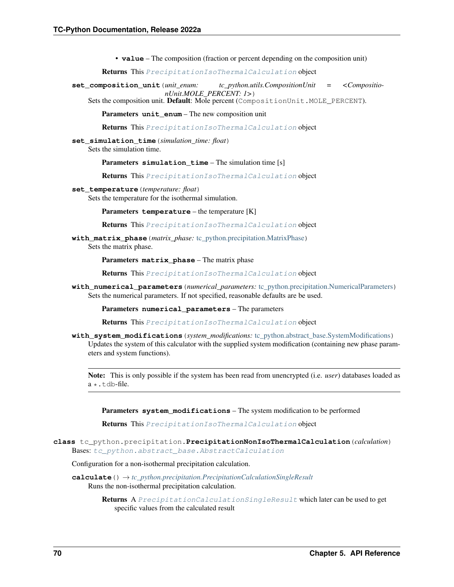• **value** – The composition (fraction or percent depending on the composition unit)

Returns This [PrecipitationIsoThermalCalculation](#page-72-0) object

<span id="page-73-1"></span>**set\_composition\_unit**(*unit\_enum: tc\_python.utils.CompositionUnit = <CompositionUnit.MOLE\_PERCENT: 1>*)

Sets the composition unit. Default: Mole percent (CompositionUnit.MOLE\_PERCENT).

Parameters **unit\_enum** – The new composition unit

Returns This [PrecipitationIsoThermalCalculation](#page-72-0) object

**set\_simulation\_time**(*simulation\_time: float*)

Sets the simulation time.

Parameters **simulation\_time** – The simulation time [s]

Returns This [PrecipitationIsoThermalCalculation](#page-72-0) object

**set\_temperature**(*temperature: float*)

Sets the temperature for the isothermal simulation.

Parameters **temperature** – the temperature [K]

Returns This [PrecipitationIsoThermalCalculation](#page-72-0) object

**with\_matrix\_phase**(*matrix\_phase:* [tc\\_python.precipitation.MatrixPhase](#page-57-0)) Sets the matrix phase.

Parameters **matrix\_phase** – The matrix phase

Returns This [PrecipitationIsoThermalCalculation](#page-72-0) object

**with\_numerical\_parameters**(*numerical\_parameters:* [tc\\_python.precipitation.NumericalParameters](#page-59-0)) Sets the numerical parameters. If not specified, reasonable defaults are be used.

Parameters **numerical\_parameters** – The parameters

Returns This [PrecipitationIsoThermalCalculation](#page-72-0) object

<span id="page-73-0"></span>**with\_system\_modifications**(*system\_modifications:* [tc\\_python.abstract\\_base.SystemModifications](#page-234-0)) Updates the system of this calculator with the supplied system modification (containing new phase parameters and system functions).

Note: This is only possible if the system has been read from unencrypted (i.e. *user*) databases loaded as  $a \star$ . t.db-file.

Parameters **system\_modifications** – The system modification to be performed

Returns This [PrecipitationIsoThermalCalculation](#page-72-0) object

**class** tc\_python.precipitation.**PrecipitationNonIsoThermalCalculation**(*calculation*) Bases: [tc\\_python.abstract\\_base.AbstractCalculation](#page-230-0)

Configuration for a non-isothermal precipitation calculation.

**calculate**() → *[tc\\_python.precipitation.PrecipitationCalculationSingleResult](#page-67-1)* Runs the non-isothermal precipitation calculation.

> Returns A [PrecipitationCalculationSingleResult](#page-67-1) which later can be used to get specific values from the calculated result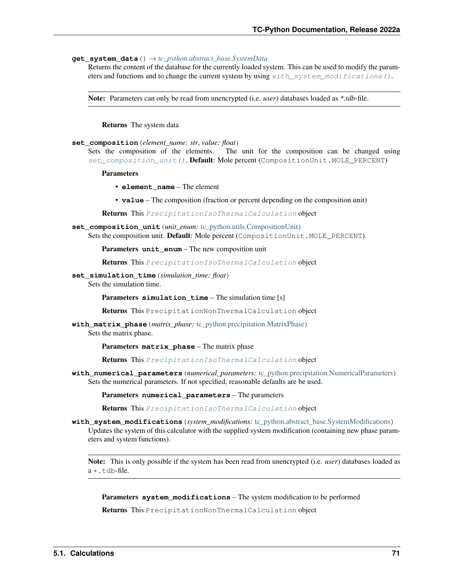## **get\_system\_data**() → *[tc\\_python.abstract\\_base.SystemData](#page-232-0)*

Returns the content of the database for the currently loaded system. This can be used to modify the parameters and functions and to change the current system by using  $with\_system\_modifications()$ .

Note: Parameters can only be read from unencrypted (i.e. *user*) databases loaded as *\*.tdb*-file.

Returns The system data

#### **set\_composition**(*element\_name: str*, *value: float*)

Sets the composition of the elements. The unit for the composition can be changed using [set\\_composition\\_unit\(\)](#page-74-1). Default: Mole percent (CompositionUnit.MOLE\_PERCENT)

Parameters

- **element\_name** The element
- **value** The composition (fraction or percent depending on the composition unit)

Returns This [PrecipitationIsoThermalCalculation](#page-72-0) object

<span id="page-74-1"></span>**set\_composition\_unit**(*unit\_enum:* [tc\\_python.utils.CompositionUnit](#page-210-0)) Sets the composition unit. Default: Mole percent (CompositionUnit.MOLE\_PERCENT).

Parameters **unit\_enum** – The new composition unit

Returns This [PrecipitationIsoThermalCalculation](#page-72-0) object

**set\_simulation\_time**(*simulation\_time: float*)

Sets the simulation time.

Parameters **simulation\_time** – The simulation time [s]

Returns This PrecipitationNonThermalCalculation object

**with\_matrix\_phase**(*matrix\_phase:* [tc\\_python.precipitation.MatrixPhase](#page-57-0)) Sets the matrix phase.

Parameters **matrix\_phase** – The matrix phase

Returns This [PrecipitationIsoThermalCalculation](#page-72-0) object

**with\_numerical\_parameters**(*numerical\_parameters:* [tc\\_python.precipitation.NumericalParameters](#page-59-0)) Sets the numerical parameters. If not specified, reasonable defaults are be used.

Parameters **numerical\_parameters** – The parameters

Returns This [PrecipitationIsoThermalCalculation](#page-72-0) object

<span id="page-74-0"></span>**with\_system\_modifications**(*system\_modifications:* [tc\\_python.abstract\\_base.SystemModifications](#page-234-0)) Updates the system of this calculator with the supplied system modification (containing new phase parameters and system functions).

Note: This is only possible if the system has been read from unencrypted (i.e. *user*) databases loaded as a \*.tdb-file.

Parameters **system\_modifications** – The system modification to be performed

Returns This PrecipitationNonThermalCalculation object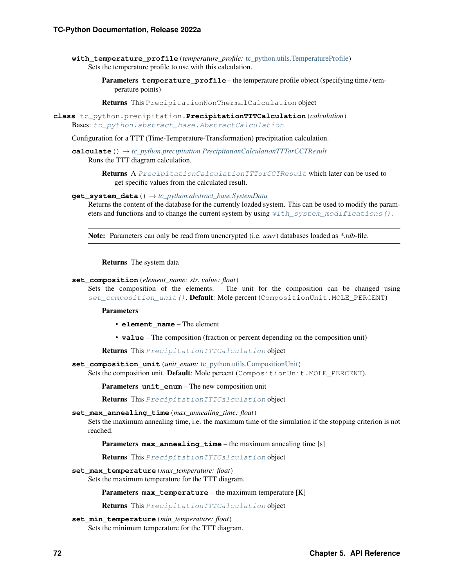**with\_temperature\_profile**(*temperature\_profile:* [tc\\_python.utils.TemperatureProfile](#page-211-0)) Sets the temperature profile to use with this calculation.

> Parameters **temperature\_profile** – the temperature profile object (specifying time / temperature points)

Returns This PrecipitationNonThermalCalculation object

<span id="page-75-1"></span>**class** tc\_python.precipitation.**PrecipitationTTTCalculation**(*calculation*) Bases: [tc\\_python.abstract\\_base.AbstractCalculation](#page-230-0)

Configuration for a TTT (Time-Temperature-Transformation) precipitation calculation.

**calculate**() → *[tc\\_python.precipitation.PrecipitationCalculationTTTorCCTResult](#page-72-1)* Runs the TTT diagram calculation.

> **Returns** A [PrecipitationCalculationTTTorCCTResult](#page-72-1) which later can be used to get specific values from the calculated result.

**get\_system\_data**() → *[tc\\_python.abstract\\_base.SystemData](#page-232-0)*

Returns the content of the database for the currently loaded system. This can be used to modify the parameters and functions and to change the current system by using with system modifications ().

Note: Parameters can only be read from unencrypted (i.e. *user*) databases loaded as *\*.tdb*-file.

Returns The system data

**set\_composition**(*element\_name: str*, *value: float*)

Sets the composition of the elements. The unit for the composition can be changed using [set\\_composition\\_unit\(\)](#page-75-0). Default: Mole percent (CompositionUnit.MOLE\_PERCENT)

Parameters

- **element\_name** The element
- **value** The composition (fraction or percent depending on the composition unit)

Returns This [PrecipitationTTTCalculation](#page-75-1) object

<span id="page-75-0"></span>set composition unit (*unit enum:* tc python.utils.CompositionUnit)

Sets the composition unit. Default: Mole percent (CompositionUnit.MOLE\_PERCENT).

Parameters **unit\_enum** – The new composition unit

Returns This [PrecipitationTTTCalculation](#page-75-1) object

## **set\_max\_annealing\_time**(*max\_annealing\_time: float*)

Sets the maximum annealing time, i.e. the maximum time of the simulation if the stopping criterion is not reached.

Parameters max\_annealing\_time – the maximum annealing time [s]

Returns This [PrecipitationTTTCalculation](#page-75-1) object

**set\_max\_temperature**(*max\_temperature: float*)

Sets the maximum temperature for the TTT diagram.

Parameters max\_temperature – the maximum temperature [K]

Returns This [PrecipitationTTTCalculation](#page-75-1) object

**set\_min\_temperature**(*min\_temperature: float*)

Sets the minimum temperature for the TTT diagram.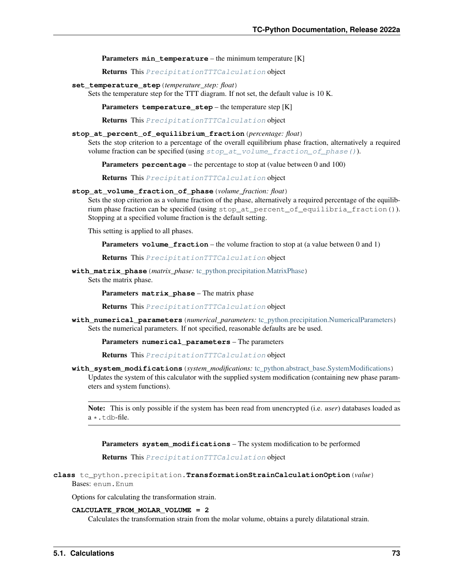**Parameters min temperature** – the minimum temperature [K]

Returns This [PrecipitationTTTCalculation](#page-75-1) object

**set\_temperature\_step**(*temperature\_step: float*)

Sets the temperature step for the TTT diagram. If not set, the default value is 10 K.

**Parameters temperature step** – the temperature step [K]

Returns This [PrecipitationTTTCalculation](#page-75-1) object

### **stop\_at\_percent\_of\_equilibrium\_fraction**(*percentage: float*)

Sets the stop criterion to a percentage of the overall equilibrium phase fraction, alternatively a required volume fraction can be specified (using  $stop_at\_volume\_fraction_of\_phase()$ ).

Parameters **percentage** – the percentage to stop at (value between 0 and 100)

Returns This [PrecipitationTTTCalculation](#page-75-1) object

### <span id="page-76-1"></span>**stop\_at\_volume\_fraction\_of\_phase**(*volume\_fraction: float*)

Sets the stop criterion as a volume fraction of the phase, alternatively a required percentage of the equilibrium phase fraction can be specified (using stop at percent of equilibria fraction()). Stopping at a specified volume fraction is the default setting.

This setting is applied to all phases.

Parameters **volume\_fraction** – the volume fraction to stop at (a value between 0 and 1)

Returns This [PrecipitationTTTCalculation](#page-75-1) object

**with\_matrix\_phase**(*matrix\_phase:* [tc\\_python.precipitation.MatrixPhase](#page-57-0))

Sets the matrix phase.

Parameters **matrix\_phase** – The matrix phase

Returns This [PrecipitationTTTCalculation](#page-75-1) object

**with\_numerical\_parameters**(*numerical\_parameters:* [tc\\_python.precipitation.NumericalParameters](#page-59-0)) Sets the numerical parameters. If not specified, reasonable defaults are be used.

Parameters **numerical\_parameters** – The parameters

Returns This [PrecipitationTTTCalculation](#page-75-1) object

<span id="page-76-0"></span>**with\_system\_modifications**(*system\_modifications:* [tc\\_python.abstract\\_base.SystemModifications](#page-234-0)) Updates the system of this calculator with the supplied system modification (containing new phase parameters and system functions).

Note: This is only possible if the system has been read from unencrypted (i.e. *user*) databases loaded as  $a \star$ .tdb-file.

Parameters **system\_modifications** – The system modification to be performed

Returns This [PrecipitationTTTCalculation](#page-75-1) object

## **class** tc\_python.precipitation.**TransformationStrainCalculationOption**(*value*) Bases: enum.Enum

Options for calculating the transformation strain.

#### **CALCULATE\_FROM\_MOLAR\_VOLUME = 2**

Calculates the transformation strain from the molar volume, obtains a purely dilatational strain.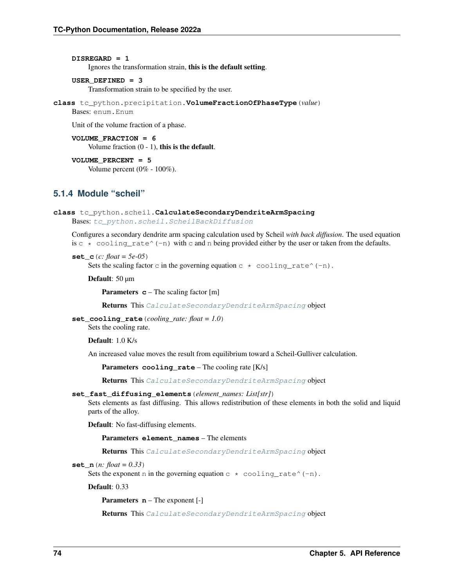```
DISREGARD = 1
```
Ignores the transformation strain, this is the default setting.

```
USER_DEFINED = 3
```
Transformation strain to be specified by the user.

```
class tc_python.precipitation.VolumeFractionOfPhaseType(value)
```
Bases: enum.Enum

Unit of the volume fraction of a phase.

**VOLUME\_FRACTION = 6** Volume fraction  $(0 - 1)$ , this is the default.

**VOLUME\_PERCENT = 5** Volume percent (0% - 100%).

## **5.1.4 Module "scheil"**

```
class tc_python.scheil.CalculateSecondaryDendriteArmSpacing
Bases: tc_python.scheil.ScheilBackDiffusion
```
Configures a secondary dendrite arm spacing calculation used by Scheil *with back diffusion*. The used equation is  $c \star \text{ cooling_rate}^(-n)$  with c and n being provided either by the user or taken from the defaults.

**set\_c**(*c: float = 5e-05*)

Sets the scaling factor c in the governing equation  $c \star \text{ cooling_rate}^(-n)$ .

Default: 50 µm

**Parameters <b>c** – The scaling factor [m]

Returns This [CalculateSecondaryDendriteArmSpacing](#page-77-0) object

**set\_cooling\_rate**(*cooling\_rate: float = 1.0*)

Sets the cooling rate.

Default: 1.0 K/s

An increased value moves the result from equilibrium toward a Scheil-Gulliver calculation.

Parameters **cooling\_rate** – The cooling rate [K/s]

Returns This [CalculateSecondaryDendriteArmSpacing](#page-77-0) object

```
set_fast_diffusing_elements(element_names: List[str])
```
Sets elements as fast diffusing. This allows redistribution of these elements in both the solid and liquid parts of the alloy.

Default: No fast-diffusing elements.

Parameters **element\_names** – The elements

Returns This [CalculateSecondaryDendriteArmSpacing](#page-77-0) object

**set\_n**(*n: float = 0.33*)

Sets the exponent n in the governing equation  $c * \text{cooling\_rate}^(-n)$ .

Default: 0.33

Parameters **n** – The exponent [-]

Returns This [CalculateSecondaryDendriteArmSpacing](#page-77-0) object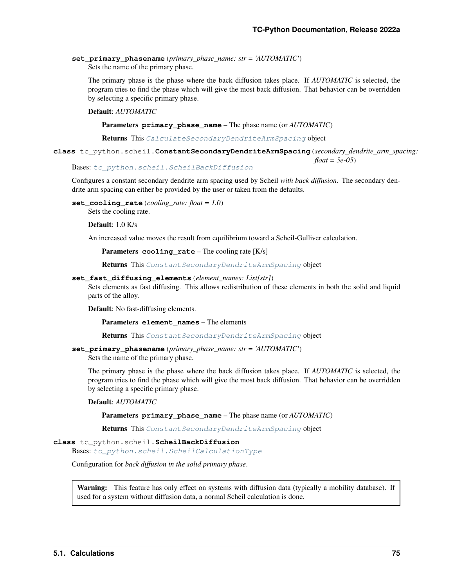**set\_primary\_phasename**(*primary\_phase\_name: str = 'AUTOMATIC'*) Sets the name of the primary phase.

The primary phase is the phase where the back diffusion takes place. If *AUTOMATIC* is selected, the program tries to find the phase which will give the most back diffusion. That behavior can be overridden by selecting a specific primary phase.

## Default: *AUTOMATIC*

Parameters **primary\_phase\_name** – The phase name (or *AUTOMATIC*)

Returns This [CalculateSecondaryDendriteArmSpacing](#page-77-0) object

<span id="page-78-1"></span>**class** tc\_python.scheil.**ConstantSecondaryDendriteArmSpacing**(*secondary\_dendrite\_arm\_spacing:*

*float = 5e-05*)

Bases: [tc\\_python.scheil.ScheilBackDiffusion](#page-78-0)

Configures a constant secondary dendrite arm spacing used by Scheil *with back diffusion*. The secondary dendrite arm spacing can either be provided by the user or taken from the defaults.

**set\_cooling\_rate**(*cooling\_rate: float = 1.0*)

Sets the cooling rate.

Default: 1.0 K/s

An increased value moves the result from equilibrium toward a Scheil-Gulliver calculation.

Parameters **cooling\_rate** – The cooling rate [K/s]

Returns This [ConstantSecondaryDendriteArmSpacing](#page-78-1) object

#### **set\_fast\_diffusing\_elements**(*element\_names: List[str]*)

Sets elements as fast diffusing. This allows redistribution of these elements in both the solid and liquid parts of the alloy.

Default: No fast-diffusing elements.

Parameters **element\_names** – The elements

Returns This [ConstantSecondaryDendriteArmSpacing](#page-78-1) object

```
set_primary_phasename(primary_phase_name: str = 'AUTOMATIC')
```
Sets the name of the primary phase.

The primary phase is the phase where the back diffusion takes place. If *AUTOMATIC* is selected, the program tries to find the phase which will give the most back diffusion. That behavior can be overridden by selecting a specific primary phase.

#### Default: *AUTOMATIC*

Parameters **primary\_phase\_name** – The phase name (or *AUTOMATIC*)

Returns This [ConstantSecondaryDendriteArmSpacing](#page-78-1) object

<span id="page-78-0"></span>**class** tc\_python.scheil.**ScheilBackDiffusion**

Bases: [tc\\_python.scheil.ScheilCalculationType](#page-83-0)

Configuration for *back diffusion in the solid primary phase*.

Warning: This feature has only effect on systems with diffusion data (typically a mobility database). If used for a system without diffusion data, a normal Scheil calculation is done.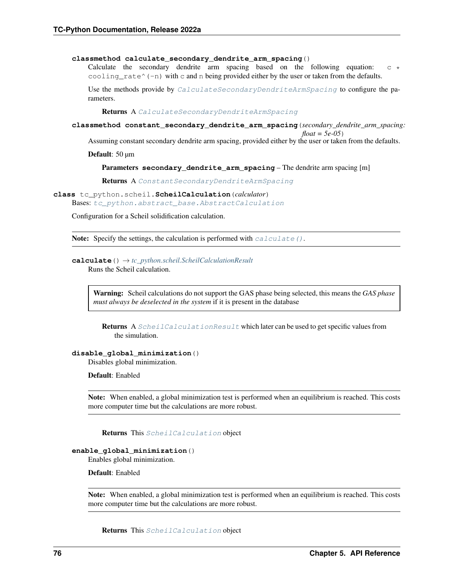#### **classmethod calculate\_secondary\_dendrite\_arm\_spacing**()

Calculate the secondary dendrite arm spacing based on the following equation:  $\circ$  \* cooling  $rate^(-n)$  with c and n being provided either by the user or taken from the defaults.

Use the methods provide by [CalculateSecondaryDendriteArmSpacing](#page-77-0) to configure the parameters.

Returns A [CalculateSecondaryDendriteArmSpacing](#page-77-0)

**classmethod constant\_secondary\_dendrite\_arm\_spacing**(*secondary\_dendrite\_arm\_spacing:*

*float = 5e-05*) Assuming constant secondary dendrite arm spacing, provided either by the user or taken from the defaults.

Default: 50 µm

Parameters **secondary\_dendrite\_arm\_spacing** – The dendrite arm spacing [m]

Returns A [ConstantSecondaryDendriteArmSpacing](#page-78-1)

## <span id="page-79-1"></span>**class** tc\_python.scheil.**ScheilCalculation**(*calculator*)

Bases: [tc\\_python.abstract\\_base.AbstractCalculation](#page-230-0)

Configuration for a Scheil solidification calculation.

**Note:** Specify the settings, the calculation is performed with  $calc}_\text{all}$   $\alpha$ .

# <span id="page-79-0"></span>**calculate**() → *[tc\\_python.scheil.ScheilCalculationResult](#page-81-0)*

Runs the Scheil calculation.

Warning: Scheil calculations do not support the GAS phase being selected, this means the *GAS phase must always be deselected in the system* if it is present in the database

Returns A [ScheilCalculationResult](#page-81-0) which later can be used to get specific values from the simulation.

**disable\_global\_minimization**()

Disables global minimization.

Default: Enabled

Note: When enabled, a global minimization test is performed when an equilibrium is reached. This costs more computer time but the calculations are more robust.

Returns This [ScheilCalculation](#page-79-1) object

#### **enable\_global\_minimization**()

Enables global minimization.

Default: Enabled

Note: When enabled, a global minimization test is performed when an equilibrium is reached. This costs more computer time but the calculations are more robust.

Returns This [ScheilCalculation](#page-79-1) object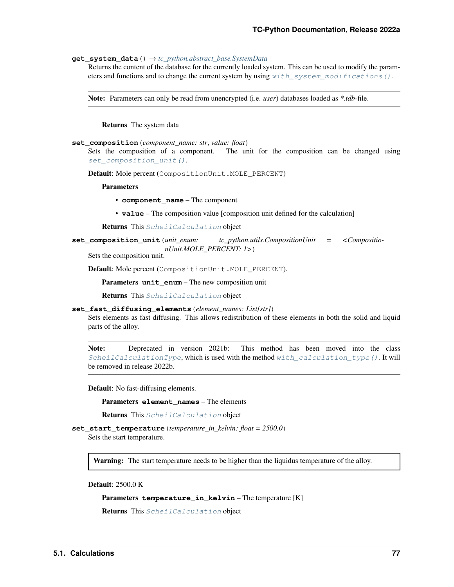## **get\_system\_data**() → *[tc\\_python.abstract\\_base.SystemData](#page-232-0)*

Returns the content of the database for the currently loaded system. This can be used to modify the parameters and functions and to change the current system by using  $with\_system\_modifications()$ .

Note: Parameters can only be read from unencrypted (i.e. *user*) databases loaded as *\*.tdb*-file.

Returns The system data

#### **set\_composition**(*component\_name: str*, *value: float*)

Sets the composition of a component. The unit for the composition can be changed using [set\\_composition\\_unit\(\)](#page-80-0).

Default: Mole percent (CompositionUnit.MOLE\_PERCENT)

**Parameters** 

- **component\_name** The component
- **value** The composition value [composition unit defined for the calculation]

Returns This [ScheilCalculation](#page-79-1) object

<span id="page-80-0"></span>**set\_composition\_unit**(*unit\_enum: tc\_python.utils.CompositionUnit = <CompositionUnit.MOLE\_PERCENT: 1>*)

Sets the composition unit.

Default: Mole percent (CompositionUnit.MOLE\_PERCENT).

Parameters **unit\_enum** – The new composition unit

Returns This [ScheilCalculation](#page-79-1) object

## **set\_fast\_diffusing\_elements**(*element\_names: List[str]*)

Sets elements as fast diffusing. This allows redistribution of these elements in both the solid and liquid parts of the alloy.

Note: Deprecated in version 2021b: This method has been moved into the class [ScheilCalculationType](#page-83-0), which is used with the method  $with\_calculation\_type()$ . It will be removed in release 2022b.

Default: No fast-diffusing elements.

Parameters **element\_names** – The elements

Returns This [ScheilCalculation](#page-79-1) object

**set\_start\_temperature**(*temperature\_in\_kelvin: float = 2500.0*) Sets the start temperature.

Warning: The start temperature needs to be higher than the liquidus temperature of the alloy.

Default: 2500.0 K

Parameters **temperature\_in\_kelvin** – The temperature [K]

Returns This [ScheilCalculation](#page-79-1) object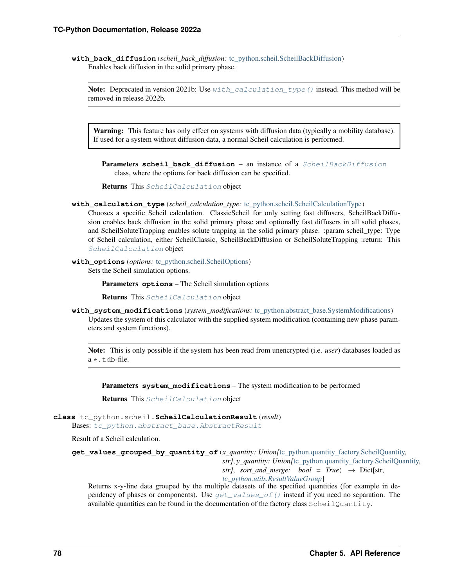**with\_back\_diffusion**(*scheil\_back\_diffusion:* [tc\\_python.scheil.ScheilBackDiffusion](#page-78-0)) Enables back diffusion in the solid primary phase.

Note: Deprecated in version 2021b: Use  $with\_calculation\_type()$  instead. This method will be removed in release 2022b.

Warning: This feature has only effect on systems with diffusion data (typically a mobility database). If used for a system without diffusion data, a normal Scheil calculation is performed.

Parameters scheil\_back\_diffusion – an instance of a [ScheilBackDiffusion](#page-78-0) class, where the options for back diffusion can be specified.

Returns This [ScheilCalculation](#page-79-1) object

<span id="page-81-2"></span>**with\_calculation\_type**(*scheil\_calculation\_type:* [tc\\_python.scheil.ScheilCalculationType](#page-83-0))

Chooses a specific Scheil calculation. ClassicScheil for only setting fast diffusers, ScheilBackDiffusion enables back diffusion in the solid primary phase and optionally fast diffusers in all solid phases, and ScheilSoluteTrapping enables solute trapping in the solid primary phase. :param scheil\_type: Type of Scheil calculation, either ScheilClassic, ScheilBackDiffusion or ScheilSoluteTrapping :return: This [ScheilCalculation](#page-79-1) object

**with options** (*options:* [tc\\_python.scheil.ScheilOptions](#page-83-1))

Sets the Scheil simulation options.

Parameters **options** – The Scheil simulation options

Returns This [ScheilCalculation](#page-79-1) object

<span id="page-81-1"></span>**with system modifications** (*system modifications:* tc python.abstract base.SystemModifications) Updates the system of this calculator with the supplied system modification (containing new phase parameters and system functions).

Note: This is only possible if the system has been read from unencrypted (i.e. *user*) databases loaded as a \*.tdb-file.

Parameters **system\_modifications** – The system modification to be performed

Returns This [ScheilCalculation](#page-79-1) object

<span id="page-81-0"></span>**class** tc\_python.scheil.**ScheilCalculationResult**(*result*)

Bases: [tc\\_python.abstract\\_base.AbstractResult](#page-230-1)

<span id="page-81-3"></span>Result of a Scheil calculation.

**get\_values\_grouped\_by\_quantity\_of**(*x\_quantity: Union[*[tc\\_python.quantity\\_factory.ScheilQuantity](#page-204-0)*, str]*, *y\_quantity: Union[*[tc\\_python.quantity\\_factory.ScheilQuantity](#page-204-0)*,*

*str]*, *sort* and *merge:* bool = True)  $\rightarrow$  Dict[str,

*[tc\\_python.utils.ResultValueGroup](#page-211-1)*]

Returns x-y-line data grouped by the multiple datasets of the specified quantities (for example in dependency of phases or components). Use  $get\_values\_of()$  instead if you need no separation. The available quantities can be found in the documentation of the factory class ScheilQuantity.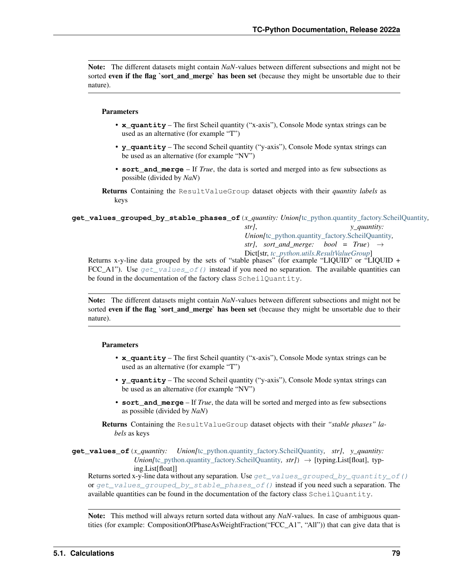Note: The different datasets might contain *NaN*-values between different subsections and might not be sorted even if the flag `sort and merge` has been set (because they might be unsortable due to their nature).

## Parameters

- **x** quantity The first Scheil quantity ("x-axis"), Console Mode syntax strings can be used as an alternative (for example "T")
- **y\_quantity** The second Scheil quantity ("y-axis"), Console Mode syntax strings can be used as an alternative (for example "NV")
- **sort\_and\_merge** If *True*, the data is sorted and merged into as few subsections as possible (divided by *NaN*)

Returns Containing the ResultValueGroup dataset objects with their *quantity labels* as keys

<span id="page-82-1"></span>**get\_values\_grouped\_by\_stable\_phases\_of**(*x\_quantity: Union[*[tc\\_python.quantity\\_factory.ScheilQuantity](#page-204-0)*,*

*str]*, *y\_quantity: Union[*[tc\\_python.quantity\\_factory.ScheilQuantity](#page-204-0)*, str]*, *sort* and *merge:* bool = True)  $\rightarrow$ Dict[str, *[tc\\_python.utils.ResultValueGroup](#page-211-1)*]

Returns x-y-line data grouped by the sets of "stable phases" (for example "LIQUID" or "LIQUID + FCC\_A1"). Use  $get_valueS_of()$  instead if you need no separation. The available quantities can be found in the documentation of the factory class ScheilQuantity.

Note: The different datasets might contain *NaN*-values between different subsections and might not be sorted even if the flag `sort\_and\_merge` has been set (because they might be unsortable due to their nature).

## Parameters

- **x** quantity The first Scheil quantity ("x-axis"), Console Mode syntax strings can be used as an alternative (for example "T")
- **y\_quantity** The second Scheil quantity ("y-axis"), Console Mode syntax strings can be used as an alternative (for example "NV")
- **sort\_and\_merge** If *True*, the data will be sorted and merged into as few subsections as possible (divided by *NaN*)
- Returns Containing the ResultValueGroup dataset objects with their *"stable phases" labels* as keys
- <span id="page-82-0"></span>**get\_values\_of**(*x\_quantity: Union[*[tc\\_python.quantity\\_factory.ScheilQuantity](#page-204-0)*, str]*, *y\_quantity: Union[*[tc\\_python.quantity\\_factory.ScheilQuantity](#page-204-0)*, str]*) → [typing.List[float], typing.List[float]]

Returns sorted x-y-line data without any separation. Use  $get\_values\_grouped\_by\_quantity\_of()$ or [get\\_values\\_grouped\\_by\\_stable\\_phases\\_of\(\)](#page-82-1) instead if you need such a separation. The available quantities can be found in the documentation of the factory class ScheilQuantity.

Note: This method will always return sorted data without any *NaN*-values. In case of ambiguous quantities (for example: CompositionOfPhaseAsWeightFraction("FCC\_A1", "All")) that can give data that is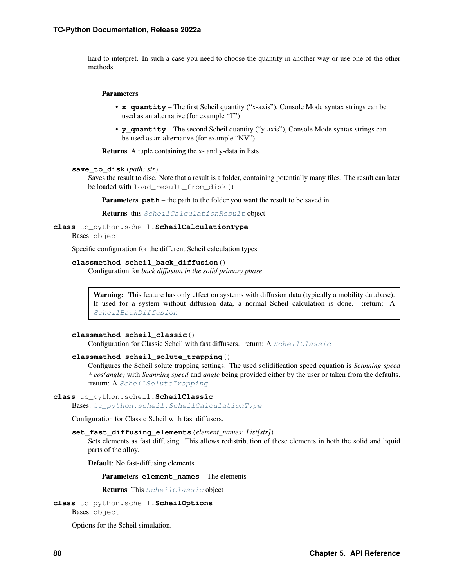hard to interpret. In such a case you need to choose the quantity in another way or use one of the other methods.

#### Parameters

- **x** quantity The first Scheil quantity ("x-axis"), Console Mode syntax strings can be used as an alternative (for example "T")
- **y\_quantity** The second Scheil quantity ("y-axis"), Console Mode syntax strings can be used as an alternative (for example "NV")

Returns A tuple containing the x- and y-data in lists

#### **save\_to\_disk**(*path: str*)

Saves the result to disc. Note that a result is a folder, containing potentially many files. The result can later be loaded with load\_result\_from\_disk()

Parameters **path** – the path to the folder you want the result to be saved in.

Returns this [ScheilCalculationResult](#page-81-0) object

<span id="page-83-0"></span>**class** tc\_python.scheil.**ScheilCalculationType**

Bases: object

Specific configuration for the different Scheil calculation types

#### **classmethod scheil\_back\_diffusion**()

Configuration for *back diffusion in the solid primary phase*.

**Warning:** This feature has only effect on systems with diffusion data (typically a mobility database). If used for a system without diffusion data, a normal Scheil calculation is done. :return: A [ScheilBackDiffusion](#page-78-0)

## **classmethod scheil\_classic**()

Configuration for Classic Scheil with fast diffusers. : return: A  $ScheilClassic$ 

## **classmethod scheil\_solute\_trapping**()

Configures the Scheil solute trapping settings. The used solidification speed equation is *Scanning speed \* cos(angle)* with *Scanning speed* and *angle* being provided either by the user or taken from the defaults. :return: A [ScheilSoluteTrapping](#page-87-0)

#### <span id="page-83-2"></span>**class** tc\_python.scheil.**ScheilClassic**

Bases: [tc\\_python.scheil.ScheilCalculationType](#page-83-0)

Configuration for Classic Scheil with fast diffusers.

## **set\_fast\_diffusing\_elements**(*element\_names: List[str]*)

Sets elements as fast diffusing. This allows redistribution of these elements in both the solid and liquid parts of the alloy.

Default: No fast-diffusing elements.

Parameters **element\_names** – The elements

Returns This [ScheilClassic](#page-83-2) object

<span id="page-83-1"></span>**class** tc\_python.scheil.**ScheilOptions** Bases: object

Options for the Scheil simulation.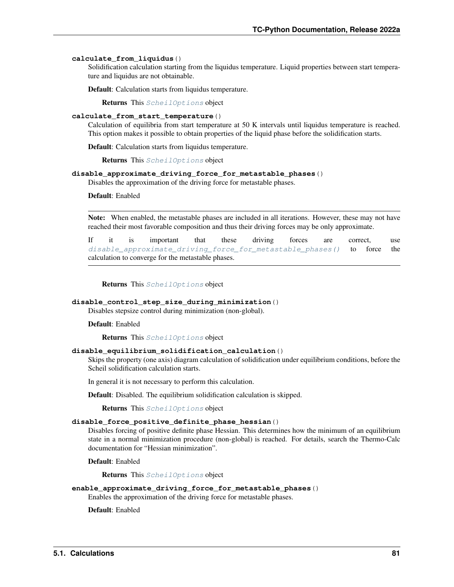#### **calculate\_from\_liquidus**()

Solidification calculation starting from the liquidus temperature. Liquid properties between start temperature and liquidus are not obtainable.

Default: Calculation starts from liquidus temperature.

Returns This [ScheilOptions](#page-83-1) object

#### **calculate\_from\_start\_temperature**()

Calculation of equilibria from start temperature at 50 K intervals until liquidus temperature is reached. This option makes it possible to obtain properties of the liquid phase before the solidification starts.

Default: Calculation starts from liquidus temperature.

Returns This [ScheilOptions](#page-83-1) object

#### <span id="page-84-0"></span>**disable\_approximate\_driving\_force\_for\_metastable\_phases**()

Disables the approximation of the driving force for metastable phases.

Default: Enabled

Note: When enabled, the metastable phases are included in all iterations. However, these may not have reached their most favorable composition and thus their driving forces may be only approximate.

If it is important that these driving forces are correct, use [disable\\_approximate\\_driving\\_force\\_for\\_metastable\\_phases\(\)](#page-84-0) to force the calculation to converge for the metastable phases.

Returns This [ScheilOptions](#page-83-1) object

## **disable\_control\_step\_size\_during\_minimization**()

Disables stepsize control during minimization (non-global).

Default: Enabled

Returns This [ScheilOptions](#page-83-1) object

## **disable\_equilibrium\_solidification\_calculation**()

Skips the property (one axis) diagram calculation of solidification under equilibrium conditions, before the Scheil solidification calculation starts.

In general it is not necessary to perform this calculation.

Default: Disabled. The equilibrium solidification calculation is skipped.

Returns This [ScheilOptions](#page-83-1) object

#### **disable\_force\_positive\_definite\_phase\_hessian**()

Disables forcing of positive definite phase Hessian. This determines how the minimum of an equilibrium state in a normal minimization procedure (non-global) is reached. For details, search the Thermo-Calc documentation for "Hessian minimization".

Default: Enabled

Returns This [ScheilOptions](#page-83-1) object

## **enable\_approximate\_driving\_force\_for\_metastable\_phases**()

Enables the approximation of the driving force for metastable phases.

Default: Enabled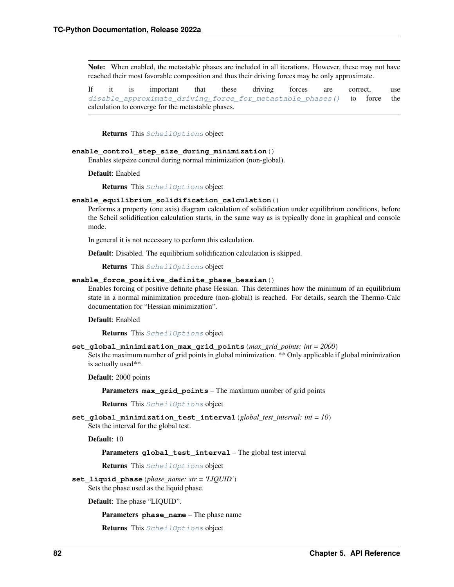Note: When enabled, the metastable phases are included in all iterations. However, these may not have reached their most favorable composition and thus their driving forces may be only approximate.

If it is important that these driving forces are correct, use [disable\\_approximate\\_driving\\_force\\_for\\_metastable\\_phases\(\)](#page-84-0) to force the calculation to converge for the metastable phases.

Returns This [ScheilOptions](#page-83-1) object

#### **enable\_control\_step\_size\_during\_minimization**()

Enables stepsize control during normal minimization (non-global).

Default: Enabled

Returns This [ScheilOptions](#page-83-1) object

#### **enable\_equilibrium\_solidification\_calculation**()

Performs a property (one axis) diagram calculation of solidification under equilibrium conditions, before the Scheil solidification calculation starts, in the same way as is typically done in graphical and console mode.

In general it is not necessary to perform this calculation.

Default: Disabled. The equilibrium solidification calculation is skipped.

Returns This [ScheilOptions](#page-83-1) object

## **enable\_force\_positive\_definite\_phase\_hessian**()

Enables forcing of positive definite phase Hessian. This determines how the minimum of an equilibrium state in a normal minimization procedure (non-global) is reached. For details, search the Thermo-Calc documentation for "Hessian minimization".

Default: Enabled

Returns This [ScheilOptions](#page-83-1) object

**set\_global\_minimization\_max\_grid\_points**(*max\_grid\_points: int = 2000*)

Sets the maximum number of grid points in global minimization. \*\* Only applicable if global minimization is actually used\*\*.

Default: 2000 points

Parameters **max\_grid\_points** – The maximum number of grid points

Returns This [ScheilOptions](#page-83-1) object

**set\_global\_minimization\_test\_interval**(*global\_test\_interval: int = 10*) Sets the interval for the global test.

Default: 10

Parameters **global\_test\_interval** – The global test interval

Returns This [ScheilOptions](#page-83-1) object

**set\_liquid\_phase**(*phase\_name: str = 'LIQUID'*) Sets the phase used as the liquid phase.

Default: The phase "LIQUID".

**Parameters phase name** – The phase name

Returns This [ScheilOptions](#page-83-1) object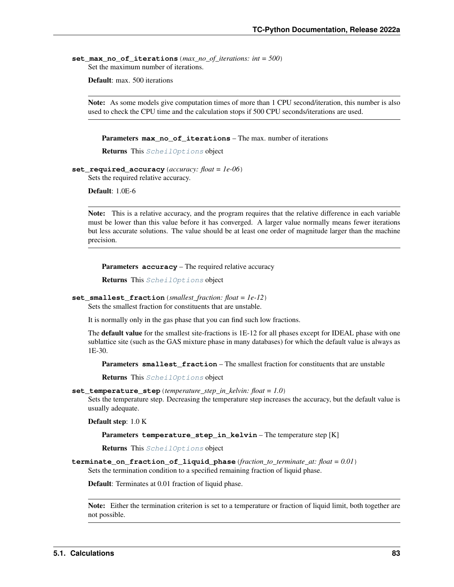set max no of iterations (*max no of iterations: int = 500*) Set the maximum number of iterations.

Default: max. 500 iterations

Note: As some models give computation times of more than 1 CPU second/iteration, this number is also used to check the CPU time and the calculation stops if 500 CPU seconds/iterations are used.

Parameters **max\_no\_of\_iterations** – The max. number of iterations

Returns This [ScheilOptions](#page-83-1) object

**set\_required\_accuracy**(*accuracy: float = 1e-06*) Sets the required relative accuracy.

Default: 1.0E-6

Note: This is a relative accuracy, and the program requires that the relative difference in each variable must be lower than this value before it has converged. A larger value normally means fewer iterations but less accurate solutions. The value should be at least one order of magnitude larger than the machine precision.

Parameters **accuracy** – The required relative accuracy

Returns This [ScheilOptions](#page-83-1) object

```
set_smallest_fraction(smallest_fraction: float = 1e-12)
```
Sets the smallest fraction for constituents that are unstable.

It is normally only in the gas phase that you can find such low fractions.

The **default value** for the smallest site-fractions is 1E-12 for all phases except for IDEAL phase with one sublattice site (such as the GAS mixture phase in many databases) for which the default value is always as 1E-30.

**Parameters smallest fraction** – The smallest fraction for constituents that are unstable

Returns This [ScheilOptions](#page-83-1) object

**set\_temperature\_step**(*temperature\_step\_in\_kelvin: float = 1.0*)

Sets the temperature step. Decreasing the temperature step increases the accuracy, but the default value is usually adequate.

Default step: 1.0 K

Parameters **temperature\_step\_in\_kelvin** – The temperature step [K]

Returns This [ScheilOptions](#page-83-1) object

**terminate\_on\_fraction\_of\_liquid\_phase**(*fraction\_to\_terminate\_at: float = 0.01*) Sets the termination condition to a specified remaining fraction of liquid phase.

Default: Terminates at 0.01 fraction of liquid phase.

Note: Either the termination criterion is set to a temperature or fraction of liquid limit, both together are not possible.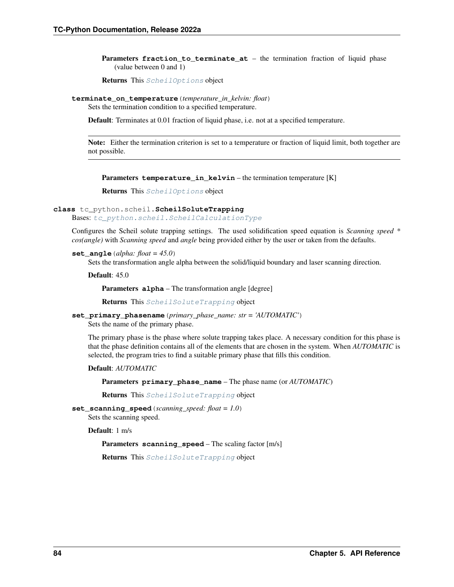Parameters **fraction\_to\_terminate\_at** – the termination fraction of liquid phase (value between 0 and 1)

Returns This [ScheilOptions](#page-83-1) object

**terminate\_on\_temperature**(*temperature\_in\_kelvin: float*)

Sets the termination condition to a specified temperature.

Default: Terminates at 0.01 fraction of liquid phase, i.e. not at a specified temperature.

Note: Either the termination criterion is set to a temperature or fraction of liquid limit, both together are not possible.

Parameters temperature\_in\_kelvin – the termination temperature [K]

Returns This [ScheilOptions](#page-83-1) object

<span id="page-87-0"></span>**class** tc\_python.scheil.**ScheilSoluteTrapping**

Bases: [tc\\_python.scheil.ScheilCalculationType](#page-83-0)

Configures the Scheil solute trapping settings. The used solidification speed equation is *Scanning speed \* cos(angle)* with *Scanning speed* and *angle* being provided either by the user or taken from the defaults.

**set** angle (*alpha: float* =  $45.0$ )

Sets the transformation angle alpha between the solid/liquid boundary and laser scanning direction.

Default: 45.0

Parameters **alpha** – The transformation angle [degree]

Returns This [ScheilSoluteTrapping](#page-87-0) object

**set\_primary\_phasename**(*primary\_phase\_name: str = 'AUTOMATIC'*) Sets the name of the primary phase.

The primary phase is the phase where solute trapping takes place. A necessary condition for this phase is that the phase definition contains all of the elements that are chosen in the system. When *AUTOMATIC* is selected, the program tries to find a suitable primary phase that fills this condition.

Default: *AUTOMATIC*

Parameters **primary\_phase\_name** – The phase name (or *AUTOMATIC*)

Returns This [ScheilSoluteTrapping](#page-87-0) object

**set\_scanning\_speed**(*scanning\_speed: float = 1.0*) Sets the scanning speed.

Default: 1 m/s

Parameters **scanning\_speed** – The scaling factor [m/s]

Returns This [ScheilSoluteTrapping](#page-87-0) object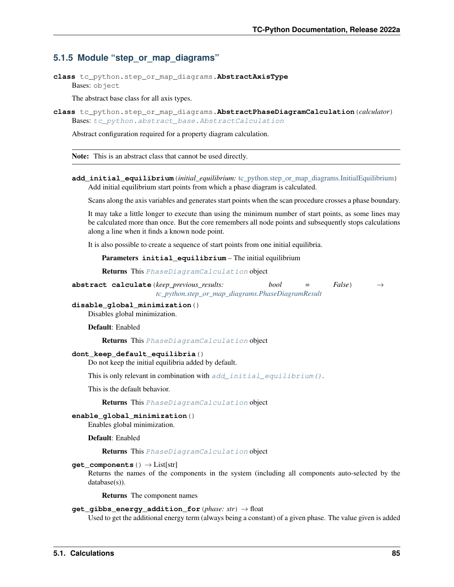## **5.1.5 Module "step\_or\_map\_diagrams"**

<span id="page-88-1"></span>**class** tc\_python.step\_or\_map\_diagrams.**AbstractAxisType** Bases: object

The abstract base class for all axis types.

<span id="page-88-2"></span>**class** tc\_python.step\_or\_map\_diagrams.**AbstractPhaseDiagramCalculation**(*calculator*) Bases: [tc\\_python.abstract\\_base.AbstractCalculation](#page-230-0)

Abstract configuration required for a property diagram calculation.

Note: This is an abstract class that cannot be used directly.

<span id="page-88-0"></span>**add\_initial\_equilibrium**(*initial\_equilibrium:* [tc\\_python.step\\_or\\_map\\_diagrams.InitialEquilibrium](#page-96-0)) Add initial equilibrium start points from which a phase diagram is calculated.

Scans along the axis variables and generates start points when the scan procedure crosses a phase boundary.

It may take a little longer to execute than using the minimum number of start points, as some lines may be calculated more than once. But the core remembers all node points and subsequently stops calculations along a line when it finds a known node point.

It is also possible to create a sequence of start points from one initial equilibria.

Parameters **initial\_equilibrium** – The initial equilibrium

Returns This [PhaseDiagramCalculation](#page-97-0) object

**abstract calculate**(*keep\_previous\_results: bool* = False) *[tc\\_python.step\\_or\\_map\\_diagrams.PhaseDiagramResult](#page-104-0)*

**disable\_global\_minimization**()

Disables global minimization.

Default: Enabled

Returns This [PhaseDiagramCalculation](#page-97-0) object

## **dont\_keep\_default\_equilibria**()

Do not keep the initial equilibria added by default.

This is only relevant in combination with [add\\_initial\\_equilibrium\(\)](#page-88-0).

This is the default behavior.

Returns This [PhaseDiagramCalculation](#page-97-0) object

### **enable\_global\_minimization**()

Enables global minimization.

Default: Enabled

Returns This [PhaseDiagramCalculation](#page-97-0) object

#### **get\_components**() → List[str]

Returns the names of the components in the system (including all components auto-selected by the database(s)).

Returns The component names

## **get\_gibbs\_energy\_addition\_for**(*phase: str*) → float

Used to get the additional energy term (always being a constant) of a given phase. The value given is added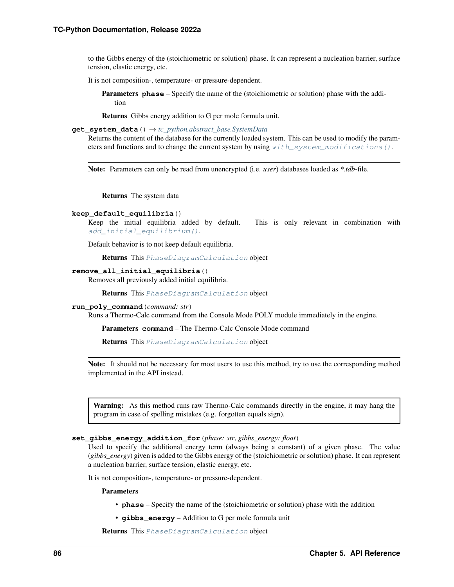to the Gibbs energy of the (stoichiometric or solution) phase. It can represent a nucleation barrier, surface tension, elastic energy, etc.

It is not composition-, temperature- or pressure-dependent.

Parameters **phase** – Specify the name of the (stoichiometric or solution) phase with the addition

Returns Gibbs energy addition to G per mole formula unit.

**get\_system\_data**() → *[tc\\_python.abstract\\_base.SystemData](#page-232-0)*

Returns the content of the database for the currently loaded system. This can be used to modify the parameters and functions and to change the current system by using  $with\_system\_modifications()$ .

Note: Parameters can only be read from unencrypted (i.e. *user*) databases loaded as *\*.tdb*-file.

Returns The system data

## **keep\_default\_equilibria**()

Keep the initial equilibria added by default. This is only relevant in combination with [add\\_initial\\_equilibrium\(\)](#page-88-0).

Default behavior is to not keep default equilibria.

Returns This [PhaseDiagramCalculation](#page-97-0) object

#### **remove\_all\_initial\_equilibria**()

Removes all previously added initial equilibria.

Returns This [PhaseDiagramCalculation](#page-97-0) object

#### **run\_poly\_command**(*command: str*)

Runs a Thermo-Calc command from the Console Mode POLY module immediately in the engine.

Parameters **command** – The Thermo-Calc Console Mode command

Returns This [PhaseDiagramCalculation](#page-97-0) object

Note: It should not be necessary for most users to use this method, try to use the corresponding method implemented in the API instead.

Warning: As this method runs raw Thermo-Calc commands directly in the engine, it may hang the program in case of spelling mistakes (e.g. forgotten equals sign).

#### **set\_gibbs\_energy\_addition\_for**(*phase: str*, *gibbs\_energy: float*)

Used to specify the additional energy term (always being a constant) of a given phase. The value (*gibbs\_energy*) given is added to the Gibbs energy of the (stoichiometric or solution) phase. It can represent a nucleation barrier, surface tension, elastic energy, etc.

It is not composition-, temperature- or pressure-dependent.

## Parameters

- **phase** Specify the name of the (stoichiometric or solution) phase with the addition
- **gibbs\_energy** Addition to G per mole formula unit

Returns This [PhaseDiagramCalculation](#page-97-0) object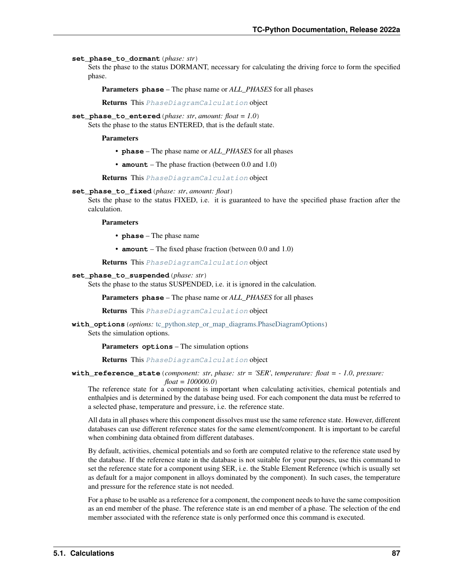#### **set\_phase\_to\_dormant**(*phase: str*)

Sets the phase to the status DORMANT, necessary for calculating the driving force to form the specified phase.

Parameters **phase** – The phase name or *ALL\_PHASES* for all phases

Returns This [PhaseDiagramCalculation](#page-97-0) object

**set\_phase\_to\_entered**(*phase: str*, *amount: float = 1.0*)

Sets the phase to the status ENTERED, that is the default state.

Parameters

• **phase** – The phase name or *ALL\_PHASES* for all phases

• **amount** – The phase fraction (between 0.0 and 1.0)

Returns This [PhaseDiagramCalculation](#page-97-0) object

### **set\_phase\_to\_fixed**(*phase: str*, *amount: float*)

Sets the phase to the status FIXED, i.e. it is guaranteed to have the specified phase fraction after the calculation.

Parameters

• **phase** – The phase name

• **amount** – The fixed phase fraction (between 0.0 and 1.0)

Returns This [PhaseDiagramCalculation](#page-97-0) object

### **set\_phase\_to\_suspended**(*phase: str*)

Sets the phase to the status SUSPENDED, i.e. it is ignored in the calculation.

Parameters **phase** – The phase name or *ALL\_PHASES* for all phases

Returns This [PhaseDiagramCalculation](#page-97-0) object

**with\_options**(*options:* [tc\\_python.step\\_or\\_map\\_diagrams.PhaseDiagramOptions](#page-101-0)) Sets the simulation options.

Parameters **options** – The simulation options

Returns This [PhaseDiagramCalculation](#page-97-0) object

**with\_reference\_state**(*component: str*, *phase: str = 'SER'*, *temperature: float = - 1.0*, *pressure:*

*float = 100000.0*)

The reference state for a component is important when calculating activities, chemical potentials and enthalpies and is determined by the database being used. For each component the data must be referred to a selected phase, temperature and pressure, i.e. the reference state.

All data in all phases where this component dissolves must use the same reference state. However, different databases can use different reference states for the same element/component. It is important to be careful when combining data obtained from different databases.

By default, activities, chemical potentials and so forth are computed relative to the reference state used by the database. If the reference state in the database is not suitable for your purposes, use this command to set the reference state for a component using SER, i.e. the Stable Element Reference (which is usually set as default for a major component in alloys dominated by the component). In such cases, the temperature and pressure for the reference state is not needed.

For a phase to be usable as a reference for a component, the component needs to have the same composition as an end member of the phase. The reference state is an end member of a phase. The selection of the end member associated with the reference state is only performed once this command is executed.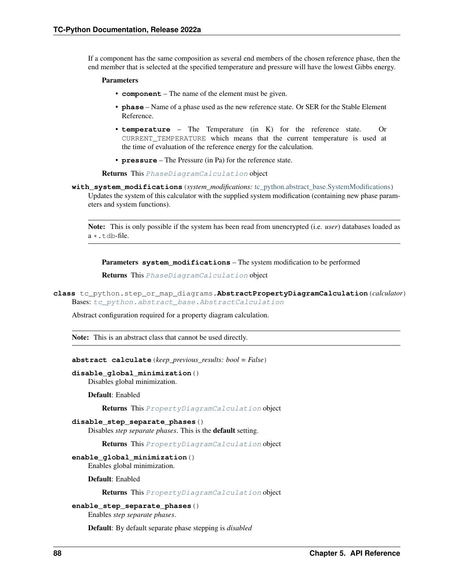If a component has the same composition as several end members of the chosen reference phase, then the end member that is selected at the specified temperature and pressure will have the lowest Gibbs energy.

#### Parameters

- **component** The name of the element must be given.
- **phase** Name of a phase used as the new reference state. Or SER for the Stable Element Reference.
- **temperature** The Temperature (in K) for the reference state. Or CURRENT\_TEMPERATURE which means that the current temperature is used at the time of evaluation of the reference energy for the calculation.
- **pressure** The Pressure (in Pa) for the reference state.

Returns This [PhaseDiagramCalculation](#page-97-0) object

<span id="page-91-0"></span>**with\_system\_modifications**(*system\_modifications:* [tc\\_python.abstract\\_base.SystemModifications](#page-234-0)) Updates the system of this calculator with the supplied system modification (containing new phase parameters and system functions).

Note: This is only possible if the system has been read from unencrypted (i.e. *user*) databases loaded as  $a * + dh-flie$ .

Parameters system modifications – The system modification to be performed

Returns This [PhaseDiagramCalculation](#page-97-0) object

```
class tc_python.step_or_map_diagrams.AbstractPropertyDiagramCalculation(calculator)
Bases: tc_python.abstract_base.AbstractCalculation
```
Abstract configuration required for a property diagram calculation.

Note: This is an abstract class that cannot be used directly.

**abstract calculate**(*keep\_previous\_results: bool = False*)

```
disable_global_minimization()
```
Disables global minimization.

Default: Enabled

Returns This [PropertyDiagramCalculation](#page-107-0) object

#### **disable\_step\_separate\_phases**()

Disables *step separate phases*. This is the default setting.

Returns This [PropertyDiagramCalculation](#page-107-0) object

#### **enable\_global\_minimization**()

Enables global minimization.

Default: Enabled

Returns This [PropertyDiagramCalculation](#page-107-0) object

#### **enable\_step\_separate\_phases**()

Enables *step separate phases*.

Default: By default separate phase stepping is *disabled*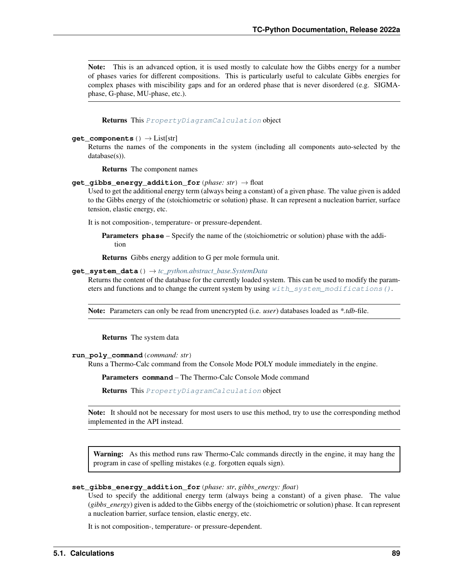Note: This is an advanced option, it is used mostly to calculate how the Gibbs energy for a number of phases varies for different compositions. This is particularly useful to calculate Gibbs energies for complex phases with miscibility gaps and for an ordered phase that is never disordered (e.g. SIGMAphase, G-phase, MU-phase, etc.).

Returns This [PropertyDiagramCalculation](#page-107-0) object

#### **get\_components**() → List[str]

Returns the names of the components in the system (including all components auto-selected by the database(s)).

Returns The component names

## **get\_gibbs\_energy\_addition\_for**(*phase: str*) → float

Used to get the additional energy term (always being a constant) of a given phase. The value given is added to the Gibbs energy of the (stoichiometric or solution) phase. It can represent a nucleation barrier, surface tension, elastic energy, etc.

It is not composition-, temperature- or pressure-dependent.

Parameters **phase** – Specify the name of the (stoichiometric or solution) phase with the addition

Returns Gibbs energy addition to G per mole formula unit.

#### **get\_system\_data**() → *[tc\\_python.abstract\\_base.SystemData](#page-232-0)*

Returns the content of the database for the currently loaded system. This can be used to modify the parameters and functions and to change the current system by using [with\\_system\\_modifications\(\)](#page-94-0).

Note: Parameters can only be read from unencrypted (i.e. *user*) databases loaded as *\*.tdb*-file.

Returns The system data

#### **run\_poly\_command**(*command: str*)

Runs a Thermo-Calc command from the Console Mode POLY module immediately in the engine.

Parameters **command** – The Thermo-Calc Console Mode command

Returns This [PropertyDiagramCalculation](#page-107-0) object

Note: It should not be necessary for most users to use this method, try to use the corresponding method implemented in the API instead.

Warning: As this method runs raw Thermo-Calc commands directly in the engine, it may hang the program in case of spelling mistakes (e.g. forgotten equals sign).

#### **set\_gibbs\_energy\_addition\_for**(*phase: str*, *gibbs\_energy: float*)

Used to specify the additional energy term (always being a constant) of a given phase. The value (*gibbs\_energy*) given is added to the Gibbs energy of the (stoichiometric or solution) phase. It can represent a nucleation barrier, surface tension, elastic energy, etc.

It is not composition-, temperature- or pressure-dependent.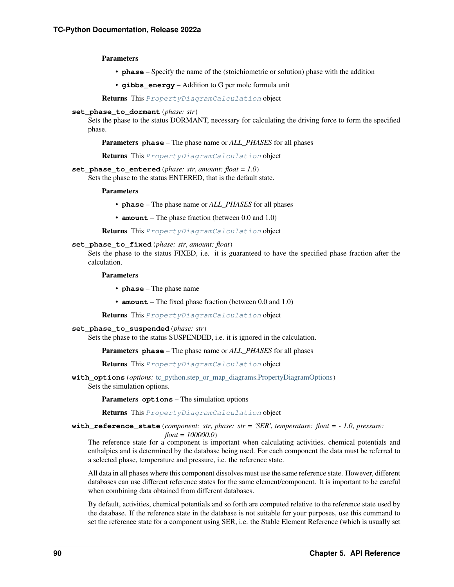Parameters

- **phase** Specify the name of the (stoichiometric or solution) phase with the addition
- **gibbs\_energy** Addition to G per mole formula unit

Returns This [PropertyDiagramCalculation](#page-107-0) object

**set\_phase\_to\_dormant**(*phase: str*)

Sets the phase to the status DORMANT, necessary for calculating the driving force to form the specified phase.

Parameters **phase** – The phase name or *ALL\_PHASES* for all phases

Returns This [PropertyDiagramCalculation](#page-107-0) object

**set\_phase\_to\_entered**(*phase: str*, *amount: float = 1.0*) Sets the phase to the status ENTERED, that is the default state.

**Parameters** 

- **phase** The phase name or *ALL\_PHASES* for all phases
- **amount** The phase fraction (between 0.0 and 1.0)

Returns This [PropertyDiagramCalculation](#page-107-0) object

## **set\_phase\_to\_fixed**(*phase: str*, *amount: float*)

Sets the phase to the status FIXED, i.e. it is guaranteed to have the specified phase fraction after the calculation.

Parameters

- **phase** The phase name
- **amount** The fixed phase fraction (between 0.0 and 1.0)

Returns This [PropertyDiagramCalculation](#page-107-0) object

#### **set\_phase\_to\_suspended**(*phase: str*)

Sets the phase to the status SUSPENDED, i.e. it is ignored in the calculation.

Parameters **phase** – The phase name or *ALL\_PHASES* for all phases

Returns This [PropertyDiagramCalculation](#page-107-0) object

**with options** (*options:* [tc\\_python.step\\_or\\_map\\_diagrams.PropertyDiagramOptions](#page-110-0)) Sets the simulation options.

Parameters **options** – The simulation options

Returns This [PropertyDiagramCalculation](#page-107-0) object

**with reference state** (*component: str*, *phase: str = 'SER'*, *temperature: float =*  $-1.0$ *, pressure:* 

*float = 100000.0*)

The reference state for a component is important when calculating activities, chemical potentials and enthalpies and is determined by the database being used. For each component the data must be referred to a selected phase, temperature and pressure, i.e. the reference state.

All data in all phases where this component dissolves must use the same reference state. However, different databases can use different reference states for the same element/component. It is important to be careful when combining data obtained from different databases.

By default, activities, chemical potentials and so forth are computed relative to the reference state used by the database. If the reference state in the database is not suitable for your purposes, use this command to set the reference state for a component using SER, i.e. the Stable Element Reference (which is usually set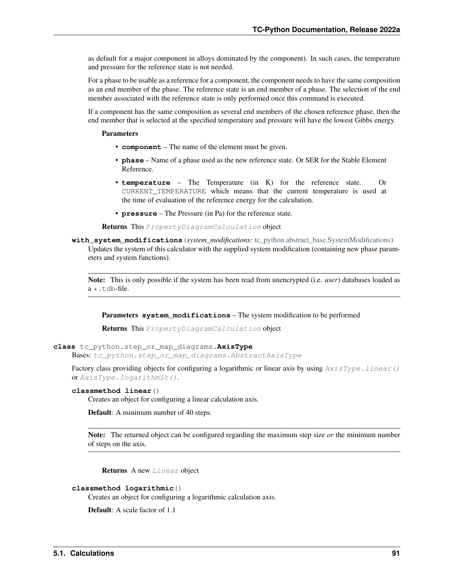as default for a major component in alloys dominated by the component). In such cases, the temperature and pressure for the reference state is not needed.

For a phase to be usable as a reference for a component, the component needs to have the same composition as an end member of the phase. The reference state is an end member of a phase. The selection of the end member associated with the reference state is only performed once this command is executed.

If a component has the same composition as several end members of the chosen reference phase, then the end member that is selected at the specified temperature and pressure will have the lowest Gibbs energy.

## Parameters

- **component** The name of the element must be given.
- **phase** Name of a phase used as the new reference state. Or SER for the Stable Element Reference.
- **temperature** The Temperature (in K) for the reference state. Or CURRENT\_TEMPERATURE which means that the current temperature is used at the time of evaluation of the reference energy for the calculation.
- **pressure** The Pressure (in Pa) for the reference state.

Returns This [PropertyDiagramCalculation](#page-107-0) object

<span id="page-94-0"></span>**with\_system\_modifications**(*system\_modifications:* [tc\\_python.abstract\\_base.SystemModifications](#page-234-0)) Updates the system of this calculator with the supplied system modification (containing new phase parameters and system functions).

Note: This is only possible if the system has been read from unencrypted (i.e. *user*) databases loaded as  $a \star$ .tdb-file.

Parameters **system\_modifications** – The system modification to be performed

Returns This [PropertyDiagramCalculation](#page-107-0) object

<span id="page-94-3"></span>**class** tc\_python.step\_or\_map\_diagrams.**AxisType**

Bases: [tc\\_python.step\\_or\\_map\\_diagrams.AbstractAxisType](#page-88-1)

Factory class providing objects for configuring a logarithmic or linear axis by using  $AxisType$ . Linear() or [AxisType.logarithmic\(\)](#page-94-2).

## <span id="page-94-1"></span>**classmethod linear**()

Creates an object for configuring a linear calculation axis.

Default: A minimum number of 40 steps.

Note: The returned object can be configured regarding the maximum step size *or* the minimum number of steps on the axis.

Returns A new [Linear](#page-96-1) object

#### <span id="page-94-2"></span>**classmethod logarithmic**()

Creates an object for configuring a logarithmic calculation axis.

Default: A scale factor of 1.1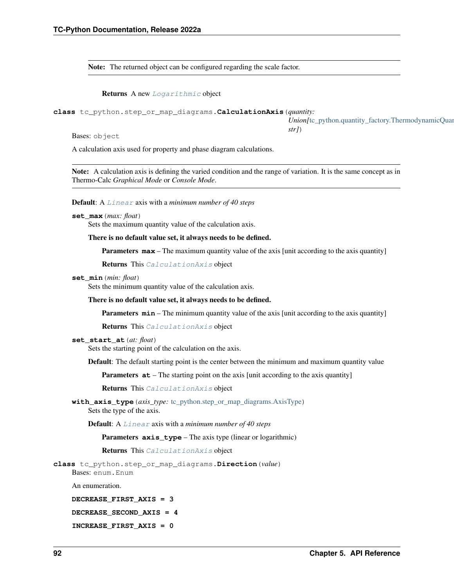Note: The returned object can be configured regarding the scale factor.

Returns A new [Logarithmic](#page-97-1) object

<span id="page-95-0"></span>**class** tc\_python.step\_or\_map\_diagrams.**CalculationAxis**(*quantity:*

*Union*[[tc\\_python.quantity\\_factory.ThermodynamicQuantity](#page-207-0) *str]*)

Bases: object

A calculation axis used for property and phase diagram calculations.

Note: A calculation axis is defining the varied condition and the range of variation. It is the same concept as in Thermo-Calc *Graphical Mode* or *Console Mode*.

Default: A [Linear](#page-96-1) axis with a *minimum number of 40 steps*

**set\_max**(*max: float*)

Sets the maximum quantity value of the calculation axis.

There is no default value set, it always needs to be defined.

**Parameters max** – The maximum quantity value of the axis [unit according to the axis quantity]

Returns This [CalculationAxis](#page-95-0) object

**set\_min**(*min: float*)

Sets the minimum quantity value of the calculation axis.

There is no default value set, it always needs to be defined.

**Parameters**  $min - The minimum quantity value of the axis [unit according to the axis quantity]$ 

Returns This [CalculationAxis](#page-95-0) object

#### **set\_start\_at**(*at: float*)

Sets the starting point of the calculation on the axis.

Default: The default starting point is the center between the minimum and maximum quantity value

**Parameters**  $at$  – The starting point on the axis [unit according to the axis quantity]

Returns This [CalculationAxis](#page-95-0) object

**with\_axis\_type**(*axis\_type:* [tc\\_python.step\\_or\\_map\\_diagrams.AxisType](#page-94-3)) Sets the type of the axis.

Default: A [Linear](#page-96-1) axis with a *minimum number of 40 steps*

Parameters **axis\_type** – The axis type (linear or logarithmic)

Returns This [CalculationAxis](#page-95-0) object

<span id="page-95-1"></span>**class** tc\_python.step\_or\_map\_diagrams.**Direction**(*value*)

Bases: enum.Enum

An enumeration.

**DECREASE\_FIRST\_AXIS = 3**

**DECREASE\_SECOND\_AXIS = 4**

**INCREASE\_FIRST\_AXIS = 0**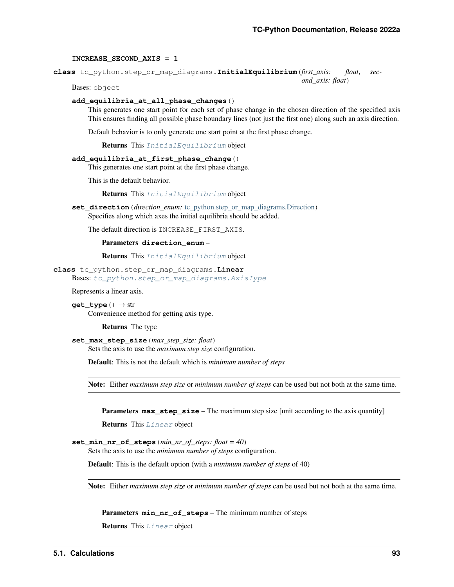#### **INCREASE\_SECOND\_AXIS = 1**

<span id="page-96-0"></span>**class** tc\_python.step\_or\_map\_diagrams.**InitialEquilibrium**(*first\_axis: float*, *second\_axis: float*)

Bases: object

## **add\_equilibria\_at\_all\_phase\_changes**()

This generates one start point for each set of phase change in the chosen direction of the specified axis This ensures finding all possible phase boundary lines (not just the first one) along such an axis direction.

Default behavior is to only generate one start point at the first phase change.

Returns This [InitialEquilibrium](#page-96-0) object

#### **add\_equilibria\_at\_first\_phase\_change**()

This generates one start point at the first phase change.

This is the default behavior.

Returns This [InitialEquilibrium](#page-96-0) object

**set\_direction**(*direction\_enum:* [tc\\_python.step\\_or\\_map\\_diagrams.Direction](#page-95-1)) Specifies along which axes the initial equilibria should be added.

The default direction is INCREASE\_FIRST\_AXIS.

#### Parameters **direction\_enum** –

Returns This [InitialEquilibrium](#page-96-0) object

<span id="page-96-1"></span>**class** tc\_python.step\_or\_map\_diagrams.**Linear** Bases: [tc\\_python.step\\_or\\_map\\_diagrams.AxisType](#page-94-3)

Represents a linear axis.

**get\_type**() → str Convenience method for getting axis type.

Returns The type

**set\_max\_step\_size**(*max\_step\_size: float*) Sets the axis to use the *maximum step size* configuration.

Default: This is not the default which is *minimum number of steps*

Note: Either *maximum step size* or *minimum number of steps* can be used but not both at the same time.

**Parameters**  $max\_step\_size$  – The maximum step size [unit according to the axis quantity]

Returns This [Linear](#page-96-1) object

```
set min nr of steps (min nr of steps: float = 40)
```
Sets the axis to use the *minimum number of steps* configuration.

Default: This is the default option (with a *minimum number of steps* of 40)

Note: Either *maximum step size* or *minimum number of steps* can be used but not both at the same time.

Parameters **min\_nr\_of\_steps** – The minimum number of steps

Returns This [Linear](#page-96-1) object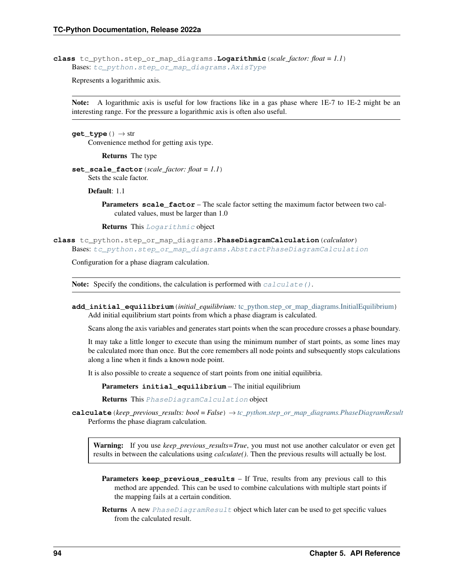<span id="page-97-1"></span>**class** tc\_python.step\_or\_map\_diagrams.**Logarithmic**(*scale\_factor: float = 1.1*) Bases: [tc\\_python.step\\_or\\_map\\_diagrams.AxisType](#page-94-3)

Represents a logarithmic axis.

Note: A logarithmic axis is useful for low fractions like in a gas phase where 1E-7 to 1E-2 might be an interesting range. For the pressure a logarithmic axis is often also useful.

**get\_type**() → str Convenience method for getting axis type.

Returns The type

**set\_scale\_factor**(*scale\_factor: float = 1.1*) Sets the scale factor.

Default: 1.1

**Parameters scale\_factor** – The scale factor setting the maximum factor between two calculated values, must be larger than 1.0

Returns This [Logarithmic](#page-97-1) object

<span id="page-97-0"></span>**class** tc\_python.step\_or\_map\_diagrams.**PhaseDiagramCalculation**(*calculator*) Bases: [tc\\_python.step\\_or\\_map\\_diagrams.AbstractPhaseDiagramCalculation](#page-88-2)

Configuration for a phase diagram calculation.

Note: Specify the conditions, the calculation is performed with  $calculate()$ .

<span id="page-97-3"></span>**add\_initial\_equilibrium**(*initial\_equilibrium:* [tc\\_python.step\\_or\\_map\\_diagrams.InitialEquilibrium](#page-96-0)) Add initial equilibrium start points from which a phase diagram is calculated.

Scans along the axis variables and generates start points when the scan procedure crosses a phase boundary.

It may take a little longer to execute than using the minimum number of start points, as some lines may be calculated more than once. But the core remembers all node points and subsequently stops calculations along a line when it finds a known node point.

It is also possible to create a sequence of start points from one initial equilibria.

Parameters **initial\_equilibrium** – The initial equilibrium

Returns This [PhaseDiagramCalculation](#page-97-0) object

<span id="page-97-2"></span>**calculate**(*keep\_previous\_results: bool = False*) → *[tc\\_python.step\\_or\\_map\\_diagrams.PhaseDiagramResult](#page-104-0)* Performs the phase diagram calculation.

Warning: If you use *keep\_previous\_results=True*, you must not use another calculator or even get results in between the calculations using *calculate()*. Then the previous results will actually be lost.

- **Parameters keep\_previous\_results** If True, results from any previous call to this method are appended. This can be used to combine calculations with multiple start points if the mapping fails at a certain condition.
- Returns A new  $PhaseDiagramResult$  object which later can be used to get specific values from the calculated result.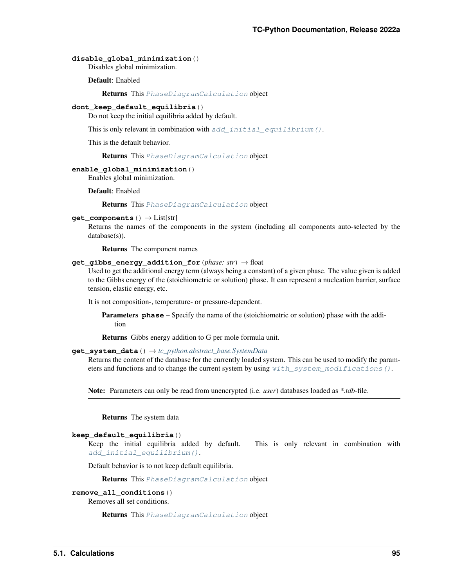## **disable\_global\_minimization**()

Disables global minimization.

Default: Enabled

Returns This [PhaseDiagramCalculation](#page-97-0) object

### **dont\_keep\_default\_equilibria**()

Do not keep the initial equilibria added by default.

This is only relevant in combination with [add\\_initial\\_equilibrium\(\)](#page-97-3).

This is the default behavior.

Returns This [PhaseDiagramCalculation](#page-97-0) object

### **enable\_global\_minimization**()

Enables global minimization.

Default: Enabled

#### Returns This [PhaseDiagramCalculation](#page-97-0) object

#### **get\_components**() → List[str]

Returns the names of the components in the system (including all components auto-selected by the database(s)).

Returns The component names

## **get\_gibbs\_energy\_addition\_for**(*phase: str*) → float

Used to get the additional energy term (always being a constant) of a given phase. The value given is added to the Gibbs energy of the (stoichiometric or solution) phase. It can represent a nucleation barrier, surface tension, elastic energy, etc.

It is not composition-, temperature- or pressure-dependent.

Parameters **phase** – Specify the name of the (stoichiometric or solution) phase with the addition

Returns Gibbs energy addition to G per mole formula unit.

## **get\_system\_data**() → *[tc\\_python.abstract\\_base.SystemData](#page-232-0)*

Returns the content of the database for the currently loaded system. This can be used to modify the parameters and functions and to change the current system by using  $with\_system\_modifications()$ .

Note: Parameters can only be read from unencrypted (i.e. *user*) databases loaded as *\*.tdb*-file.

Returns The system data

## **keep\_default\_equilibria**()

Keep the initial equilibria added by default. This is only relevant in combination with [add\\_initial\\_equilibrium\(\)](#page-97-3).

Default behavior is to not keep default equilibria.

Returns This [PhaseDiagramCalculation](#page-97-0) object

## **remove\_all\_conditions**()

Removes all set conditions.

Returns This [PhaseDiagramCalculation](#page-97-0) object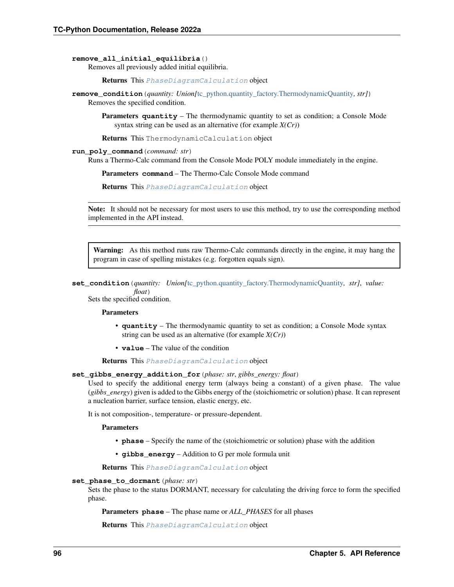#### **remove\_all\_initial\_equilibria**()

Removes all previously added initial equilibria.

Returns This [PhaseDiagramCalculation](#page-97-0) object

**remove\_condition**(*quantity: Union[*[tc\\_python.quantity\\_factory.ThermodynamicQuantity](#page-207-0)*, str]*) Removes the specified condition.

**Parameters quantity** – The thermodynamic quantity to set as condition; a Console Mode syntax string can be used as an alternative (for example *X(Cr)*)

Returns This ThermodynamicCalculation object

#### **run\_poly\_command**(*command: str*)

Runs a Thermo-Calc command from the Console Mode POLY module immediately in the engine.

Parameters **command** – The Thermo-Calc Console Mode command

Returns This [PhaseDiagramCalculation](#page-97-0) object

Note: It should not be necessary for most users to use this method, try to use the corresponding method implemented in the API instead.

Warning: As this method runs raw Thermo-Calc commands directly in the engine, it may hang the program in case of spelling mistakes (e.g. forgotten equals sign).

```
set_condition(quantity: Union[tc_python.quantity_factory.ThermodynamicQuantity, str], value:
              float)
```
Sets the specified condition.

#### Parameters

- **quantity** The thermodynamic quantity to set as condition; a Console Mode syntax string can be used as an alternative (for example *X(Cr)*)
- **value** The value of the condition

Returns This [PhaseDiagramCalculation](#page-97-0) object

## **set\_gibbs\_energy\_addition\_for**(*phase: str*, *gibbs\_energy: float*)

Used to specify the additional energy term (always being a constant) of a given phase. The value (*gibbs\_energy*) given is added to the Gibbs energy of the (stoichiometric or solution) phase. It can represent a nucleation barrier, surface tension, elastic energy, etc.

It is not composition-, temperature- or pressure-dependent.

Parameters

- **phase** Specify the name of the (stoichiometric or solution) phase with the addition
- **gibbs** energy Addition to G per mole formula unit

Returns This [PhaseDiagramCalculation](#page-97-0) object

#### **set\_phase\_to\_dormant**(*phase: str*)

Sets the phase to the status DORMANT, necessary for calculating the driving force to form the specified phase.

Parameters **phase** – The phase name or *ALL\_PHASES* for all phases

Returns This [PhaseDiagramCalculation](#page-97-0) object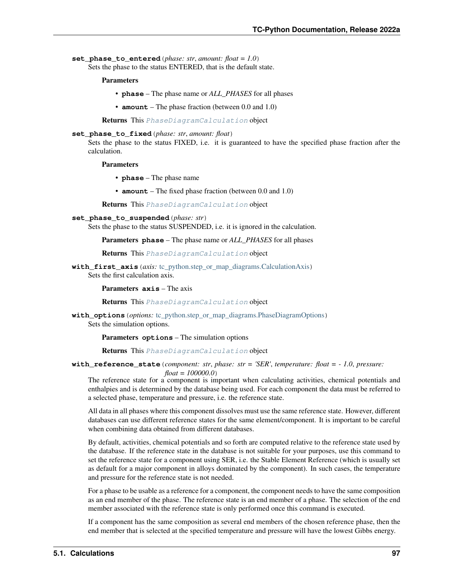set phase to entered (*phase: str. amount: float = 1.0*) Sets the phase to the status ENTERED, that is the default state.

Parameters

- **phase** The phase name or *ALL\_PHASES* for all phases
- **amount** The phase fraction (between 0.0 and 1.0)

Returns This [PhaseDiagramCalculation](#page-97-0) object

**set\_phase\_to\_fixed**(*phase: str*, *amount: float*)

Sets the phase to the status FIXED, i.e. it is guaranteed to have the specified phase fraction after the calculation.

Parameters

- **phase** The phase name
- **amount** The fixed phase fraction (between 0.0 and 1.0)

Returns This [PhaseDiagramCalculation](#page-97-0) object

- **set\_phase\_to\_suspended**(*phase: str*)
	- Sets the phase to the status SUSPENDED, i.e. it is ignored in the calculation.

Parameters **phase** – The phase name or *ALL\_PHASES* for all phases

Returns This [PhaseDiagramCalculation](#page-97-0) object

**with\_first\_axis**(*axis:* [tc\\_python.step\\_or\\_map\\_diagrams.CalculationAxis](#page-95-0)) Sets the first calculation axis.

Parameters **axis** – The axis

Returns This [PhaseDiagramCalculation](#page-97-0) object

**with\_options**(*options:* [tc\\_python.step\\_or\\_map\\_diagrams.PhaseDiagramOptions](#page-101-0)) Sets the simulation options.

Parameters **options** – The simulation options

Returns This [PhaseDiagramCalculation](#page-97-0) object

**with reference state** (*component: str, phase: str = 'SER', temperature: float =*  $-1.0$ *, pressure:* 

*float = 100000.0*)

The reference state for a component is important when calculating activities, chemical potentials and enthalpies and is determined by the database being used. For each component the data must be referred to a selected phase, temperature and pressure, i.e. the reference state.

All data in all phases where this component dissolves must use the same reference state. However, different databases can use different reference states for the same element/component. It is important to be careful when combining data obtained from different databases.

By default, activities, chemical potentials and so forth are computed relative to the reference state used by the database. If the reference state in the database is not suitable for your purposes, use this command to set the reference state for a component using SER, i.e. the Stable Element Reference (which is usually set as default for a major component in alloys dominated by the component). In such cases, the temperature and pressure for the reference state is not needed.

For a phase to be usable as a reference for a component, the component needs to have the same composition as an end member of the phase. The reference state is an end member of a phase. The selection of the end member associated with the reference state is only performed once this command is executed.

If a component has the same composition as several end members of the chosen reference phase, then the end member that is selected at the specified temperature and pressure will have the lowest Gibbs energy.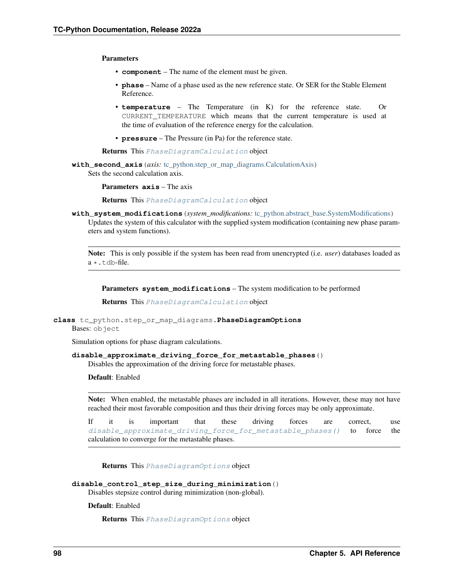Parameters

- **component** The name of the element must be given.
- **phase** Name of a phase used as the new reference state. Or SER for the Stable Element Reference.
- **temperature** The Temperature (in K) for the reference state. Or CURRENT\_TEMPERATURE which means that the current temperature is used at the time of evaluation of the reference energy for the calculation.
- **pressure** The Pressure (in Pa) for the reference state.

Returns This [PhaseDiagramCalculation](#page-97-0) object

**with\_second\_axis**(*axis:* [tc\\_python.step\\_or\\_map\\_diagrams.CalculationAxis](#page-95-0)) Sets the second calculation axis.

Parameters **axis** – The axis

Returns This [PhaseDiagramCalculation](#page-97-0) object

<span id="page-101-1"></span>**with\_system\_modifications**(*system\_modifications:* [tc\\_python.abstract\\_base.SystemModifications](#page-234-0)) Updates the system of this calculator with the supplied system modification (containing new phase parameters and system functions).

Note: This is only possible if the system has been read from unencrypted (i.e. *user*) databases loaded as a \*.tdb-file.

Parameters **system\_modifications** – The system modification to be performed

Returns This [PhaseDiagramCalculation](#page-97-0) object

```
class tc_python.step_or_map_diagrams.PhaseDiagramOptions
Bases: object
```
Simulation options for phase diagram calculations.

```
disable_approximate_driving_force_for_metastable_phases()
```
Disables the approximation of the driving force for metastable phases.

Default: Enabled

Note: When enabled, the metastable phases are included in all iterations. However, these may not have reached their most favorable composition and thus their driving forces may be only approximate.

If it is important that these driving forces are correct, use [disable\\_approximate\\_driving\\_force\\_for\\_metastable\\_phases\(\)](#page-101-2) to force the calculation to converge for the metastable phases.

Returns This [PhaseDiagramOptions](#page-101-0) object

**disable\_control\_step\_size\_during\_minimization**()

Disables stepsize control during minimization (non-global).

Default: Enabled

Returns This [PhaseDiagramOptions](#page-101-0) object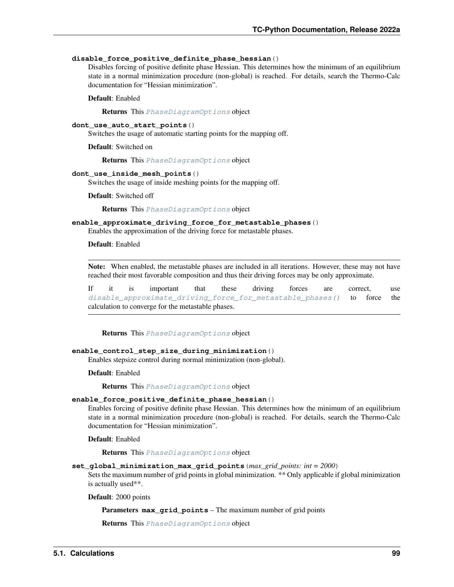#### **disable\_force\_positive\_definite\_phase\_hessian**()

Disables forcing of positive definite phase Hessian. This determines how the minimum of an equilibrium state in a normal minimization procedure (non-global) is reached. For details, search the Thermo-Calc documentation for "Hessian minimization".

Default: Enabled

Returns This [PhaseDiagramOptions](#page-101-0) object

#### **dont\_use\_auto\_start\_points**()

Switches the usage of automatic starting points for the mapping off.

Default: Switched on

Returns This [PhaseDiagramOptions](#page-101-0) object

## **dont\_use\_inside\_mesh\_points**()

Switches the usage of inside meshing points for the mapping off.

Default: Switched off

Returns This [PhaseDiagramOptions](#page-101-0) object

#### **enable\_approximate\_driving\_force\_for\_metastable\_phases**()

Enables the approximation of the driving force for metastable phases.

Default: Enabled

Note: When enabled, the metastable phases are included in all iterations. However, these may not have reached their most favorable composition and thus their driving forces may be only approximate.

If it is important that these driving forces are correct, use [disable\\_approximate\\_driving\\_force\\_for\\_metastable\\_phases\(\)](#page-101-2) to force the calculation to converge for the metastable phases.

Returns This [PhaseDiagramOptions](#page-101-0) object

## **enable\_control\_step\_size\_during\_minimization**()

Enables stepsize control during normal minimization (non-global).

Default: Enabled

Returns This [PhaseDiagramOptions](#page-101-0) object

## **enable\_force\_positive\_definite\_phase\_hessian**()

Enables forcing of positive definite phase Hessian. This determines how the minimum of an equilibrium state in a normal minimization procedure (non-global) is reached. For details, search the Thermo-Calc documentation for "Hessian minimization".

Default: Enabled

Returns This [PhaseDiagramOptions](#page-101-0) object

**set\_global\_minimization\_max\_grid\_points**(*max\_grid\_points: int = 2000*)

Sets the maximum number of grid points in global minimization. \*\* Only applicable if global minimization is actually used\*\*.

Default: 2000 points

Parameters **max\_grid\_points** – The maximum number of grid points

Returns This [PhaseDiagramOptions](#page-101-0) object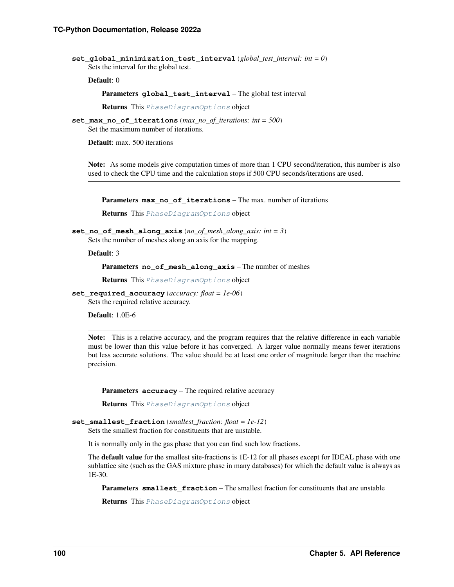set  $q$ lobal minimization test interval (*global test interval: int = 0*) Sets the interval for the global test.

Default: 0

Parameters **global\_test\_interval** – The global test interval

Returns This [PhaseDiagramOptions](#page-101-0) object

**set\_max\_no\_of\_iterations**(*max\_no\_of\_iterations: int = 500*) Set the maximum number of iterations.

Default: max. 500 iterations

Note: As some models give computation times of more than 1 CPU second/iteration, this number is also used to check the CPU time and the calculation stops if 500 CPU seconds/iterations are used.

Parameters **max\_no\_of\_iterations** – The max. number of iterations

Returns This [PhaseDiagramOptions](#page-101-0) object

**set\_no\_of\_mesh\_along\_axis**(*no\_of\_mesh\_along\_axis: int = 3*) Sets the number of meshes along an axis for the mapping.

Default: 3

Parameters **no\_of\_mesh\_along\_axis** – The number of meshes

Returns This [PhaseDiagramOptions](#page-101-0) object

**set\_required\_accuracy**(*accuracy: float = 1e-06*) Sets the required relative accuracy.

Default: 1.0E-6

Note: This is a relative accuracy, and the program requires that the relative difference in each variable must be lower than this value before it has converged. A larger value normally means fewer iterations but less accurate solutions. The value should be at least one order of magnitude larger than the machine precision.

Parameters **accuracy** – The required relative accuracy

Returns This [PhaseDiagramOptions](#page-101-0) object

#### **set\_smallest\_fraction**(*smallest\_fraction: float = 1e-12*)

Sets the smallest fraction for constituents that are unstable.

It is normally only in the gas phase that you can find such low fractions.

The default value for the smallest site-fractions is 1E-12 for all phases except for IDEAL phase with one sublattice site (such as the GAS mixture phase in many databases) for which the default value is always as 1E-30.

Parameters **smallest\_fraction** – The smallest fraction for constituents that are unstable

Returns This [PhaseDiagramOptions](#page-101-0) object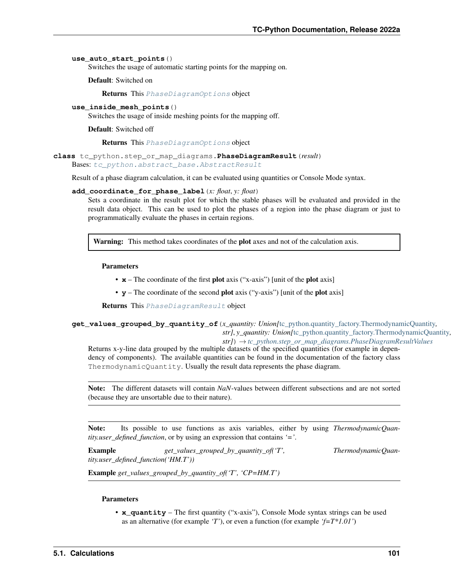## **use\_auto\_start\_points**()

Switches the usage of automatic starting points for the mapping on.

Default: Switched on

Returns This [PhaseDiagramOptions](#page-101-0) object

**use\_inside\_mesh\_points**()

Switches the usage of inside meshing points for the mapping off.

Default: Switched off

Returns This [PhaseDiagramOptions](#page-101-0) object

<span id="page-104-0"></span>**class** tc\_python.step\_or\_map\_diagrams.**PhaseDiagramResult**(*result*) Bases: [tc\\_python.abstract\\_base.AbstractResult](#page-230-1)

Result of a phase diagram calculation, it can be evaluated using quantities or Console Mode syntax.

#### <span id="page-104-1"></span>**add\_coordinate\_for\_phase\_label**(*x: float*, *y: float*)

Sets a coordinate in the result plot for which the stable phases will be evaluated and provided in the result data object. This can be used to plot the phases of a region into the phase diagram or just to programmatically evaluate the phases in certain regions.

Warning: This method takes coordinates of the plot axes and not of the calculation axis.

#### Parameters

- **x** The coordinate of the first plot axis ("x-axis") [unit of the plot axis]
- **y** The coordinate of the second plot axis ("y-axis") [unit of the plot axis]

Returns This [PhaseDiagramResult](#page-104-0) object

## **get\_values\_grouped\_by\_quantity\_of**(*x\_quantity: Union[*[tc\\_python.quantity\\_factory.ThermodynamicQuantity](#page-207-0)*, str]*, *y\_quantity: Union[*[tc\\_python.quantity\\_factory.ThermodynamicQuantity](#page-207-0)*, str]*) → *[tc\\_python.step\\_or\\_map\\_diagrams.PhaseDiagramResultValues](#page-105-0)*

Returns x-y-line data grouped by the multiple datasets of the specified quantities (for example in dependency of components). The available quantities can be found in the documentation of the factory class ThermodynamicQuantity. Usually the result data represents the phase diagram.

Note: The different datasets will contain *NaN*-values between different subsections and are not sorted (because they are unsortable due to their nature).

Note: Its possible to use functions as axis variables, either by using *ThermodynamicQuantity.user\_defined\_function*, or by using an expression that contains *'='*.

**Example**  $get\_values\_grouped\_by\_quantity\_of('T',$  ThermodynamicQuan*tity.user\_defined\_function('HM.T'))*

Example *get\_values\_grouped\_by\_quantity\_of('T', 'CP=HM.T')*

## Parameters

• **x\_quantity** – The first quantity ("x-axis"), Console Mode syntax strings can be used as an alternative (for example *'T'*), or even a function (for example *'f=T\*1.01'*)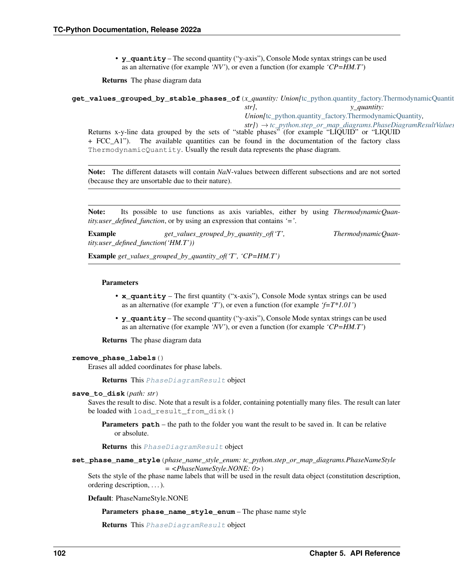• **y\_quantity** – The second quantity ("y-axis"), Console Mode syntax strings can be used as an alternative (for example *'NV'*), or even a function (for example *'CP=HM.T'*)

Returns The phase diagram data

**get\_values\_grouped\_by\_stable\_phases\_of**(*x\_quantity: Union[*[tc\\_python.quantity\\_factory.ThermodynamicQuantity](#page-207-0)*, str]*, *y\_quantity: Union[*[tc\\_python.quantity\\_factory.ThermodynamicQuantity](#page-207-0)*, str]*) → *[tc\\_python.step\\_or\\_map\\_diagrams.PhaseDiagramResultValues](#page-105-0)* Returns x-y-line data grouped by the sets of "stable phases" (for example "LIQUID" or "LIQUID + FCC\_A1"). The available quantities can be found in the documentation of the factory class ThermodynamicQuantity. Usually the result data represents the phase diagram.

Note: The different datasets will contain *NaN*-values between different subsections and are not sorted (because they are unsortable due to their nature).

Note: Its possible to use functions as axis variables, either by using *ThermodynamicQuantity.user\_defined\_function*, or by using an expression that contains *'='*.

**Example**  $get\_values\_grouped\_by\_quantity\_of('T',$  ThermodynamicQuan*tity.user\_defined\_function('HM.T'))*

Example *get\_values\_grouped\_by\_quantity\_of('T', 'CP=HM.T')*

### Parameters

- **x\_quantity** The first quantity ("x-axis"), Console Mode syntax strings can be used as an alternative (for example *'T'*), or even a function (for example *'f=T\*1.01'*)
- **y\_quantity** The second quantity ("y-axis"), Console Mode syntax strings can be used as an alternative (for example *'NV'*), or even a function (for example *'CP=HM.T'*)

Returns The phase diagram data

## **remove\_phase\_labels**()

Erases all added coordinates for phase labels.

Returns This [PhaseDiagramResult](#page-104-0) object

#### **save\_to\_disk**(*path: str*)

Saves the result to disc. Note that a result is a folder, containing potentially many files. The result can later be loaded with load\_result\_from\_disk()

**Parameters path** – the path to the folder you want the result to be saved in. It can be relative or absolute.

Returns this [PhaseDiagramResult](#page-104-0) object

**set\_phase\_name\_style**(*phase\_name\_style\_enum: tc\_python.step\_or\_map\_diagrams.PhaseNameStyle = <PhaseNameStyle.NONE: 0>*)

Sets the style of the phase name labels that will be used in the result data object (constitution description, ordering description, . . . ).

<span id="page-105-0"></span>Default: PhaseNameStyle.NONE

Parameters **phase\_name\_style\_enum** – The phase name style

Returns This [PhaseDiagramResult](#page-104-0) object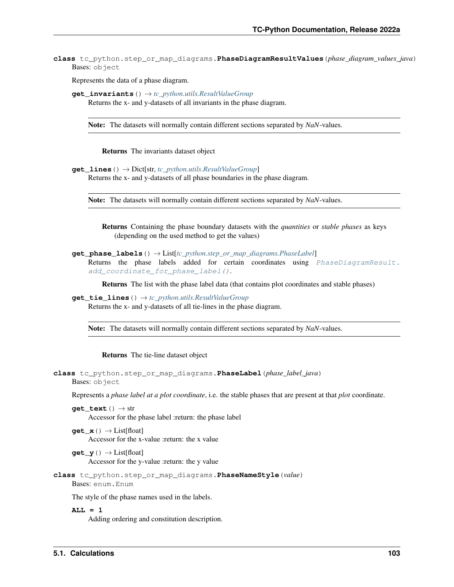**class** tc\_python.step\_or\_map\_diagrams.**PhaseDiagramResultValues**(*phase\_diagram\_values\_java*) Bases: object

Represents the data of a phase diagram.

```
get_invariants() → tc_python.utils.ResultValueGroup
 Returns the x- and y-datasets of all invariants in the phase diagram.
```
Note: The datasets will normally contain different sections separated by *NaN*-values.

Returns The invariants dataset object

**get\_lines**() → Dict[str, *[tc\\_python.utils.ResultValueGroup](#page-211-1)*] Returns the x- and y-datasets of all phase boundaries in the phase diagram.

Note: The datasets will normally contain different sections separated by *NaN*-values.

Returns Containing the phase boundary datasets with the *quantities* or *stable phases* as keys (depending on the used method to get the values)

```
get_phase_labels() → List[tc_python.step_or_map_diagrams.PhaseLabel]
```
Returns the phase labels added for certain coordinates using *[PhaseDiagramResult.](#page-104-1)* [add\\_coordinate\\_for\\_phase\\_label\(\)](#page-104-1).

Returns The list with the phase label data (that contains plot coordinates and stable phases)

**get\_tie\_lines**() → *[tc\\_python.utils.ResultValueGroup](#page-211-1)* Returns the x- and y-datasets of all tie-lines in the phase diagram.

Note: The datasets will normally contain different sections separated by *NaN*-values.

Returns The tie-line dataset object

```
class tc_python.step_or_map_diagrams.PhaseLabel(phase_label_java)
Bases: object
```
Represents a *phase label at a plot coordinate*, i.e. the stable phases that are present at that *plot* coordinate.

**get** text  $() \rightarrow str$ Accessor for the phase label :return: the phase label

**get**  $\mathbf{x}$ ()  $\rightarrow$  List[float] Accessor for the x-value :return: the x value

 $get_y() \rightarrow List[float]$ Accessor for the y-value :return: the y value

**class** tc\_python.step\_or\_map\_diagrams.**PhaseNameStyle**(*value*) Bases: enum.Enum

The style of the phase names used in the labels.

**ALL = 1**

Adding ordering and constitution description.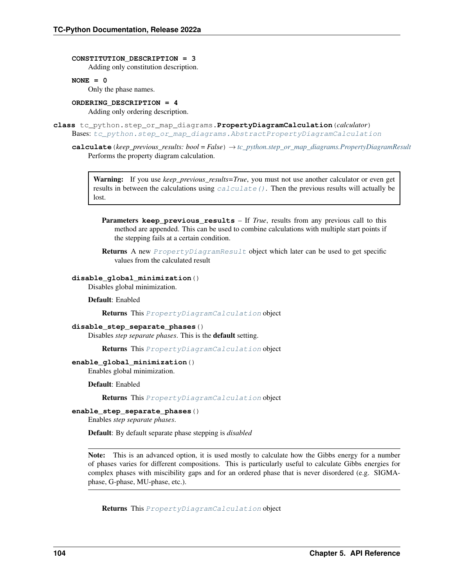**CONSTITUTION\_DESCRIPTION = 3**

Adding only constitution description.

#### **NONE = 0**

Only the phase names.

## **ORDERING\_DESCRIPTION = 4**

Adding only ordering description.

<span id="page-107-1"></span><span id="page-107-0"></span>**class** tc\_python.step\_or\_map\_diagrams.**PropertyDiagramCalculation**(*calculator*) Bases: [tc\\_python.step\\_or\\_map\\_diagrams.AbstractPropertyDiagramCalculation](#page-91-1)

**calculate**(*keep\_previous\_results: bool = False*) → *[tc\\_python.step\\_or\\_map\\_diagrams.PropertyDiagramResult](#page-112-0)* Performs the property diagram calculation.

Warning: If you use *keep\_previous\_results=True*, you must not use another calculator or even get results in between the calculations using  $calcalculate()$  $calcalculate()$ . Then the previous results will actually be lost.

**Parameters keep\_previous\_results** – If *True*, results from any previous call to this method are appended. This can be used to combine calculations with multiple start points if the stepping fails at a certain condition.

Returns A new [PropertyDiagramResult](#page-112-0) object which later can be used to get specific values from the calculated result

## **disable\_global\_minimization**()

Disables global minimization.

Default: Enabled

Returns This [PropertyDiagramCalculation](#page-107-0) object

## **disable\_step\_separate\_phases**()

Disables *step separate phases*. This is the default setting.

Returns This [PropertyDiagramCalculation](#page-107-0) object

## **enable\_global\_minimization**()

Enables global minimization.

Default: Enabled

Returns This [PropertyDiagramCalculation](#page-107-0) object

## **enable\_step\_separate\_phases**()

Enables *step separate phases*.

Default: By default separate phase stepping is *disabled*

Note: This is an advanced option, it is used mostly to calculate how the Gibbs energy for a number of phases varies for different compositions. This is particularly useful to calculate Gibbs energies for complex phases with miscibility gaps and for an ordered phase that is never disordered (e.g. SIGMAphase, G-phase, MU-phase, etc.).

Returns This [PropertyDiagramCalculation](#page-107-0) object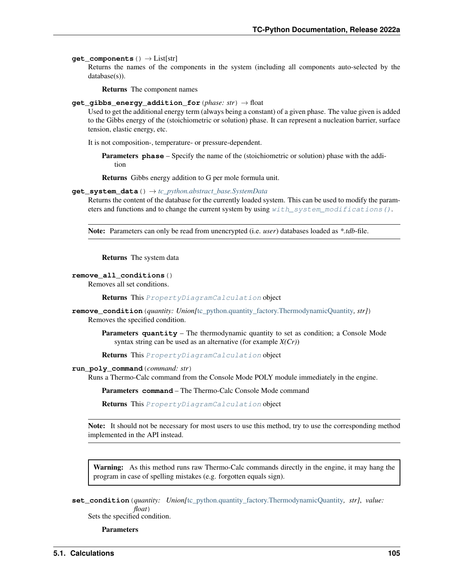#### **get\_components**() → List[str]

Returns the names of the components in the system (including all components auto-selected by the database(s)).

Returns The component names

#### **get\_gibbs\_energy\_addition\_for**(*phase: str*) → float

Used to get the additional energy term (always being a constant) of a given phase. The value given is added to the Gibbs energy of the (stoichiometric or solution) phase. It can represent a nucleation barrier, surface tension, elastic energy, etc.

It is not composition-, temperature- or pressure-dependent.

Parameters **phase** – Specify the name of the (stoichiometric or solution) phase with the addition

Returns Gibbs energy addition to G per mole formula unit.

## **get\_system\_data**() → *[tc\\_python.abstract\\_base.SystemData](#page-232-0)*

Returns the content of the database for the currently loaded system. This can be used to modify the parameters and functions and to change the current system by using  $with$  system modifications().

Note: Parameters can only be read from unencrypted (i.e. *user*) databases loaded as *\*.tdb*-file.

Returns The system data

#### **remove\_all\_conditions**()

Removes all set conditions.

Returns This [PropertyDiagramCalculation](#page-107-0) object

**remove\_condition**(*quantity: Union[*[tc\\_python.quantity\\_factory.ThermodynamicQuantity](#page-207-0)*, str]*) Removes the specified condition.

Parameters **quantity** – The thermodynamic quantity to set as condition; a Console Mode syntax string can be used as an alternative (for example *X(Cr)*)

Returns This [PropertyDiagramCalculation](#page-107-0) object

#### **run\_poly\_command**(*command: str*)

Runs a Thermo-Calc command from the Console Mode POLY module immediately in the engine.

Parameters **command** – The Thermo-Calc Console Mode command

Returns This [PropertyDiagramCalculation](#page-107-0) object

Note: It should not be necessary for most users to use this method, try to use the corresponding method implemented in the API instead.

Warning: As this method runs raw Thermo-Calc commands directly in the engine, it may hang the program in case of spelling mistakes (e.g. forgotten equals sign).

```
set_condition(quantity: Union[tc_python.quantity_factory.ThermodynamicQuantity, str], value:
              float)
```
Sets the specified condition.

**Parameters**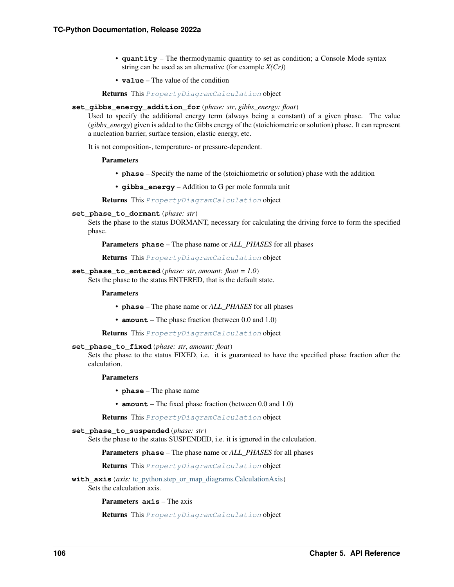- **quantity** The thermodynamic quantity to set as condition; a Console Mode syntax string can be used as an alternative (for example *X(Cr)*)
- **value** The value of the condition

Returns This [PropertyDiagramCalculation](#page-107-0) object

#### **set\_gibbs\_energy\_addition\_for**(*phase: str*, *gibbs\_energy: float*)

Used to specify the additional energy term (always being a constant) of a given phase. The value (*gibbs\_energy*) given is added to the Gibbs energy of the (stoichiometric or solution) phase. It can represent a nucleation barrier, surface tension, elastic energy, etc.

It is not composition-, temperature- or pressure-dependent.

#### Parameters

- **phase** Specify the name of the (stoichiometric or solution) phase with the addition
- **gibbs\_energy** Addition to G per mole formula unit

Returns This [PropertyDiagramCalculation](#page-107-0) object

## **set\_phase\_to\_dormant**(*phase: str*)

Sets the phase to the status DORMANT, necessary for calculating the driving force to form the specified phase.

Parameters **phase** – The phase name or *ALL\_PHASES* for all phases

Returns This [PropertyDiagramCalculation](#page-107-0) object

#### **set\_phase\_to\_entered**(*phase: str*, *amount: float = 1.0*)

Sets the phase to the status ENTERED, that is the default state.

# Parameters

- **phase** The phase name or *ALL\_PHASES* for all phases
- **amount** The phase fraction (between 0.0 and 1.0)

Returns This [PropertyDiagramCalculation](#page-107-0) object

# **set\_phase\_to\_fixed**(*phase: str*, *amount: float*)

Sets the phase to the status FIXED, i.e. it is guaranteed to have the specified phase fraction after the calculation.

#### Parameters

- **phase** The phase name
- **amount** The fixed phase fraction (between 0.0 and 1.0)

Returns This [PropertyDiagramCalculation](#page-107-0) object

#### **set\_phase\_to\_suspended**(*phase: str*)

Sets the phase to the status SUSPENDED, i.e. it is ignored in the calculation.

Parameters **phase** – The phase name or *ALL\_PHASES* for all phases

Returns This [PropertyDiagramCalculation](#page-107-0) object

**with axis** (*axis:* tc python.step or map diagrams.CalculationAxis) Sets the calculation axis.

Parameters **axis** – The axis

Returns This [PropertyDiagramCalculation](#page-107-0) object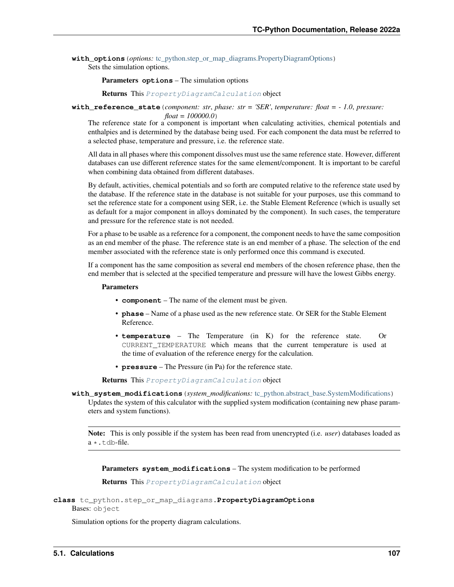**with options** (*options:* [tc\\_python.step\\_or\\_map\\_diagrams.PropertyDiagramOptions](#page-110-1)) Sets the simulation options.

Parameters **options** – The simulation options

Returns This [PropertyDiagramCalculation](#page-107-0) object

**with reference state** (*component: str, phase: str = 'SER', temperature: float =*  $-1.0$ *, pressure:* 

*float = 100000.0*)

The reference state for a component is important when calculating activities, chemical potentials and enthalpies and is determined by the database being used. For each component the data must be referred to a selected phase, temperature and pressure, i.e. the reference state.

All data in all phases where this component dissolves must use the same reference state. However, different databases can use different reference states for the same element/component. It is important to be careful when combining data obtained from different databases.

By default, activities, chemical potentials and so forth are computed relative to the reference state used by the database. If the reference state in the database is not suitable for your purposes, use this command to set the reference state for a component using SER, i.e. the Stable Element Reference (which is usually set as default for a major component in alloys dominated by the component). In such cases, the temperature and pressure for the reference state is not needed.

For a phase to be usable as a reference for a component, the component needs to have the same composition as an end member of the phase. The reference state is an end member of a phase. The selection of the end member associated with the reference state is only performed once this command is executed.

If a component has the same composition as several end members of the chosen reference phase, then the end member that is selected at the specified temperature and pressure will have the lowest Gibbs energy.

## Parameters

- **component** The name of the element must be given.
- **phase** Name of a phase used as the new reference state. Or SER for the Stable Element Reference.
- **temperature** The Temperature (in K) for the reference state. Or CURRENT\_TEMPERATURE which means that the current temperature is used at the time of evaluation of the reference energy for the calculation.
- **pressure** The Pressure (in Pa) for the reference state.

Returns This [PropertyDiagramCalculation](#page-107-0) object

<span id="page-110-0"></span>**with\_system\_modifications**(*system\_modifications:* [tc\\_python.abstract\\_base.SystemModifications](#page-234-0)) Updates the system of this calculator with the supplied system modification (containing new phase parameters and system functions).

Note: This is only possible if the system has been read from unencrypted (i.e. *user*) databases loaded as  $a \star$ .tdb-file.

Parameters **system\_modifications** – The system modification to be performed

Returns This [PropertyDiagramCalculation](#page-107-0) object

```
class tc_python.step_or_map_diagrams.PropertyDiagramOptions
Bases: object
```
<span id="page-110-2"></span>Simulation options for the property diagram calculations.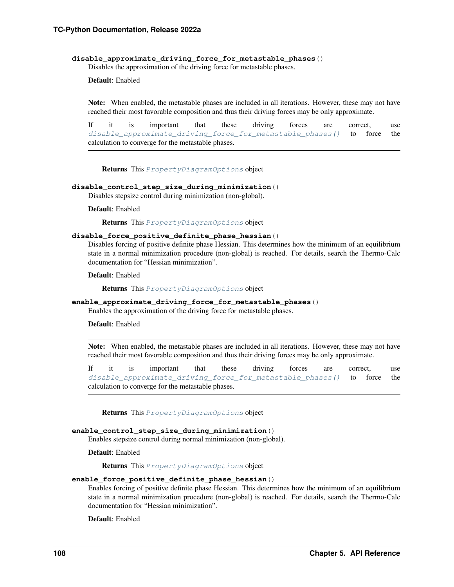#### **disable\_approximate\_driving\_force\_for\_metastable\_phases**()

Disables the approximation of the driving force for metastable phases.

# Default: Enabled

Note: When enabled, the metastable phases are included in all iterations. However, these may not have reached their most favorable composition and thus their driving forces may be only approximate.

If it is important that these driving forces are correct, use [disable\\_approximate\\_driving\\_force\\_for\\_metastable\\_phases\(\)](#page-110-2) to force the calculation to converge for the metastable phases.

Returns This [PropertyDiagramOptions](#page-110-1) object

## **disable\_control\_step\_size\_during\_minimization**()

Disables stepsize control during minimization (non-global).

#### Default: Enabled

Returns This [PropertyDiagramOptions](#page-110-1) object

## **disable\_force\_positive\_definite\_phase\_hessian**()

Disables forcing of positive definite phase Hessian. This determines how the minimum of an equilibrium state in a normal minimization procedure (non-global) is reached. For details, search the Thermo-Calc documentation for "Hessian minimization".

Default: Enabled

Returns This [PropertyDiagramOptions](#page-110-1) object

# **enable\_approximate\_driving\_force\_for\_metastable\_phases**()

Enables the approximation of the driving force for metastable phases.

## Default: Enabled

Note: When enabled, the metastable phases are included in all iterations. However, these may not have reached their most favorable composition and thus their driving forces may be only approximate.

If it is important that these driving forces are correct, use disable approximate driving force for metastable phases() to force the calculation to converge for the metastable phases.

Returns This [PropertyDiagramOptions](#page-110-1) object

#### **enable\_control\_step\_size\_during\_minimization**()

Enables stepsize control during normal minimization (non-global).

Default: Enabled

Returns This [PropertyDiagramOptions](#page-110-1) object

#### **enable\_force\_positive\_definite\_phase\_hessian**()

Enables forcing of positive definite phase Hessian. This determines how the minimum of an equilibrium state in a normal minimization procedure (non-global) is reached. For details, search the Thermo-Calc documentation for "Hessian minimization".

Default: Enabled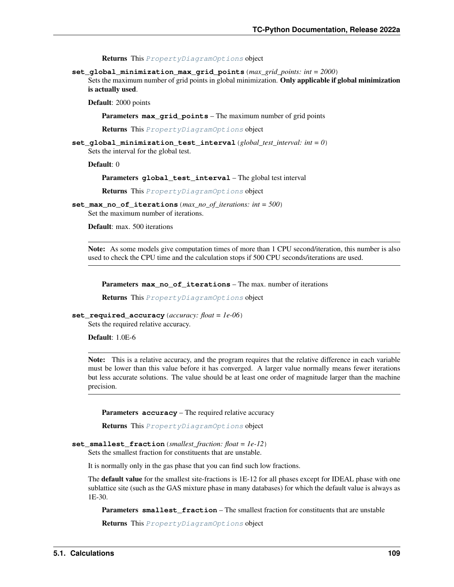Returns This [PropertyDiagramOptions](#page-110-1) object

**set\_global\_minimization\_max\_grid\_points**(*max\_grid\_points: int = 2000*)

Sets the maximum number of grid points in global minimization. Only applicable if global minimization is actually used.

Default: 2000 points

Parameters **max\_grid\_points** – The maximum number of grid points

Returns This [PropertyDiagramOptions](#page-110-1) object

**set\_global\_minimization\_test\_interval**(*global\_test\_interval: int = 0*) Sets the interval for the global test.

Default: 0

Parameters **global\_test\_interval** – The global test interval

Returns This [PropertyDiagramOptions](#page-110-1) object

**set\_max\_no\_of\_iterations**(*max\_no\_of\_iterations: int = 500*) Set the maximum number of iterations.

Default: max. 500 iterations

Note: As some models give computation times of more than 1 CPU second/iteration, this number is also used to check the CPU time and the calculation stops if 500 CPU seconds/iterations are used.

Parameters **max\_no\_of\_iterations** – The max. number of iterations

Returns This [PropertyDiagramOptions](#page-110-1) object

```
set_required_accuracy(accuracy: float = 1e-06)
```
Sets the required relative accuracy.

Default: 1.0E-6

Note: This is a relative accuracy, and the program requires that the relative difference in each variable must be lower than this value before it has converged. A larger value normally means fewer iterations but less accurate solutions. The value should be at least one order of magnitude larger than the machine precision.

Parameters **accuracy** – The required relative accuracy

Returns This [PropertyDiagramOptions](#page-110-1) object

```
set_smallest_fraction(smallest_fraction: float = 1e-12)
```
Sets the smallest fraction for constituents that are unstable.

It is normally only in the gas phase that you can find such low fractions.

The **default value** for the smallest site-fractions is 1E-12 for all phases except for IDEAL phase with one sublattice site (such as the GAS mixture phase in many databases) for which the default value is always as 1E-30.

**Parameters smallest fraction** – The smallest fraction for constituents that are unstable

<span id="page-112-0"></span>Returns This [PropertyDiagramOptions](#page-110-1) object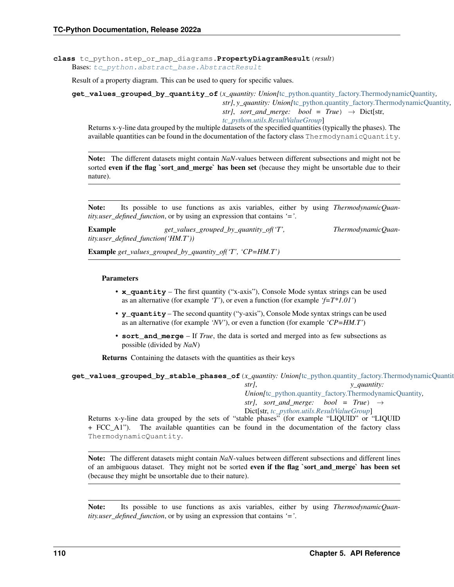**class** tc\_python.step\_or\_map\_diagrams.**PropertyDiagramResult**(*result*) Bases: [tc\\_python.abstract\\_base.AbstractResult](#page-230-0)

Result of a property diagram. This can be used to query for specific values.

<span id="page-113-0"></span>**get\_values\_grouped\_by\_quantity\_of**(*x\_quantity: Union[*[tc\\_python.quantity\\_factory.ThermodynamicQuantity](#page-207-0)*,*

*str]*, *y\_quantity: Union[*[tc\\_python.quantity\\_factory.ThermodynamicQuantity](#page-207-0)*, str]*, *sort\_and\_merge: bool* =  $True$ )  $\rightarrow$  Dict[str,

*[tc\\_python.utils.ResultValueGroup](#page-211-0)*]

Returns x-y-line data grouped by the multiple datasets of the specified quantities (typically the phases). The available quantities can be found in the documentation of the factory class ThermodynamicQuantity.

Note: The different datasets might contain *NaN*-values between different subsections and might not be sorted even if the flag `sort\_and\_merge` has been set (because they might be unsortable due to their nature).

Note: Its possible to use functions as axis variables, either by using *ThermodynamicQuantity.user\_defined\_function*, or by using an expression that contains *'='*.

Example  $get\_values\_grouped\_by\_quantity\_of('T',$  ThermodynamicQuan*tity.user\_defined\_function('HM.T'))*

Example *get\_values\_grouped\_by\_quantity\_of('T', 'CP=HM.T')*

#### Parameters

- **x** quantity The first quantity ("x-axis"), Console Mode syntax strings can be used as an alternative (for example *'T'*), or even a function (for example *'f=T\*1.01'*)
- **y\_quantity** The second quantity ("y-axis"), Console Mode syntax strings can be used as an alternative (for example *'NV'*), or even a function (for example *'CP=HM.T'*)
- **sort\_and\_merge** If *True*, the data is sorted and merged into as few subsections as possible (divided by *NaN*)

Returns Containing the datasets with the quantities as their keys

<span id="page-113-1"></span>**get\_values\_grouped\_by\_stable\_phases\_of**(*x\_quantity: Union[*[tc\\_python.quantity\\_factory.ThermodynamicQuantity](#page-207-0)*,*

*str]*, *y\_quantity: Union[*[tc\\_python.quantity\\_factory.ThermodynamicQuantity](#page-207-0)*, str]*, *sort\_and\_merge: bool* =  $True$ )  $\rightarrow$ 

Dict[str, *[tc\\_python.utils.ResultValueGroup](#page-211-0)*]

Returns x-y-line data grouped by the sets of "stable phases" (for example "LIQUID" or "LIQUID + FCC\_A1"). The available quantities can be found in the documentation of the factory class ThermodynamicQuantity.

Note: The different datasets might contain *NaN*-values between different subsections and different lines of an ambiguous dataset. They might not be sorted **even if the flag `sort\_and\_merge` has been set** (because they might be unsortable due to their nature).

Note: Its possible to use functions as axis variables, either by using *ThermodynamicQuantity.user\_defined\_function*, or by using an expression that contains *'='*.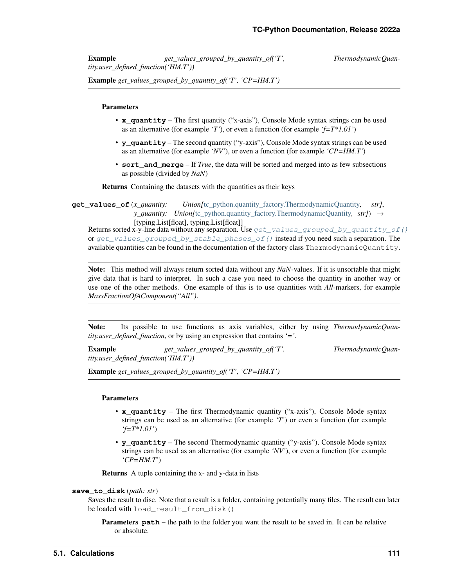**Example** *get values grouped by quantity of ('T',* ThermodynamicQuan*tity.user\_defined\_function('HM.T'))*

Example *get\_values\_grouped\_by\_quantity\_of('T', 'CP=HM.T')*

## Parameters

- **x\_quantity** The first quantity ("x-axis"), Console Mode syntax strings can be used as an alternative (for example *'T'*), or even a function (for example *'f=T\*1.01'*)
- **y\_quantity** The second quantity ("y-axis"), Console Mode syntax strings can be used as an alternative (for example *'NV'*), or even a function (for example *'CP=HM.T'*)
- **sort\_and\_merge** If *True*, the data will be sorted and merged into as few subsections as possible (divided by *NaN*)

Returns Containing the datasets with the quantities as their keys

**get\_values\_of**(*x\_quantity: Union[*[tc\\_python.quantity\\_factory.ThermodynamicQuantity](#page-207-0)*, str]*, *y\_quantity: Union*[[tc\\_python.quantity\\_factory.ThermodynamicQuantity](#page-207-0), str]) → [typing.List[float], typing.List[float]]

Returns sorted x-y-line data without any separation. Use  $qet_value$  alues\_grouped\_by\_quantity\_of() or get values grouped by stable phases of () instead if you need such a separation. The available quantities can be found in the documentation of the factory class ThermodynamicQuantity.

Note: This method will always return sorted data without any *NaN*-values. If it is unsortable that might give data that is hard to interpret. In such a case you need to choose the quantity in another way or use one of the other methods. One example of this is to use quantities with *All*-markers, for example *MassFractionOfAComponent("All")*.

Note: Its possible to use functions as axis variables, either by using *ThermodynamicQuantity.user\_defined\_function*, or by using an expression that contains *'='*.

Example *get\_values\_grouped\_by\_quantity\_of('T', ThermodynamicQuantity.user\_defined\_function('HM.T'))*

Example *get\_values\_grouped\_by\_quantity\_of('T', 'CP=HM.T')*

#### **Parameters**

- **x\_quantity** The first Thermodynamic quantity ("x-axis"), Console Mode syntax strings can be used as an alternative (for example *'T'*) or even a function (for example *'f=T\*1.01'*)
- **y\_quantity** The second Thermodynamic quantity ("y-axis"), Console Mode syntax strings can be used as an alternative (for example *'NV'*), or even a function (for example *'CP=HM.T'*)

Returns A tuple containing the x- and y-data in lists

## **save\_to\_disk**(*path: str*)

Saves the result to disc. Note that a result is a folder, containing potentially many files. The result can later be loaded with load\_result\_from\_disk()

**Parameters path** – the path to the folder you want the result to be saved in. It can be relative or absolute.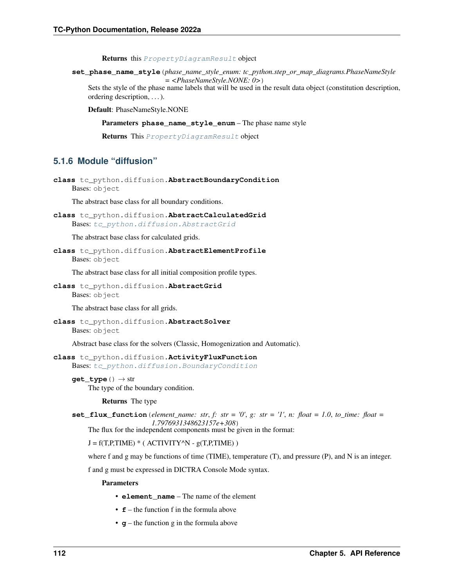Returns this [PropertyDiagramResult](#page-112-0) object

**set\_phase\_name\_style**(*phase\_name\_style\_enum: tc\_python.step\_or\_map\_diagrams.PhaseNameStyle = <PhaseNameStyle.NONE: 0>*)

Sets the style of the phase name labels that will be used in the result data object (constitution description, ordering description, . . . ).

Default: PhaseNameStyle.NONE

Parameters **phase\_name\_style\_enum** – The phase name style

Returns This [PropertyDiagramResult](#page-112-0) object

# **5.1.6 Module "diffusion"**

```
class tc_python.diffusion.AbstractBoundaryCondition
Bases: object
```
The abstract base class for all boundary conditions.

<span id="page-115-2"></span>**class** tc\_python.diffusion.**AbstractCalculatedGrid** Bases: [tc\\_python.diffusion.AbstractGrid](#page-115-0)

The abstract base class for calculated grids.

<span id="page-115-3"></span>**class** tc\_python.diffusion.**AbstractElementProfile** Bases: object

The abstract base class for all initial composition profile types.

<span id="page-115-0"></span>**class** tc\_python.diffusion.**AbstractGrid** Bases: object

The abstract base class for all grids.

**class** tc\_python.diffusion.**AbstractSolver** Bases: object

Abstract base class for the solvers (Classic, Homogenization and Automatic).

**class** tc\_python.diffusion.**ActivityFluxFunction** Bases: [tc\\_python.diffusion.BoundaryCondition](#page-116-0)

**get\_type**() → str The type of the boundary condition.

#### Returns The type

**set\_flux\_function** (*element\_name: str, f: str = '0', g: str = '1', n: float = 1.0, to\_time: float = 1.7976931348623157e+308*)

The flux for the independent components must be given in the format:

 $J = f(T, P, TIME) * (ACTIVITY^N - g(T, P, TIME))$ 

where f and g may be functions of time (TIME), temperature (T), and pressure (P), and N is an integer.

f and g must be expressed in DICTRA Console Mode syntax.

#### Parameters

- **element\_name** The name of the element
- **f** the function f in the formula above
- **g** the function g in the formula above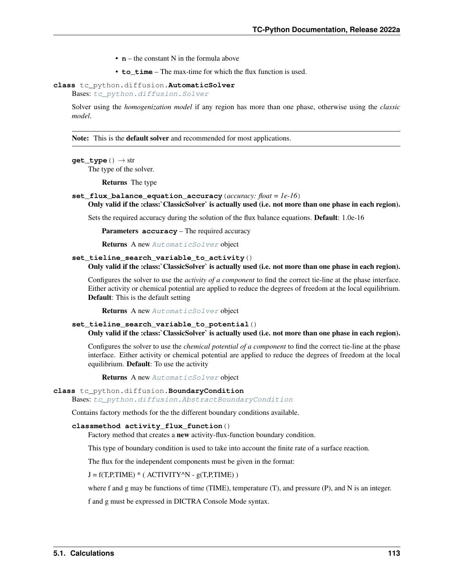- **n** the constant N in the formula above
- **to** time The max-time for which the flux function is used.
- <span id="page-116-1"></span>**class** tc\_python.diffusion.**AutomaticSolver**

Bases: [tc\\_python.diffusion.Solver](#page-151-0)

Solver using the *homogenization model* if any region has more than one phase, otherwise using the *classic model*.

Note: This is the **default solver** and recommended for most applications.

# $\texttt{get\_type}\left(\vphantom{\right)}\right.\rightarrow \text{str}$

The type of the solver.

Returns The type

# **set\_flux\_balance\_equation\_accuracy**(*accuracy: float = 1e-16*)

Only valid if the :class:`ClassicSolver` is actually used (i.e. not more than one phase in each region).

Sets the required accuracy during the solution of the flux balance equations. Default: 1.0e-16

Parameters **accuracy** – The required accuracy

Returns A new [AutomaticSolver](#page-116-1) object

## set tieline search variable to activity() Only valid if the :class:`ClassicSolver` is actually used (i.e. not more than one phase in each region).

Configures the solver to use the *activity of a component* to find the correct tie-line at the phase interface. Either activity or chemical potential are applied to reduce the degrees of freedom at the local equilibrium. Default: This is the default setting

Returns A new [AutomaticSolver](#page-116-1) object

# **set\_tieline\_search\_variable\_to\_potential**()

Only valid if the :class:`ClassicSolver` is actually used (i.e. not more than one phase in each region).

Configures the solver to use the *chemical potential of a component* to find the correct tie-line at the phase interface. Either activity or chemical potential are applied to reduce the degrees of freedom at the local equilibrium. Default: To use the activity

Returns A new [AutomaticSolver](#page-116-1) object

# <span id="page-116-0"></span>**class** tc\_python.diffusion.**BoundaryCondition**

Bases: [tc\\_python.diffusion.AbstractBoundaryCondition](#page-115-1)

Contains factory methods for the the different boundary conditions available.

#### **classmethod activity\_flux\_function**()

Factory method that creates a new activity-flux-function boundary condition.

This type of boundary condition is used to take into account the finite rate of a surface reaction.

The flux for the independent components must be given in the format:

#### $J = f(T.P, TIME) * (ACTIVITY^N - g(T.P, TIME))$

where f and g may be functions of time (TIME), temperature (T), and pressure (P), and N is an integer.

f and g must be expressed in DICTRA Console Mode syntax.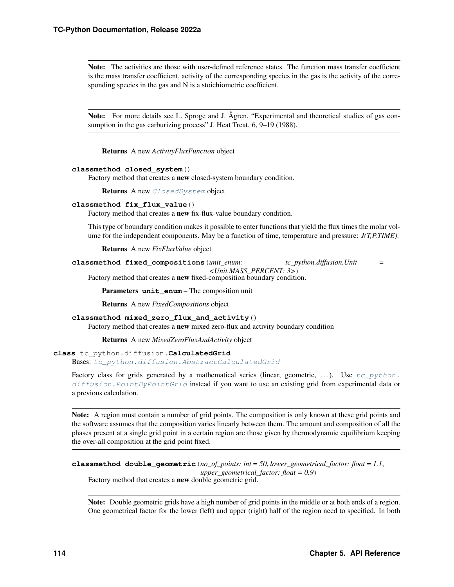Note: The activities are those with user-defined reference states. The function mass transfer coefficient is the mass transfer coefficient, activity of the corresponding species in the gas is the activity of the corresponding species in the gas and N is a stoichiometric coefficient.

Note: For more details see L. Sproge and J. Ågren, "Experimental and theoretical studies of gas consumption in the gas carburizing process" J. Heat Treat. 6, 9–19 (1988).

Returns A new *ActivityFluxFunction* object

#### **classmethod closed\_system**()

Factory method that creates a new closed-system boundary condition.

Returns A new [ClosedSystem](#page-119-0) object

## **classmethod fix\_flux\_value**()

Factory method that creates a new fix-flux-value boundary condition.

This type of boundary condition makes it possible to enter functions that yield the flux times the molar volume for the independent components. May be a function of time, temperature and pressure: *J(T,P,TIME)*.

Returns A new *FixFluxValue* object

**classmethod fixed\_compositions**(*unit\_enum: tc\_python.diffusion.Unit = <Unit.MASS\_PERCENT: 3>*)

Factory method that creates a new fixed-composition boundary condition.

**Parameters unit enum** – The composition unit

Returns A new *FixedCompositions* object

# **classmethod mixed\_zero\_flux\_and\_activity**()

Factory method that creates a new mixed zero-flux and activity boundary condition

Returns A new *MixedZeroFluxAndActivity* object

# <span id="page-117-0"></span>**class** tc\_python.diffusion.**CalculatedGrid**

Bases: [tc\\_python.diffusion.AbstractCalculatedGrid](#page-115-2)

Factory class for grids generated by a mathematical series (linear, geometric, ...). Use  $tc\_python$ . diffusion. PointByPointGrid instead if you want to use an existing grid from experimental data or a previous calculation.

Note: A region must contain a number of grid points. The composition is only known at these grid points and the software assumes that the composition varies linearly between them. The amount and composition of all the phases present at a single grid point in a certain region are those given by thermodynamic equilibrium keeping the over-all composition at the grid point fixed.

**classmethod double\_geometric**(*no\_of\_points: int = 50*, *lower\_geometrical\_factor: float = 1.1*, *upper\_geometrical\_factor: float = 0.9*) Factory method that creates a new double geometric grid.

Note: Double geometric grids have a high number of grid points in the middle or at both ends of a region. One geometrical factor for the lower (left) and upper (right) half of the region need to specified. In both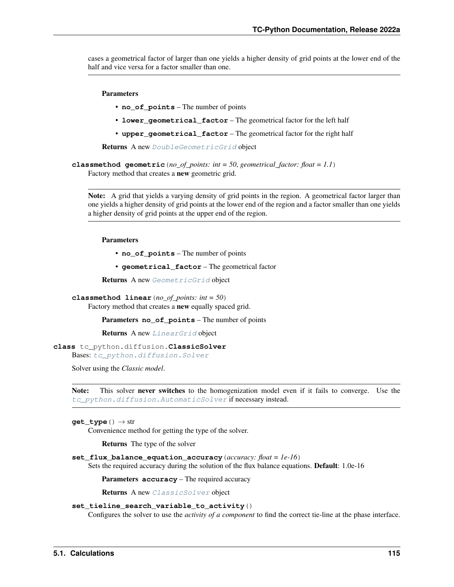cases a geometrical factor of larger than one yields a higher density of grid points at the lower end of the half and vice versa for a factor smaller than one.

## Parameters

- **no** of points The number of points
- **lower\_geometrical\_factor** The geometrical factor for the left half
- **upper\_geometrical\_factor** The geometrical factor for the right half

Returns A new [DoubleGeometricGrid](#page-135-0) object

**classmethod geometric**(*no\_of\_points: int = 50*, *geometrical\_factor: float = 1.1*) Factory method that creates a new geometric grid.

Note: A grid that yields a varying density of grid points in the region. A geometrical factor larger than one yields a higher density of grid points at the lower end of the region and a factor smaller than one yields a higher density of grid points at the upper end of the region.

# Parameters

- **no\_of\_points** The number of points
- **geometrical\_factor** The geometrical factor

Returns A new [GeometricGrid](#page-138-0) object

**classmethod linear**(*no\_of\_points: int = 50*)

Factory method that creates a new equally spaced grid.

Parameters **no\_of\_points** – The number of points

Returns A new [LinearGrid](#page-145-0) object

# <span id="page-118-0"></span>**class** tc\_python.diffusion.**ClassicSolver**

Bases: [tc\\_python.diffusion.Solver](#page-151-0)

Solver using the *Classic model*.

Note: This solver never switches to the homogenization model even if it fails to converge. Use the [tc\\_python.diffusion.AutomaticSolver](#page-116-1) if necessary instead.

#### $get\_type() \rightarrow str$

Convenience method for getting the type of the solver.

Returns The type of the solver

#### **set\_flux\_balance\_equation\_accuracy**(*accuracy: float = 1e-16*)

Sets the required accuracy during the solution of the flux balance equations. Default: 1.0e-16

Parameters **accuracy** – The required accuracy

Returns A new [ClassicSolver](#page-118-0) object

# **set\_tieline\_search\_variable\_to\_activity**()

Configures the solver to use the *activity of a component* to find the correct tie-line at the phase interface.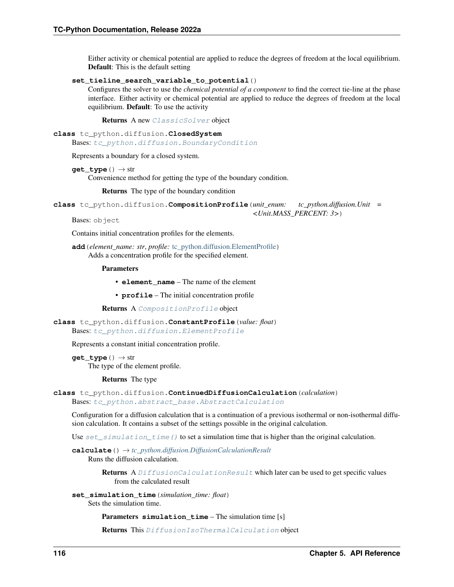Either activity or chemical potential are applied to reduce the degrees of freedom at the local equilibrium. Default: This is the default setting

## **set\_tieline\_search\_variable\_to\_potential**()

Configures the solver to use the *chemical potential of a component* to find the correct tie-line at the phase interface. Either activity or chemical potential are applied to reduce the degrees of freedom at the local equilibrium. Default: To use the activity

Returns A new [ClassicSolver](#page-118-0) object

```
class tc_python.diffusion.ClosedSystem
```
Bases: [tc\\_python.diffusion.BoundaryCondition](#page-116-0)

Represents a boundary for a closed system.

```
get_type() → str
```
Convenience method for getting the type of the boundary condition.

Returns The type of the boundary condition

```
class tc_python.diffusion.CompositionProfile(unit_enum: tc_python.diffusion.Unit =
                                              <Unit.MASS_PERCENT: 3>)
```
Bases: object

Contains initial concentration profiles for the elements.

**add**(*element\_name: str*, *profile:* [tc\\_python.diffusion.ElementProfile](#page-136-0)) Adds a concentration profile for the specified element.

#### **Parameters**

- **element\_name** The name of the element
- **profile** The initial concentration profile

Returns A [CompositionProfile](#page-119-1) object

<span id="page-119-4"></span>**class** tc\_python.diffusion.**ConstantProfile**(*value: float*)

Bases: [tc\\_python.diffusion.ElementProfile](#page-136-0)

Represents a constant initial concentration profile.

**get\_type**() → str The type of the element profile.

Returns The type

```
class tc_python.diffusion.ContinuedDiffusionCalculation(calculation)
Bases: tc_python.abstract_base.AbstractCalculation
```
Configuration for a diffusion calculation that is a continuation of a previous isothermal or non-isothermal diffusion calculation. It contains a subset of the settings possible in the original calculation.

Use  $set\_simulation\_time$  () to set a simulation time that is higher than the original calculation.

**calculate**() → *[tc\\_python.diffusion.DiffusionCalculationResult](#page-121-0)* Runs the diffusion calculation.

> Returns A [DiffusionCalculationResult](#page-121-0) which later can be used to get specific values from the calculated result

<span id="page-119-2"></span>**set\_simulation\_time**(*simulation\_time: float*) Sets the simulation time.

Parameters **simulation\_time** – The simulation time [s]

Returns This [DiffusionIsoThermalCalculation](#page-126-0) object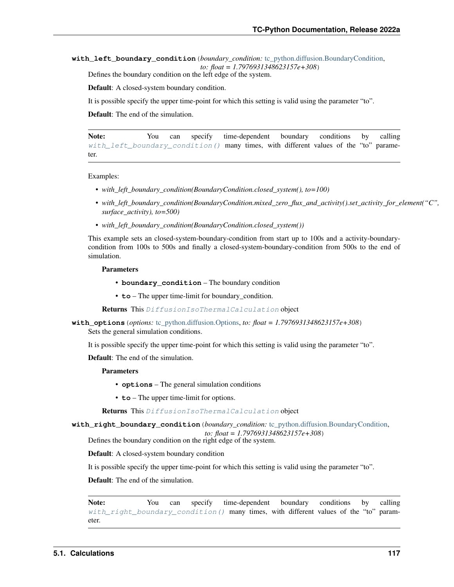<span id="page-120-0"></span>**with\_left\_boundary\_condition**(*boundary\_condition:* [tc\\_python.diffusion.BoundaryCondition,](#page-116-0) *to: float = 1.7976931348623157e+308*)

Defines the boundary condition on the left edge of the system.

Default: A closed-system boundary condition.

It is possible specify the upper time-point for which this setting is valid using the parameter "to".

Default: The end of the simulation.

Note: You can specify time-dependent boundary conditions by calling [with\\_left\\_boundary\\_condition\(\)](#page-120-0) many times, with different values of the "to" parameter.

#### Examples:

- with left boundary condition(BoundaryCondition.closed system(), to=100)
- *with\_left\_boundary\_condition(BoundaryCondition.mixed\_zero\_flux\_and\_activity().set\_activity\_for\_element("C", surface\_activity), to=500)*
- with left boundary condition(BoundaryCondition.closed system())

This example sets an closed-system-boundary-condition from start up to 100s and a activity-boundarycondition from 100s to 500s and finally a closed-system-boundary-condition from 500s to the end of simulation.

#### Parameters

- **boundary\_condition** The boundary condition
- **to** The upper time-limit for boundary\_condition.

Returns This [DiffusionIsoThermalCalculation](#page-126-0) object

**with\_options**(*options:* [tc\\_python.diffusion.Options,](#page-147-0) *to: float = 1.7976931348623157e+308*) Sets the general simulation conditions.

It is possible specify the upper time-point for which this setting is valid using the parameter "to".

Default: The end of the simulation.

## Parameters

- **options** The general simulation conditions
- **to** The upper time-limit for options.

Returns This [DiffusionIsoThermalCalculation](#page-126-0) object

<span id="page-120-1"></span>**with\_right\_boundary\_condition**(*boundary\_condition:* [tc\\_python.diffusion.BoundaryCondition,](#page-116-0)

*to: float = 1.7976931348623157e+308*)

Defines the boundary condition on the right edge of the system.

Default: A closed-system boundary condition

It is possible specify the upper time-point for which this setting is valid using the parameter "to".

Default: The end of the simulation.

Note: You can specify time-dependent boundary conditions by calling [with\\_right\\_boundary\\_condition\(\)](#page-120-1) many times, with different values of the "to" parameter.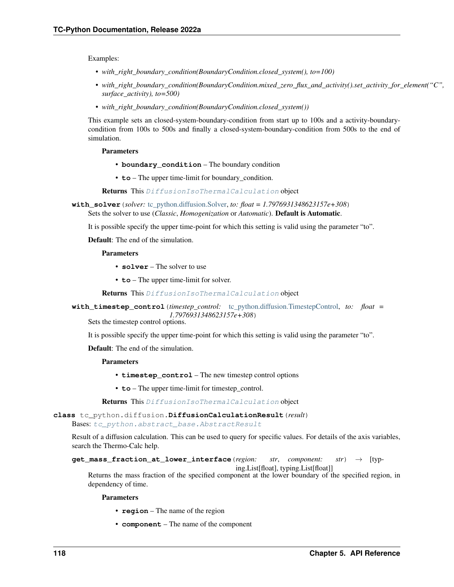Examples:

- *with\_right\_boundary\_condition(BoundaryCondition.closed\_system(), to=100)*
- *with\_right\_boundary\_condition(BoundaryCondition.mixed\_zero\_flux\_and\_activity().set\_activity\_for\_element("C", surface\_activity), to=500)*
- with right boundary condition(BoundaryCondition.closed system())

This example sets an closed-system-boundary-condition from start up to 100s and a activity-boundarycondition from 100s to 500s and finally a closed-system-boundary-condition from 500s to the end of simulation.

#### Parameters

- **boundary\_condition** The boundary condition
- **to** The upper time-limit for boundary condition.

Returns This [DiffusionIsoThermalCalculation](#page-126-0) object

**with\_solver**(*solver:* [tc\\_python.diffusion.Solver,](#page-151-0) *to: float = 1.7976931348623157e+308*) Sets the solver to use (*Classic*, *Homogenization* or *Automatic*). Default is Automatic.

It is possible specify the upper time-point for which this setting is valid using the parameter "to".

Default: The end of the simulation.

# **Parameters**

- **solver** The solver to use
- **to** The upper time-limit for solver.

Returns This [DiffusionIsoThermalCalculation](#page-126-0) object

**with\_timestep\_control**(*timestep\_control:* [tc\\_python.diffusion.TimestepControl,](#page-152-0) *to: float = 1.7976931348623157e+308*)

Sets the timestep control options.

It is possible specify the upper time-point for which this setting is valid using the parameter "to".

Default: The end of the simulation.

#### Parameters

- **timestep\_control** The new timestep control options
- **to** The upper time-limit for timestep control.

Returns This [DiffusionIsoThermalCalculation](#page-126-0) object

<span id="page-121-0"></span>**class** tc\_python.diffusion.**DiffusionCalculationResult**(*result*)

Bases: [tc\\_python.abstract\\_base.AbstractResult](#page-230-0)

Result of a diffusion calculation. This can be used to query for specific values. For details of the axis variables, search the Thermo-Calc help.

**get\_mass\_fraction\_at\_lower\_interface**(*region: str*, *component: str*) → [typing.List[float], typing.List[float]]

Returns the mass fraction of the specified component at the lower boundary of the specified region, in dependency of time.

Parameters

- **region** The name of the region
- **component** The name of the component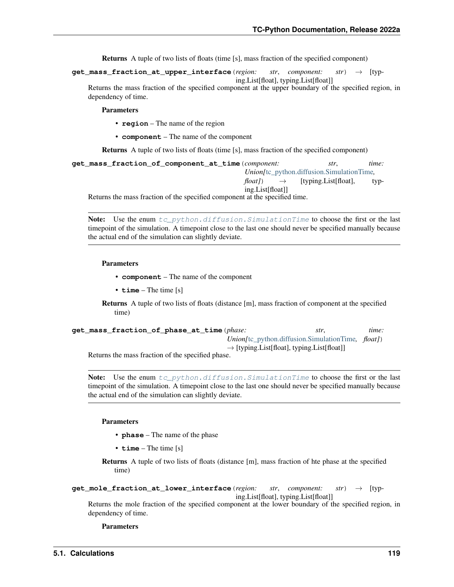Returns A tuple of two lists of floats (time [s], mass fraction of the specified component)

**get\_mass\_fraction\_at\_upper\_interface**(*region: str*, *component: str*) → [typ-

ing.List[float], typing.List[float]] Returns the mass fraction of the specified component at the upper boundary of the specified region, in dependency of time.

## Parameters

- **region** The name of the region
- **component** The name of the component

Returns A tuple of two lists of floats (time [s], mass fraction of the specified component)

| get mass fraction of component at time (component:                         | str.                                              | time: |  |  |
|----------------------------------------------------------------------------|---------------------------------------------------|-------|--|--|
|                                                                            | <i>Union</i> /tc_python.diffusion.SimulationTime, |       |  |  |
| $\text{float}}() \rightarrow$ [typing.List[float],                         |                                                   | typ-  |  |  |
| ing.List[float]]                                                           |                                                   |       |  |  |
| Deturns the mess frostion of the specified component of the specified time |                                                   |       |  |  |

Returns the mass fraction of the specified component at the specified time.

Note: Use the enum  $tc\_python.diffusion.SimulationTime$  to choose the first or the last timepoint of the simulation. A timepoint close to the last one should never be specified manually because the actual end of the simulation can slightly deviate.

## Parameters

- **component** The name of the component
- **time** The time [s]

Returns A tuple of two lists of floats (distance [m], mass fraction of component at the specified time)

| get_mass_fraction_of_phase_at_time(phase:                         |                                                                   | str. | time: |
|-------------------------------------------------------------------|-------------------------------------------------------------------|------|-------|
|                                                                   | <i>Union</i> [tc_python.diffusion.SimulationTime, <i>float</i> ]) |      |       |
| Determined in a contract function of the contract field in leaves | $\rightarrow$ [typing.List[float], typing.List[float]]            |      |       |

Returns the mass fraction of the specified phase.

**Note:** Use the enum  $tc\_python.diffusion.SimulationTime$  to choose the first or the last timepoint of the simulation. A timepoint close to the last one should never be specified manually because the actual end of the simulation can slightly deviate.

Parameters

- **phase** The name of the phase
- **time** The time [s]

Returns A tuple of two lists of floats (distance [m], mass fraction of hte phase at the specified time)

```
get_mole_fraction_at_lower_interface(region: str, component: str) → [typ-
                                        ing.List[float], typing.List[float]]
```
Returns the mole fraction of the specified component at the lower boundary of the specified region, in dependency of time.

Parameters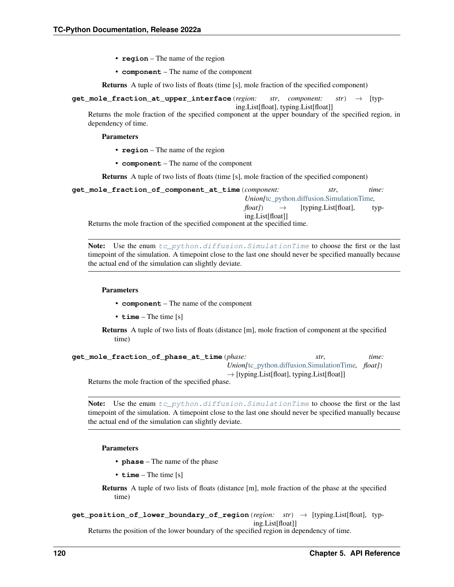- **region** The name of the region
- **component** The name of the component

Returns A tuple of two lists of floats (time [s], mole fraction of the specified component)

**get\_mole\_fraction\_at\_upper\_interface**(*region: str*, *component: str*) → [typ-

ing.List[float], typing.List[float]]

Returns the mole fraction of the specified component at the upper boundary of the specified region, in dependency of time.

#### Parameters

- **region** The name of the region
- **component** The name of the component

Returns A tuple of two lists of floats (time [s], mole fraction of the specified component)

| get mole fraction of component at time (component:                          | str.                                               | time: |  |
|-----------------------------------------------------------------------------|----------------------------------------------------|-------|--|
|                                                                             | <i>Union</i> /tc_python.diffusion.SimulationTime,  |       |  |
|                                                                             | $\text{float}}() \rightarrow$ [typing.List[float], | typ-  |  |
| ing.List[float]]                                                            |                                                    |       |  |
| Returns the mole fraction of the specified component at the specified time. |                                                    |       |  |

**Note:** Use the enum  $tc\_python$ .diffusion. SimulationTime to choose the first or the last timepoint of the simulation. A timepoint close to the last one should never be specified manually because the actual end of the simulation can slightly deviate.

#### Parameters

- **component** The name of the component
- **time** The time [s]
- Returns A tuple of two lists of floats (distance [m], mole fraction of component at the specified time)

| get_mole_fraction_of_phase_at_time(phase:        | str.                                                              | time: |
|--------------------------------------------------|-------------------------------------------------------------------|-------|
|                                                  | <i>Union</i> [tc_python.diffusion.SimulationTime, <i>float</i> ]) |       |
|                                                  | $\rightarrow$ [typing.List[float], typing.List[float]]            |       |
| Returns the mole fraction of the specified phase |                                                                   |       |

ins the mole fraction of the specified phase.

Note: Use the enum tc\_python.diffusion. SimulationTime to choose the first or the last timepoint of the simulation. A timepoint close to the last one should never be specified manually because the actual end of the simulation can slightly deviate.

#### Parameters

- **phase** The name of the phase
- **time** The time [s]
- Returns A tuple of two lists of floats (distance [m], mole fraction of the phase at the specified time)
- **get\_position\_of\_lower\_boundary\_of\_region**(*region: str*) → [typing.List[float], typing.List[float]]

Returns the position of the lower boundary of the specified region in dependency of time.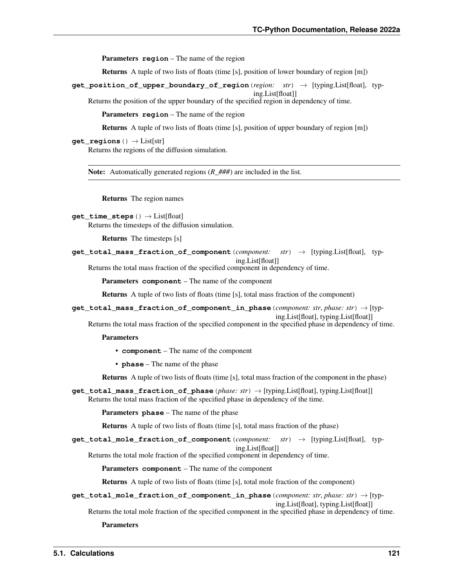Parameters **region** – The name of the region

Returns A tuple of two lists of floats (time [s], position of lower boundary of region [m])

**get\_position\_of\_upper\_boundary\_of\_region**(*region: str*) → [typing.List[float], typ-

ing.List[float]] Returns the position of the upper boundary of the specified region in dependency of time.

Parameters **region** – The name of the region

Returns A tuple of two lists of floats (time [s], position of upper boundary of region [m])

#### **get\_regions**() → List[str]

Returns the regions of the diffusion simulation.

Note: Automatically generated regions ( $R$  ###) are included in the list.

Returns The region names

```
get_time_steps() → List[float]
```
Returns the timesteps of the diffusion simulation.

Returns The timesteps [s]

**get\_total\_mass\_fraction\_of\_component**(*component: str*) → [typing.List[float], typing.List[float]]

Returns the total mass fraction of the specified component in dependency of time.

Parameters **component** – The name of the component

Returns A tuple of two lists of floats (time [s], total mass fraction of the component)

**get\_total\_mass\_fraction\_of\_component\_in\_phase**(*component: str*, *phase: str*) → [typ-

ing.List[float], typing.List[float]]

Returns the total mass fraction of the specified component in the specified phase in dependency of time.

#### Parameters

- **component** The name of the component
- **phase** The name of the phase

Returns A tuple of two lists of floats (time [s], total mass fraction of the component in the phase)

**get\_total\_mass\_fraction\_of\_phase**(*phase: str*) → [typing.List[float], typing.List[float]] Returns the total mass fraction of the specified phase in dependency of the time.

Parameters **phase** – The name of the phase

Returns A tuple of two lists of floats (time [s], total mass fraction of the phase)

**get\_total\_mole\_fraction\_of\_component**(*component: str*) → [typing.List[float], typ-

ing.List[float]]

Returns the total mole fraction of the specified component in dependency of time.

Parameters **component** – The name of the component

Returns A tuple of two lists of floats (time [s], total mole fraction of the component)

**get\_total\_mole\_fraction\_of\_component\_in\_phase**(*component: str*, *phase: str*) → [typing.List[float], typing.List[float]]

Returns the total mole fraction of the specified component in the specified phase in dependency of time.

Parameters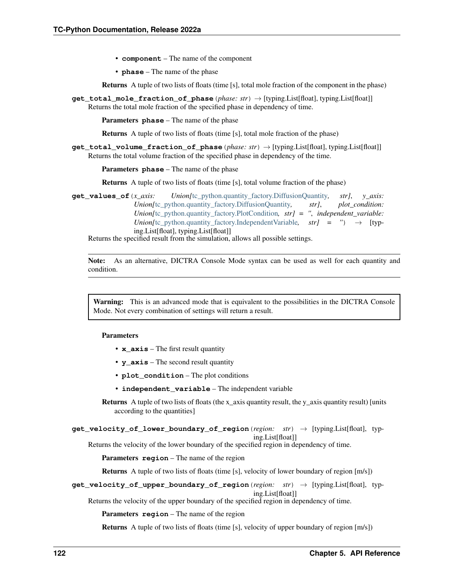- **component** The name of the component
- **phase** The name of the phase

Returns A tuple of two lists of floats (time [s], total mole fraction of the component in the phase)

**get\_total\_mole\_fraction\_of\_phase**(*phase: str*) → [typing.List[float], typing.List[float]] Returns the total mole fraction of the specified phase in dependency of time.

Parameters **phase** – The name of the phase

Returns A tuple of two lists of floats (time [s], total mole fraction of the phase)

**get\_total\_volume\_fraction\_of\_phase**(*phase: str*) → [typing.List[float], typing.List[float]] Returns the total volume fraction of the specified phase in dependency of the time.

Parameters **phase** – The name of the phase

Returns A tuple of two lists of floats (time [s], total volume fraction of the phase)

**get\_values\_of**(*x\_axis: Union[*[tc\\_python.quantity\\_factory.DiffusionQuantity](#page-198-0)*, str]*, *y\_axis: Union[*[tc\\_python.quantity\\_factory.DiffusionQuantity](#page-198-0)*, str]*, *plot\_condition: Union*[[tc\\_python.quantity\\_factory.PlotCondition](#page-203-0),\_str] =  $''$ , *independent\_variable: Union*[[tc\\_python.quantity\\_factory.IndependentVariable](#page-203-1),  $str$ ] = ")  $\rightarrow$  [typing.List[float], typing.List[float]]

Returns the specified result from the simulation, allows all possible settings.

Note: As an alternative, DICTRA Console Mode syntax can be used as well for each quantity and condition.

Warning: This is an advanced mode that is equivalent to the possibilities in the DICTRA Console Mode. Not every combination of settings will return a result.

#### Parameters

- **x\_axis** The first result quantity
- **y\_axis** The second result quantity
- **plot\_condition** The plot conditions
- **independent\_variable** The independent variable

Returns A tuple of two lists of floats (the x\_axis quantity result, the y\_axis quantity result) [units according to the quantities]

**get\_velocity\_of\_lower\_boundary\_of\_region**(*region: str*) → [typing.List[float], typing.List[float]]

Returns the velocity of the lower boundary of the specified region in dependency of time.

Parameters **region** – The name of the region

Returns A tuple of two lists of floats (time [s], velocity of lower boundary of region [m/s])

**get\_velocity\_of\_upper\_boundary\_of\_region**(*region: str*) → [typing.List[float], typing.List[float]]

Returns the velocity of the upper boundary of the specified region in dependency of time.

Parameters **region** – The name of the region

Returns A tuple of two lists of floats (time [s], velocity of upper boundary of region [m/s])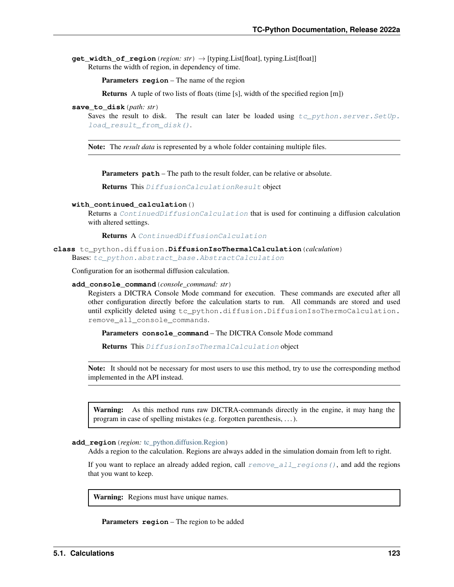**get width of region** (*region: str*)  $\rightarrow$  [typing.List[float], typing.List[float]] Returns the width of region, in dependency of time.

Parameters **region** – The name of the region

Returns A tuple of two lists of floats (time [s], width of the specified region [m])

**save\_to\_disk**(*path: str*)

Saves the result to disk. The result can later be loaded using  $tc\_python.server.SetUp$ . load result from disk().

Note: The *result data* is represented by a whole folder containing multiple files.

**Parameters**  $path$  – The path to the result folder, can be relative or absolute.

Returns This [DiffusionCalculationResult](#page-121-0) object

## **with\_continued\_calculation**()

Returns a [ContinuedDiffusionCalculation](#page-119-3) that is used for continuing a diffusion calculation with altered settings.

Returns A [ContinuedDiffusionCalculation](#page-119-3)

<span id="page-126-0"></span>**class** tc\_python.diffusion.**DiffusionIsoThermalCalculation**(*calculation*) Bases: [tc\\_python.abstract\\_base.AbstractCalculation](#page-230-1)

Configuration for an isothermal diffusion calculation.

#### **add\_console\_command**(*console\_command: str*)

Registers a DICTRA Console Mode command for execution. These commands are executed after all other configuration directly before the calculation starts to run. All commands are stored and used until explicitly deleted using tc\_python.diffusion.DiffusionIsoThermoCalculation. remove\_all\_console\_commands.

Parameters **console\_command** – The DICTRA Console Mode command

Returns This [DiffusionIsoThermalCalculation](#page-126-0) object

Note: It should not be necessary for most users to use this method, try to use the corresponding method implemented in the API instead.

Warning: As this method runs raw DICTRA-commands directly in the engine, it may hang the program in case of spelling mistakes (e.g. forgotten parenthesis, . . . ).

#### **add\_region**(*region:* [tc\\_python.diffusion.Region](#page-148-1))

Adds a region to the calculation. Regions are always added in the simulation domain from left to right.

If you want to replace an already added region, call  $remove\_all\_regions($ ), and add the regions that you want to keep.

Warning: Regions must have unique names.

Parameters **region** – The region to be added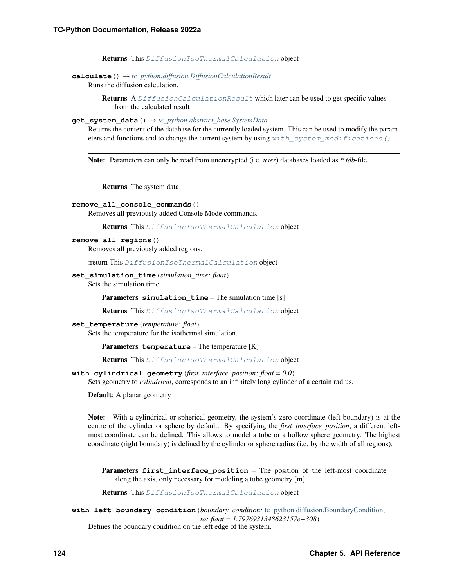Returns This [DiffusionIsoThermalCalculation](#page-126-0) object

# **calculate**() → *[tc\\_python.diffusion.DiffusionCalculationResult](#page-121-0)*

Runs the diffusion calculation.

Returns A [DiffusionCalculationResult](#page-121-0) which later can be used to get specific values from the calculated result

# **get\_system\_data**() → *[tc\\_python.abstract\\_base.SystemData](#page-232-0)*

Returns the content of the database for the currently loaded system. This can be used to modify the parameters and functions and to change the current system by using  $with\_system\_modifications()$ .

Note: Parameters can only be read from unencrypted (i.e. *user*) databases loaded as *\*.tdb*-file.

Returns The system data

#### **remove\_all\_console\_commands**()

Removes all previously added Console Mode commands.

Returns This [DiffusionIsoThermalCalculation](#page-126-0) object

## <span id="page-127-0"></span>**remove\_all\_regions**()

Removes all previously added regions.

:return This [DiffusionIsoThermalCalculation](#page-126-0) object

**set\_simulation\_time**(*simulation\_time: float*)

Sets the simulation time.

Parameters **simulation\_time** – The simulation time [s]

Returns This [DiffusionIsoThermalCalculation](#page-126-0) object

**set\_temperature**(*temperature: float*)

Sets the temperature for the isothermal simulation.

Parameters **temperature** – The temperature [K]

Returns This [DiffusionIsoThermalCalculation](#page-126-0) object

**with\_cylindrical\_geometry**(*first\_interface\_position: float = 0.0*)

Sets geometry to *cylindrical*, corresponds to an infinitely long cylinder of a certain radius.

Default: A planar geometry

Note: With a cylindrical or spherical geometry, the system's zero coordinate (left boundary) is at the centre of the cylinder or sphere by default. By specifying the *first\_interface\_position*, a different leftmost coordinate can be defined. This allows to model a tube or a hollow sphere geometry. The highest coordinate (right boundary) is defined by the cylinder or sphere radius (i.e. by the width of all regions).

**Parameters first\_interface\_position** – The position of the left-most coordinate along the axis, only necessary for modeling a tube geometry [m]

Returns This [DiffusionIsoThermalCalculation](#page-126-0) object

<span id="page-127-1"></span>**with\_left\_boundary\_condition**(*boundary\_condition:* [tc\\_python.diffusion.BoundaryCondition,](#page-116-0) *to: float = 1.7976931348623157e+308*) Defines the boundary condition on the left edge of the system.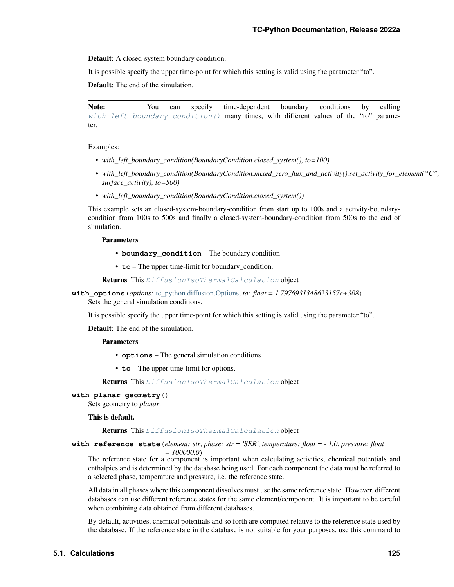Default: A closed-system boundary condition.

It is possible specify the upper time-point for which this setting is valid using the parameter "to".

Default: The end of the simulation.

Note: You can specify time-dependent boundary conditions by calling [with\\_left\\_boundary\\_condition\(\)](#page-127-1) many times, with different values of the "to" parameter.

Examples:

- *with\_left\_boundary\_condition(BoundaryCondition.closed\_system(), to=100)*
- *with\_left\_boundary\_condition(BoundaryCondition.mixed\_zero\_flux\_and\_activity().set\_activity\_for\_element("C", surface\_activity), to=500)*
- *with\_left\_boundary\_condition(BoundaryCondition.closed\_system())*

This example sets an closed-system-boundary-condition from start up to 100s and a activity-boundarycondition from 100s to 500s and finally a closed-system-boundary-condition from 500s to the end of simulation.

Parameters

- **boundary\_condition** The boundary condition
- **to** The upper time-limit for boundary\_condition.

Returns This [DiffusionIsoThermalCalculation](#page-126-0) object

**with\_options**(*options:* [tc\\_python.diffusion.Options,](#page-147-0) *to: float = 1.7976931348623157e+308*) Sets the general simulation conditions.

It is possible specify the upper time-point for which this setting is valid using the parameter "to".

Default: The end of the simulation.

# Parameters

- **options** The general simulation conditions
- **to** The upper time-limit for options.

Returns This [DiffusionIsoThermalCalculation](#page-126-0) object

# **with\_planar\_geometry**()

Sets geometry to *planar*.

# This is default.

Returns This [DiffusionIsoThermalCalculation](#page-126-0) object

**with\_reference\_state**(*element: str*, *phase: str = 'SER'*, *temperature: float = - 1.0*, *pressure: float*

*= 100000.0*)

The reference state for a component is important when calculating activities, chemical potentials and enthalpies and is determined by the database being used. For each component the data must be referred to a selected phase, temperature and pressure, i.e. the reference state.

All data in all phases where this component dissolves must use the same reference state. However, different databases can use different reference states for the same element/component. It is important to be careful when combining data obtained from different databases.

By default, activities, chemical potentials and so forth are computed relative to the reference state used by the database. If the reference state in the database is not suitable for your purposes, use this command to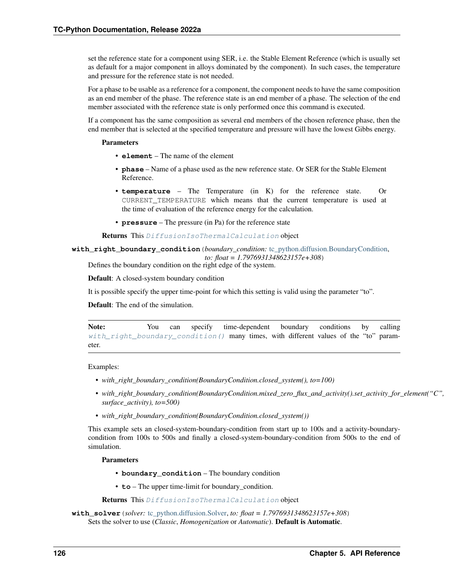set the reference state for a component using SER, i.e. the Stable Element Reference (which is usually set as default for a major component in alloys dominated by the component). In such cases, the temperature and pressure for the reference state is not needed.

For a phase to be usable as a reference for a component, the component needs to have the same composition as an end member of the phase. The reference state is an end member of a phase. The selection of the end member associated with the reference state is only performed once this command is executed.

If a component has the same composition as several end members of the chosen reference phase, then the end member that is selected at the specified temperature and pressure will have the lowest Gibbs energy.

# Parameters

- **element** The name of the element
- **phase** Name of a phase used as the new reference state. Or SER for the Stable Element Reference.
- **temperature** The Temperature (in K) for the reference state. Or CURRENT\_TEMPERATURE which means that the current temperature is used at the time of evaluation of the reference energy for the calculation.
- **pressure** The pressure (in Pa) for the reference state

Returns This [DiffusionIsoThermalCalculation](#page-126-0) object

<span id="page-129-0"></span>**with\_right\_boundary\_condition**(*boundary\_condition:* [tc\\_python.diffusion.BoundaryCondition,](#page-116-0) *to: float = 1.7976931348623157e+308*)

Defines the boundary condition on the right edge of the system.

Default: A closed-system boundary condition

It is possible specify the upper time-point for which this setting is valid using the parameter "to".

Default: The end of the simulation.

Note: You can specify time-dependent boundary conditions by calling with right boundary condition() many times, with different values of the "to" parameter.

Examples:

- *with\_right\_boundary\_condition(BoundaryCondition.closed\_system(), to=100)*
- *with\_right\_boundary\_condition(BoundaryCondition.mixed\_zero\_flux\_and\_activity().set\_activity\_for\_element("C", surface\_activity), to=500)*
- *with\_right\_boundary\_condition(BoundaryCondition.closed\_system())*

This example sets an closed-system-boundary-condition from start up to 100s and a activity-boundarycondition from 100s to 500s and finally a closed-system-boundary-condition from 500s to the end of simulation.

# Parameters

- **boundary\_condition** The boundary condition
- **to** The upper time-limit for boundary condition.

Returns This [DiffusionIsoThermalCalculation](#page-126-0) object

**with\_solver**(*solver:* [tc\\_python.diffusion.Solver,](#page-151-0) *to: float = 1.7976931348623157e+308*) Sets the solver to use (*Classic*, *Homogenization* or *Automatic*). Default is Automatic.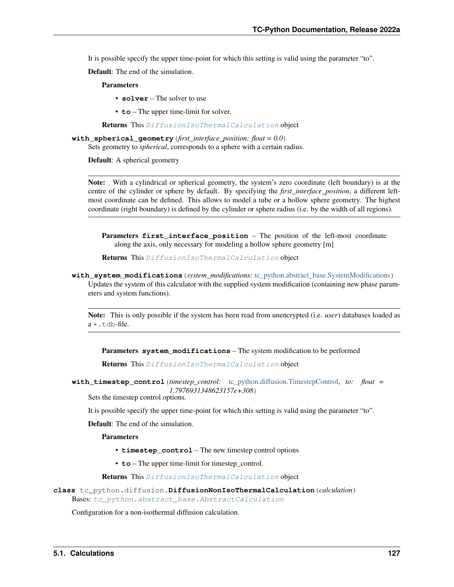It is possible specify the upper time-point for which this setting is valid using the parameter "to".

Default: The end of the simulation.

# Parameters

- **solver** The solver to use
- **to** The upper time-limit for solver.

Returns This [DiffusionIsoThermalCalculation](#page-126-0) object

**with\_spherical\_geometry**(*first\_interface\_position: float = 0.0*)

Sets geometry to *spherical*, corresponds to a sphere with a certain radius.

Default: A spherical geometry

Note: With a cylindrical or spherical geometry, the system's zero coordinate (left boundary) is at the centre of the cylinder or sphere by default. By specifying the *first\_interface\_position*, a different leftmost coordinate can be defined. This allows to model a tube or a hollow sphere geometry. The highest coordinate (right boundary) is defined by the cylinder or sphere radius (i.e. by the width of all regions).

Parameters **first\_interface\_position** – The position of the left-most coordinate along the axis, only necessary for modeling a hollow sphere geometry [m]

Returns This [DiffusionIsoThermalCalculation](#page-126-0) object

<span id="page-130-0"></span>**with\_system\_modifications**(*system\_modifications:* [tc\\_python.abstract\\_base.SystemModifications](#page-234-0)) Updates the system of this calculator with the supplied system modification (containing new phase parameters and system functions).

Note: This is only possible if the system has been read from unencrypted (i.e. *user*) databases loaded as  $a \star$ . t.db-file.

Parameters **system\_modifications** – The system modification to be performed

Returns This [DiffusionIsoThermalCalculation](#page-126-0) object

**with\_timestep\_control**(*timestep\_control:* [tc\\_python.diffusion.TimestepControl,](#page-152-0) *to: float = 1.7976931348623157e+308*)

Sets the timestep control options.

It is possible specify the upper time-point for which this setting is valid using the parameter "to".

Default: The end of the simulation.

**Parameters** 

- **timestep\_control** The new timestep control options
- **to** The upper time-limit for timestep\_control.

Returns This [DiffusionIsoThermalCalculation](#page-126-0) object

<span id="page-130-1"></span>**class** tc\_python.diffusion.**DiffusionNonIsoThermalCalculation**(*calculation*) Bases: [tc\\_python.abstract\\_base.AbstractCalculation](#page-230-1)

Configuration for a non-isothermal diffusion calculation.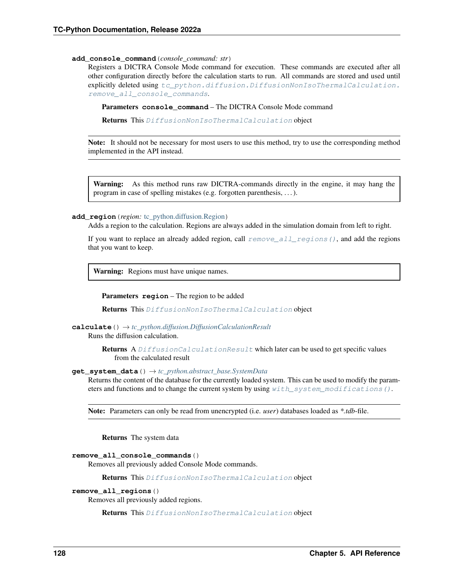#### **add\_console\_command**(*console\_command: str*)

Registers a DICTRA Console Mode command for execution. These commands are executed after all other configuration directly before the calculation starts to run. All commands are stored and used until explicitly deleted using [tc\\_python.diffusion.DiffusionNonIsoThermalCalculation.](#page-131-0) remove all console commands.

Parameters **console\_command** – The DICTRA Console Mode command

Returns This [DiffusionNonIsoThermalCalculation](#page-130-1) object

Note: It should not be necessary for most users to use this method, try to use the corresponding method implemented in the API instead.

Warning: As this method runs raw DICTRA-commands directly in the engine, it may hang the program in case of spelling mistakes (e.g. forgotten parenthesis, . . . ).

#### **add\_region**(*region:* [tc\\_python.diffusion.Region](#page-148-1))

Adds a region to the calculation. Regions are always added in the simulation domain from left to right.

If you want to replace an already added region, call  $remove\_all\_regions($ ), and add the regions that you want to keep.

Warning: Regions must have unique names.

**Parameters region** – The region to be added

Returns This [DiffusionNonIsoThermalCalculation](#page-130-1) object

# **calculate**() → *[tc\\_python.diffusion.DiffusionCalculationResult](#page-121-0)*

Runs the diffusion calculation.

Returns A [DiffusionCalculationResult](#page-121-0) which later can be used to get specific values from the calculated result

# **get\_system\_data**() → *[tc\\_python.abstract\\_base.SystemData](#page-232-0)*

Returns the content of the database for the currently loaded system. This can be used to modify the parameters and functions and to change the current system by using  $with$  system modifications().

Note: Parameters can only be read from unencrypted (i.e. *user*) databases loaded as *\*.tdb*-file.

Returns The system data

```
remove_all_console_commands()
```
Removes all previously added Console Mode commands.

Returns This [DiffusionNonIsoThermalCalculation](#page-130-1) object

## <span id="page-131-1"></span>**remove\_all\_regions**()

Removes all previously added regions.

Returns This [DiffusionNonIsoThermalCalculation](#page-130-1) object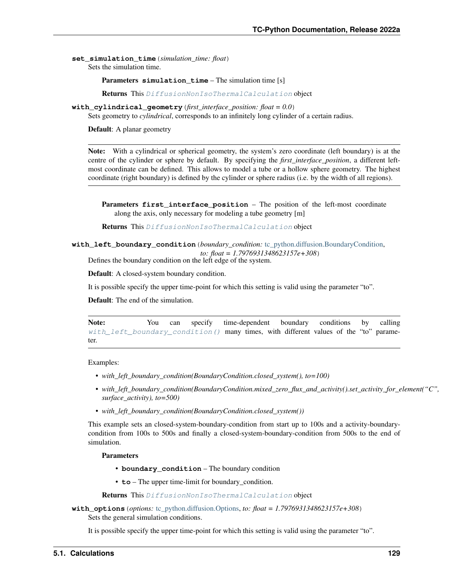**set\_simulation\_time**(*simulation\_time: float*) Sets the simulation time.

Parameters **simulation\_time** – The simulation time [s]

Returns This [DiffusionNonIsoThermalCalculation](#page-130-1) object

**with** cylindrical qeometry (*first interface position: float =*  $0.0$ ) Sets geometry to *cylindrical*, corresponds to an infinitely long cylinder of a certain radius.

Default: A planar geometry

Note: With a cylindrical or spherical geometry, the system's zero coordinate (left boundary) is at the centre of the cylinder or sphere by default. By specifying the *first\_interface\_position*, a different leftmost coordinate can be defined. This allows to model a tube or a hollow sphere geometry. The highest coordinate (right boundary) is defined by the cylinder or sphere radius (i.e. by the width of all regions).

**Parameters first\_interface\_position** – The position of the left-most coordinate along the axis, only necessary for modeling a tube geometry [m]

Returns This [DiffusionNonIsoThermalCalculation](#page-130-1) object

<span id="page-132-0"></span>**with\_left\_boundary\_condition**(*boundary\_condition:* [tc\\_python.diffusion.BoundaryCondition,](#page-116-0) *to: float = 1.7976931348623157e+308*)

Defines the boundary condition on the left edge of the system.

Default: A closed-system boundary condition.

It is possible specify the upper time-point for which this setting is valid using the parameter "to".

Default: The end of the simulation.

Note: You can specify time-dependent boundary conditions by calling [with\\_left\\_boundary\\_condition\(\)](#page-132-0) many times, with different values of the "to" parameter.

Examples:

- *with\_left\_boundary\_condition(BoundaryCondition.closed\_system(), to=100)*
- with left boundary condition(BoundaryCondition.mixed zero flux and activity().set activity for element("C", *surface\_activity), to=500)*
- *with\_left\_boundary\_condition(BoundaryCondition.closed\_system())*

This example sets an closed-system-boundary-condition from start up to 100s and a activity-boundarycondition from 100s to 500s and finally a closed-system-boundary-condition from 500s to the end of simulation.

#### Parameters

- **boundary\_condition** The boundary condition
- **to** The upper time-limit for boundary\_condition.

Returns This [DiffusionNonIsoThermalCalculation](#page-130-1) object

**with\_options**(*options:* [tc\\_python.diffusion.Options,](#page-147-0) *to: float = 1.7976931348623157e+308*) Sets the general simulation conditions.

It is possible specify the upper time-point for which this setting is valid using the parameter "to".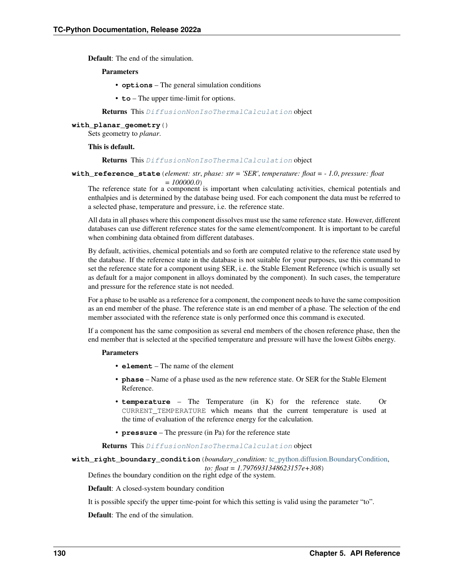Default: The end of the simulation.

## Parameters

- **options** The general simulation conditions
- **to** The upper time-limit for options.

Returns This [DiffusionNonIsoThermalCalculation](#page-130-1) object

#### **with\_planar\_geometry**()

Sets geometry to *planar*.

# This is default.

Returns This [DiffusionNonIsoThermalCalculation](#page-130-1) object

**with\_reference\_state**(*element: str*, *phase: str = 'SER'*, *temperature: float = - 1.0*, *pressure: float*

*= 100000.0*)

The reference state for a component is important when calculating activities, chemical potentials and enthalpies and is determined by the database being used. For each component the data must be referred to a selected phase, temperature and pressure, i.e. the reference state.

All data in all phases where this component dissolves must use the same reference state. However, different databases can use different reference states for the same element/component. It is important to be careful when combining data obtained from different databases.

By default, activities, chemical potentials and so forth are computed relative to the reference state used by the database. If the reference state in the database is not suitable for your purposes, use this command to set the reference state for a component using SER, i.e. the Stable Element Reference (which is usually set as default for a major component in alloys dominated by the component). In such cases, the temperature and pressure for the reference state is not needed.

For a phase to be usable as a reference for a component, the component needs to have the same composition as an end member of the phase. The reference state is an end member of a phase. The selection of the end member associated with the reference state is only performed once this command is executed.

If a component has the same composition as several end members of the chosen reference phase, then the end member that is selected at the specified temperature and pressure will have the lowest Gibbs energy.

# Parameters

- **element** The name of the element
- **phase** Name of a phase used as the new reference state. Or SER for the Stable Element Reference.
- **temperature** The Temperature (in K) for the reference state. Or CURRENT\_TEMPERATURE which means that the current temperature is used at the time of evaluation of the reference energy for the calculation.
- **pressure** The pressure (in Pa) for the reference state

Returns This [DiffusionNonIsoThermalCalculation](#page-130-1) object

<span id="page-133-0"></span>**with\_right\_boundary\_condition**(*boundary\_condition:* [tc\\_python.diffusion.BoundaryCondition,](#page-116-0)

*to: float = 1.7976931348623157e+308*)

Defines the boundary condition on the right edge of the system.

Default: A closed-system boundary condition

It is possible specify the upper time-point for which this setting is valid using the parameter "to".

Default: The end of the simulation.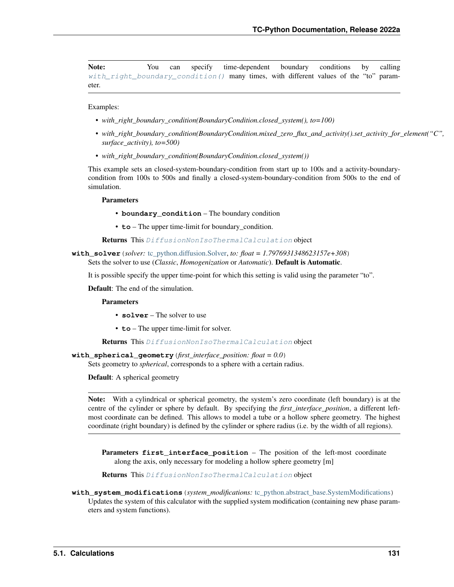Note: You can specify time-dependent boundary conditions by calling [with\\_right\\_boundary\\_condition\(\)](#page-133-0) many times, with different values of the "to" parameter.

Examples:

- *with\_right\_boundary\_condition(BoundaryCondition.closed\_system(), to=100)*
- *with\_right\_boundary\_condition(BoundaryCondition.mixed\_zero\_flux\_and\_activity().set\_activity\_for\_element("C", surface\_activity), to=500)*
- *with\_right\_boundary\_condition(BoundaryCondition.closed\_system())*

This example sets an closed-system-boundary-condition from start up to 100s and a activity-boundarycondition from 100s to 500s and finally a closed-system-boundary-condition from 500s to the end of simulation.

Parameters

- **boundary\_condition** The boundary condition
- **to** The upper time-limit for boundary condition.

Returns This [DiffusionNonIsoThermalCalculation](#page-130-1) object

**with\_solver**(*solver:* [tc\\_python.diffusion.Solver,](#page-151-0) *to: float = 1.7976931348623157e+308*) Sets the solver to use (*Classic*, *Homogenization* or *Automatic*). Default is Automatic.

It is possible specify the upper time-point for which this setting is valid using the parameter "to".

Default: The end of the simulation.

Parameters

- **solver** The solver to use
- **to** The upper time-limit for solver.

Returns This [DiffusionNonIsoThermalCalculation](#page-130-1) object

**with\_spherical\_geometry**(*first\_interface\_position: float = 0.0*)

Sets geometry to *spherical*, corresponds to a sphere with a certain radius.

Default: A spherical geometry

Note: With a cylindrical or spherical geometry, the system's zero coordinate (left boundary) is at the centre of the cylinder or sphere by default. By specifying the *first\_interface\_position*, a different leftmost coordinate can be defined. This allows to model a tube or a hollow sphere geometry. The highest coordinate (right boundary) is defined by the cylinder or sphere radius (i.e. by the width of all regions).

**Parameters first\_interface\_position** – The position of the left-most coordinate along the axis, only necessary for modeling a hollow sphere geometry [m]

Returns This [DiffusionNonIsoThermalCalculation](#page-130-1) object

<span id="page-134-0"></span>**with\_system\_modifications**(*system\_modifications:* [tc\\_python.abstract\\_base.SystemModifications](#page-234-0)) Updates the system of this calculator with the supplied system modification (containing new phase parameters and system functions).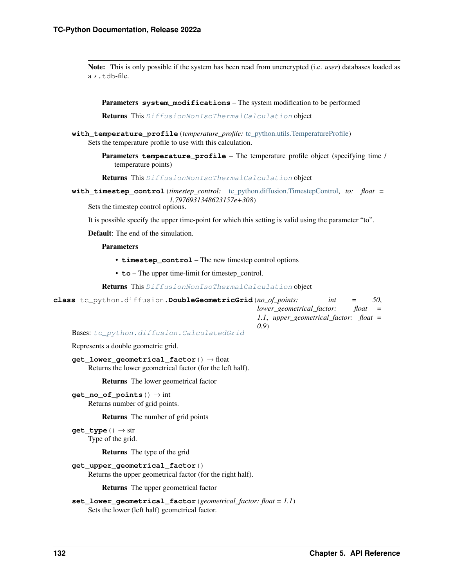Note: This is only possible if the system has been read from unencrypted (i.e. *user*) databases loaded as  $a \star$ .tdb-file.

Parameters **system\_modifications** – The system modification to be performed

Returns This [DiffusionNonIsoThermalCalculation](#page-130-1) object

- **with\_temperature\_profile**(*temperature\_profile:* [tc\\_python.utils.TemperatureProfile](#page-211-1)) Sets the temperature profile to use with this calculation.
	- Parameters **temperature\_profile** The temperature profile object (specifying time / temperature points)

Returns This [DiffusionNonIsoThermalCalculation](#page-130-1) object

**with\_timestep\_control**(*timestep\_control:* [tc\\_python.diffusion.TimestepControl,](#page-152-0) *to: float = 1.7976931348623157e+308*)

Sets the timestep control options.

It is possible specify the upper time-point for which this setting is valid using the parameter "to".

Default: The end of the simulation.

## Parameters

- **timestep\_control** The new timestep control options
- **to** The upper time-limit for timestep\_control.

Returns This [DiffusionNonIsoThermalCalculation](#page-130-1) object

<span id="page-135-0"></span>

| class to python.diffusion.DoubleGeometricGrid(no of points: |                                        | int | $=$       | 50. |
|-------------------------------------------------------------|----------------------------------------|-----|-----------|-----|
|                                                             | lower geometrical factor:              |     | $float =$ |     |
|                                                             | 1.1, upper_geometrical_factor: float = |     |           |     |
| (0.9)                                                       |                                        |     |           |     |

Bases: [tc\\_python.diffusion.CalculatedGrid](#page-117-0)

Represents a double geometric grid.

```
get_lower_geometrical_factor() → float
Returns the lower geometrical factor (for the left half).
```
Returns The lower geometrical factor

**get\_no\_of\_points**() → int Returns number of grid points.

Returns The number of grid points

**get\_type**() → str Type of the grid.

Returns The type of the grid

```
get_upper_geometrical_factor()
```
Returns the upper geometrical factor (for the right half).

Returns The upper geometrical factor

```
set_lower_geometrical_factor(geometrical_factor: float = 1.1)
 Sets the lower (left half) geometrical factor.
```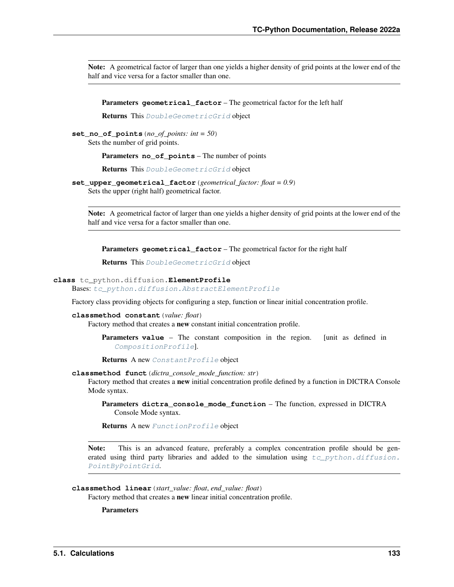Note: A geometrical factor of larger than one yields a higher density of grid points at the lower end of the half and vice versa for a factor smaller than one.

Parameters geometrical\_factor – The geometrical factor for the left half

Returns This [DoubleGeometricGrid](#page-135-0) object

**set\_no\_of\_points**(*no\_of\_points: int = 50*) Sets the number of grid points.

Parameters **no\_of\_points** – The number of points

Returns This [DoubleGeometricGrid](#page-135-0) object

**set\_upper\_geometrical\_factor**(*geometrical\_factor: float = 0.9*) Sets the upper (right half) geometrical factor.

Note: A geometrical factor of larger than one yields a higher density of grid points at the lower end of the half and vice versa for a factor smaller than one.

Parameters geometrical\_factor – The geometrical factor for the right half

Returns This [DoubleGeometricGrid](#page-135-0) object

# <span id="page-136-0"></span>**class** tc\_python.diffusion.**ElementProfile**

Bases: [tc\\_python.diffusion.AbstractElementProfile](#page-115-3)

Factory class providing objects for configuring a step, function or linear initial concentration profile.

# **classmethod constant**(*value: float*)

Factory method that creates a new constant initial concentration profile.

**Parameters value** – The constant composition in the region. [unit as defined in [CompositionProfile](#page-119-1)].

Returns A new [ConstantProfile](#page-119-4) object

#### **classmethod funct**(*dictra\_console\_mode\_function: str*)

Factory method that creates a new initial concentration profile defined by a function in DICTRA Console Mode syntax.

Parameters **dictra\_console\_mode\_function** – The function, expressed in DICTRA Console Mode syntax.

Returns A new [FunctionProfile](#page-138-1) object

Note: This is an advanced feature, preferably a complex concentration profile should be generated using third party libraries and added to the simulation using  $tc\_python.diffusion$ . [PointByPointGrid](#page-148-0).

# **classmethod linear**(*start\_value: float*, *end\_value: float*)

Factory method that creates a new linear initial concentration profile.

**Parameters**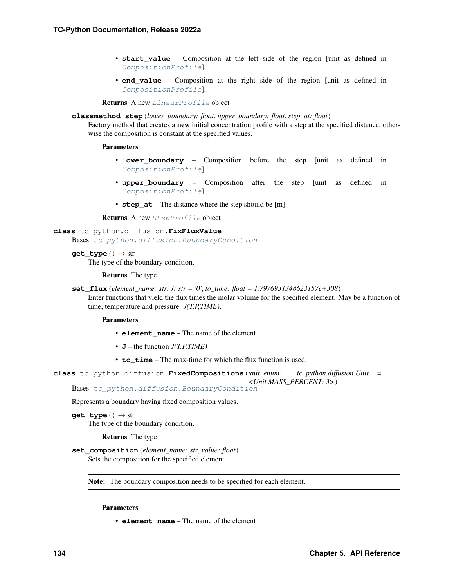- **start value** Composition at the left side of the region [unit as defined in [CompositionProfile](#page-119-1)].
- **end\_value** Composition at the right side of the region [unit as defined in [CompositionProfile](#page-119-1)].

Returns A new [LinearProfile](#page-146-0) object

#### **classmethod step**(*lower\_boundary: float*, *upper\_boundary: float*, *step\_at: float*)

Factory method that creates a new initial concentration profile with a step at the specified distance, otherwise the composition is constant at the specified values.

# Parameters

- **lower\_boundary** Composition before the step [unit as defined in [CompositionProfile](#page-119-1)].
- **upper\_boundary** Composition after the step [unit as defined in [CompositionProfile](#page-119-1)].
- **step\_at** The distance where the step should be [m].

Returns A new [StepProfile](#page-151-2) object

# **class** tc\_python.diffusion.**FixFluxValue**

Bases: [tc\\_python.diffusion.BoundaryCondition](#page-116-0)

```
get_type() → str
```
The type of the boundary condition.

#### Returns The type

**set\_flux**(*element\_name: str*, *J: str = '0'*, *to\_time: float = 1.7976931348623157e+308*)

Enter functions that yield the flux times the molar volume for the specified element. May be a function of time, temperature and pressure: *J(T,P,TIME)*.

#### Parameters

- **element\_name** The name of the element
- **J** the function *J(T,P,TIME)*
- **to** time The max-time for which the flux function is used.

```
class tc_python.diffusion.FixedCompositions(unit_enum: tc_python.diffusion.Unit =
                                             <Unit.MASS_PERCENT: 3>)
```
Bases: [tc\\_python.diffusion.BoundaryCondition](#page-116-0)

Represents a boundary having fixed composition values.

**get\_type**() → str The type of the boundary condition.

# Returns The type

**set\_composition**(*element\_name: str*, *value: float*) Sets the composition for the specified element.

Note: The boundary composition needs to be specified for each element.

# Parameters

• **element\_name** – The name of the element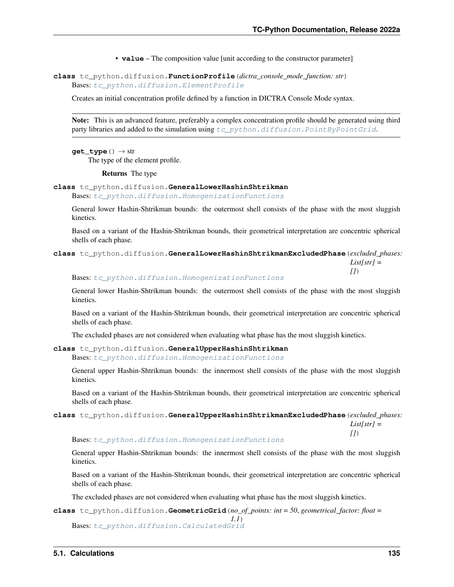• **value** – The composition value [unit according to the constructor parameter]

<span id="page-138-1"></span>**class** tc\_python.diffusion.**FunctionProfile**(*dictra\_console\_mode\_function: str*) Bases: [tc\\_python.diffusion.ElementProfile](#page-136-0)

Creates an initial concentration profile defined by a function in DICTRA Console Mode syntax.

Note: This is an advanced feature, preferably a complex concentration profile should be generated using third party libraries and added to the simulation using  $tc$  python.diffusion.PointByPointGrid.

 $get\_type() \rightarrow str$ 

The type of the element profile.

Returns The type

<span id="page-138-2"></span>**class** tc\_python.diffusion.**GeneralLowerHashinShtrikman**

Bases: [tc\\_python.diffusion.HomogenizationFunctions](#page-140-0)

General lower Hashin-Shtrikman bounds: the outermost shell consists of the phase with the most sluggish kinetics.

Based on a variant of the Hashin-Shtrikman bounds, their geometrical interpretation are concentric spherical shells of each phase.

<span id="page-138-3"></span>**class** tc\_python.diffusion.**GeneralLowerHashinShtrikmanExcludedPhase**(*excluded\_phases: List[str] = []*)

Bases: [tc\\_python.diffusion.HomogenizationFunctions](#page-140-0)

General lower Hashin-Shtrikman bounds: the outermost shell consists of the phase with the most sluggish kinetics.

Based on a variant of the Hashin-Shtrikman bounds, their geometrical interpretation are concentric spherical shells of each phase.

The excluded phases are not considered when evaluating what phase has the most sluggish kinetics.

<span id="page-138-4"></span>**class** tc\_python.diffusion.**GeneralUpperHashinShtrikman**

Bases: [tc\\_python.diffusion.HomogenizationFunctions](#page-140-0)

General upper Hashin-Shtrikman bounds: the innermost shell consists of the phase with the most sluggish kinetics.

Based on a variant of the Hashin-Shtrikman bounds, their geometrical interpretation are concentric spherical shells of each phase.

<span id="page-138-5"></span>**class** tc\_python.diffusion.**GeneralUpperHashinShtrikmanExcludedPhase**(*excluded\_phases:*

*List[str] = []*)

Bases: [tc\\_python.diffusion.HomogenizationFunctions](#page-140-0)

General upper Hashin-Shtrikman bounds: the innermost shell consists of the phase with the most sluggish kinetics.

Based on a variant of the Hashin-Shtrikman bounds, their geometrical interpretation are concentric spherical shells of each phase.

The excluded phases are not considered when evaluating what phase has the most sluggish kinetics.

<span id="page-138-0"></span>**class** tc\_python.diffusion.**GeometricGrid**(*no\_of\_points: int = 50*, *geometrical\_factor: float =*

*1.1*) Bases: [tc\\_python.diffusion.CalculatedGrid](#page-117-0)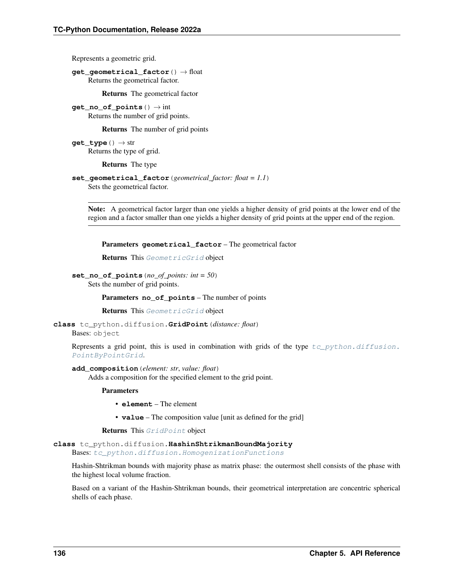Represents a geometric grid.

**get\_geometrical\_factor**() → float Returns the geometrical factor.

Returns The geometrical factor

**get** no of points ()  $\rightarrow$  int Returns the number of grid points.

Returns The number of grid points

**get\_type**() → str Returns the type of grid.

Returns The type

```
set_geometrical_factor(geometrical_factor: float = 1.1)
 Sets the geometrical factor.
```
Note: A geometrical factor larger than one yields a higher density of grid points at the lower end of the region and a factor smaller than one yields a higher density of grid points at the upper end of the region.

Parameters **geometrical\_factor** – The geometrical factor

Returns This [GeometricGrid](#page-138-0) object

**set\_no\_of\_points**(*no\_of\_points: int = 50*) Sets the number of grid points.

Parameters **no\_of\_points** – The number of points

Returns This [GeometricGrid](#page-138-0) object

<span id="page-139-0"></span>**class** tc\_python.diffusion.**GridPoint**(*distance: float*) Bases: object

Represents a grid point, this is used in combination with grids of the type  $tc\_python.diffusion$ . [PointByPointGrid](#page-148-0).

**add\_composition**(*element: str*, *value: float*)

Adds a composition for the specified element to the grid point.

Parameters

• **element** – The element

• **value** – The composition value [unit as defined for the grid]

Returns This [GridPoint](#page-139-0) object

<span id="page-139-1"></span>**class** tc\_python.diffusion.**HashinShtrikmanBoundMajority**

Bases: [tc\\_python.diffusion.HomogenizationFunctions](#page-140-0)

Hashin-Shtrikman bounds with majority phase as matrix phase: the outermost shell consists of the phase with the highest local volume fraction.

<span id="page-139-2"></span>Based on a variant of the Hashin-Shtrikman bounds, their geometrical interpretation are concentric spherical shells of each phase.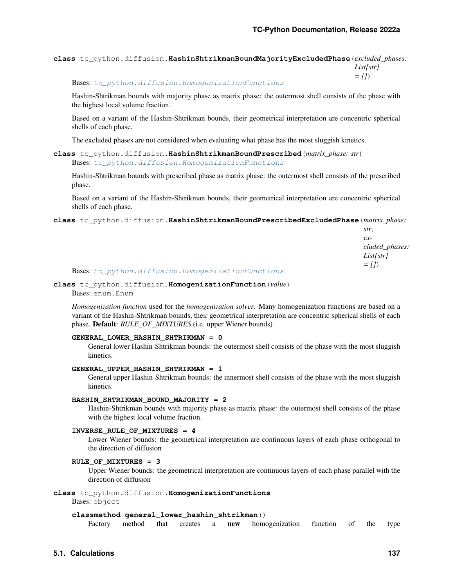**class** tc\_python.diffusion.**HashinShtrikmanBoundMajorityExcludedPhase**(*excluded\_phases: List[str] = []*)

Bases: [tc\\_python.diffusion.HomogenizationFunctions](#page-140-0)

Hashin-Shtrikman bounds with majority phase as matrix phase: the outermost shell consists of the phase with the highest local volume fraction.

Based on a variant of the Hashin-Shtrikman bounds, their geometrical interpretation are concentric spherical shells of each phase.

The excluded phases are not considered when evaluating what phase has the most sluggish kinetics.

<span id="page-140-1"></span>**class** tc\_python.diffusion.**HashinShtrikmanBoundPrescribed**(*matrix\_phase: str*) Bases: [tc\\_python.diffusion.HomogenizationFunctions](#page-140-0)

Hashin-Shtrikman bounds with prescribed phase as matrix phase: the outermost shell consists of the prescribed phase.

Based on a variant of the Hashin-Shtrikman bounds, their geometrical interpretation are concentric spherical shells of each phase.

<span id="page-140-2"></span>**class** tc\_python.diffusion.**HashinShtrikmanBoundPrescribedExcludedPhase**(*matrix\_phase:*

*str*, *excluded\_phases: List[str] = []*)

Bases: [tc\\_python.diffusion.HomogenizationFunctions](#page-140-0)

**class** tc\_python.diffusion.**HomogenizationFunction**(*value*)

Bases: enum.Enum

*Homogenization function* used for the *homogenization solver*. Many homogenization functions are based on a variant of the Hashin-Shtrikman bounds, their geometrical interpretation are concentric spherical shells of each phase. Default: *RULE\_OF\_MIXTURES* (i.e. upper Wiener bounds)

# **GENERAL\_LOWER\_HASHIN\_SHTRIKMAN = 0**

General lower Hashin-Shtrikman bounds: the outermost shell consists of the phase with the most sluggish kinetics.

```
GENERAL_UPPER_HASHIN_SHTRIKMAN = 1
```
General upper Hashin-Shtrikman bounds: the innermost shell consists of the phase with the most sluggish kinetics.

# **HASHIN\_SHTRIKMAN\_BOUND\_MAJORITY = 2**

Hashin-Shtrikman bounds with majority phase as matrix phase: the outermost shell consists of the phase with the highest local volume fraction.

# **INVERSE\_RULE\_OF\_MIXTURES = 4**

Lower Wiener bounds: the geometrical interpretation are continuous layers of each phase orthogonal to the direction of diffusion

## **RULE\_OF\_MIXTURES = 3**

Upper Wiener bounds: the geometrical interpretation are continuous layers of each phase parallel with the direction of diffusion

# <span id="page-140-0"></span>**class** tc\_python.diffusion.**HomogenizationFunctions**

Bases: object

## **classmethod general\_lower\_hashin\_shtrikman**()

Factory method that creates a new homogenization function of the type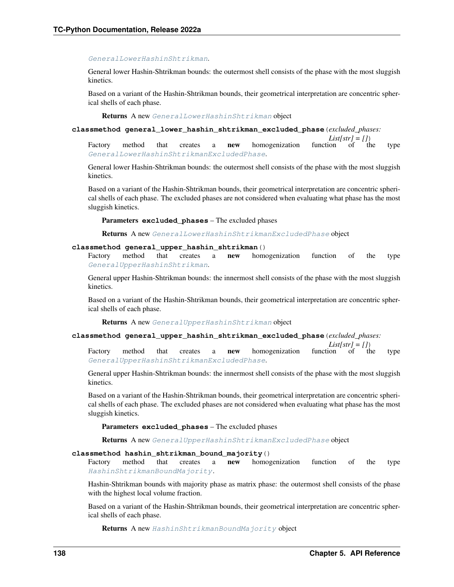### [GeneralLowerHashinShtrikman](#page-138-2).

General lower Hashin-Shtrikman bounds: the outermost shell consists of the phase with the most sluggish kinetics.

Based on a variant of the Hashin-Shtrikman bounds, their geometrical interpretation are concentric spherical shells of each phase.

Returns A new [GeneralLowerHashinShtrikman](#page-138-2) object

**classmethod general\_lower\_hashin\_shtrikman\_excluded\_phase**(*excluded\_phases:*

 $List[str] = []$ <br>function of the Factory method that creates a new homogenization function of the type [GeneralLowerHashinShtrikmanExcludedPhase](#page-138-3).

General lower Hashin-Shtrikman bounds: the outermost shell consists of the phase with the most sluggish kinetics.

Based on a variant of the Hashin-Shtrikman bounds, their geometrical interpretation are concentric spherical shells of each phase. The excluded phases are not considered when evaluating what phase has the most sluggish kinetics.

Parameters **excluded\_phases** – The excluded phases

Returns A new [GeneralLowerHashinShtrikmanExcludedPhase](#page-138-3) object

#### **classmethod general\_upper\_hashin\_shtrikman**()

Factory method that creates a new homogenization function of the type [GeneralUpperHashinShtrikman](#page-138-4).

General upper Hashin-Shtrikman bounds: the innermost shell consists of the phase with the most sluggish kinetics.

Based on a variant of the Hashin-Shtrikman bounds, their geometrical interpretation are concentric spherical shells of each phase.

Returns A new [GeneralUpperHashinShtrikman](#page-138-4) object

#### **classmethod general\_upper\_hashin\_shtrikman\_excluded\_phase**(*excluded\_phases:*

 $List[str] = []$ <br>function of the Factory method that creates a new homogenization function of the type [GeneralUpperHashinShtrikmanExcludedPhase](#page-138-5).

General upper Hashin-Shtrikman bounds: the innermost shell consists of the phase with the most sluggish kinetics.

Based on a variant of the Hashin-Shtrikman bounds, their geometrical interpretation are concentric spherical shells of each phase. The excluded phases are not considered when evaluating what phase has the most sluggish kinetics.

Parameters **excluded\_phases** – The excluded phases

Returns A new [GeneralUpperHashinShtrikmanExcludedPhase](#page-138-5) object

#### **classmethod hashin\_shtrikman\_bound\_majority**()

Factory method that creates a new homogenization function of the type [HashinShtrikmanBoundMajority](#page-139-1).

Hashin-Shtrikman bounds with majority phase as matrix phase: the outermost shell consists of the phase with the highest local volume fraction.

Based on a variant of the Hashin-Shtrikman bounds, their geometrical interpretation are concentric spherical shells of each phase.

Returns A new [HashinShtrikmanBoundMajority](#page-139-1) object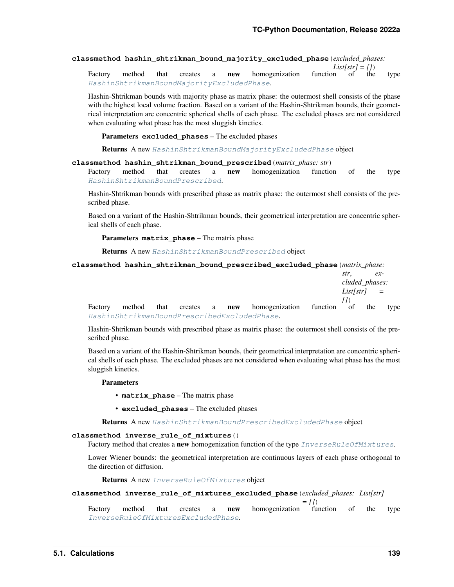**classmethod hashin\_shtrikman\_bound\_majority\_excluded\_phase**(*excluded\_phases:*

 $List[str] = []$ <br>function of the Factory method that creates a **new** homogenization function of the type [HashinShtrikmanBoundMajorityExcludedPhase](#page-139-2).

Hashin-Shtrikman bounds with majority phase as matrix phase: the outermost shell consists of the phase with the highest local volume fraction. Based on a variant of the Hashin-Shtrikman bounds, their geometrical interpretation are concentric spherical shells of each phase. The excluded phases are not considered when evaluating what phase has the most sluggish kinetics.

Parameters **excluded\_phases** – The excluded phases

Returns A new [HashinShtrikmanBoundMajorityExcludedPhase](#page-139-2) object

## **classmethod hashin\_shtrikman\_bound\_prescribed**(*matrix\_phase: str*)

Factory method that creates a new homogenization function of the type [HashinShtrikmanBoundPrescribed](#page-140-1).

Hashin-Shtrikman bounds with prescribed phase as matrix phase: the outermost shell consists of the prescribed phase.

Based on a variant of the Hashin-Shtrikman bounds, their geometrical interpretation are concentric spherical shells of each phase.

Parameters **matrix\_phase** – The matrix phase

Returns A new [HashinShtrikmanBoundPrescribed](#page-140-1) object

**classmethod hashin\_shtrikman\_bound\_prescribed\_excluded\_phase**(*matrix\_phase:*

|  |  |  |                                                                         | str.           | $ex-$ |      |
|--|--|--|-------------------------------------------------------------------------|----------------|-------|------|
|  |  |  |                                                                         | cluded phases: |       |      |
|  |  |  |                                                                         | $List[str] =$  |       |      |
|  |  |  |                                                                         |                |       |      |
|  |  |  | Factory method that creates a <b>new</b> homogenization function of the |                |       | type |
|  |  |  | HashinShtrikmanBoundPrescribedExcludedPhase.                            |                |       |      |

Hashin-Shtrikman bounds with prescribed phase as matrix phase: the outermost shell consists of the prescribed phase.

Based on a variant of the Hashin-Shtrikman bounds, their geometrical interpretation are concentric spherical shells of each phase. The excluded phases are not considered when evaluating what phase has the most sluggish kinetics.

#### Parameters

- **matrix\_phase** The matrix phase
- **excluded\_phases** The excluded phases

Returns A new [HashinShtrikmanBoundPrescribedExcludedPhase](#page-140-2) object

#### **classmethod inverse\_rule\_of\_mixtures**()

Factory method that creates a new homogenization function of the type [InverseRuleOfMixtures](#page-145-1).

Lower Wiener bounds: the geometrical interpretation are continuous layers of each phase orthogonal to the direction of diffusion.

Returns A new [InverseRuleOfMixtures](#page-145-1) object

# **classmethod inverse\_rule\_of\_mixtures\_excluded\_phase**(*excluded\_phases: List[str]*

*= []*) Factory method that creates a **new** homogenization function of the type [InverseRuleOfMixturesExcludedPhase](#page-145-2).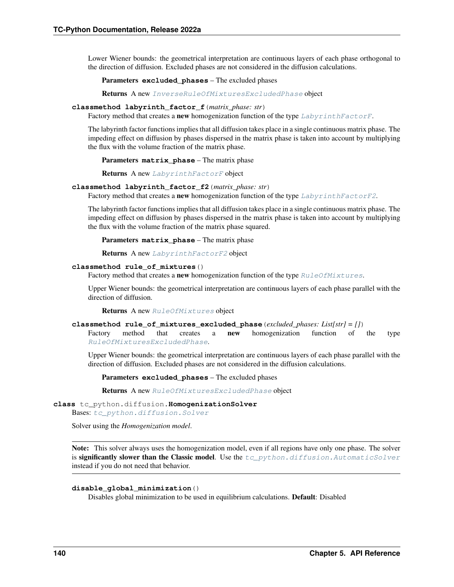Lower Wiener bounds: the geometrical interpretation are continuous layers of each phase orthogonal to the direction of diffusion. Excluded phases are not considered in the diffusion calculations.

Parameters **excluded\_phases** – The excluded phases

Returns A new [InverseRuleOfMixturesExcludedPhase](#page-145-2) object

#### **classmethod labyrinth\_factor\_f**(*matrix\_phase: str*)

Factory method that creates a new homogenization function of the type  $LabyrinthFactorF$ .

The labyrinth factor functions implies that all diffusion takes place in a single continuous matrix phase. The impeding effect on diffusion by phases dispersed in the matrix phase is taken into account by multiplying the flux with the volume fraction of the matrix phase.

Parameters **matrix\_phase** – The matrix phase

Returns A new [LabyrinthFactorF](#page-145-3) object

#### **classmethod labyrinth\_factor\_f2**(*matrix\_phase: str*)

Factory method that creates a new homogenization function of the type  $Labyr inthFactorF2$ .

The labyrinth factor functions implies that all diffusion takes place in a single continuous matrix phase. The impeding effect on diffusion by phases dispersed in the matrix phase is taken into account by multiplying the flux with the volume fraction of the matrix phase squared.

Parameters **matrix\_phase** – The matrix phase

Returns A new [LabyrinthFactorF2](#page-145-4) object

#### **classmethod rule\_of\_mixtures**()

Factory method that creates a **new** homogenization function of the type  $RuleOfMixtures$ .

Upper Wiener bounds: the geometrical interpretation are continuous layers of each phase parallel with the direction of diffusion.

Returns A new [RuleOfMixtures](#page-150-0) object

```
classmethod rule_of_mixtures_excluded_phase(excluded_phases: List[str] = [])
```
Factory method that creates a **new** homogenization function of the type [RuleOfMixturesExcludedPhase](#page-150-1).

Upper Wiener bounds: the geometrical interpretation are continuous layers of each phase parallel with the direction of diffusion. Excluded phases are not considered in the diffusion calculations.

Parameters **excluded\_phases** – The excluded phases

Returns A new [RuleOfMixturesExcludedPhase](#page-150-1) object

```
class tc_python.diffusion.HomogenizationSolver
```
Bases: [tc\\_python.diffusion.Solver](#page-151-0)

Solver using the *Homogenization model*.

Note: This solver always uses the homogenization model, even if all regions have only one phase. The solver is significantly slower than the Classic model. Use the  $tc\_python$ .diffusion.AutomaticSolver instead if you do not need that behavior.

# **disable\_global\_minimization**()

Disables global minimization to be used in equilibrium calculations. Default: Disabled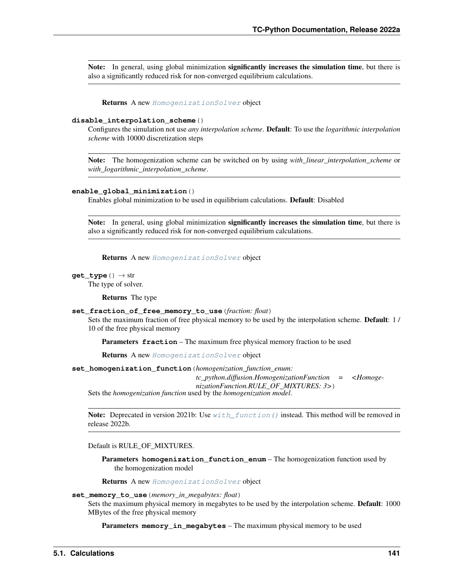Note: In general, using global minimization significantly increases the simulation time, but there is also a significantly reduced risk for non-converged equilibrium calculations.

Returns A new [HomogenizationSolver](#page-143-0) object

#### **disable\_interpolation\_scheme**()

Configures the simulation not use *any interpolation scheme*. Default: To use the *logarithmic interpolation scheme* with 10000 discretization steps

Note: The homogenization scheme can be switched on by using *with\_linear\_interpolation\_scheme* or *with\_logarithmic\_interpolation\_scheme*.

#### **enable\_global\_minimization**()

Enables global minimization to be used in equilibrium calculations. Default: Disabled

Note: In general, using global minimization significantly increases the simulation time, but there is also a significantly reduced risk for non-converged equilibrium calculations.

Returns A new [HomogenizationSolver](#page-143-0) object

#### **get\_type**() → str

The type of solver.

Returns The type

### **set\_fraction\_of\_free\_memory\_to\_use**(*fraction: float*)

Sets the maximum fraction of free physical memory to be used by the interpolation scheme. Default: 1 / 10 of the free physical memory

Parameters **fraction** – The maximum free physical memory fraction to be used

Returns A new [HomogenizationSolver](#page-143-0) object

**set\_homogenization\_function**(*homogenization\_function\_enum:*

*tc\_python.diffusion.HomogenizationFunction = <HomogenizationFunction.RULE\_OF\_MIXTURES: 3>*)

Sets the *homogenization function* used by the *homogenization model*.

Note: Deprecated in version 2021b: Use  $with\_function()$  instead. This method will be removed in release 2022b.

Default is RULE\_OF\_MIXTURES.

Parameters **homogenization\_function\_enum** – The homogenization function used by the homogenization model

Returns A new [HomogenizationSolver](#page-143-0) object

#### **set\_memory\_to\_use**(*memory\_in\_megabytes: float*)

Sets the maximum physical memory in megabytes to be used by the interpolation scheme. Default: 1000 MBytes of the free physical memory

Parameters **memory\_in\_megabytes** – The maximum physical memory to be used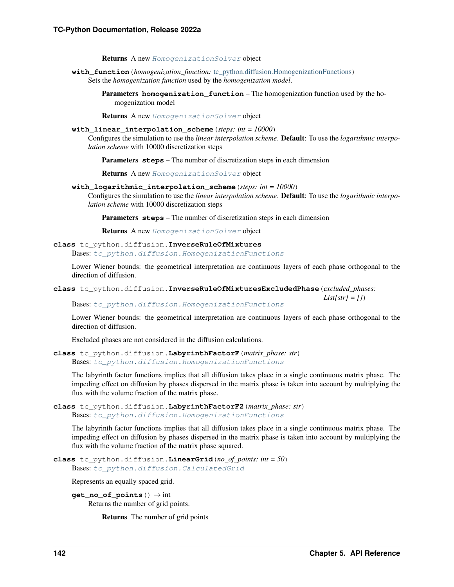Returns A new [HomogenizationSolver](#page-143-0) object

<span id="page-145-0"></span>**with\_function**(*homogenization\_function:* [tc\\_python.diffusion.HomogenizationFunctions](#page-140-0)) Sets the *homogenization function* used by the *homogenization model*.

> Parameters **homogenization\_function** – The homogenization function used by the homogenization model

Returns A new [HomogenizationSolver](#page-143-0) object

## **with\_linear\_interpolation\_scheme**(*steps: int = 10000*)

Configures the simulation to use the *linear interpolation scheme*. Default: To use the *logarithmic interpolation scheme* with 10000 discretization steps

Parameters **steps** – The number of discretization steps in each dimension

Returns A new [HomogenizationSolver](#page-143-0) object

**with\_logarithmic\_interpolation\_scheme**(*steps: int = 10000*)

Configures the simulation to use the *linear interpolation scheme*. Default: To use the *logarithmic interpolation scheme* with 10000 discretization steps

Parameters **steps** – The number of discretization steps in each dimension

Returns A new [HomogenizationSolver](#page-143-0) object

**class** tc\_python.diffusion.**InverseRuleOfMixtures** Bases: [tc\\_python.diffusion.HomogenizationFunctions](#page-140-0)

Lower Wiener bounds: the geometrical interpretation are continuous layers of each phase orthogonal to the direction of diffusion.

**class** tc\_python.diffusion.**InverseRuleOfMixturesExcludedPhase**(*excluded\_phases:*

Bases: [tc\\_python.diffusion.HomogenizationFunctions](#page-140-0)

Lower Wiener bounds: the geometrical interpretation are continuous layers of each phase orthogonal to the direction of diffusion.

Excluded phases are not considered in the diffusion calculations.

**class** tc\_python.diffusion.**LabyrinthFactorF**(*matrix\_phase: str*) Bases: [tc\\_python.diffusion.HomogenizationFunctions](#page-140-0)

The labyrinth factor functions implies that all diffusion takes place in a single continuous matrix phase. The impeding effect on diffusion by phases dispersed in the matrix phase is taken into account by multiplying the flux with the volume fraction of the matrix phase.

```
class tc_python.diffusion.LabyrinthFactorF2(matrix_phase: str)
    Bases: tc_python.diffusion.HomogenizationFunctions
```
The labyrinth factor functions implies that all diffusion takes place in a single continuous matrix phase. The impeding effect on diffusion by phases dispersed in the matrix phase is taken into account by multiplying the flux with the volume fraction of the matrix phase squared.

```
class tc_python.diffusion.LinearGrid(no_of_points: int = 50)
    Bases: tc_python.diffusion.CalculatedGrid
```
Represents an equally spaced grid.

**get** no of points ()  $\rightarrow$  int Returns the number of grid points.

Returns The number of grid points

*List[str] = []*)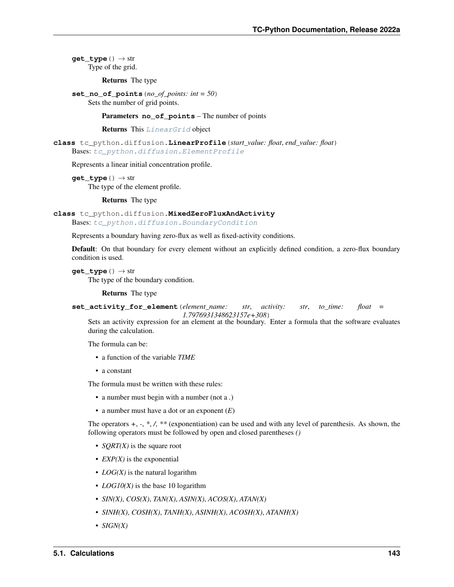**get\_type**() → str Type of the grid.

Returns The type

**set\_no\_of\_points**(*no\_of\_points: int = 50*) Sets the number of grid points.

Parameters **no\_of\_points** – The number of points

Returns This [LinearGrid](#page-145-1) object

**class** tc\_python.diffusion.**LinearProfile**(*start\_value: float*, *end\_value: float*) Bases: [tc\\_python.diffusion.ElementProfile](#page-136-0)

Represents a linear initial concentration profile.

**get\_type**() → str The type of the element profile.

Returns The type

```
class tc_python.diffusion.MixedZeroFluxAndActivity
```
Bases: [tc\\_python.diffusion.BoundaryCondition](#page-116-0)

Represents a boundary having zero-flux as well as fixed-activity conditions.

Default: On that boundary for every element without an explicitly defined condition, a zero-flux boundary condition is used.

```
get_type() → str
```
The type of the boundary condition.

Returns The type

**set\_activity\_for\_element**(*element\_name: str*, *activity: str*, *to\_time: float =*

*1.7976931348623157e+308*) Sets an activity expression for an element at the boundary. Enter a formula that the software evaluates during the calculation.

The formula can be:

- a function of the variable *TIME*
- a constant

The formula must be written with these rules:

- a number must begin with a number (not a *.*)
- a number must have a dot or an exponent (*E*)

The operators *+*, *-*, *\**, */*, *\*\** (exponentiation) can be used and with any level of parenthesis. As shown, the following operators must be followed by open and closed parentheses *()*

- *SQRT(X)* is the square root
- *EXP(X)* is the exponential
- *LOG(X)* is the natural logarithm
- *LOG10(X)* is the base 10 logarithm
- *SIN(X)*, *COS(X)*, *TAN(X)*, *ASIN(X)*, *ACOS(X)*, *ATAN(X)*
- *SINH(X)*, *COSH(X)*, *TANH(X)*, *ASINH(X)*, *ACOSH(X)*, *ATANH(X)*
- *SIGN(X)*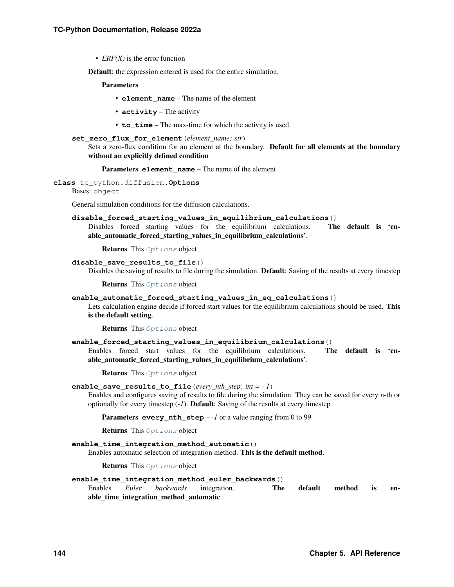• *ERF(X)* is the error function

Default: the expression entered is used for the entire simulation.

## **Parameters**

- **element\_name** The name of the element
- **activity** The activity
- **to** time The max-time for which the activity is used.
- **set\_zero\_flux\_for\_element**(*element\_name: str*)
	- Sets a zero-flux condition for an element at the boundary. Default for all elements at the boundary without an explicitly defined condition
		- Parameters **element\_name** The name of the element

<span id="page-147-0"></span>**class** tc\_python.diffusion.**Options**

Bases: object

General simulation conditions for the diffusion calculations.

### **disable\_forced\_starting\_values\_in\_equilibrium\_calculations**()

Disables forced starting values for the equilibrium calculations. The default is 'enable\_automatic\_forced\_starting\_values\_in\_equilibrium\_calculations'.

Returns This [Options](#page-147-0) object

#### disable save results to file()

Disables the saving of results to file during the simulation. **Default**: Saving of the results at every timestep

Returns This [Options](#page-147-0) object

### **enable\_automatic\_forced\_starting\_values\_in\_eq\_calculations**()

Lets calculation engine decide if forced start values for the equilibrium calculations should be used. This is the default setting.

Returns This [Options](#page-147-0) object

## **enable\_forced\_starting\_values\_in\_equilibrium\_calculations**()

Enables forced start values for the equilibrium calculations. The default is 'enable automatic forced starting values in equilibrium calculations'.

Returns This [Options](#page-147-0) object

## **enable\_save\_results\_to\_file**(*every\_nth\_step: int = - 1*)

Enables and configures saving of results to file during the simulation. They can be saved for every n-th or optionally for every timestep (*-1*). Default: Saving of the results at every timestep

Parameters **every\_nth\_step** – -1 or a value ranging from 0 to 99

Returns This [Options](#page-147-0) object

## **enable\_time\_integration\_method\_automatic**()

Enables automatic selection of integration method. This is the default method.

Returns This [Options](#page-147-0) object

### **enable\_time\_integration\_method\_euler\_backwards**()

Enables *Euler backwards* integration. The default method is enable time integration method automatic.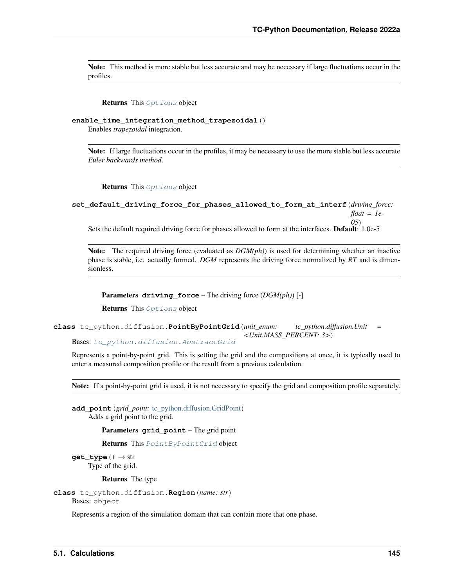Note: This method is more stable but less accurate and may be necessary if large fluctuations occur in the profiles.

Returns This [Options](#page-147-0) object

**enable\_time\_integration\_method\_trapezoidal**()

Enables *trapezoidal* integration.

Note: If large fluctuations occur in the profiles, it may be necessary to use the more stable but less accurate *Euler backwards method*.

Returns This [Options](#page-147-0) object

```
set_default_driving_force_for_phases_allowed_to_form_at_interf(driving_force:
                                                                      float = 1e-
                                                                      05)
```
Sets the default required driving force for phases allowed to form at the interfaces. Default: 1.0e-5

Note: The required driving force (evaluated as *DGM(ph)*) is used for determining whether an inactive phase is stable, i.e. actually formed. *DGM* represents the driving force normalized by *RT* and is dimensionless.

Parameters **driving\_force** – The driving force (*DGM(ph)*) [-]

Returns This [Options](#page-147-0) object

```
class tc_python.diffusion.PointByPointGrid(unit_enum: tc_python.diffusion.Unit =
                                               <Unit.MASS_PERCENT: 3>)
```
Bases: [tc\\_python.diffusion.AbstractGrid](#page-115-0)

Represents a point-by-point grid. This is setting the grid and the compositions at once, it is typically used to enter a measured composition profile or the result from a previous calculation.

Note: If a point-by-point grid is used, it is not necessary to specify the grid and composition profile separately.

**add\_point**(*grid\_point:* [tc\\_python.diffusion.GridPoint](#page-139-0)) Adds a grid point to the grid.

Parameters **grid\_point** – The grid point

Returns This [PointByPointGrid](#page-148-0) object

**get\_type**() → str Type of the grid.

Returns The type

```
class tc_python.diffusion.Region(name: str)
    Bases: object
```
Represents a region of the simulation domain that can contain more that one phase.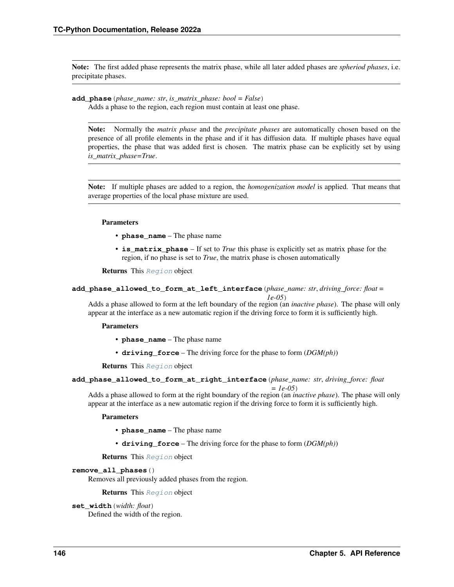Note: The first added phase represents the matrix phase, while all later added phases are *spheriod phases*, i.e. precipitate phases.

```
add_phase(phase_name: str, is_matrix_phase: bool = False)
```
Adds a phase to the region, each region must contain at least one phase.

Note: Normally the *matrix phase* and the *precipitate phases* are automatically chosen based on the presence of all profile elements in the phase and if it has diffusion data. If multiple phases have equal properties, the phase that was added first is chosen. The matrix phase can be explicitly set by using *is\_matrix\_phase=True*.

Note: If multiple phases are added to a region, the *homogenization model* is applied. That means that average properties of the local phase mixture are used.

## Parameters

- **phase\_name** The phase name
- **is\_matrix\_phase** If set to *True* this phase is explicitly set as matrix phase for the region, if no phase is set to *True*, the matrix phase is chosen automatically

Returns This [Region](#page-148-1) object

```
add_phase_allowed_to_form_at_left_interface(phase_name: str, driving_force: float =
```
*1e-05*) Adds a phase allowed to form at the left boundary of the region (an *inactive phase*). The phase will only appear at the interface as a new automatic region if the driving force to form it is sufficiently high.

## Parameters

- **phase\_name** The phase name
- **driving\_force** The driving force for the phase to form (*DGM(ph)*)

Returns This [Region](#page-148-1) object

```
add_phase_allowed_to_form_at_right_interface(phase_name: str, driving_force: float
```
*= 1e-05*) Adds a phase allowed to form at the right boundary of the region (an *inactive phase*). The phase will only appear at the interface as a new automatic region if the driving force to form it is sufficiently high.

## Parameters

- **phase\_name** The phase name
- **driving\_force** The driving force for the phase to form (*DGM(ph)*)

Returns This [Region](#page-148-1) object

## **remove\_all\_phases**()

Removes all previously added phases from the region.

## Returns This [Region](#page-148-1) object

```
set_width(width: float)
```
Defined the width of the region.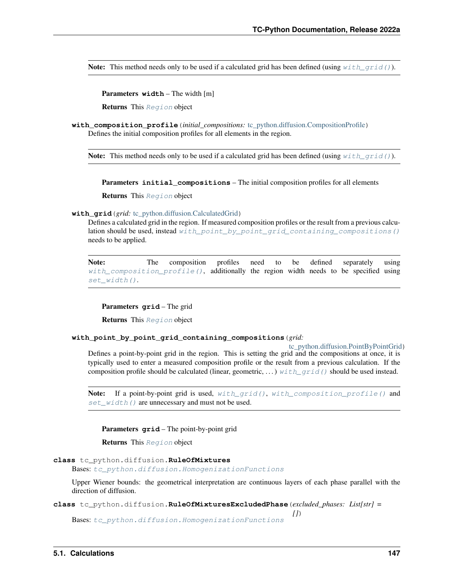Note: This method needs only to be used if a calculated grid has been defined (using  $with\_grid()$ ).

Parameters **width** – The width [m]

Returns This [Region](#page-148-1) object

<span id="page-150-2"></span>**with\_composition\_profile**(*initial\_compositions:* [tc\\_python.diffusion.CompositionProfile](#page-119-0)) Defines the initial composition profiles for all elements in the region.

**Note:** This method needs only to be used if a calculated grid has been defined (using  $with\_grid()$ ).

Parameters **initial\_compositions** – The initial composition profiles for all elements

Returns This [Region](#page-148-1) object

### <span id="page-150-0"></span>**with grid** (*grid:* tc python.diffusion.CalculatedGrid)

Defines a calculated grid in the region. If measured composition profiles or the result from a previous calculation should be used, instead [with\\_point\\_by\\_point\\_grid\\_containing\\_compositions\(\)](#page-150-1) needs to be applied.

Note: The composition profiles need to be defined separately using [with\\_composition\\_profile\(\)](#page-150-2), additionally the region width needs to be specified using [set\\_width\(\)](#page-149-0).

Parameters **grid** – The grid

**Returns** This [Region](#page-148-1) object

## <span id="page-150-1"></span>**with\_point\_by\_point\_grid\_containing\_compositions**(*grid:*

[tc\\_python.diffusion.PointByPointGrid](#page-148-0))

Defines a point-by-point grid in the region. This is setting the grid and the compositions at once, it is typically used to enter a measured composition profile or the result from a previous calculation. If the composition profile should be calculated (linear, geometric, ...) with grid() should be used instead.

Note: If a point-by-point grid is used,  $with\_grid()$ , with composition profile() and [set\\_width\(\)](#page-149-0) are unnecessary and must not be used.

Parameters **grid** – The point-by-point grid

Returns This [Region](#page-148-1) object

```
class tc_python.diffusion.RuleOfMixtures
```
Bases: [tc\\_python.diffusion.HomogenizationFunctions](#page-140-0)

Upper Wiener bounds: the geometrical interpretation are continuous layers of each phase parallel with the direction of diffusion.

*[]*)

**class** tc\_python.diffusion.**RuleOfMixturesExcludedPhase**(*excluded\_phases: List[str] =*

Bases: [tc\\_python.diffusion.HomogenizationFunctions](#page-140-0)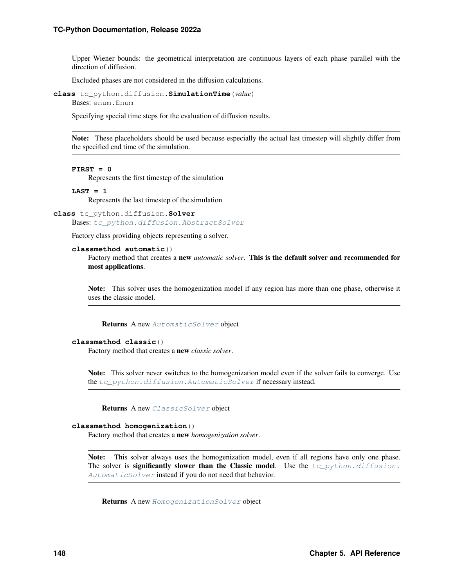Upper Wiener bounds: the geometrical interpretation are continuous layers of each phase parallel with the direction of diffusion.

Excluded phases are not considered in the diffusion calculations.

```
class tc_python.diffusion.SimulationTime(value)
    Bases: enum.Enum
```
Specifying special time steps for the evaluation of diffusion results.

Note: These placeholders should be used because especially the actual last timestep will slightly differ from the specified end time of the simulation.

### **FIRST = 0**

Represents the first timestep of the simulation

#### **LAST = 1**

Represents the last timestep of the simulation

## **class** tc\_python.diffusion.**Solver** Bases: [tc\\_python.diffusion.AbstractSolver](#page-115-1)

Factory class providing objects representing a solver.

## **classmethod automatic**()

Factory method that creates a new *automatic solver*. This is the default solver and recommended for most applications.

Note: This solver uses the homogenization model if any region has more than one phase, otherwise it uses the classic model.

Returns A new [AutomaticSolver](#page-116-1) object

## **classmethod classic**()

Factory method that creates a new *classic solver*.

Note: This solver never switches to the homogenization model even if the solver fails to converge. Use the  $tc\_python$ . diffusion. AutomaticSolver if necessary instead.

Returns A new [ClassicSolver](#page-118-0) object

#### **classmethod homogenization**()

Factory method that creates a new *homogenization solver*.

Note: This solver always uses the homogenization model, even if all regions have only one phase. The solver is significantly slower than the Classic model. Use the  $tc\_python.diffusion$ . [AutomaticSolver](#page-116-1) instead if you do not need that behavior.

Returns A new [HomogenizationSolver](#page-143-0) object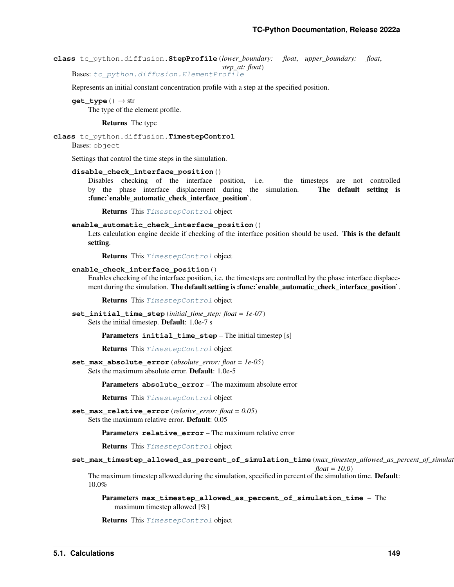**class** tc\_python.diffusion.**StepProfile**(*lower\_boundary: float*, *upper\_boundary: float*,

*step\_at: float*)

Bases: [tc\\_python.diffusion.ElementProfile](#page-136-0)

Represents an initial constant concentration profile with a step at the specified position.

**get\_type**() → str The type of the element profile.

Returns The type

<span id="page-152-0"></span>**class** tc\_python.diffusion.**TimestepControl**

Bases: object

Settings that control the time steps in the simulation.

**disable\_check\_interface\_position**()

Disables checking of the interface position, i.e. the timesteps are not controlled by the phase interface displacement during the simulation. The default setting is :func:`enable\_automatic\_check\_interface\_position`.

Returns This [TimestepControl](#page-152-0) object

### **enable\_automatic\_check\_interface\_position**()

Lets calculation engine decide if checking of the interface position should be used. This is the default setting.

Returns This [TimestepControl](#page-152-0) object

### **enable\_check\_interface\_position**()

Enables checking of the interface position, i.e. the timesteps are controlled by the phase interface displacement during the simulation. The default setting is :func:`enable\_automatic\_check\_interface\_position`.

Returns This [TimestepControl](#page-152-0) object

**set\_initial\_time\_step**(*initial\_time\_step: float = 1e-07*) Sets the initial timestep. Default: 1.0e-7 s

**Parameters initial time step** – The initial timestep [s]

Returns This [TimestepControl](#page-152-0) object

**set\_max\_absolute\_error**(*absolute\_error: float = 1e-05*)

Sets the maximum absolute error. Default: 1.0e-5

Parameters **absolute\_error** – The maximum absolute error

Returns This [TimestepControl](#page-152-0) object

**set\_max\_relative\_error**(*relative\_error: float = 0.05*) Sets the maximum relative error. Default: 0.05

Parameters relative error – The maximum relative error

Returns This [TimestepControl](#page-152-0) object

## **set\_max\_timestep\_allowed\_as\_percent\_of\_simulation\_time**(*max\_timestep\_allowed\_as\_percent\_of\_simulation\_time:*

*float = 10.0*) The maximum timestep allowed during the simulation, specified in percent of the simulation time. **Default**: 10.0%

Parameters **max\_timestep\_allowed\_as\_percent\_of\_simulation\_time** – The maximum timestep allowed [%]

Returns This [TimestepControl](#page-152-0) object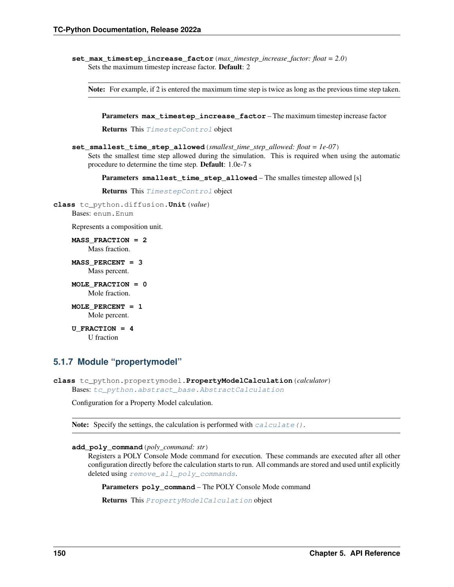**set max timestep increase factor** (*max timestep increase factor: float = 2.0*) Sets the maximum timestep increase factor. Default: 2

Note: For example, if 2 is entered the maximum time step is twice as long as the previous time step taken.

Parameters **max\_timestep\_increase\_factor** – The maximum timestep increase factor

Returns This [TimestepControl](#page-152-0) object

**set\_smallest\_time\_step\_allowed**(*smallest\_time\_step\_allowed: float = 1e-07*) Sets the smallest time step allowed during the simulation. This is required when using the automatic procedure to determine the time step. Default: 1.0e-7 s

Parameters **smallest\_time\_step\_allowed** – The smalles timestep allowed [s]

Returns This [TimestepControl](#page-152-0) object

```
class tc_python.diffusion.Unit(value)
```
Bases: enum.Enum

Represents a composition unit.

**MASS\_FRACTION = 2** Mass fraction.

**MASS\_PERCENT = 3** Mass percent.

- **MOLE\_FRACTION = 0** Mole fraction.
- **MOLE\_PERCENT = 1** Mole percent.

**U\_FRACTION = 4** U fraction

# **5.1.7 Module "propertymodel"**

<span id="page-153-0"></span>**class** tc\_python.propertymodel.**PropertyModelCalculation**(*calculator*) Bases: [tc\\_python.abstract\\_base.AbstractCalculation](#page-230-0)

Configuration for a Property Model calculation.

Note: Specify the settings, the calculation is performed with  $calculate()$ .

```
add_poly_command(poly_command: str)
```
Registers a POLY Console Mode command for execution. These commands are executed after all other configuration directly before the calculation starts to run. All commands are stored and used until explicitly deleted using [remove\\_all\\_poly\\_commands](#page-155-0).

Parameters **poly\_command** – The POLY Console Mode command

Returns This [PropertyModelCalculation](#page-153-0) object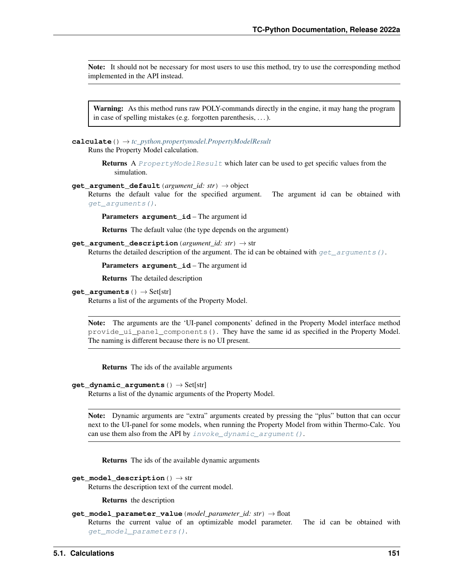Note: It should not be necessary for most users to use this method, try to use the corresponding method implemented in the API instead.

Warning: As this method runs raw POLY-commands directly in the engine, it may hang the program in case of spelling mistakes (e.g. forgotten parenthesis, . . . ).

<span id="page-154-0"></span>**calculate**() → *[tc\\_python.propertymodel.PropertyModelResult](#page-157-0)*

Runs the Property Model calculation.

Returns A [PropertyModelResult](#page-157-0) which later can be used to get specific values from the simulation.

**get argument default** (*argument id: str*)  $\rightarrow$  object

Returns the default value for the specified argument. The argument id can be obtained with [get\\_arguments\(\)](#page-154-1).

Parameters **argument\_id** – The argument id

Returns The default value (the type depends on the argument)

**get\_argument\_description**(*argument\_id: str*) → str Returns the detailed description of the argument. The id can be obtained with  $get\_arguments()$ .

Parameters **argument\_id** – The argument id

Returns The detailed description

<span id="page-154-1"></span>**get\_arguments**() → Set[str]

Returns a list of the arguments of the Property Model.

Note: The arguments are the 'UI-panel components' defined in the Property Model interface method provide\_ui\_panel\_components(). They have the same id as specified in the Property Model. The naming is different because there is no UI present.

Returns The ids of the available arguments

### <span id="page-154-2"></span>**get dynamic arguments** ()  $\rightarrow$  Set[str]

Returns a list of the dynamic arguments of the Property Model.

Note: Dynamic arguments are "extra" arguments created by pressing the "plus" button that can occur next to the UI-panel for some models, when running the Property Model from within Thermo-Calc. You can use them also from the API by  $invoke\_dynamic\_argument$  ().

Returns The ids of the available dynamic arguments

```
get_model_description() → str
```
Returns the description text of the current model.

Returns the description

## **get\_model\_parameter\_value**(*model\_parameter\_id: str*) → float

Returns the current value of an optimizable model parameter. The id can be obtained with [get\\_model\\_parameters\(\)](#page-155-2).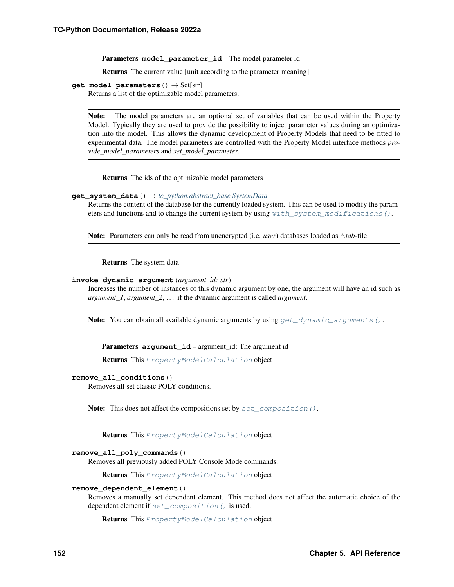Parameters model parameter id – The model parameter id

Returns The current value [unit according to the parameter meaning]

### <span id="page-155-2"></span>**get\_model\_parameters**() → Set[str]

Returns a list of the optimizable model parameters.

Note: The model parameters are an optional set of variables that can be used within the Property Model. Typically they are used to provide the possibility to inject parameter values during an optimization into the model. This allows the dynamic development of Property Models that need to be fitted to experimental data. The model parameters are controlled with the Property Model interface methods *provide\_model\_parameters* and *set\_model\_parameter*.

Returns The ids of the optimizable model parameters

### **get\_system\_data**() → *[tc\\_python.abstract\\_base.SystemData](#page-232-0)*

Returns the content of the database for the currently loaded system. This can be used to modify the parameters and functions and to change the current system by using with system modifications ().

Note: Parameters can only be read from unencrypted (i.e. *user*) databases loaded as *\*.tdb*-file.

Returns The system data

## <span id="page-155-1"></span>**invoke\_dynamic\_argument**(*argument\_id: str*)

Increases the number of instances of this dynamic argument by one, the argument will have an id such as *argument\_1*, *argument\_2*, . . . if the dynamic argument is called *argument*.

Note: You can obtain all available dynamic arguments by using  $get\_dynamic\_arguments()$ .

Parameters **argument\_id** – argument\_id: The argument id

Returns This [PropertyModelCalculation](#page-153-0) object

#### **remove\_all\_conditions**()

Removes all set classic POLY conditions.

**Note:** This does not affect the compositions set by set composition().

Returns This [PropertyModelCalculation](#page-153-0) object

### <span id="page-155-0"></span>**remove\_all\_poly\_commands**()

Removes all previously added POLY Console Mode commands.

Returns This [PropertyModelCalculation](#page-153-0) object

### **remove\_dependent\_element**()

Removes a manually set dependent element. This method does not affect the automatic choice of the dependent element if [set\\_composition\(\)](#page-156-0) is used.

Returns This [PropertyModelCalculation](#page-153-0) object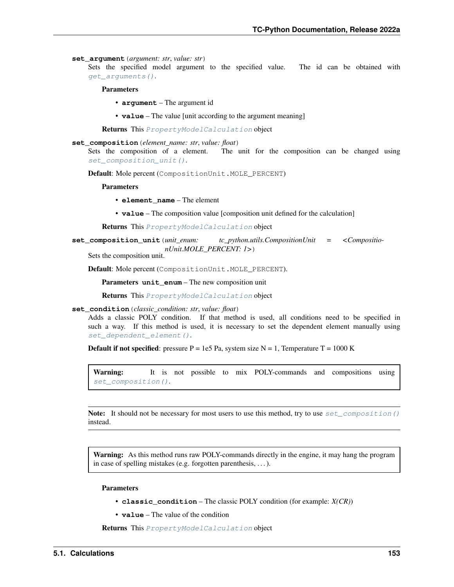#### **set\_argument**(*argument: str*, *value: str*)

Sets the specified model argument to the specified value. The id can be obtained with [get\\_arguments\(\)](#page-154-1).

### Parameters

- **argument** The argument id
- **value** The value [unit according to the argument meaning]

Returns This [PropertyModelCalculation](#page-153-0) object

### <span id="page-156-0"></span>**set\_composition**(*element\_name: str*, *value: float*)

Sets the composition of a element. The unit for the composition can be changed using [set\\_composition\\_unit\(\)](#page-156-1).

Default: Mole percent (CompositionUnit.MOLE\_PERCENT)

#### **Parameters**

- **element\_name** The element
- **value** The composition value [composition unit defined for the calculation]

Returns This [PropertyModelCalculation](#page-153-0) object

<span id="page-156-1"></span>**set\_composition\_unit**(*unit\_enum: tc\_python.utils.CompositionUnit = <CompositionUnit.MOLE\_PERCENT: 1>*)

Sets the composition unit.

Default: Mole percent (CompositionUnit.MOLE\_PERCENT).

Parameters **unit\_enum** – The new composition unit

Returns This [PropertyModelCalculation](#page-153-0) object

## <span id="page-156-2"></span>**set\_condition**(*classic\_condition: str*, *value: float*)

Adds a classic POLY condition. If that method is used, all conditions need to be specified in such a way. If this method is used, it is necessary to set the dependent element manually using [set\\_dependent\\_element\(\)](#page-157-2).

**Default if not specified:** pressure  $P = 1e5$  Pa, system size  $N = 1$ , Temperature T = 1000 K

Warning: It is not possible to mix POLY-commands and compositions using set composition().

Note: It should not be necessary for most users to use this method, try to use  $set\_composition()$ instead.

Warning: As this method runs raw POLY-commands directly in the engine, it may hang the program in case of spelling mistakes (e.g. forgotten parenthesis, . . . ).

### Parameters

- **classic\_condition** The classic POLY condition (for example: *X(CR)*)
- **value** The value of the condition

Returns This [PropertyModelCalculation](#page-153-0) object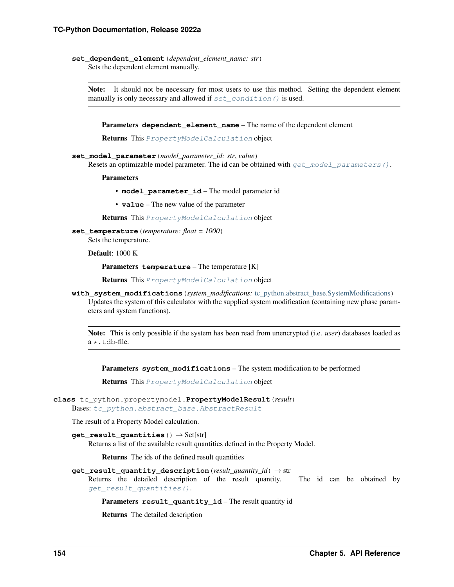<span id="page-157-2"></span>set dependent element (*dependent element name: str*) Sets the dependent element manually.

Note: It should not be necessary for most users to use this method. Setting the dependent element manually is only necessary and allowed if  $set\_condition$  () is used.

**Parameters dependent\_element\_name** – The name of the dependent element

Returns This [PropertyModelCalculation](#page-153-0) object

**set\_model\_parameter**(*model\_parameter\_id: str*, *value*)

Resets an optimizable model parameter. The id can be obtained with  $get\_model\_parameters()$ .

**Parameters** 

- **model\_parameter\_id** The model parameter id
- **value** The new value of the parameter

Returns This [PropertyModelCalculation](#page-153-0) object

**set\_temperature**(*temperature: float = 1000*)

Sets the temperature.

Default: 1000 K

Parameters **temperature** – The temperature [K]

Returns This [PropertyModelCalculation](#page-153-0) object

<span id="page-157-1"></span>**with\_system\_modifications**(*system\_modifications:* [tc\\_python.abstract\\_base.SystemModifications](#page-234-0))

Updates the system of this calculator with the supplied system modification (containing new phase parameters and system functions).

Note: This is only possible if the system has been read from unencrypted (i.e. *user*) databases loaded as  $a \star$ . tdb-file.

Parameters **system\_modifications** – The system modification to be performed

Returns This [PropertyModelCalculation](#page-153-0) object

```
class tc_python.propertymodel.PropertyModelResult(result)
```
Bases: [tc\\_python.abstract\\_base.AbstractResult](#page-230-1)

<span id="page-157-3"></span>The result of a Property Model calculation.

```
get_result_quantities() → Set[str]
```
Returns a list of the available result quantities defined in the Property Model.

Returns The ids of the defined result quantities

**get\_result\_quantity\_description**(*result\_quantity\_id*) → str

Returns the detailed description of the result quantity. The id can be obtained by [get\\_result\\_quantities\(\)](#page-157-3).

Parameters **result\_quantity\_id** – The result quantity id

Returns The detailed description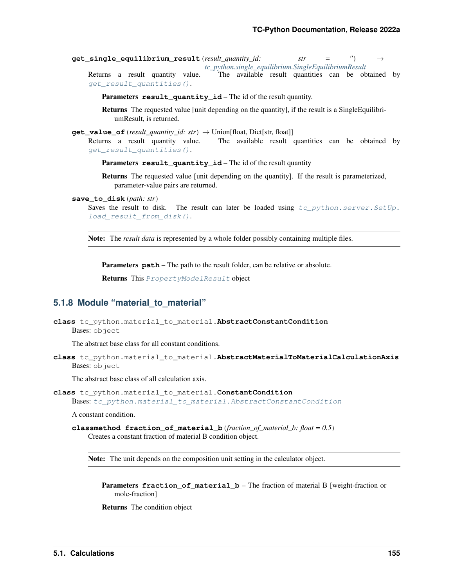**get\_single\_equilibrium\_result**(*result\_quantity\_id: str = ''*) → *[tc\\_python.single\\_equilibrium.SingleEquilibriumResult](#page-47-0)*

Returns a result quantity value. The available result quantities can be obtained by [get\\_result\\_quantities\(\)](#page-157-3).

Parameters result\_quantity\_id – The id of the result quantity.

Returns The requested value [unit depending on the quantity], if the result is a SingleEquilibriumResult, is returned.

```
get_value_of(result_quantity_id: str) → Union[float, Dict[str, float]]
    Returns a result quantity value. The available result quantities can be obtained by
    get_result_quantities().
```
Parameters result\_quantity\_id – The id of the result quantity

Returns The requested value [unit depending on the quantity]. If the result is parameterized, parameter-value pairs are returned.

**save\_to\_disk**(*path: str*)

Saves the result to disk. The result can later be loaded using  $tc\_python.server.SetUp$ . [load\\_result\\_from\\_disk\(\)](#page-195-0).

Note: The *result data* is represented by a whole folder possibly containing multiple files.

Parameters **path** – The path to the result folder, can be relative or absolute.

Returns This [PropertyModelResult](#page-157-0) object

# **5.1.8 Module "material\_to\_material"**

```
class tc_python.material_to_material.AbstractConstantCondition
    Bases: object
```
The abstract base class for all constant conditions.

<span id="page-158-2"></span>**class** tc\_python.material\_to\_material.**AbstractMaterialToMaterialCalculationAxis** Bases: object

The abstract base class of all calculation axis.

<span id="page-158-1"></span>**class** tc\_python.material\_to\_material.**ConstantCondition** Bases: [tc\\_python.material\\_to\\_material.AbstractConstantCondition](#page-158-0)

A constant condition.

**classmethod fraction\_of\_material\_b**(*fraction\_of\_material\_b: float = 0.5*) Creates a constant fraction of material B condition object.

Note: The unit depends on the composition unit setting in the calculator object.

**Parameters fraction\_of\_material\_b** – The fraction of material B [weight-fraction or mole-fraction]

Returns The condition object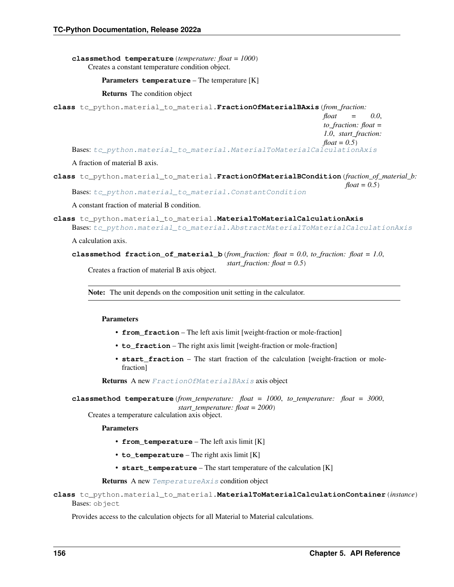**classmethod temperature**(*temperature: float = 1000*) Creates a constant temperature condition object.

```
Parameters temperature – The temperature [K]
```
Returns The condition object

```
class tc_python.material_to_material.FractionOfMaterialBAxis(from_fraction:
```

```
float = 0.0,
                                                               to_fraction: float =
                                                                1.0, start_fraction:
                                                               float = 0.5)
tc_python.material_to_material.MaterialToMaterialCalculationAxis
```
## A fraction of material B axis.

**class** tc\_python.material\_to\_material.**FractionOfMaterialBCondition**(*fraction\_of\_material\_b: float* =  $0.5$ )

Bases: [tc\\_python.material\\_to\\_material.ConstantCondition](#page-158-1)

A constant fraction of material B condition.

<span id="page-159-0"></span>**class** tc\_python.material\_to\_material.**MaterialToMaterialCalculationAxis**

```
Bases: tc_python.material_to_material.AbstractMaterialToMaterialCalculationAxis
```
A calculation axis.

```
classmethod fraction of material b(from fraction: float = 0.0, to fraction: float = 1.0,
```
*start\_fraction: float = 0.5*)

Creates a fraction of material B axis object.

Note: The unit depends on the composition unit setting in the calculator.

## Parameters

- **from fraction** The left axis limit [weight-fraction or mole-fraction]
- **to\_fraction** The right axis limit [weight-fraction or mole-fraction]
- **start\_fraction** The start fraction of the calculation [weight-fraction or molefraction]

Returns A new [FractionOfMaterialBAxis](#page-159-1) axis object

```
classmethod temperature(from_temperature: float = 1000, to_temperature: float = 3000,
                              start_temperature: float = 2000)
```
Creates a temperature calculation axis object.

Parameters

- **from\_temperature** The left axis limit [K]
- **to\_temperature** The right axis limit [K]
- **start\_temperature** The start temperature of the calculation [K]

Returns A new [TemperatureAxis](#page-181-0) condition object

**class** tc\_python.material\_to\_material.**MaterialToMaterialCalculationContainer**(*instance*) Bases: object

Provides access to the calculation objects for all Material to Material calculations.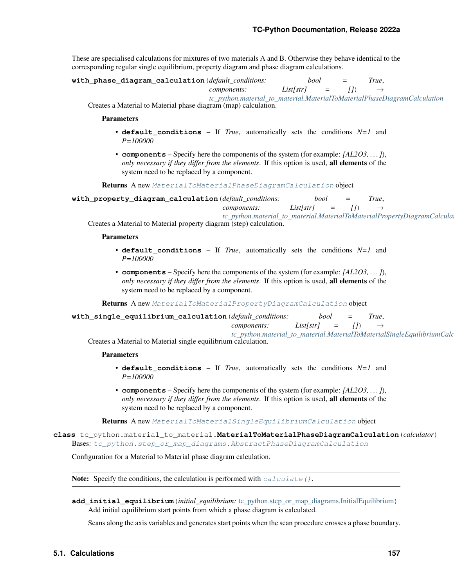These are specialised calculations for mixtures of two materials A and B. Otherwise they behave identical to the corresponding regular single equilibrium, property diagram and phase diagram calculations.

**with\_phase\_diagram\_calculation**(*default\_conditions: bool = True*,

```
components: List[str] = [1] \rightarrow
```
*[tc\\_python.material\\_to\\_material.MaterialToMaterialPhaseDiagramCalculation](#page-160-0)*

Creates a Material to Material phase diagram (map) calculation.

Parameters

- **default** conditions If *True*, automatically sets the conditions  $N=1$  and *P=100000*
- **components** Specify here the components of the system (for example: *[AL2O3, . . . ]*), *only necessary if they differ from the elements*. If this option is used, all elements of the system need to be replaced by a component.

Returns A new [MaterialToMaterialPhaseDiagramCalculation](#page-160-0) object

**with\_property\_diagram\_calculation**(*default\_conditions: bool = True*, *components: List[str]* = [])

*[tc\\_python.material\\_to\\_material.MaterialToMaterialPropertyDiagramCalculation](#page-167-0)*

Creates a Material to Material property diagram (step) calculation.

Parameters

- **default** conditions If *True*, automatically sets the conditions  $N=1$  and *P=100000*
- **components** Specify here the components of the system (for example: *[AL2O3, . . . ]*), *only necessary if they differ from the elements*. If this option is used, all elements of the system need to be replaced by a component.

Returns A new [MaterialToMaterialPropertyDiagramCalculation](#page-167-0) object

**with\_single\_equilibrium\_calculation**(*default\_conditions: bool = True*, *components: List[str]* = [])

*[tc\\_python.material\\_to\\_material.MaterialToMaterialSingleEquilibriumCalculation](#page-174-0)* Creates a Material to Material single equilibrium calculation.

### Parameters

- **default** conditions If *True*, automatically sets the conditions  $N=1$  and *P=100000*
- **components** Specify here the components of the system (for example: *[AL2O3, . . . ]*), *only necessary if they differ from the elements*. If this option is used, all elements of the system need to be replaced by a component.

Returns A new [MaterialToMaterialSingleEquilibriumCalculation](#page-174-0) object

<span id="page-160-0"></span>**class** tc\_python.material\_to\_material.**MaterialToMaterialPhaseDiagramCalculation**(*calculator*) Bases: [tc\\_python.step\\_or\\_map\\_diagrams.AbstractPhaseDiagramCalculation](#page-88-0)

Configuration for a Material to Material phase diagram calculation.

**Note:** Specify the conditions, the calculation is performed with  $calculate()$ .

<span id="page-160-1"></span>**add\_initial\_equilibrium**(*initial\_equilibrium:* [tc\\_python.step\\_or\\_map\\_diagrams.InitialEquilibrium](#page-96-0)) Add initial equilibrium start points from which a phase diagram is calculated.

Scans along the axis variables and generates start points when the scan procedure crosses a phase boundary.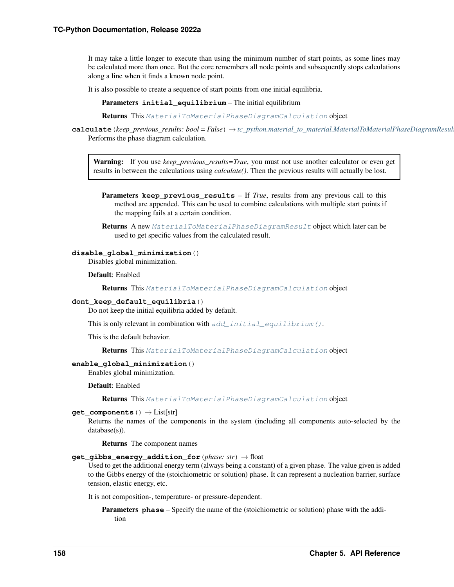It may take a little longer to execute than using the minimum number of start points, as some lines may be calculated more than once. But the core remembers all node points and subsequently stops calculations along a line when it finds a known node point.

It is also possible to create a sequence of start points from one initial equilibria.

Parameters *initial* equilibrium – The initial equilibrium

Returns This [MaterialToMaterialPhaseDiagramCalculation](#page-160-0) object

<span id="page-161-0"></span>**calculate**(*keep\_previous\_results: bool = False*) → *[tc\\_python.material\\_to\\_material.MaterialToMaterialPhaseDiagramResult](#page-165-0)* Performs the phase diagram calculation.

Warning: If you use *keep\_previous\_results=True*, you must not use another calculator or even get results in between the calculations using *calculate()*. Then the previous results will actually be lost.

Parameters **keep\_previous\_results** – If *True*, results from any previous call to this method are appended. This can be used to combine calculations with multiple start points if the mapping fails at a certain condition.

Returns A new [MaterialToMaterialPhaseDiagramResult](#page-165-0) object which later can be used to get specific values from the calculated result.

# **disable\_global\_minimization**()

Disables global minimization.

Default: Enabled

Returns This [MaterialToMaterialPhaseDiagramCalculation](#page-160-0) object

## **dont\_keep\_default\_equilibria**()

Do not keep the initial equilibria added by default.

This is only relevant in combination with  $add\_initial\_equilibrium()$ .

This is the default behavior.

Returns This [MaterialToMaterialPhaseDiagramCalculation](#page-160-0) object

## **enable\_global\_minimization**()

Enables global minimization.

Default: Enabled

Returns This [MaterialToMaterialPhaseDiagramCalculation](#page-160-0) object

### **get\_components**() → List[str]

Returns the names of the components in the system (including all components auto-selected by the database(s)).

Returns The component names

#### **get\_gibbs\_energy\_addition\_for**(*phase: str*) → float

Used to get the additional energy term (always being a constant) of a given phase. The value given is added to the Gibbs energy of the (stoichiometric or solution) phase. It can represent a nucleation barrier, surface tension, elastic energy, etc.

It is not composition-, temperature- or pressure-dependent.

**Parameters phase** – Specify the name of the (stoichiometric or solution) phase with the addition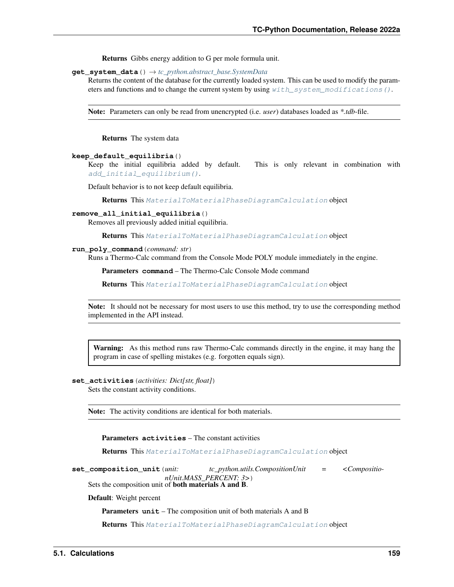Returns Gibbs energy addition to G per mole formula unit.

**get\_system\_data**() → *[tc\\_python.abstract\\_base.SystemData](#page-232-0)*

Returns the content of the database for the currently loaded system. This can be used to modify the parameters and functions and to change the current system by using  $with\_system\_modifications()$ .

Note: Parameters can only be read from unencrypted (i.e. *user*) databases loaded as *\*.tdb*-file.

Returns The system data

#### **keep\_default\_equilibria**()

Keep the initial equilibria added by default. This is only relevant in combination with [add\\_initial\\_equilibrium\(\)](#page-160-1).

Default behavior is to not keep default equilibria.

Returns This [MaterialToMaterialPhaseDiagramCalculation](#page-160-0) object

#### **remove\_all\_initial\_equilibria**()

Removes all previously added initial equilibria.

Returns This [MaterialToMaterialPhaseDiagramCalculation](#page-160-0) object

### **run\_poly\_command**(*command: str*)

Runs a Thermo-Calc command from the Console Mode POLY module immediately in the engine.

Parameters **command** – The Thermo-Calc Console Mode command

Returns This [MaterialToMaterialPhaseDiagramCalculation](#page-160-0) object

Note: It should not be necessary for most users to use this method, try to use the corresponding method implemented in the API instead.

Warning: As this method runs raw Thermo-Calc commands directly in the engine, it may hang the program in case of spelling mistakes (e.g. forgotten equals sign).

<span id="page-162-1"></span>**set\_activities**(*activities: Dict[str, float]*)

Sets the constant activity conditions.

Note: The activity conditions are identical for both materials.

Parameters **activities** – The constant activities

Returns This [MaterialToMaterialPhaseDiagramCalculation](#page-160-0) object

<span id="page-162-0"></span>**set\_composition\_unit**(*unit: tc\_python.utils.CompositionUnit = <CompositionUnit.MASS\_PERCENT: 3>*) Sets the composition unit of both materials A and B.

Default: Weight percent

Parameters **unit** – The composition unit of both materials A and B

Returns This [MaterialToMaterialPhaseDiagramCalculation](#page-160-0) object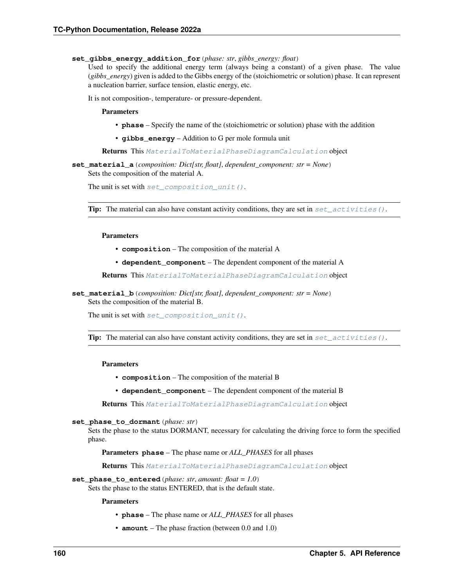### **set\_gibbs\_energy\_addition\_for**(*phase: str*, *gibbs\_energy: float*)

Used to specify the additional energy term (always being a constant) of a given phase. The value (*gibbs\_energy*) given is added to the Gibbs energy of the (stoichiometric or solution) phase. It can represent a nucleation barrier, surface tension, elastic energy, etc.

It is not composition-, temperature- or pressure-dependent.

### Parameters

- **phase** Specify the name of the (stoichiometric or solution) phase with the addition
- **gibbs\_energy** Addition to G per mole formula unit

Returns This [MaterialToMaterialPhaseDiagramCalculation](#page-160-0) object

### **set\_material\_a**(*composition: Dict[str, float]*, *dependent\_component: str = None*) Sets the composition of the material A.

The unit is set with  $set\_composition\_unit()$ .

**Tip:** The material can also have constant activity conditions, they are set in set activities ().

### Parameters

- **composition** The composition of the material A
- **dependent** component The dependent component of the material A

Returns This [MaterialToMaterialPhaseDiagramCalculation](#page-160-0) object

**set\_material\_b**(*composition: Dict[str, float]*, *dependent\_component: str = None*) Sets the composition of the material B.

The unit is set with  $set\_composition\_unit()$ .

**Tip:** The material can also have constant activity conditions, they are set in  $set\_activities()$ .

#### Parameters

- **composition** The composition of the material B
- **dependent\_component** The dependent component of the material B

Returns This [MaterialToMaterialPhaseDiagramCalculation](#page-160-0) object

#### **set\_phase\_to\_dormant**(*phase: str*)

Sets the phase to the status DORMANT, necessary for calculating the driving force to form the specified phase.

Parameters **phase** – The phase name or *ALL\_PHASES* for all phases

Returns This [MaterialToMaterialPhaseDiagramCalculation](#page-160-0) object

set phase to entered (*phase: str. amount: float = 1.0*)

Sets the phase to the status ENTERED, that is the default state.

### Parameters

- **phase** The phase name or *ALL\_PHASES* for all phases
- **amount** The phase fraction (between 0.0 and 1.0)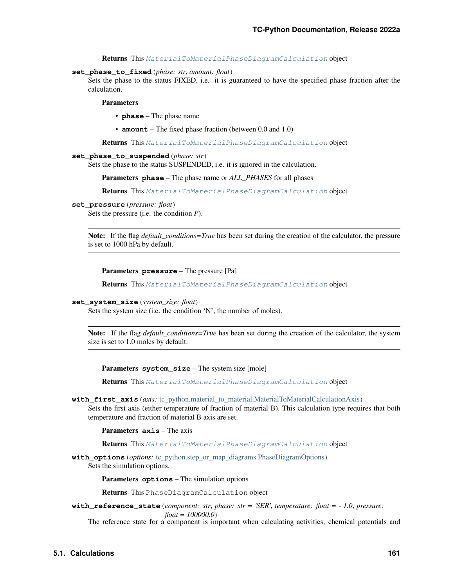Returns This [MaterialToMaterialPhaseDiagramCalculation](#page-160-0) object

#### **set\_phase\_to\_fixed**(*phase: str*, *amount: float*)

Sets the phase to the status FIXED, i.e. it is guaranteed to have the specified phase fraction after the calculation.

Parameters

- **phase** The phase name
- **amount** The fixed phase fraction (between 0.0 and 1.0)

Returns This [MaterialToMaterialPhaseDiagramCalculation](#page-160-0) object

#### **set\_phase\_to\_suspended**(*phase: str*)

Sets the phase to the status SUSPENDED, i.e. it is ignored in the calculation.

Parameters **phase** – The phase name or *ALL\_PHASES* for all phases

Returns This [MaterialToMaterialPhaseDiagramCalculation](#page-160-0) object

### **set\_pressure**(*pressure: float*)

Sets the pressure (i.e. the condition *P*).

Note: If the flag *default\_conditions=True* has been set during the creation of the calculator, the pressure is set to 1000 hPa by default.

```
Parameters pressure – The pressure [Pa]
```
Returns This [MaterialToMaterialPhaseDiagramCalculation](#page-160-0) object

#### **set\_system\_size**(*system\_size: float*)

Sets the system size (i.e. the condition 'N', the number of moles).

Note: If the flag *default\_conditions=True* has been set during the creation of the calculator, the system size is set to 1.0 moles by default.

Parameters **system\_size** – The system size [mole]

Returns This [MaterialToMaterialPhaseDiagramCalculation](#page-160-0) object

**with\_first\_axis**(*axis:* [tc\\_python.material\\_to\\_material.MaterialToMaterialCalculationAxis](#page-159-0))

Sets the first axis (either temperature of fraction of material B). This calculation type requires that both temperature and fraction of material B axis are set.

Parameters **axis** – The axis

Returns This [MaterialToMaterialPhaseDiagramCalculation](#page-160-0) object

**with\_options**(*options:* [tc\\_python.step\\_or\\_map\\_diagrams.PhaseDiagramOptions](#page-101-0)) Sets the simulation options.

Parameters **options** – The simulation options

Returns This PhaseDiagramCalculation object

**with\_reference\_state**(*component: str*, *phase: str = 'SER'*, *temperature: float = - 1.0*, *pressure: float = 100000.0*)

The reference state for a component is important when calculating activities, chemical potentials and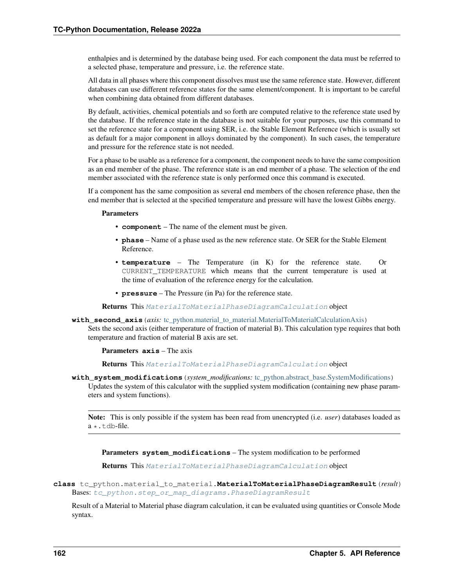enthalpies and is determined by the database being used. For each component the data must be referred to a selected phase, temperature and pressure, i.e. the reference state.

All data in all phases where this component dissolves must use the same reference state. However, different databases can use different reference states for the same element/component. It is important to be careful when combining data obtained from different databases.

By default, activities, chemical potentials and so forth are computed relative to the reference state used by the database. If the reference state in the database is not suitable for your purposes, use this command to set the reference state for a component using SER, i.e. the Stable Element Reference (which is usually set as default for a major component in alloys dominated by the component). In such cases, the temperature and pressure for the reference state is not needed.

For a phase to be usable as a reference for a component, the component needs to have the same composition as an end member of the phase. The reference state is an end member of a phase. The selection of the end member associated with the reference state is only performed once this command is executed.

If a component has the same composition as several end members of the chosen reference phase, then the end member that is selected at the specified temperature and pressure will have the lowest Gibbs energy.

### Parameters

- **component** The name of the element must be given.
- **phase** Name of a phase used as the new reference state. Or SER for the Stable Element Reference.
- **temperature** The Temperature (in K) for the reference state. Or CURRENT\_TEMPERATURE which means that the current temperature is used at the time of evaluation of the reference energy for the calculation.
- **pressure** The Pressure (in Pa) for the reference state.

Returns This [MaterialToMaterialPhaseDiagramCalculation](#page-160-0) object

### **with\_second\_axis**(*axis:* [tc\\_python.material\\_to\\_material.MaterialToMaterialCalculationAxis](#page-159-0))

Sets the second axis (either temperature of fraction of material B). This calculation type requires that both temperature and fraction of material B axis are set.

Parameters **axis** – The axis

Returns This [MaterialToMaterialPhaseDiagramCalculation](#page-160-0) object

<span id="page-165-1"></span>**with\_system\_modifications**(*system\_modifications:* [tc\\_python.abstract\\_base.SystemModifications](#page-234-0)) Updates the system of this calculator with the supplied system modification (containing new phase parameters and system functions).

Note: This is only possible if the system has been read from unencrypted (i.e. *user*) databases loaded as  $a \star$ .tdb-file.

Parameters **system\_modifications** – The system modification to be performed

Returns This [MaterialToMaterialPhaseDiagramCalculation](#page-160-0) object

<span id="page-165-0"></span>**class** tc\_python.material\_to\_material.**MaterialToMaterialPhaseDiagramResult**(*result*) Bases: [tc\\_python.step\\_or\\_map\\_diagrams.PhaseDiagramResult](#page-104-0)

Result of a Material to Material phase diagram calculation, it can be evaluated using quantities or Console Mode syntax.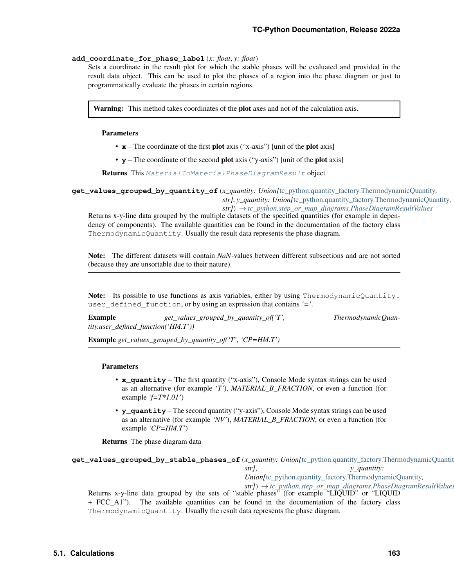## **add\_coordinate\_for\_phase\_label**(*x: float*, *y: float*)

Sets a coordinate in the result plot for which the stable phases will be evaluated and provided in the result data object. This can be used to plot the phases of a region into the phase diagram or just to programmatically evaluate the phases in certain regions.

Warning: This method takes coordinates of the plot axes and not of the calculation axis.

## Parameters

- **x** The coordinate of the first **plot** axis ("x-axis") [unit of the **plot** axis]
- **y** The coordinate of the second plot axis ("y-axis") [unit of the plot axis]

Returns This [MaterialToMaterialPhaseDiagramResult](#page-165-0) object

**get\_values\_grouped\_by\_quantity\_of**(*x\_quantity: Union[*[tc\\_python.quantity\\_factory.ThermodynamicQuantity](#page-207-0)*, str]*, *y\_quantity: Union[*[tc\\_python.quantity\\_factory.ThermodynamicQuantity](#page-207-0)*,*

*str]*) → *[tc\\_python.step\\_or\\_map\\_diagrams.PhaseDiagramResultValues](#page-105-0)* Returns x-y-line data grouped by the multiple datasets of the specified quantities (for example in dependency of components). The available quantities can be found in the documentation of the factory class ThermodynamicQuantity. Usually the result data represents the phase diagram.

Note: The different datasets will contain *NaN*-values between different subsections and are not sorted (because they are unsortable due to their nature).

Note: Its possible to use functions as axis variables, either by using ThermodynamicQuantity. user\_defined\_function, or by using an expression that contains *'='*.

Example *get\_values\_grouped\_by\_quantity\_of('T', ThermodynamicQuantity.user\_defined\_function('HM.T'))*

Example *get\_values\_grouped\_by\_quantity\_of('T', 'CP=HM.T')*

## Parameters

- **x\_quantity** The first quantity ("x-axis"), Console Mode syntax strings can be used as an alternative (for example *'T'*), *MATERIAL\_B\_FRACTION*, or even a function (for example *'f=T\*1.01'*)
- **y\_quantity** The second quantity ("y-axis"), Console Mode syntax strings can be used as an alternative (for example *'NV'*), *MATERIAL\_B\_FRACTION*, or even a function (for example *'CP=HM.T'*)

Returns The phase diagram data

# **get\_values\_grouped\_by\_stable\_phases\_of**(*x\_quantity: Union[*[tc\\_python.quantity\\_factory.ThermodynamicQuantity](#page-207-0)*, str]*, *y\_quantity: Union[*[tc\\_python.quantity\\_factory.ThermodynamicQuantity](#page-207-0)*, str]*) → *[tc\\_python.step\\_or\\_map\\_diagrams.PhaseDiagramResultValues](#page-105-0)*

Returns x-y-line data grouped by the sets of "stable phases" (for example "LIQUID" or "LIQUID + FCC\_A1"). The available quantities can be found in the documentation of the factory class ThermodynamicQuantity. Usually the result data represents the phase diagram.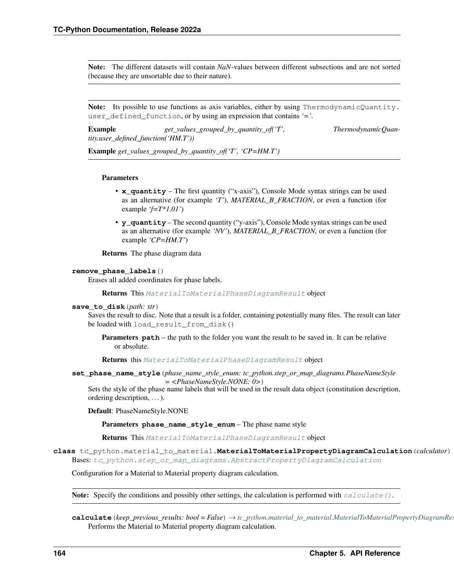Note: The different datasets will contain *NaN*-values between different subsections and are not sorted (because they are unsortable due to their nature).

Note: Its possible to use functions as axis variables, either by using ThermodynamicQuantity. user\_defined\_function, or by using an expression that contains *'='*.

Example  $get\_values\_grouped\_by\_quantity\_of('T',$  ThermodynamicQuan*tity.user\_defined\_function('HM.T'))*

Example *get\_values\_grouped\_by\_quantity\_of('T', 'CP=HM.T')*

#### **Parameters**

- **x\_quantity** The first quantity ("x-axis"), Console Mode syntax strings can be used as an alternative (for example *'T'*), *MATERIAL\_B\_FRACTION*, or even a function (for example *'f=T\*1.01'*)
- **y\_quantity** The second quantity ("y-axis"), Console Mode syntax strings can be used as an alternative (for example *'NV'*), *MATERIAL\_B\_FRACTION*, or even a function (for example *'CP=HM.T'*)

Returns The phase diagram data

### **remove\_phase\_labels**()

Erases all added coordinates for phase labels.

Returns This [MaterialToMaterialPhaseDiagramResult](#page-165-0) object

#### **save\_to\_disk**(*path: str*)

Saves the result to disc. Note that a result is a folder, containing potentially many files. The result can later be loaded with load\_result\_from\_disk()

**Parameters path** – the path to the folder you want the result to be saved in. It can be relative or absolute.

Returns this [MaterialToMaterialPhaseDiagramResult](#page-165-0) object

**set\_phase\_name\_style**(*phase\_name\_style\_enum: tc\_python.step\_or\_map\_diagrams.PhaseNameStyle*

*= <PhaseNameStyle.NONE: 0>*)

Sets the style of the phase name labels that will be used in the result data object (constitution description, ordering description, . . . ).

Default: PhaseNameStyle.NONE

Parameters **phase\_name\_style\_enum** – The phase name style

Returns This [MaterialToMaterialPhaseDiagramResult](#page-165-0) object

<span id="page-167-0"></span>**class** tc\_python.material\_to\_material.**MaterialToMaterialPropertyDiagramCalculation**(*calculator*) Bases: [tc\\_python.step\\_or\\_map\\_diagrams.AbstractPropertyDiagramCalculation](#page-91-0)

Configuration for a Material to Material property diagram calculation.

**Note:** Specify the conditions and possibly other settings, the calculation is performed with [calculate\(\)](#page-167-1).

<span id="page-167-1"></span>**calculate**(*keep\_previous\_results: bool = False*) → *[tc\\_python.material\\_to\\_material.MaterialToMaterialPropertyDiagramResult](#page-172-0)* Performs the Material to Material property diagram calculation.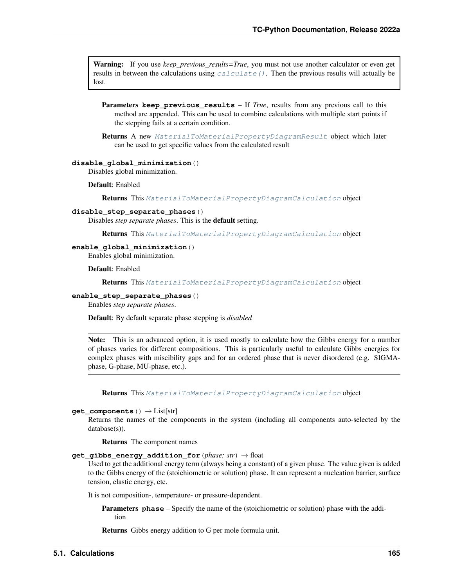Warning: If you use *keep\_previous\_results=True*, you must not use another calculator or even get results in between the calculations using *calculate* (). Then the previous results will actually be lost.

**Parameters keep\_previous\_results** – If *True*, results from any previous call to this method are appended. This can be used to combine calculations with multiple start points if the stepping fails at a certain condition.

Returns A new [MaterialToMaterialPropertyDiagramResult](#page-172-0) object which later can be used to get specific values from the calculated result

## **disable\_global\_minimization**()

Disables global minimization.

Default: Enabled

Returns This [MaterialToMaterialPropertyDiagramCalculation](#page-167-0) object

## **disable\_step\_separate\_phases**()

Disables *step separate phases*. This is the default setting.

Returns This [MaterialToMaterialPropertyDiagramCalculation](#page-167-0) object

## **enable\_global\_minimization**()

Enables global minimization.

Default: Enabled

Returns This [MaterialToMaterialPropertyDiagramCalculation](#page-167-0) object

### **enable\_step\_separate\_phases**()

Enables *step separate phases*.

Default: By default separate phase stepping is *disabled*

Note: This is an advanced option, it is used mostly to calculate how the Gibbs energy for a number of phases varies for different compositions. This is particularly useful to calculate Gibbs energies for complex phases with miscibility gaps and for an ordered phase that is never disordered (e.g. SIGMAphase, G-phase, MU-phase, etc.).

Returns This [MaterialToMaterialPropertyDiagramCalculation](#page-167-0) object

## **get\_components**() → List[str]

Returns the names of the components in the system (including all components auto-selected by the database(s)).

Returns The component names

#### **get\_gibbs\_energy\_addition\_for**(*phase: str*) → float

Used to get the additional energy term (always being a constant) of a given phase. The value given is added to the Gibbs energy of the (stoichiometric or solution) phase. It can represent a nucleation barrier, surface tension, elastic energy, etc.

It is not composition-, temperature- or pressure-dependent.

Parameters **phase** – Specify the name of the (stoichiometric or solution) phase with the addition

Returns Gibbs energy addition to G per mole formula unit.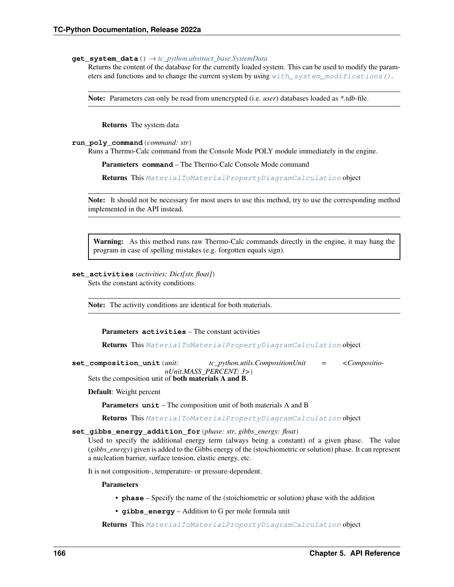### **get\_system\_data**() → *[tc\\_python.abstract\\_base.SystemData](#page-232-0)*

Returns the content of the database for the currently loaded system. This can be used to modify the parameters and functions and to change the current system by using with system modifications ().

Note: Parameters can only be read from unencrypted (i.e. *user*) databases loaded as *\*.tdb*-file.

Returns The system data

## **run\_poly\_command**(*command: str*)

Runs a Thermo-Calc command from the Console Mode POLY module immediately in the engine.

Parameters **command** – The Thermo-Calc Console Mode command

Returns This [MaterialToMaterialPropertyDiagramCalculation](#page-167-0) object

Note: It should not be necessary for most users to use this method, try to use the corresponding method implemented in the API instead.

Warning: As this method runs raw Thermo-Calc commands directly in the engine, it may hang the program in case of spelling mistakes (e.g. forgotten equals sign).

# <span id="page-169-1"></span>**set\_activities**(*activities: Dict[str, float]*)

Sets the constant activity conditions.

Note: The activity conditions are identical for both materials.

Parameters **activities** – The constant activities

Returns This [MaterialToMaterialPropertyDiagramCalculation](#page-167-0) object

<span id="page-169-0"></span>**set\_composition\_unit**(*unit: tc\_python.utils.CompositionUnit = <CompositionUnit.MASS\_PERCENT: 3>*) Sets the composition unit of both materials A and B.

Default: Weight percent

Parameters **unit** – The composition unit of both materials A and B

Returns This [MaterialToMaterialPropertyDiagramCalculation](#page-167-0) object

### **set\_gibbs\_energy\_addition\_for**(*phase: str*, *gibbs\_energy: float*)

Used to specify the additional energy term (always being a constant) of a given phase. The value (*gibbs\_energy*) given is added to the Gibbs energy of the (stoichiometric or solution) phase. It can represent a nucleation barrier, surface tension, elastic energy, etc.

It is not composition-, temperature- or pressure-dependent.

Parameters

• **phase** – Specify the name of the (stoichiometric or solution) phase with the addition

• **gibbs\_energy** – Addition to G per mole formula unit

Returns This [MaterialToMaterialPropertyDiagramCalculation](#page-167-0) object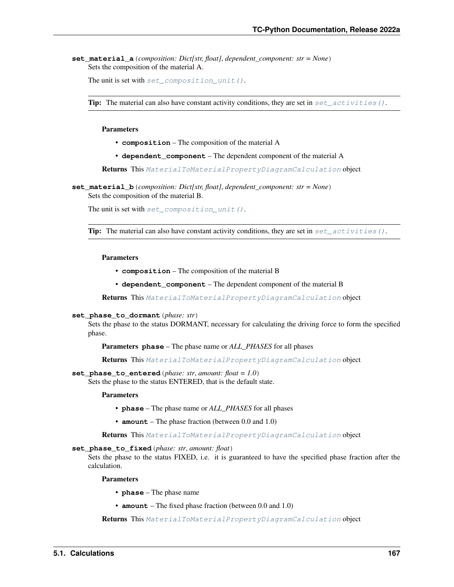**set\_material\_a**(*composition: Dict[str, float]*, *dependent\_component: str = None*) Sets the composition of the material A.

```
set_composition_unit().
```
**Tip:** The material can also have constant activity conditions, they are set in set activities ().

Parameters

- **composition** The composition of the material A
- **dependent\_component** The dependent component of the material A

Returns This [MaterialToMaterialPropertyDiagramCalculation](#page-167-0) object

**set\_material\_b**(*composition: Dict[str, float]*, *dependent\_component: str = None*) Sets the composition of the material B.

The unit is set with set composition unit().

**Tip:** The material can also have constant activity conditions, they are set in  $set\_activities()$ .

#### Parameters

- **composition** The composition of the material B
- **dependent\_component** The dependent component of the material B

Returns This [MaterialToMaterialPropertyDiagramCalculation](#page-167-0) object

#### **set\_phase\_to\_dormant**(*phase: str*)

Sets the phase to the status DORMANT, necessary for calculating the driving force to form the specified phase.

Parameters **phase** – The phase name or *ALL\_PHASES* for all phases

Returns This [MaterialToMaterialPropertyDiagramCalculation](#page-167-0) object

**set\_phase\_to\_entered**(*phase: str*, *amount: float = 1.0*)

Sets the phase to the status ENTERED, that is the default state.

Parameters

- **phase** The phase name or *ALL\_PHASES* for all phases
- **amount** The phase fraction (between 0.0 and 1.0)

Returns This [MaterialToMaterialPropertyDiagramCalculation](#page-167-0) object

## **set\_phase\_to\_fixed**(*phase: str*, *amount: float*)

Sets the phase to the status FIXED, i.e. it is guaranteed to have the specified phase fraction after the calculation.

#### **Parameters**

- **phase** The phase name
- **amount** The fixed phase fraction (between 0.0 and 1.0)

Returns This [MaterialToMaterialPropertyDiagramCalculation](#page-167-0) object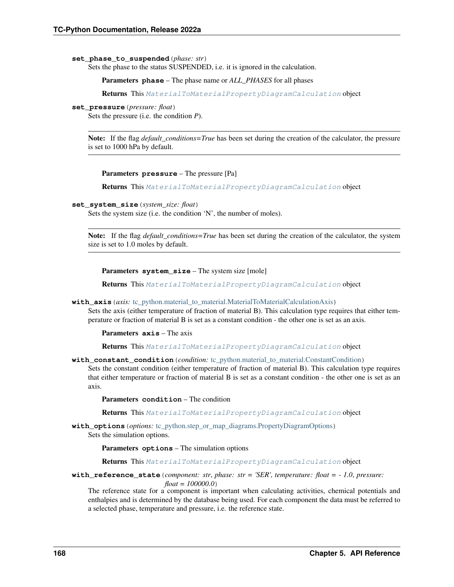### **set\_phase\_to\_suspended**(*phase: str*)

Sets the phase to the status SUSPENDED, i.e. it is ignored in the calculation.

Parameters **phase** – The phase name or *ALL\_PHASES* for all phases

Returns This [MaterialToMaterialPropertyDiagramCalculation](#page-167-0) object

#### **set\_pressure**(*pressure: float*)

Sets the pressure (i.e. the condition *P*).

Note: If the flag *default\_conditions=True* has been set during the creation of the calculator, the pressure is set to 1000 hPa by default.

#### Parameters **pressure** – The pressure [Pa]

Returns This [MaterialToMaterialPropertyDiagramCalculation](#page-167-0) object

#### **set\_system\_size**(*system\_size: float*)

Sets the system size (i.e. the condition 'N', the number of moles).

Note: If the flag *default\_conditions=True* has been set during the creation of the calculator, the system size is set to 1.0 moles by default.

Parameters **system\_size** – The system size [mole]

Returns This [MaterialToMaterialPropertyDiagramCalculation](#page-167-0) object

#### **with\_axis**(*axis:* [tc\\_python.material\\_to\\_material.MaterialToMaterialCalculationAxis](#page-159-0))

Sets the axis (either temperature of fraction of material B). This calculation type requires that either temperature or fraction of material B is set as a constant condition - the other one is set as an axis.

Parameters **axis** – The axis

Returns This [MaterialToMaterialPropertyDiagramCalculation](#page-167-0) object

#### **with constant condition** (*condition:* tc\_python.material to\_material.ConstantCondition)

Sets the constant condition (either temperature of fraction of material B). This calculation type requires that either temperature or fraction of material B is set as a constant condition - the other one is set as an axis.

Parameters **condition** – The condition

Returns This [MaterialToMaterialPropertyDiagramCalculation](#page-167-0) object

**with\_options**(*options:* [tc\\_python.step\\_or\\_map\\_diagrams.PropertyDiagramOptions](#page-110-0)) Sets the simulation options.

Parameters **options** – The simulation options

Returns This [MaterialToMaterialPropertyDiagramCalculation](#page-167-0) object

### **with\_reference\_state**(*component: str*, *phase: str = 'SER'*, *temperature: float = - 1.0*, *pressure: float = 100000.0*)

The reference state for a component is important when calculating activities, chemical potentials and enthalpies and is determined by the database being used. For each component the data must be referred to a selected phase, temperature and pressure, i.e. the reference state.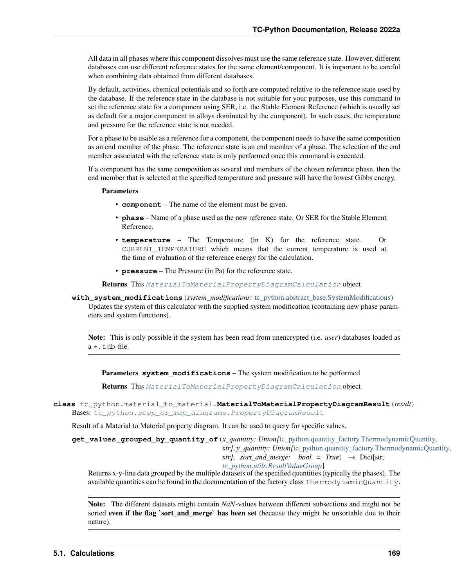All data in all phases where this component dissolves must use the same reference state. However, different databases can use different reference states for the same element/component. It is important to be careful when combining data obtained from different databases.

By default, activities, chemical potentials and so forth are computed relative to the reference state used by the database. If the reference state in the database is not suitable for your purposes, use this command to set the reference state for a component using SER, i.e. the Stable Element Reference (which is usually set as default for a major component in alloys dominated by the component). In such cases, the temperature and pressure for the reference state is not needed.

For a phase to be usable as a reference for a component, the component needs to have the same composition as an end member of the phase. The reference state is an end member of a phase. The selection of the end member associated with the reference state is only performed once this command is executed.

If a component has the same composition as several end members of the chosen reference phase, then the end member that is selected at the specified temperature and pressure will have the lowest Gibbs energy.

### **Parameters**

- **component** The name of the element must be given.
- **phase** Name of a phase used as the new reference state. Or SER for the Stable Element Reference.
- **temperature** The Temperature (in K) for the reference state. Or CURRENT\_TEMPERATURE which means that the current temperature is used at the time of evaluation of the reference energy for the calculation.
- **pressure** The Pressure (in Pa) for the reference state.

Returns This [MaterialToMaterialPropertyDiagramCalculation](#page-167-0) object

<span id="page-172-1"></span>**with\_system\_modifications**(*system\_modifications:* [tc\\_python.abstract\\_base.SystemModifications](#page-234-0)) Updates the system of this calculator with the supplied system modification (containing new phase param-

eters and system functions).

Note: This is only possible if the system has been read from unencrypted (i.e. *user*) databases loaded as  $a \star$ . tdb-file.

Parameters **system\_modifications** – The system modification to be performed

Returns This [MaterialToMaterialPropertyDiagramCalculation](#page-167-0) object

<span id="page-172-0"></span>**class** tc\_python.material\_to\_material.**MaterialToMaterialPropertyDiagramResult**(*result*) Bases: [tc\\_python.step\\_or\\_map\\_diagrams.PropertyDiagramResult](#page-112-0)

Result of a Material to Material property diagram. It can be used to query for specific values.

<span id="page-172-2"></span>**get\_values\_grouped\_by\_quantity\_of**(*x\_quantity: Union[*[tc\\_python.quantity\\_factory.ThermodynamicQuantity](#page-207-0)*,*

*str]*, *y\_quantity: Union[*[tc\\_python.quantity\\_factory.ThermodynamicQuantity](#page-207-0)*, str]*, *sort\_and\_merge: bool* =  $True$ )  $\rightarrow$  Dict[str,

*[tc\\_python.utils.ResultValueGroup](#page-211-0)*]

Returns x-y-line data grouped by the multiple datasets of the specified quantities (typically the phases). The available quantities can be found in the documentation of the factory class ThermodynamicQuantity.

Note: The different datasets might contain *NaN*-values between different subsections and might not be sorted even if the flag `sort\_and\_merge` has been set (because they might be unsortable due to their nature).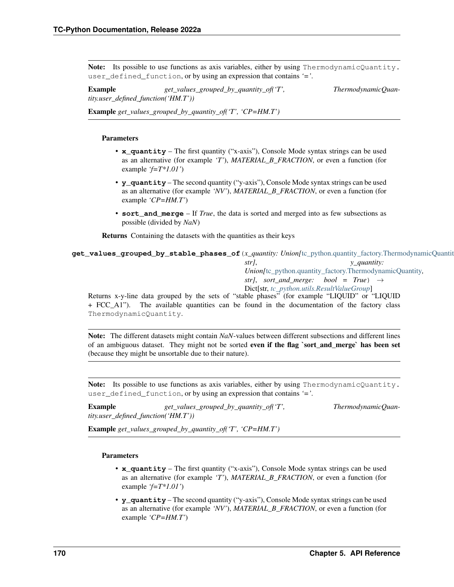Note: Its possible to use functions as axis variables, either by using ThermodynamicQuantity. user\_defined\_function, or by using an expression that contains *'='*.

Example  $get\_values\_grouped\_by\_quantity\_of('T',$  ThermodynamicQuan*tity.user\_defined\_function('HM.T'))*

Example *get\_values\_grouped\_by\_quantity\_of('T', 'CP=HM.T')*

## Parameters

- **x\_quantity** The first quantity ("x-axis"), Console Mode syntax strings can be used as an alternative (for example *'T'*), *MATERIAL\_B\_FRACTION*, or even a function (for example *'f=T\*1.01'*)
- **y\_quantity** The second quantity ("y-axis"), Console Mode syntax strings can be used as an alternative (for example *'NV'*), *MATERIAL\_B\_FRACTION*, or even a function (for example *'CP=HM.T'*)
- **sort** and merge If *True*, the data is sorted and merged into as few subsections as possible (divided by *NaN*)

Returns Containing the datasets with the quantities as their keys

<span id="page-173-0"></span>**get\_values\_grouped\_by\_stable\_phases\_of**(*x\_quantity: Union[*[tc\\_python.quantity\\_factory.ThermodynamicQuantity](#page-207-0)*, str]*, *y\_quantity: Union[*[tc\\_python.quantity\\_factory.ThermodynamicQuantity](#page-207-0)*, str]*, *sort* and *merge:* bool = True)  $\rightarrow$ Dict[str, *[tc\\_python.utils.ResultValueGroup](#page-211-0)*] Returns x-y-line data grouped by the sets of "stable phases" (for example "LIQUID" or "LIQUID + FCC\_A1"). The available quantities can be found in the documentation of the factory class

ThermodynamicQuantity. Note: The different datasets might contain *NaN*-values between different subsections and different lines

of an ambiguous dataset. They might not be sorted even if the flag 'sort\_and\_merge' has been set (because they might be unsortable due to their nature).

Note: Its possible to use functions as axis variables, either by using ThermodynamicQuantity. user\_defined\_function, or by using an expression that contains *'='*.

Example  $get\_values\_grouped\_by\_quantity\_of('T',$  ThermodynamicQuan*tity.user\_defined\_function('HM.T'))*

Example *get\_values\_grouped\_by\_quantity\_of('T', 'CP=HM.T')*

## Parameters

- **x\_quantity** The first quantity ("x-axis"), Console Mode syntax strings can be used as an alternative (for example *'T'*), *MATERIAL\_B\_FRACTION*, or even a function (for example *'f=T\*1.01'*)
- **y\_quantity** The second quantity ("y-axis"), Console Mode syntax strings can be used as an alternative (for example *'NV'*), *MATERIAL\_B\_FRACTION*, or even a function (for example *'CP=HM.T'*)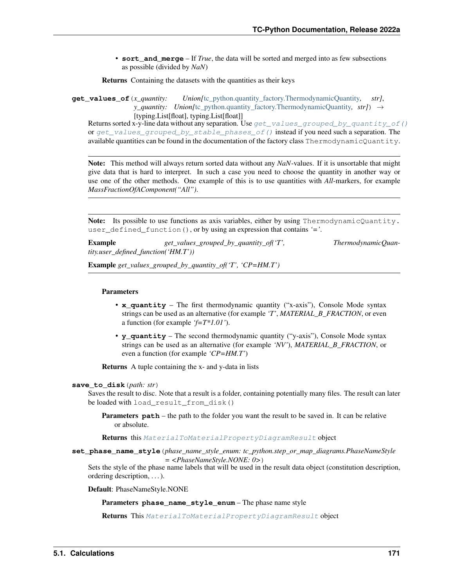• **sort** and merge – If *True*, the data will be sorted and merged into as few subsections as possible (divided by *NaN*)

Returns Containing the datasets with the quantities as their keys

**get\_values\_of**(*x\_quantity: Union[*[tc\\_python.quantity\\_factory.ThermodynamicQuantity](#page-207-0)*, str]*, *y\_quantity: Union*[[tc\\_python.quantity\\_factory.ThermodynamicQuantity](#page-207-0), str]) → [typing.List[float], typing.List[float]]

Returns sorted x-y-line data without any separation. Use  $get\_values\_grouped_by_quantity_of()$ or [get\\_values\\_grouped\\_by\\_stable\\_phases\\_of\(\)](#page-173-0) instead if you need such a separation. The available quantities can be found in the documentation of the factory class ThermodynamicQuantity.

Note: This method will always return sorted data without any *NaN*-values. If it is unsortable that might give data that is hard to interpret. In such a case you need to choose the quantity in another way or use one of the other methods. One example of this is to use quantities with *All*-markers, for example *MassFractionOfAComponent("All")*.

Note: Its possible to use functions as axis variables, either by using ThermodynamicQuantity. user\_defined\_function(), or by using an expression that contains *'='*.

Example  $get\_values\_grouped\_by\_quantity\_of('T',$  ThermodynamicQuan*tity.user\_defined\_function('HM.T'))*

Example *get\_values\_grouped\_by\_quantity\_of('T', 'CP=HM.T')*

### Parameters

- **x\_quantity** The first thermodynamic quantity ("x-axis"), Console Mode syntax strings can be used as an alternative (for example *'T'*, *MATERIAL\_B\_FRACTION*, or even a function (for example *'f=T\*1.01'*).
- **y\_quantity** The second thermodynamic quantity ("y-axis"), Console Mode syntax strings can be used as an alternative (for example *'NV'*), *MATERIAL\_B\_FRACTION*, or even a function (for example *'CP=HM.T'*)

Returns A tuple containing the x- and y-data in lists

#### **save\_to\_disk**(*path: str*)

Saves the result to disc. Note that a result is a folder, containing potentially many files. The result can later be loaded with load\_result\_from\_disk()

**Parameters path** – the path to the folder you want the result to be saved in. It can be relative or absolute.

Returns this [MaterialToMaterialPropertyDiagramResult](#page-172-0) object

**set\_phase\_name\_style**(*phase\_name\_style\_enum: tc\_python.step\_or\_map\_diagrams.PhaseNameStyle*

*= <PhaseNameStyle.NONE: 0>*)

Sets the style of the phase name labels that will be used in the result data object (constitution description, ordering description, . . . ).

<span id="page-174-0"></span>Default: PhaseNameStyle.NONE

Parameters **phase\_name\_style\_enum** – The phase name style

Returns This [MaterialToMaterialPropertyDiagramResult](#page-172-0) object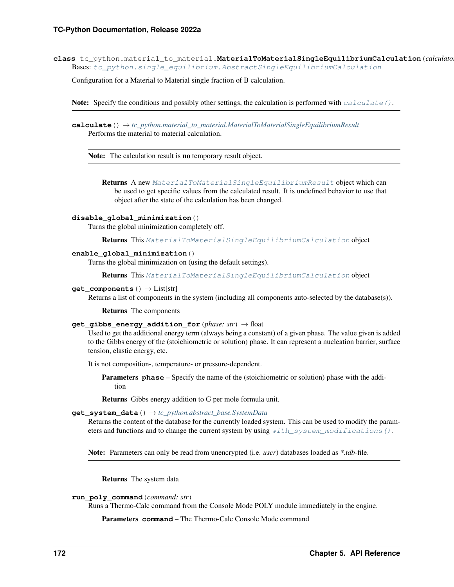**class** tc\_python.material\_to\_material.**MaterialToMaterialSingleEquilibriumCalculation**(*calculator*) Bases: [tc\\_python.single\\_equilibrium.AbstractSingleEquilibriumCalculation](#page-38-0)

Configuration for a Material to Material single fraction of B calculation.

**Note:** Specify the conditions and possibly other settings, the calculation is performed with [calculate\(\)](#page-175-0).

<span id="page-175-0"></span>**calculate**() → *[tc\\_python.material\\_to\\_material.MaterialToMaterialSingleEquilibriumResult](#page-179-0)* Performs the material to material calculation.

Note: The calculation result is no temporary result object.

Returns A new [MaterialToMaterialSingleEquilibriumResult](#page-179-0) object which can be used to get specific values from the calculated result. It is undefined behavior to use that object after the state of the calculation has been changed.

### **disable\_global\_minimization**()

Turns the global minimization completely off.

Returns This [MaterialToMaterialSingleEquilibriumCalculation](#page-174-0) object

### **enable\_global\_minimization**()

Turns the global minimization on (using the default settings).

Returns This [MaterialToMaterialSingleEquilibriumCalculation](#page-174-0) object

#### **get\_components**() → List[str]

Returns a list of components in the system (including all components auto-selected by the database(s)).

Returns The components

#### **get\_gibbs\_energy\_addition\_for**(*phase: str*) → float

Used to get the additional energy term (always being a constant) of a given phase. The value given is added to the Gibbs energy of the (stoichiometric or solution) phase. It can represent a nucleation barrier, surface tension, elastic energy, etc.

It is not composition-, temperature- or pressure-dependent.

Parameters **phase** – Specify the name of the (stoichiometric or solution) phase with the addition

Returns Gibbs energy addition to G per mole formula unit.

#### **get\_system\_data**() → *[tc\\_python.abstract\\_base.SystemData](#page-232-0)*

Returns the content of the database for the currently loaded system. This can be used to modify the parameters and functions and to change the current system by using  $with\_system\_modifications()$ .

Note: Parameters can only be read from unencrypted (i.e. *user*) databases loaded as *\*.tdb*-file.

Returns The system data

## **run\_poly\_command**(*command: str*)

Runs a Thermo-Calc command from the Console Mode POLY module immediately in the engine.

Parameters **command** – The Thermo-Calc Console Mode command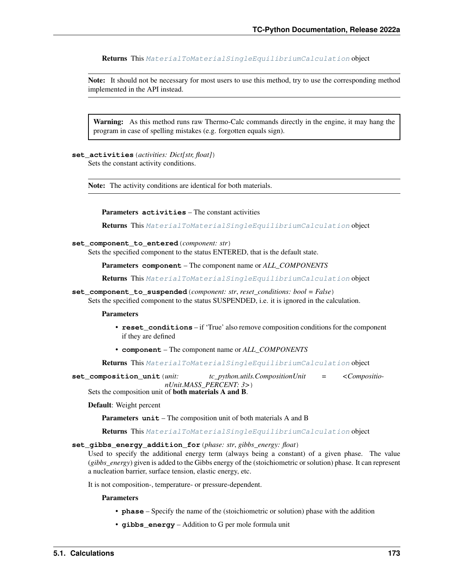Returns This [MaterialToMaterialSingleEquilibriumCalculation](#page-174-0) object

Note: It should not be necessary for most users to use this method, try to use the corresponding method implemented in the API instead.

Warning: As this method runs raw Thermo-Calc commands directly in the engine, it may hang the program in case of spelling mistakes (e.g. forgotten equals sign).

<span id="page-176-1"></span>**set\_activities**(*activities: Dict[str, float]*)

Sets the constant activity conditions.

Note: The activity conditions are identical for both materials.

Parameters **activities** – The constant activities

Returns This [MaterialToMaterialSingleEquilibriumCalculation](#page-174-0) object

## **set\_component\_to\_entered**(*component: str*)

Sets the specified component to the status ENTERED, that is the default state.

Parameters **component** – The component name or *ALL\_COMPONENTS*

Returns This [MaterialToMaterialSingleEquilibriumCalculation](#page-174-0) object

**set\_component\_to\_suspended**(*component: str*, *reset\_conditions: bool = False*)

Sets the specified component to the status SUSPENDED, i.e. it is ignored in the calculation.

### **Parameters**

- **reset** conditions if 'True' also remove composition conditions for the component if they are defined
- **component** The component name or *ALL\_COMPONENTS*

Returns This [MaterialToMaterialSingleEquilibriumCalculation](#page-174-0) object

<span id="page-176-0"></span>**set\_composition\_unit**(*unit: tc\_python.utils.CompositionUnit = <CompositionUnit.MASS\_PERCENT: 3>*)

Sets the composition unit of both materials A and B.

### Default: Weight percent

Parameters **unit** – The composition unit of both materials A and B

Returns This [MaterialToMaterialSingleEquilibriumCalculation](#page-174-0) object

## **set\_gibbs\_energy\_addition\_for**(*phase: str*, *gibbs\_energy: float*)

Used to specify the additional energy term (always being a constant) of a given phase. The value (*gibbs\_energy*) given is added to the Gibbs energy of the (stoichiometric or solution) phase. It can represent a nucleation barrier, surface tension, elastic energy, etc.

It is not composition-, temperature- or pressure-dependent.

### Parameters

- **phase** Specify the name of the (stoichiometric or solution) phase with the addition
- **gibbs\_energy** Addition to G per mole formula unit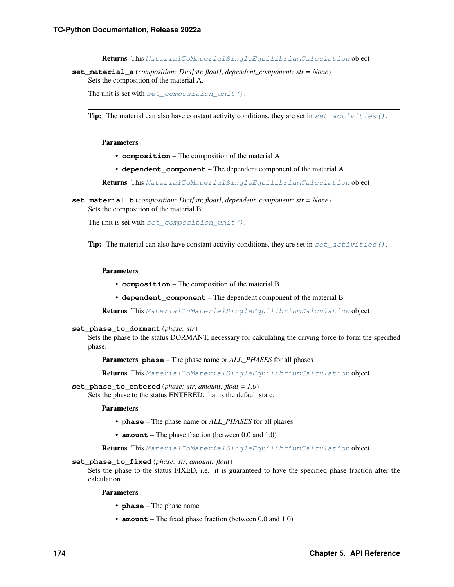Returns This [MaterialToMaterialSingleEquilibriumCalculation](#page-174-0) object

**set\_material\_a**(*composition: Dict[str, float]*, *dependent\_component: str = None*) Sets the composition of the material A.

The unit is set with [set\\_composition\\_unit\(\)](#page-176-0).

**Tip:** The material can also have constant activity conditions, they are set in  $set\_activities()$ .

#### Parameters

- **composition** The composition of the material A
- **dependent\_component** The dependent component of the material A

Returns This [MaterialToMaterialSingleEquilibriumCalculation](#page-174-0) object

**set\_material\_b**(*composition: Dict[str, float]*, *dependent\_component: str = None*) Sets the composition of the material B.

The unit is set with [set\\_composition\\_unit\(\)](#page-176-0).

**Tip:** The material can also have constant activity conditions, they are set in  $set\_activities()$ .

#### Parameters

- **composition** The composition of the material B
- **dependent\_component** The dependent component of the material B

Returns This [MaterialToMaterialSingleEquilibriumCalculation](#page-174-0) object

**set\_phase\_to\_dormant**(*phase: str*)

Sets the phase to the status DORMANT, necessary for calculating the driving force to form the specified phase.

Parameters **phase** – The phase name or *ALL\_PHASES* for all phases

Returns This [MaterialToMaterialSingleEquilibriumCalculation](#page-174-0) object

## **set\_phase\_to\_entered**(*phase: str*, *amount: float = 1.0*)

Sets the phase to the status ENTERED, that is the default state.

**Parameters** 

- **phase** The phase name or *ALL\_PHASES* for all phases
- **amount** The phase fraction (between 0.0 and 1.0)

Returns This [MaterialToMaterialSingleEquilibriumCalculation](#page-174-0) object

### **set\_phase\_to\_fixed**(*phase: str*, *amount: float*)

Sets the phase to the status FIXED, i.e. it is guaranteed to have the specified phase fraction after the calculation.

Parameters

- **phase** The phase name
- **amount** The fixed phase fraction (between 0.0 and 1.0)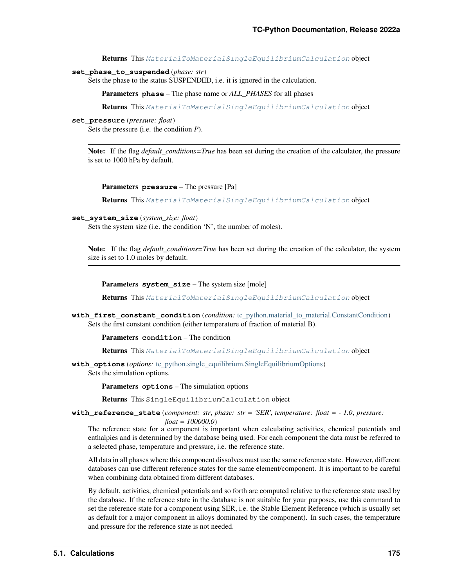Returns This [MaterialToMaterialSingleEquilibriumCalculation](#page-174-0) object

### **set\_phase\_to\_suspended**(*phase: str*)

Sets the phase to the status SUSPENDED, i.e. it is ignored in the calculation.

Parameters **phase** – The phase name or *ALL\_PHASES* for all phases

Returns This [MaterialToMaterialSingleEquilibriumCalculation](#page-174-0) object

### **set\_pressure**(*pressure: float*)

Sets the pressure (i.e. the condition *P*).

Note: If the flag *default\_conditions=True* has been set during the creation of the calculator, the pressure is set to 1000 hPa by default.

Parameters **pressure** – The pressure [Pa]

Returns This [MaterialToMaterialSingleEquilibriumCalculation](#page-174-0) object

#### **set\_system\_size**(*system\_size: float*)

Sets the system size (i.e. the condition 'N', the number of moles).

Note: If the flag *default\_conditions=True* has been set during the creation of the calculator, the system size is set to 1.0 moles by default.

Parameters **system\_size** – The system size [mole]

Returns This [MaterialToMaterialSingleEquilibriumCalculation](#page-174-0) object

**with\_first\_constant\_condition**(*condition:* [tc\\_python.material\\_to\\_material.ConstantCondition](#page-158-1)) Sets the first constant condition (either temperature of fraction of material B).

Parameters **condition** – The condition

Returns This [MaterialToMaterialSingleEquilibriumCalculation](#page-174-0) object

**with\_options**(*options:* [tc\\_python.single\\_equilibrium.SingleEquilibriumOptions](#page-45-0)) Sets the simulation options.

Parameters **options** – The simulation options

Returns This SingleEquilibriumCalculation object

## **with\_reference\_state**(*component: str*, *phase: str = 'SER'*, *temperature: float = - 1.0*, *pressure: float = 100000.0*)

The reference state for a component is important when calculating activities, chemical potentials and enthalpies and is determined by the database being used. For each component the data must be referred to a selected phase, temperature and pressure, i.e. the reference state.

All data in all phases where this component dissolves must use the same reference state. However, different databases can use different reference states for the same element/component. It is important to be careful when combining data obtained from different databases.

By default, activities, chemical potentials and so forth are computed relative to the reference state used by the database. If the reference state in the database is not suitable for your purposes, use this command to set the reference state for a component using SER, i.e. the Stable Element Reference (which is usually set as default for a major component in alloys dominated by the component). In such cases, the temperature and pressure for the reference state is not needed.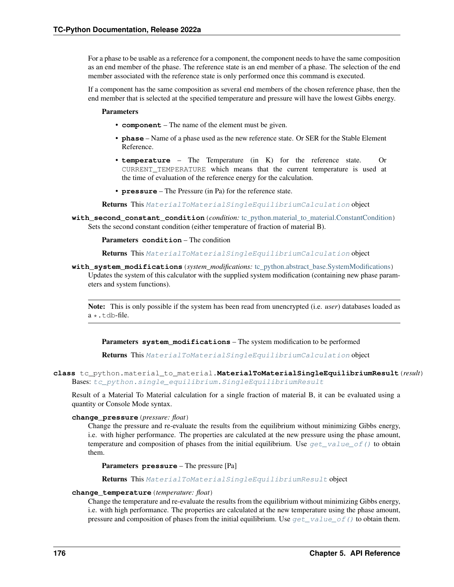For a phase to be usable as a reference for a component, the component needs to have the same composition as an end member of the phase. The reference state is an end member of a phase. The selection of the end member associated with the reference state is only performed once this command is executed.

If a component has the same composition as several end members of the chosen reference phase, then the end member that is selected at the specified temperature and pressure will have the lowest Gibbs energy.

## **Parameters**

- **component** The name of the element must be given.
- **phase** Name of a phase used as the new reference state. Or SER for the Stable Element Reference.
- **temperature** The Temperature (in K) for the reference state. Or CURRENT\_TEMPERATURE which means that the current temperature is used at the time of evaluation of the reference energy for the calculation.
- **pressure** The Pressure (in Pa) for the reference state.

Returns This [MaterialToMaterialSingleEquilibriumCalculation](#page-174-0) object

**with\_second\_constant\_condition**(*condition:* [tc\\_python.material\\_to\\_material.ConstantCondition](#page-158-1)) Sets the second constant condition (either temperature of fraction of material B).

### Parameters **condition** – The condition

Returns This [MaterialToMaterialSingleEquilibriumCalculation](#page-174-0) object

<span id="page-179-1"></span>**with\_system\_modifications**(*system\_modifications:* [tc\\_python.abstract\\_base.SystemModifications](#page-234-0)) Updates the system of this calculator with the supplied system modification (containing new phase parameters and system functions).

Note: This is only possible if the system has been read from unencrypted (i.e. *user*) databases loaded as a \*.tdb-file.

Parameters **system\_modifications** – The system modification to be performed

Returns This [MaterialToMaterialSingleEquilibriumCalculation](#page-174-0) object

<span id="page-179-0"></span>**class** tc\_python.material\_to\_material.**MaterialToMaterialSingleEquilibriumResult**(*result*) Bases: [tc\\_python.single\\_equilibrium.SingleEquilibriumResult](#page-47-0)

Result of a Material To Material calculation for a single fraction of material B, it can be evaluated using a quantity or Console Mode syntax.

## **change\_pressure**(*pressure: float*)

Change the pressure and re-evaluate the results from the equilibrium without minimizing Gibbs energy, i.e. with higher performance. The properties are calculated at the new pressure using the phase amount, temperature and composition of phases from the initial equilibrium. Use  $get_value_of()$  to obtain them.

Parameters **pressure** – The pressure [Pa]

Returns This [MaterialToMaterialSingleEquilibriumResult](#page-179-0) object

## **change\_temperature**(*temperature: float*)

Change the temperature and re-evaluate the results from the equilibrium without minimizing Gibbs energy, i.e. with high performance. The properties are calculated at the new temperature using the phase amount, pressure and composition of phases from the initial equilibrium. Use  $get\_value\_of()$  to obtain them.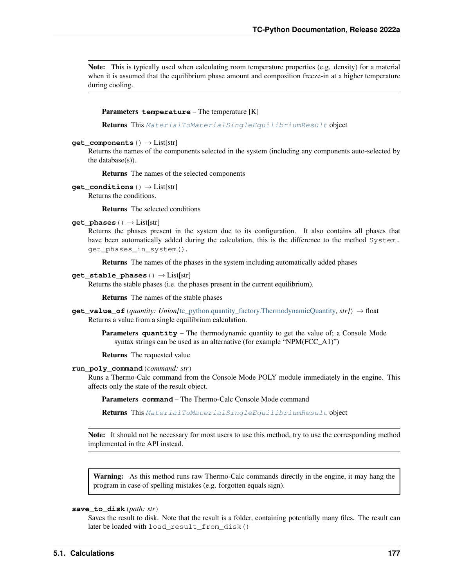Note: This is typically used when calculating room temperature properties (e.g. density) for a material when it is assumed that the equilibrium phase amount and composition freeze-in at a higher temperature during cooling.

### Parameters **temperature** – The temperature [K]

Returns This [MaterialToMaterialSingleEquilibriumResult](#page-179-0) object

## **get\_components**() → List[str]

Returns the names of the components selected in the system (including any components auto-selected by the database(s)).

Returns The names of the selected components

**get\_conditions**() → List[str]

Returns the conditions.

Returns The selected conditions

# **get\_phases**() → List[str]

Returns the phases present in the system due to its configuration. It also contains all phases that have been automatically added during the calculation, this is the difference to the method System. get\_phases\_in\_system().

Returns The names of the phases in the system including automatically added phases

### **get stable phases** () → List[str]

Returns the stable phases (i.e. the phases present in the current equilibrium).

Returns The names of the stable phases

**get\_value\_of**(*quantity: Union[*[tc\\_python.quantity\\_factory.ThermodynamicQuantity](#page-207-0)*, str]*) → float Returns a value from a single equilibrium calculation.

Parameters quantity - The thermodynamic quantity to get the value of; a Console Mode syntax strings can be used as an alternative (for example "NPM(FCC\_A1)")

Returns The requested value

### **run\_poly\_command**(*command: str*)

Runs a Thermo-Calc command from the Console Mode POLY module immediately in the engine. This affects only the state of the result object.

Parameters **command** – The Thermo-Calc Console Mode command

Returns This [MaterialToMaterialSingleEquilibriumResult](#page-179-0) object

Note: It should not be necessary for most users to use this method, try to use the corresponding method implemented in the API instead.

Warning: As this method runs raw Thermo-Calc commands directly in the engine, it may hang the program in case of spelling mistakes (e.g. forgotten equals sign).

# **save\_to\_disk**(*path: str*)

Saves the result to disk. Note that the result is a folder, containing potentially many files. The result can later be loaded with load\_result\_from\_disk()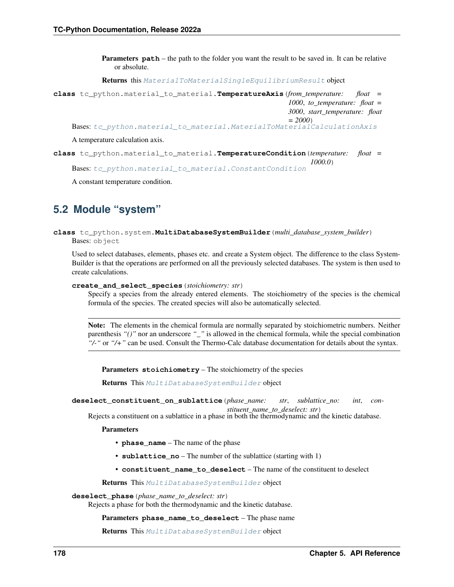**Parameters path** – the path to the folder you want the result to be saved in. It can be relative or absolute.

Returns this [MaterialToMaterialSingleEquilibriumResult](#page-179-0) object

**class** tc\_python.material\_to\_material.**TemperatureAxis**(*from\_temperature: float = 1000*, *to\_temperature: float = 3000*, *start\_temperature: float = 2000*)

Bases: [tc\\_python.material\\_to\\_material.MaterialToMaterialCalculationAxis](#page-159-0)

A temperature calculation axis.

**class** tc\_python.material\_to\_material.**TemperatureCondition**(*temperature: float = 1000.0*) Bases: [tc\\_python.material\\_to\\_material.ConstantCondition](#page-158-0)

A constant temperature condition.

# **5.2 Module "system"**

<span id="page-181-0"></span>**class** tc\_python.system.**MultiDatabaseSystemBuilder**(*multi\_database\_system\_builder*) Bases: object

Used to select databases, elements, phases etc. and create a System object. The difference to the class System-Builder is that the operations are performed on all the previously selected databases. The system is then used to create calculations.

### **create\_and\_select\_species**(*stoichiometry: str*)

Specify a species from the already entered elements. The stoichiometry of the species is the chemical formula of the species. The created species will also be automatically selected.

Note: The elements in the chemical formula are normally separated by stoichiometric numbers. Neither parenthesis *"()"* nor an underscore *"\_"* is allowed in the chemical formula, while the special combination *"/-"* or *"/+"* can be used. Consult the Thermo-Calc database documentation for details about the syntax.

Parameters **stoichiometry** – The stoichiometry of the species

Returns This [MultiDatabaseSystemBuilder](#page-181-0) object

```
deselect_constituent_on_sublattice(phase_name: str, sublattice_no: int, con-
                                         stituent_name_to_deselect: str)
```
Rejects a constituent on a sublattice in a phase in both the thermodynamic and the kinetic database.

### Parameters

- **phase\_name** The name of the phase
- **sublattice\_no** The number of the sublattice (starting with 1)
- **constituent\_name\_to\_deselect** The name of the constituent to deselect

Returns This [MultiDatabaseSystemBuilder](#page-181-0) object

#### **deselect\_phase**(*phase\_name\_to\_deselect: str*)

Rejects a phase for both the thermodynamic and the kinetic database.

### Parameters **phase\_name\_to\_deselect** – The phase name

Returns This [MultiDatabaseSystemBuilder](#page-181-0) object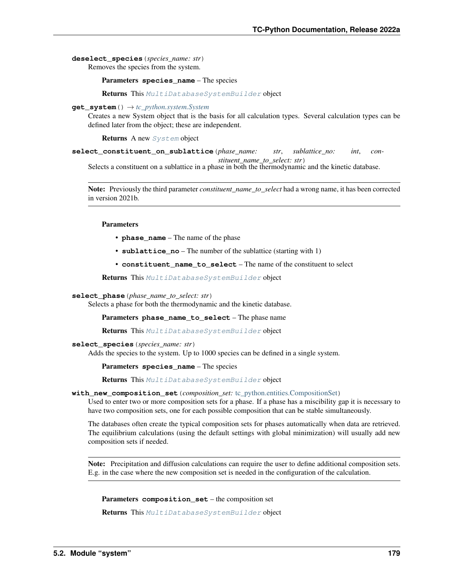# **deselect\_species**(*species\_name: str*)

Removes the species from the system.

Parameters **species\_name** – The species

Returns This [MultiDatabaseSystemBuilder](#page-181-0) object

### **get\_system**()  $\rightarrow$  *[tc\\_python.system.System](#page-183-0)*

Creates a new System object that is the basis for all calculation types. Several calculation types can be defined later from the object; these are independent.

Returns A new [System](#page-183-0) object

**select\_constituent\_on\_sublattice**(*phase\_name: str*, *sublattice\_no: int*, *constituent\_name\_to\_select: str*)

Selects a constituent on a sublattice in a phase in both the thermodynamic and the kinetic database.

Note: Previously the third parameter *constituent\_name\_to\_select* had a wrong name, it has been corrected in version 2021b.

# Parameters

- **phase\_name** The name of the phase
- **sublattice\_no** The number of the sublattice (starting with 1)
- **constituent\_name\_to\_select** The name of the constituent to select

Returns This [MultiDatabaseSystemBuilder](#page-181-0) object

### **select\_phase**(*phase\_name\_to\_select: str*)

Selects a phase for both the thermodynamic and the kinetic database.

Parameters **phase\_name\_to\_select** – The phase name

Returns This [MultiDatabaseSystemBuilder](#page-181-0) object

# **select\_species**(*species\_name: str*)

Adds the species to the system. Up to 1000 species can be defined in a single system.

Parameters **species\_name** – The species

Returns This [MultiDatabaseSystemBuilder](#page-181-0) object

**with\_new\_composition\_set**(*composition\_set:* [tc\\_python.entities.CompositionSet](#page-189-0))

Used to enter two or more composition sets for a phase. If a phase has a miscibility gap it is necessary to have two composition sets, one for each possible composition that can be stable simultaneously.

The databases often create the typical composition sets for phases automatically when data are retrieved. The equilibrium calculations (using the default settings with global minimization) will usually add new composition sets if needed.

Note: Precipitation and diffusion calculations can require the user to define additional composition sets. E.g. in the case where the new composition set is needed in the configuration of the calculation.

Parameters **composition\_set** – the composition set

Returns This [MultiDatabaseSystemBuilder](#page-181-0) object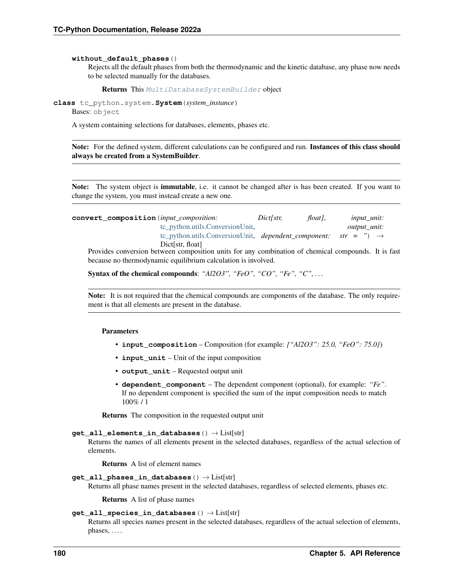### **without\_default\_phases**()

Rejects all the default phases from both the thermodynamic and the kinetic database, any phase now needs to be selected manually for the databases.

Returns This [MultiDatabaseSystemBuilder](#page-181-0) object

<span id="page-183-0"></span>**class** tc\_python.system.**System**(*system\_instance*)

Bases: object

A system containing selections for databases, elements, phases etc.

Note: For the defined system, different calculations can be configured and run. Instances of this class should always be created from a SystemBuilder.

Note: The system object is **immutable**, i.e. it cannot be changed after is has been created. If you want to change the system, you must instead create a new one.

**convert\_composition**(*input\_composition: Dict[str, float]*, *input\_unit:* [tc\\_python.utils.ConversionUnit,](#page-210-0) *output\_unit:* [tc\\_python.utils.ConversionUnit,](#page-210-0) *dependent\_component: str = ''*) → Dict[str, float]

Provides conversion between composition units for any combination of chemical compounds. It is fast because no thermodynamic equilibrium calculation is involved.

Syntax of the chemical compounds: "Al2O3", "FeO", "CO", "Fe", "C", ...

Note: It is not required that the chemical compounds are components of the database. The only requirement is that all elements are present in the database.

### Parameters

- **input\_composition** Composition (for example: *{"Al2O3": 25.0, "FeO": 75.0}*)
- **input\_unit** Unit of the input composition
- **output\_unit** Requested output unit
- **dependent\_component** The dependent component (optional), for example: *"Fe"*. If no dependent component is specified the sum of the input composition needs to match 100% / 1

Returns The composition in the requested output unit

## **get\_all\_elements\_in\_databases**() → List[str]

Returns the names of all elements present in the selected databases, regardless of the actual selection of elements.

Returns A list of element names

### **get\_all\_phases\_in\_databases**() → List[str]

Returns all phase names present in the selected databases, regardless of selected elements, phases etc.

Returns A list of phase names

# **get\_all\_species\_in\_databases**() → List[str]

Returns all species names present in the selected databases, regardless of the actual selection of elements,  $phases, \ldots$ .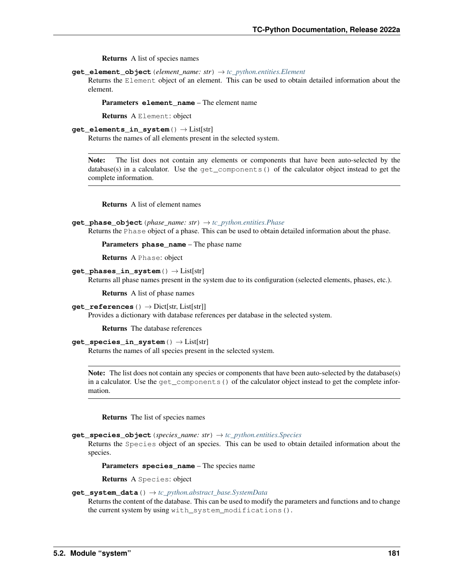Returns A list of species names

**get\_element\_object**(*element\_name: str*) → *[tc\\_python.entities.Element](#page-190-0)*

Returns the Element object of an element. This can be used to obtain detailed information about the element.

**Parameters element name** – The element name

Returns A Element: object

```
get_elements_in_system() → List[str]
```
Returns the names of all elements present in the selected system.

Note: The list does not contain any elements or components that have been auto-selected by the database(s) in a calculator. Use the get\_components() of the calculator object instead to get the complete information.

Returns A list of element names

```
get_phase_object(phase_name: str) → tc_python.entities.Phase
```
Returns the Phase object of a phase. This can be used to obtain detailed information about the phase.

Parameters **phase\_name** – The phase name

Returns A Phase: object

**get\_phases\_in\_system**() → List[str]

Returns all phase names present in the system due to its configuration (selected elements, phases, etc.).

Returns A list of phase names

**get\_references** ()  $\rightarrow$  Dict[str, List[str]]

Provides a dictionary with database references per database in the selected system.

Returns The database references

# **get\_species\_in\_system**() → List[str]

Returns the names of all species present in the selected system.

Note: The list does not contain any species or components that have been auto-selected by the database(s) in a calculator. Use the get\_components() of the calculator object instead to get the complete information.

Returns The list of species names

**get\_species\_object**(*species\_name: str*) → *[tc\\_python.entities.Species](#page-192-0)*

Returns the Species object of an species. This can be used to obtain detailed information about the species.

Parameters **species\_name** – The species name

Returns A Species: object

# **get\_system\_data**() → *[tc\\_python.abstract\\_base.SystemData](#page-232-0)*

Returns the content of the database. This can be used to modify the parameters and functions and to change the current system by using with\_system\_modifications().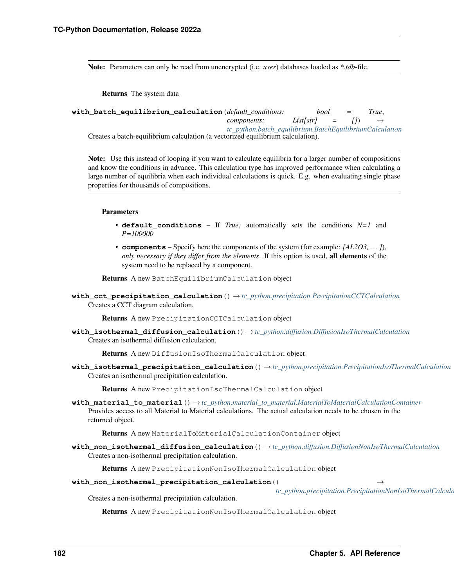Note: Parameters can only be read from unencrypted (i.e. *user*) databases loaded as *\*.tdb*-file.

Returns The system data

```
with_batch_equilibrium_calculation(default_conditions: bool = True,
                                           components: List[str] = [1] \rightarrowtc_python.batch_equilibrium.BatchEquilibriumCalculation
    Creates a batch-equilibrium calculation (a vectorized equilibrium calculation).
```
Note: Use this instead of looping if you want to calculate equilibria for a larger number of compositions and know the conditions in advance. This calculation type has improved performance when calculating a large number of equilibria when each individual calculations is quick. E.g. when evaluating single phase properties for thousands of compositions.

# Parameters

- **default** conditions If *True*, automatically sets the conditions  $N=1$  and *P=100000*
- **components** Specify here the components of the system (for example: *[AL2O3, . . . ]*), *only necessary if they differ from the elements*. If this option is used, all elements of the system need to be replaced by a component.

Returns A new BatchEquilibriumCalculation object

**with\_cct\_precipitation\_calculation**() → *[tc\\_python.precipitation.PrecipitationCCTCalculation](#page-65-0)* Creates a CCT diagram calculation.

Returns A new PrecipitationCCTCalculation object

**with\_isothermal\_diffusion\_calculation**() → *[tc\\_python.diffusion.DiffusionIsoThermalCalculation](#page-126-0)* Creates an isothermal diffusion calculation.

Returns A new DiffusionIsoThermalCalculation object

**with\_isothermal\_precipitation\_calculation**() → *[tc\\_python.precipitation.PrecipitationIsoThermalCalculation](#page-72-0)* Creates an isothermal precipitation calculation.

Returns A new PrecipitationIsoThermalCalculation object

**with\_material\_to\_material**() → *[tc\\_python.material\\_to\\_material.MaterialToMaterialCalculationContainer](#page-159-1)* Provides access to all Material to Material calculations. The actual calculation needs to be chosen in the returned object.

Returns A new MaterialToMaterialCalculationContainer object

**with\_non\_isothermal\_diffusion\_calculation**() → *[tc\\_python.diffusion.DiffusionNonIsoThermalCalculation](#page-130-0)* Creates a non-isothermal precipitation calculation.

Returns A new PrecipitationNonIsoThermalCalculation object

**with\_non\_isothermal\_precipitation\_calculation**() →

*[tc\\_python.precipitation.PrecipitationNonIsoThermalCalculation](#page-73-0)*

Creates a non-isothermal precipitation calculation.

Returns A new PrecipitationNonIsoThermalCalculation object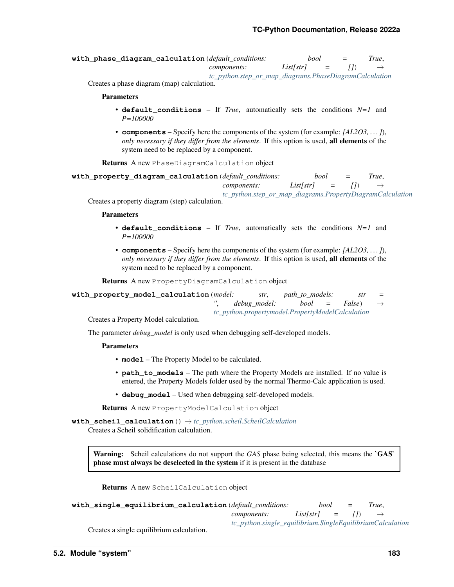```
with_phase_diagram_calculation(default_conditions: bool = True,
                               components: List[str] = [] \rightarrowtc_python.step_or_map_diagrams.PhaseDiagramCalculation
```
Creates a phase diagram (map) calculation.

### Parameters

- **default\_conditions** If *True*, automatically sets the conditions *N=1* and *P=100000*
- **components** Specify here the components of the system (for example: *[AL2O3, . . . ]*), *only necessary if they differ from the elements*. If this option is used, all elements of the system need to be replaced by a component.

Returns A new PhaseDiagramCalculation object

```
with_property_diagram_calculation(default_conditions: bool = True,
                                   components: List[str] = [])
                                   tc_python.step_or_map_diagrams.PropertyDiagramCalculation
```
Creates a property diagram (step) calculation.

#### Parameters

- **default\_conditions** If *True*, automatically sets the conditions *N=1* and *P=100000*
- **components** Specify here the components of the system (for example: *[AL2O3, . . . ]*), *only necessary if they differ from the elements*. If this option is used, all elements of the system need to be replaced by a component.

Returns A new PropertyDiagramCalculation object

| with_property_model_calculation(model: |                                                  |                                           | str, path to models: |  | str | $=$ |  |
|----------------------------------------|--------------------------------------------------|-------------------------------------------|----------------------|--|-----|-----|--|
|                                        |                                                  | debug model: $bool = False$ $\rightarrow$ |                      |  |     |     |  |
|                                        | tc_python.propertymodel.PropertyModelCalculation |                                           |                      |  |     |     |  |

Creates a Property Model calculation.

The parameter *debug\_model* is only used when debugging self-developed models.

# Parameters

- **model** The Property Model to be calculated.
- **path\_to\_models** The path where the Property Models are installed. If no value is entered, the Property Models folder used by the normal Thermo-Calc application is used.
- **debug\_model** Used when debugging self-developed models.

Returns A new PropertyModelCalculation object

### **with\_scheil\_calculation**() → *[tc\\_python.scheil.ScheilCalculation](#page-79-0)*

Creates a Scheil solidification calculation.

Warning: Scheil calculations do not support the *GAS* phase being selected, this means the **GAS** phase must always be deselected in the system if it is present in the database

Returns A new ScheilCalculation object

| with_single_equilibrium_calculation(default_conditions: |                                                           | bool                          | $=$ | True. |
|---------------------------------------------------------|-----------------------------------------------------------|-------------------------------|-----|-------|
|                                                         | components:                                               | $List[str] =  I  \rightarrow$ |     |       |
|                                                         | tc_python.single_equilibrium.SingleEquilibriumCalculation |                               |     |       |

Creates a single equilibrium calculation.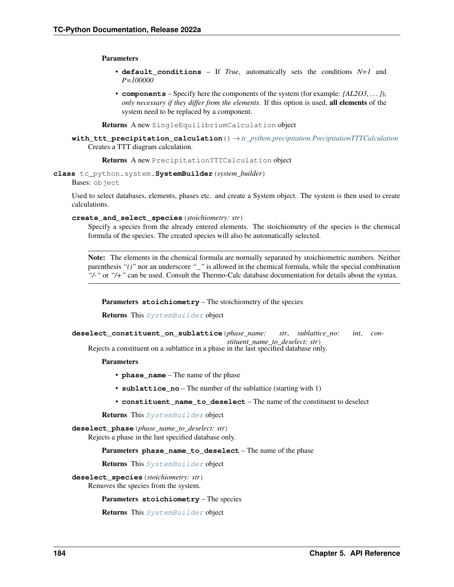## **Parameters**

- **default conditions** If *True*, automatically sets the conditions *N=1* and *P=100000*
- **components** Specify here the components of the system (for example: *[AL2O3, . . . ]*), *only necessary if they differ from the elements*. If this option is used, all elements of the system need to be replaced by a component.

Returns A new SingleEquilibriumCalculation object

**with\_ttt\_precipitation\_calculation**() → *[tc\\_python.precipitation.PrecipitationTTTCalculation](#page-75-0)* Creates a TTT diagram calculation.

Returns A new PrecipitationTTTCalculation object

<span id="page-187-0"></span>**class** tc\_python.system.**SystemBuilder**(*system\_builder*)

Bases: object

Used to select databases, elements, phases etc. and create a System object. The system is then used to create calculations.

**create\_and\_select\_species**(*stoichiometry: str*)

Specify a species from the already entered elements. The stoichiometry of the species is the chemical formula of the species. The created species will also be automatically selected.

Note: The elements in the chemical formula are normally separated by stoichiometric numbers. Neither parenthesis *"()"* nor an underscore *"\_"* is allowed in the chemical formula, while the special combination *"/-"* or *"/+"* can be used. Consult the Thermo-Calc database documentation for details about the syntax.

Parameters **stoichiometry** – The stoichiometry of the species

Returns This [SystemBuilder](#page-187-0) object

**deselect\_constituent\_on\_sublattice**(*phase\_name: str*, *sublattice\_no: int*, *con-*

*stituent\_name\_to\_deselect: str*) Rejects a constituent on a sublattice in a phase in the last specified database only.

Parameters

- **phase\_name** The name of the phase
- **sublattice** no The number of the sublattice (starting with 1)
- **constituent\_name\_to\_deselect** The name of the constituent to deselect

Returns This [SystemBuilder](#page-187-0) object

**deselect\_phase**(*phase\_name\_to\_deselect: str*)

Rejects a phase in the last specified database only.

Parameters **phase\_name\_to\_deselect** – The name of the phase

Returns This [SystemBuilder](#page-187-0) object

**deselect\_species**(*stoichiometry: str*)

Removes the species from the system.

Parameters **stoichiometry** – The species

Returns This [SystemBuilder](#page-187-0) object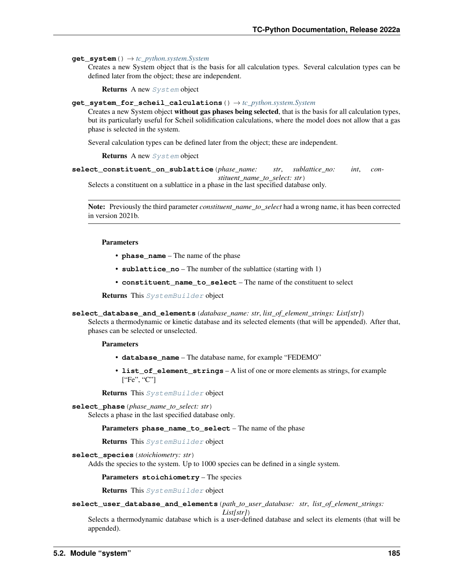# $\text{get }$  system ()  $\rightarrow$  *[tc\\_python.system.System](#page-183-0)*

Creates a new System object that is the basis for all calculation types. Several calculation types can be defined later from the object; these are independent.

Returns A new [System](#page-183-0) object

### **get\_system\_for\_scheil\_calculations**() → *[tc\\_python.system.System](#page-183-0)*

Creates a new System object without gas phases being selected, that is the basis for all calculation types, but its particularly useful for Scheil solidification calculations, where the model does not allow that a gas phase is selected in the system.

Several calculation types can be defined later from the object; these are independent.

### **Returns** A new [System](#page-183-0) object

**select\_constituent\_on\_sublattice**(*phase\_name: str*, *sublattice\_no: int*, *constituent\_name\_to\_select: str*)

Selects a constituent on a sublattice in a phase in the last specified database only.

Note: Previously the third parameter *constituent\_name\_to\_select* had a wrong name, it has been corrected in version 2021b.

#### Parameters

- **phase\_name** The name of the phase
- **sublattice\_no** The number of the sublattice (starting with 1)
- **constituent\_name\_to\_select** The name of the constituent to select

Returns This [SystemBuilder](#page-187-0) object

### **select\_database\_and\_elements**(*database\_name: str*, *list\_of\_element\_strings: List[str]*)

Selects a thermodynamic or kinetic database and its selected elements (that will be appended). After that, phases can be selected or unselected.

### **Parameters**

- **database\_name** The database name, for example "FEDEMO"
- **list\_of\_element\_strings** A list of one or more elements as strings, for example ["Fe", "C"]

Returns This [SystemBuilder](#page-187-0) object

# **select\_phase**(*phase\_name\_to\_select: str*)

Selects a phase in the last specified database only.

Parameters **phase\_name\_to\_select** – The name of the phase

Returns This [SystemBuilder](#page-187-0) object

### **select\_species**(*stoichiometry: str*)

Adds the species to the system. Up to 1000 species can be defined in a single system.

Parameters **stoichiometry** – The species

Returns This [SystemBuilder](#page-187-0) object

**select\_user\_database\_and\_elements**(*path\_to\_user\_database: str*, *list\_of\_element\_strings:*

*List[str]*)

Selects a thermodynamic database which is a user-defined database and select its elements (that will be appended).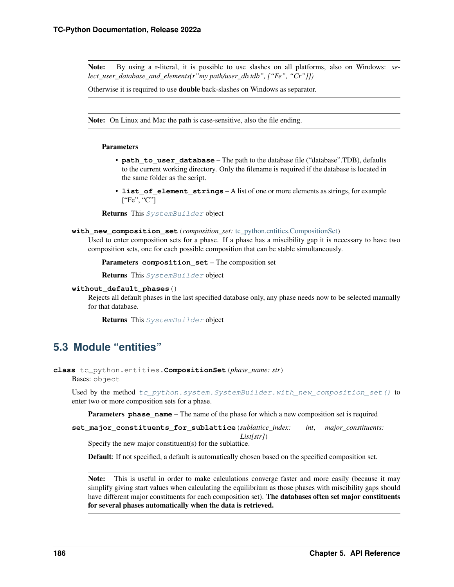Note: By using a r-literal, it is possible to use slashes on all platforms, also on Windows: *select* user database and elements(r"my path/user db.tdb", ["Fe", "Cr"]])

Otherwise it is required to use double back-slashes on Windows as separator.

Note: On Linux and Mac the path is case-sensitive, also the file ending.

# Parameters

- **path\_to\_user\_database** The path to the database file ("database".TDB), defaults to the current working directory. Only the filename is required if the database is located in the same folder as the script.
- **list\_of\_element\_strings** A list of one or more elements as strings, for example ["Fe", "C"]

Returns This [SystemBuilder](#page-187-0) object

### <span id="page-189-1"></span>**with\_new\_composition\_set**(*composition\_set:* [tc\\_python.entities.CompositionSet](#page-189-0))

Used to enter composition sets for a phase. If a phase has a miscibility gap it is necessary to have two composition sets, one for each possible composition that can be stable simultaneously.

```
Parameters composition_set – The composition set
```
Returns This [SystemBuilder](#page-187-0) object

### **without\_default\_phases**()

Rejects all default phases in the last specified database only, any phase needs now to be selected manually for that database.

Returns This [SystemBuilder](#page-187-0) object

# **5.3 Module "entities"**

<span id="page-189-0"></span>**class** tc\_python.entities.**CompositionSet**(*phase\_name: str*) Bases: object

Used by the method [tc\\_python.system.SystemBuilder.with\\_new\\_composition\\_set\(\)](#page-189-1) to enter two or more composition sets for a phase.

Parameters **phase\_name** – The name of the phase for which a new composition set is required

**set\_major\_constituents\_for\_sublattice**(*sublattice\_index: int*, *major\_constituents: List[str]*)

Specify the new major constituent(s) for the sublattice.

Default: If not specified, a default is automatically chosen based on the specified composition set.

Note: This is useful in order to make calculations converge faster and more easily (because it may simplify giving start values when calculating the equilibrium as those phases with miscibility gaps should have different major constituents for each composition set). The databases often set major constituents for several phases automatically when the data is retrieved.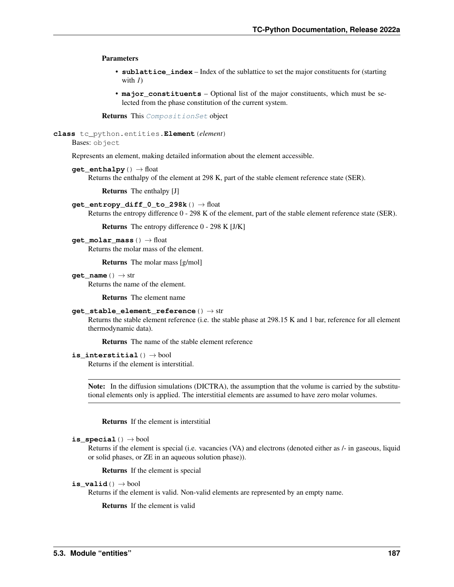## Parameters

- **sublattice\_index** Index of the sublattice to set the major constituents for (starting with  $I$ )
- **major\_constituents** Optional list of the major constituents, which must be selected from the phase constitution of the current system.

Returns This [CompositionSet](#page-189-0) object

<span id="page-190-0"></span>**class** tc\_python.entities.**Element**(*element*)

```
Bases: object
```
Represents an element, making detailed information about the element accessible.

```
get_enthalpy() → float
```
Returns the enthalpy of the element at 298 K, part of the stable element reference state (SER).

Returns The enthalpy [J]

```
get_entropy_diff_0_to_298k() → float
```
Returns the entropy difference 0 - 298 K of the element, part of the stable element reference state (SER).

Returns The entropy difference 0 - 298 K [J/K]

```
get_molar_mass() → float
```
Returns the molar mass of the element.

Returns The molar mass [g/mol]

**get** name ()  $\rightarrow$  str

Returns the name of the element.

Returns The element name

# **get\_stable\_element\_reference**() → str

Returns the stable element reference (i.e. the stable phase at 298.15 K and 1 bar, reference for all element thermodynamic data).

Returns The name of the stable element reference

# **is\_interstitial**() → bool

Returns if the element is interstitial.

Note: In the diffusion simulations (DICTRA), the assumption that the volume is carried by the substitutional elements only is applied. The interstitial elements are assumed to have zero molar volumes.

Returns If the element is interstitial

```
is_special() → bool
```
Returns if the element is special (i.e. vacancies (VA) and electrons (denoted either as /- in gaseous, liquid or solid phases, or ZE in an aqueous solution phase)).

Returns If the element is special

<span id="page-190-1"></span>
$$
\texttt{is\_valid}\left(\right) \rightarrow \text{bool}
$$

Returns if the element is valid. Non-valid elements are represented by an empty name.

Returns If the element is valid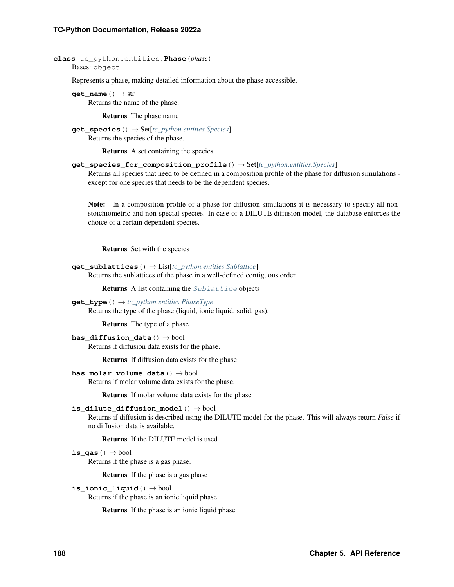# **class** tc\_python.entities.**Phase**(*phase*) Bases: object

Represents a phase, making detailed information about the phase accessible.

**get** name ()  $\rightarrow$  str Returns the name of the phase.

Returns The phase name

**get\_species**() → Set[*[tc\\_python.entities.Species](#page-192-0)*] Returns the species of the phase.

Returns A set containing the species

# **get\_species\_for\_composition\_profile**() → Set[*[tc\\_python.entities.Species](#page-192-0)*]

Returns all species that need to be defined in a composition profile of the phase for diffusion simulations except for one species that needs to be the dependent species.

Note: In a composition profile of a phase for diffusion simulations it is necessary to specify all nonstoichiometric and non-special species. In case of a DILUTE diffusion model, the database enforces the choice of a certain dependent species.

Returns Set with the species

```
get_sublattices() → List[tc_python.entities.Sublattice]
```
Returns the sublattices of the phase in a well-defined contiguous order.

**Returns** A list containing the  $Sublattice$  objects

**get\_type**() → *[tc\\_python.entities.PhaseType](#page-192-1)* Returns the type of the phase (liquid, ionic liquid, solid, gas).

Returns The type of a phase

```
has_diffusion_data() → bool
```
Returns if diffusion data exists for the phase.

Returns If diffusion data exists for the phase

```
has_molar_volume_data() → bool
```
Returns if molar volume data exists for the phase.

Returns If molar volume data exists for the phase

# is dilute diffusion model()  $\rightarrow$  bool

Returns if diffusion is described using the DILUTE model for the phase. This will always return *False* if no diffusion data is available.

Returns If the DILUTE model is used

# **is\_gas**() → bool

Returns if the phase is a gas phase.

Returns If the phase is a gas phase

# **is\_ionic\_liquid**() → bool

Returns if the phase is an ionic liquid phase.

Returns If the phase is an ionic liquid phase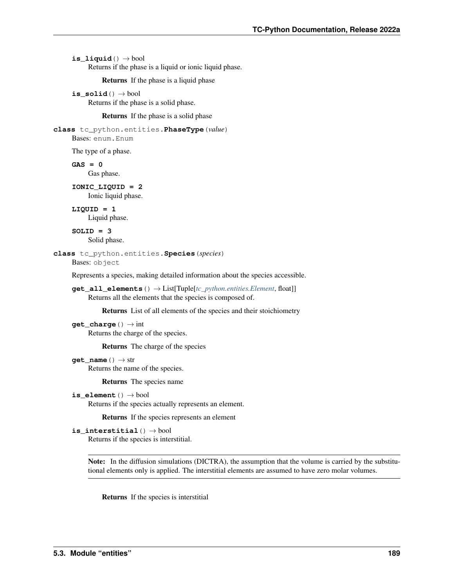**is liquid**()  $\rightarrow$  bool

Returns if the phase is a liquid or ionic liquid phase.

Returns If the phase is a liquid phase

is  $solid() \rightarrow bool$ 

Returns if the phase is a solid phase.

Returns If the phase is a solid phase

```
class tc_python.entities.PhaseType(value)
```
Bases: enum.Enum

The type of a phase.

**GAS = 0**

Gas phase.

```
IONIC_LIQUID = 2
    Ionic liquid phase.
```
**LIQUID = 1** Liquid phase.

**SOLID = 3** Solid phase.

```
class tc_python.entities.Species(species)
```
Bases: object

Represents a species, making detailed information about the species accessible.

```
get_all_elements() → List[Tuple[tc_python.entities.Element, float]]
     Returns all the elements that the species is composed of.
```
Returns List of all elements of the species and their stoichiometry

```
get_charge() → int
     Returns the charge of the species.
```
Returns The charge of the species

```
get name () \rightarrow str
```
Returns the name of the species.

Returns The species name

```
is_element() → bool
```
Returns if the species actually represents an element.

Returns If the species represents an element

```
is_interstitial() → bool
     Returns if the species is interstitial.
```
Note: In the diffusion simulations (DICTRA), the assumption that the volume is carried by the substitutional elements only is applied. The interstitial elements are assumed to have zero molar volumes.

Returns If the species is interstitial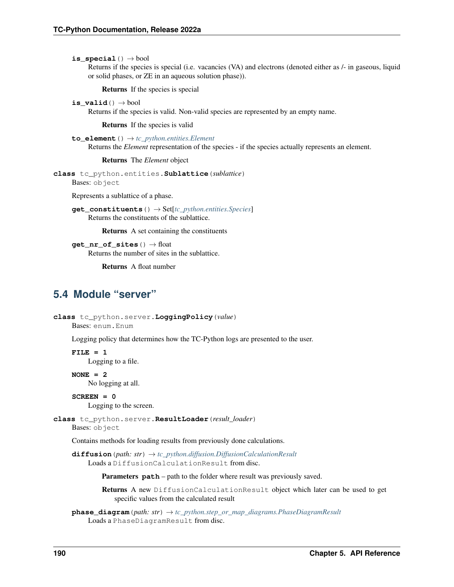**is special**()  $\rightarrow$  bool

Returns if the species is special (i.e. vacancies (VA) and electrons (denoted either as /- in gaseous, liquid or solid phases, or ZE in an aqueous solution phase)).

Returns If the species is special

is  $valid() \rightarrow bool$ 

Returns if the species is valid. Non-valid species are represented by an empty name.

Returns If the species is valid

**to\_element**() → *[tc\\_python.entities.Element](#page-190-0)*

Returns the *Element* representation of the species - if the species actually represents an element.

Returns The *Element* object

<span id="page-193-0"></span>**class** tc\_python.entities.**Sublattice**(*sublattice*)

Bases: object

Represents a sublattice of a phase.

**get\_constituents**() → Set[*[tc\\_python.entities.Species](#page-192-0)*] Returns the constituents of the sublattice.

Returns A set containing the constituents

**get nr of sites** () → float Returns the number of sites in the sublattice.

Returns A float number

# **5.4 Module "server"**

```
class tc_python.server.LoggingPolicy(value)
```

```
Bases: enum.Enum
```
Logging policy that determines how the TC-Python logs are presented to the user.

**FILE = 1**

Logging to a file.

**NONE = 2**

No logging at all.

```
SCREEN = 0
```
Logging to the screen.

<span id="page-193-1"></span>**class** tc\_python.server.**ResultLoader**(*result\_loader*)

Bases: object

Contains methods for loading results from previously done calculations.

**diffusion**(*path: str*) → *[tc\\_python.diffusion.DiffusionCalculationResult](#page-121-0)* Loads a DiffusionCalculationResult from disc.

Parameters  $path$  – path to the folder where result was previously saved.

Returns A new DiffusionCalculationResult object which later can be used to get specific values from the calculated result

**phase\_diagram**(*path: str*) → *[tc\\_python.step\\_or\\_map\\_diagrams.PhaseDiagramResult](#page-104-0)* Loads a PhaseDiagramResult from disc.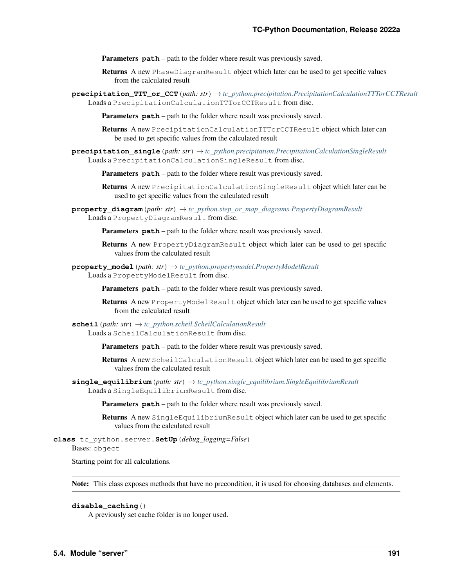**Parameters path** – path to the folder where result was previously saved.

- Returns A new PhaseDiagramResult object which later can be used to get specific values from the calculated result
- **precipitation\_TTT\_or\_CCT**(*path: str*) → *[tc\\_python.precipitation.PrecipitationCalculationTTTorCCTResult](#page-72-1)* Loads a PrecipitationCalculationTTTorCCTResult from disc.

Parameters **path** – path to the folder where result was previously saved.

- Returns A new PrecipitationCalculationTTTorCCTResult object which later can be used to get specific values from the calculated result
- **precipitation\_single**(*path: str*) → *[tc\\_python.precipitation.PrecipitationCalculationSingleResult](#page-67-0)* Loads a PrecipitationCalculationSingleResult from disc.

**Parameters path** – path to the folder where result was previously saved.

Returns A new PrecipitationCalculationSingleResult object which later can be used to get specific values from the calculated result

**property\_diagram**(*path: str*)  $\rightarrow$  *[tc\\_python.step\\_or\\_map\\_diagrams.PropertyDiagramResult](#page-112-0)* Loads a PropertyDiagramResult from disc.

Parameters **path** – path to the folder where result was previously saved.

Returns A new PropertyDiagramResult object which later can be used to get specific values from the calculated result

**property\_model**(*path: str*) → *[tc\\_python.propertymodel.PropertyModelResult](#page-157-0)* Loads a PropertyModelResult from disc.

Parameters **path** – path to the folder where result was previously saved.

Returns A new PropertyModelResult object which later can be used to get specific values from the calculated result

# $\mathbf{scheil}(path: str) \rightarrow tc\; python.scheil.ScheilCalculationResult$ Loads a ScheilCalculationResult from disc.

Parameters **path** – path to the folder where result was previously saved.

Returns A new ScheilCalculationResult object which later can be used to get specific values from the calculated result

**single\_equilibrium**(*path: str*) → *[tc\\_python.single\\_equilibrium.SingleEquilibriumResult](#page-47-0)* Loads a SingleEquilibriumResult from disc.

Parameters **path** – path to the folder where result was previously saved.

Returns A new SingleEquilibriumResult object which later can be used to get specific values from the calculated result

**class** tc\_python.server.**SetUp**(*debug\_logging=False*)

Bases: object

Starting point for all calculations.

Note: This class exposes methods that have no precondition, it is used for choosing databases and elements.

# **disable\_caching**()

A previously set cache folder is no longer used.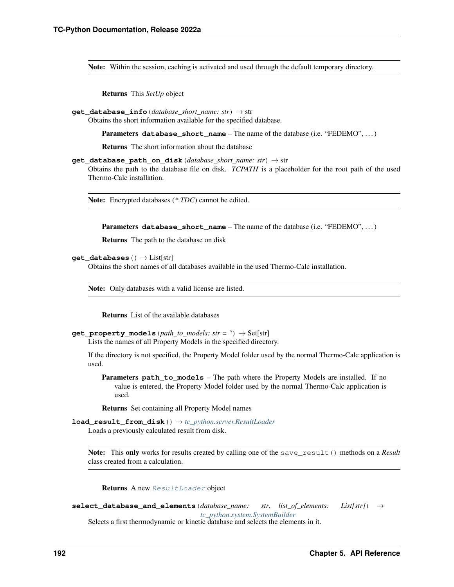Note: Within the session, caching is activated and used through the default temporary directory.

Returns This *SetUp* object

**get\_database\_info**(*database\_short\_name: str*) → str

Obtains the short information available for the specified database.

Parameters **database\_short\_name** – The name of the database (i.e. "FEDEMO", . . . )

Returns The short information about the database

**get\_database\_path\_on\_disk**(*database\_short\_name: str*) → str

Obtains the path to the database file on disk. *TCPATH* is a placeholder for the root path of the used Thermo-Calc installation.

Note: Encrypted databases (*\*.TDC*) cannot be edited.

Parameters **database\_short\_name** – The name of the database (i.e. "FEDEMO", . . . )

Returns The path to the database on disk

**get\_databases**() → List[str]

Obtains the short names of all databases available in the used Thermo-Calc installation.

Note: Only databases with a valid license are listed.

Returns List of the available databases

**get\_property\_models** (*path\_to\_models: str = ''*)  $\rightarrow$  Set[str]

Lists the names of all Property Models in the specified directory.

If the directory is not specified, the Property Model folder used by the normal Thermo-Calc application is used.

**Parameters path to models** – The path where the Property Models are installed. If no value is entered, the Property Model folder used by the normal Thermo-Calc application is used.

Returns Set containing all Property Model names

**load\_result\_from\_disk**() → *[tc\\_python.server.ResultLoader](#page-193-1)* Loads a previously calculated result from disk.

Note: This only works for results created by calling one of the save\_result () methods on a *Result* class created from a calculation.

Returns A new [ResultLoader](#page-193-1) object

**select\_database\_and\_elements**(*database\_name: str*, *list\_of\_elements: List[str]*) → *[tc\\_python.system.SystemBuilder](#page-187-0)*

Selects a first thermodynamic or kinetic database and selects the elements in it.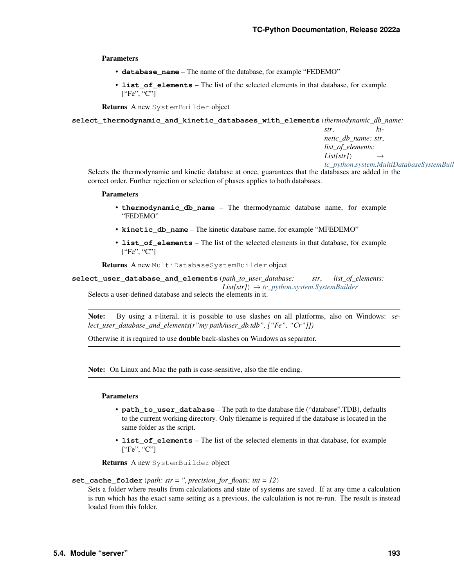Parameters

- **database\_name** The name of the database, for example "FEDEMO"
- **list\_of\_elements** The list of the selected elements in that database, for example ["Fe", "C"]

Returns A new SystemBuilder object

**select\_thermodynamic\_and\_kinetic\_databases\_with\_elements**(*thermodynamic\_db\_name:*

*str*, *kinetic\_db\_name: str*, *list\_of\_elements: List[str]*) → *[tc\\_python.system.MultiDatabaseSystemBuilder](#page-181-0)*

Selects the thermodynamic and kinetic database at once, guarantees that the databases are added in the correct order. Further rejection or selection of phases applies to both databases.

#### **Parameters**

- **thermodynamic\_db\_name** The thermodynamic database name, for example "FEDEMO"
- **kinetic\_db\_name** The kinetic database name, for example "MFEDEMO"
- **list** of elements The list of the selected elements in that database, for example ["Fe", "C"]

Returns A new MultiDatabaseSystemBuilder object

**select\_user\_database\_and\_elements**(*path\_to\_user\_database: str*, *list\_of\_elements: List[str]*) → *[tc\\_python.system.SystemBuilder](#page-187-0)* Selects a user-defined database and selects the elements in it.

Note: By using a r-literal, it is possible to use slashes on all platforms, also on Windows: *select\_user\_database\_and\_elements(r"my path/user\_db.tdb", ["Fe", "Cr"]])*

Otherwise it is required to use double back-slashes on Windows as separator.

Note: On Linux and Mac the path is case-sensitive, also the file ending.

# Parameters

- **path\_to\_user\_database** The path to the database file ("database".TDB), defaults to the current working directory. Only filename is required if the database is located in the same folder as the script.
- **list\_of\_elements** The list of the selected elements in that database, for example ["Fe", "C"]

Returns A new SystemBuilder object

# **set\_cache\_folder**(*path: str = ''*, *precision\_for\_floats: int = 12*)

Sets a folder where results from calculations and state of systems are saved. If at any time a calculation is run which has the exact same setting as a previous, the calculation is not re-run. The result is instead loaded from this folder.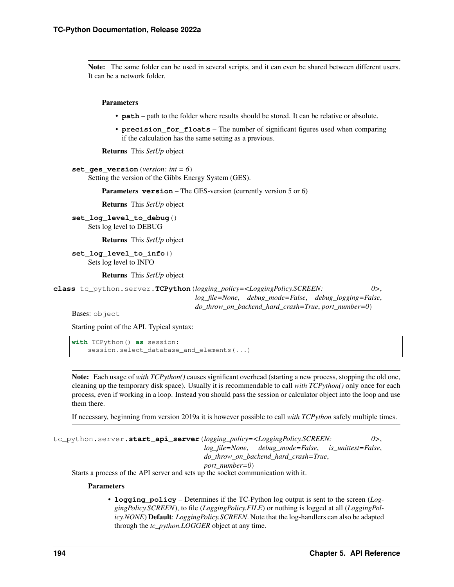Note: The same folder can be used in several scripts, and it can even be shared between different users. It can be a network folder.

# Parameters

- **path** path to the folder where results should be stored. It can be relative or absolute.
- **precision\_for\_floats** The number of significant figures used when comparing if the calculation has the same setting as a previous.

Returns This *SetUp* object

**set\_ges\_version**(*version: int = 6*) Setting the version of the Gibbs Energy System (GES).

Parameters **version** – The GES-version (currently version 5 or 6)

Returns This *SetUp* object

**set\_log\_level\_to\_debug**() Sets log level to DEBUG

Returns This *SetUp* object

**set\_log\_level\_to\_info**() Sets log level to INFO

Returns This *SetUp* object

<span id="page-197-0"></span>**class** tc\_python.server.**TCPython**(*logging\_policy=<LoggingPolicy.SCREEN: 0>*, *log\_file=None*, *debug\_mode=False*, *debug\_logging=False*,

*do\_throw\_on\_backend\_hard\_crash=True*, *port\_number=0*)

Bases: object

Starting point of the API. Typical syntax:

**with** TCPython() **as** session: session.select\_database\_and\_elements(...)

Note: Each usage of *with TCPython()* causes significant overhead (starting a new process, stopping the old one, cleaning up the temporary disk space). Usually it is recommendable to call *with TCPython()* only once for each process, even if working in a loop. Instead you should pass the session or calculator object into the loop and use them there.

If necessary, beginning from version 2019a it is however possible to call *with TCPython* safely multiple times.

<span id="page-197-1"></span>tc\_python.server.**start\_api\_server**(*logging\_policy=<LoggingPolicy.SCREEN: 0>*, *log\_file=None*, *debug\_mode=False*, *is\_unittest=False*, *do\_throw\_on\_backend\_hard\_crash=True*, *port\_number=0*) Starts a process of the API server and sets up the socket communication with it.

### Parameters

• **logging\_policy** – Determines if the TC-Python log output is sent to the screen (*LoggingPolicy.SCREEN*), to file (*LoggingPolicy.FILE*) or nothing is logged at all (*LoggingPolicy.NONE*) Default: *LoggingPolicy.SCREEN*. Note that the log-handlers can also be adapted through the *tc\_python.LOGGER* object at any time.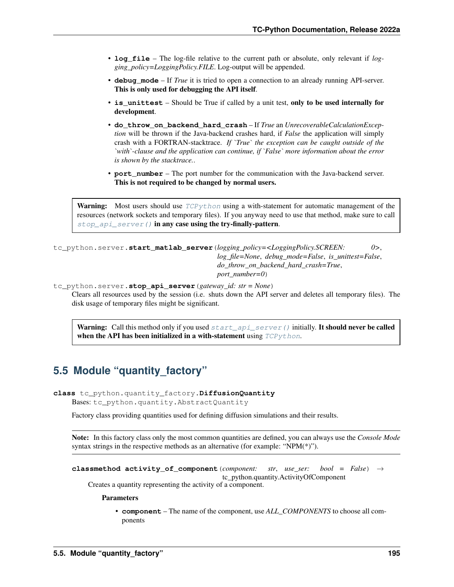- **log file** The log-file relative to the current path or absolute, only relevant if *logging\_policy=LoggingPolicy.FILE*. Log-output will be appended.
- **debug\_mode** If *True* it is tried to open a connection to an already running API-server. This is only used for debugging the API itself.
- is unittest Should be True if called by a unit test, only to be used internally for development.
- **do\_throw\_on\_backend\_hard\_crash** If *True* an *UnrecoverableCalculationException* will be thrown if the Java-backend crashes hard, if *False* the application will simply crash with a FORTRAN-stacktrace. *If `True` the exception can be caught outside of the `with`-clause and the application can continue, if `False` more information about the error is shown by the stacktrace.*.
- **port\_number** The port number for the communication with the Java-backend server. This is not required to be changed by normal users.

**Warning:** Most users should use  $TCPython$  using a with-statement for automatic management of the resources (network sockets and temporary files). If you anyway need to use that method, make sure to call [stop\\_api\\_server\(\)](#page-198-0) in any case using the try-finally-pattern.

tc\_python.server.**start\_matlab\_server**(*logging\_policy=<LoggingPolicy.SCREEN: 0>*, *log\_file=None*, *debug\_mode=False*, *is\_unittest=False*, *do\_throw\_on\_backend\_hard\_crash=True*, *port\_number=0*)

<span id="page-198-0"></span>tc\_python.server.**stop\_api\_server**(*gateway\_id: str = None*)

Clears all resources used by the session (i.e. shuts down the API server and deletes all temporary files). The disk usage of temporary files might be significant.

**Warning:** Call this method only if you used  $start\_ap \text{ is } error()$  initially. It should never be called when the API has been initialized in a with-statement using  $TCPython$ .

# **5.5 Module "quantity\_factory"**

```
class tc_python.quantity_factory.DiffusionQuantity
```
Bases: tc\_python.quantity.AbstractQuantity

Factory class providing quantities used for defining diffusion simulations and their results.

Note: In this factory class only the most common quantities are defined, you can always use the *Console Mode* syntax strings in the respective methods as an alternative (for example: "NPM(\*)").

```
classmethod activity_of_component(component: str, use_ser: bool = False) →
                                       tc_python.quantity.ActivityOfComponent
```
Creates a quantity representing the activity of a component.

Parameters

• **component** – The name of the component, use *ALL\_COMPONENTS* to choose all components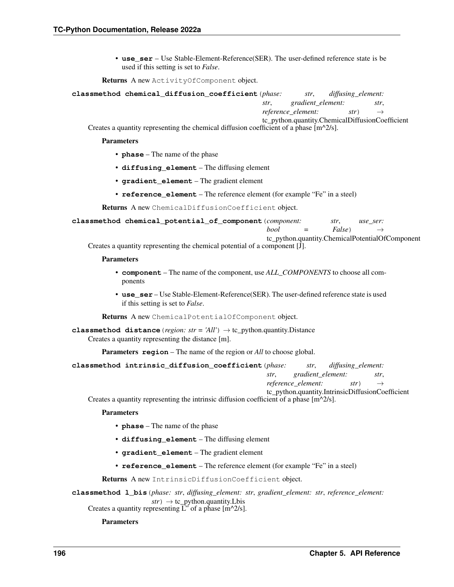• **use** ser – Use Stable-Element-Reference(SER). The user-defined reference state is be used if this setting is set to *False*.

Returns A new ActivityOfComponent object.

|  | classmethod chemical_diffusion_coefficient(phase: |                                                 |                   | str, diffusing element: |      |  |
|--|---------------------------------------------------|-------------------------------------------------|-------------------|-------------------------|------|--|
|  |                                                   | str.                                            | gradient_element: |                         | str. |  |
|  |                                                   | <i>reference_element:</i> $str) \rightarrow$    |                   |                         |      |  |
|  |                                                   | tc_python.quantity.ChemicalDiffusionCoefficient |                   |                         |      |  |

Creates a quantity representing the chemical diffusion coefficient of a phase  $\left[\text{m}^2/s\right]$ .

#### Parameters

- **phase** The name of the phase
- **diffusing\_element** The diffusing element
- **gradient\_element** The gradient element
- **reference\_element** The reference element (for example "Fe" in a steel)

Returns A new ChemicalDiffusionCoefficient object.

| classmethod chemical_potential_of_component(component: |  |  |                            | str. | use ser: |  |
|--------------------------------------------------------|--|--|----------------------------|------|----------|--|
|                                                        |  |  | bool = False $\rightarrow$ |      |          |  |

tc\_python.quantity.ChemicalPotentialOfComponent Creates a quantity representing the chemical potential of a component [J].

### Parameters

- **component** The name of the component, use *ALL\_COMPONENTS* to choose all components
- **use** ser Use Stable-Element-Reference(SER). The user-defined reference state is used if this setting is set to *False*.

Returns A new ChemicalPotentialOfComponent object.

**classmethod distance** (*region: str* = 'All')  $\rightarrow$  tc\_python.quantity.Distance Creates a quantity representing the distance [m].

Parameters **region** – The name of the region or *All* to choose global.

| classmethod intrinsic_diffusion_coefficient(phase: |                                        | str, diffusing element: |                                                  |
|----------------------------------------------------|----------------------------------------|-------------------------|--------------------------------------------------|
|                                                    | str, gradient_element:                 |                         | str.                                             |
|                                                    | reference_element: $str$ $\rightarrow$ |                         |                                                  |
|                                                    |                                        |                         | tc python.quantity.IntrinsicDiffusionCoefficient |

Creates a quantity representing the intrinsic diffusion coefficient of a phase  $[m^{\wedge}2/s]$ .

### Parameters

- **phase** The name of the phase
- **diffusing\_element** The diffusing element
- **gradient\_element** The gradient element
- **reference** element The reference element (for example "Fe" in a steel)

Returns A new IntrinsicDiffusionCoefficient object.

**classmethod l\_bis**(*phase: str*, *diffusing\_element: str*, *gradient\_element: str*, *reference\_element:*  $str) \rightarrow tc\_python.quantity.Lbis$ 

Creates a quantity representing L" of a phase  $[m^2/s]$ .

Parameters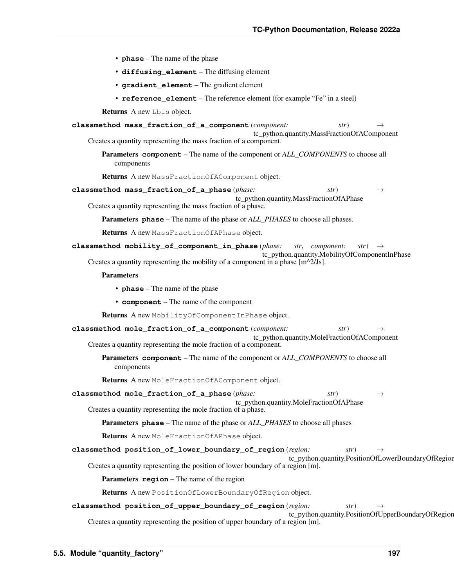- **phase** The name of the phase
- **diffusing\_element** The diffusing element
- **gradient\_element** The gradient element
- **reference\_element** The reference element (for example "Fe" in a steel)

| Returns A new Lbis object.                                                                                                                                                                                                        |
|-----------------------------------------------------------------------------------------------------------------------------------------------------------------------------------------------------------------------------------|
| classmethod mass_fraction_of_a_component(component:<br>str)<br>$\rightarrow$                                                                                                                                                      |
| tc_python.quantity.MassFractionOfAComponent<br>Creates a quantity representing the mass fraction of a component.                                                                                                                  |
| <b>Parameters component</b> – The name of the component or ALL_COMPONENTS to choose all<br>components                                                                                                                             |
| Returns A new MassFractionOfAComponent object.                                                                                                                                                                                    |
| classmethod mass_fraction_of_a_phase(phase:<br>str)<br>$\rightarrow$<br>tc_python.quantity.MassFractionOfAPhase<br>Creates a quantity representing the mass fraction of a phase.                                                  |
| <b>Parameters phase</b> – The name of the phase or <i>ALL_PHASES</i> to choose all phases.                                                                                                                                        |
| Returns A new MassFractionOfAPhase object.                                                                                                                                                                                        |
| classmethod mobility_of_component_in_phase(phase:<br>str, component:<br>$str \rightarrow$<br>tc_python.quantity.MobilityOfComponentInPhase<br>Creates a quantity representing the mobility of a component in a phase $[m^2/Js]$ . |
| <b>Parameters</b>                                                                                                                                                                                                                 |
| • phase – The name of the phase                                                                                                                                                                                                   |
| • component – The name of the component                                                                                                                                                                                           |
| Returns A new MobilityOfComponentInPhase object.                                                                                                                                                                                  |
| classmethod mole_fraction_of_a_component(component:<br>str)<br>$\rightarrow$                                                                                                                                                      |
| tc_python.quantity.MoleFractionOfAComponent<br>Creates a quantity representing the mole fraction of a component.                                                                                                                  |
| <b>Parameters component</b> – The name of the component or ALL_COMPONENTS to choose all<br>components                                                                                                                             |
| Returns A new MoleFractionOfAComponent object.                                                                                                                                                                                    |
| classmethod mole_fraction_of_a_phase(phase:<br>str)<br>$\rightarrow$<br>tc_python.quantity.MoleFractionOfAPhase                                                                                                                   |
| Creates a quantity representing the mole fraction of a phase.                                                                                                                                                                     |
| <b>Parameters phase</b> – The name of the phase or <i>ALL_PHASES</i> to choose all phases                                                                                                                                         |
| Returns A new MoleFractionOfAPhase object.                                                                                                                                                                                        |
| classmethod position_of_lower_boundary_of_region(region:<br>str)<br>$\rightarrow$                                                                                                                                                 |
| tc_python.quantity.PositionOfLowerBoundaryOfRegion<br>Creates a quantity representing the position of lower boundary of a region [m].                                                                                             |
| Parameters region - The name of the region                                                                                                                                                                                        |
| Returns A new PositionOfLowerBoundaryOfRegion object.                                                                                                                                                                             |
| classmethod position_of_upper_boundary_of_region(region:<br>str)<br>$\rightarrow$<br>tc_python.quantity.PositionOfUpperBoundaryOfRegion<br>Creates a quantity representing the position of upper boundary of a region [m].        |
|                                                                                                                                                                                                                                   |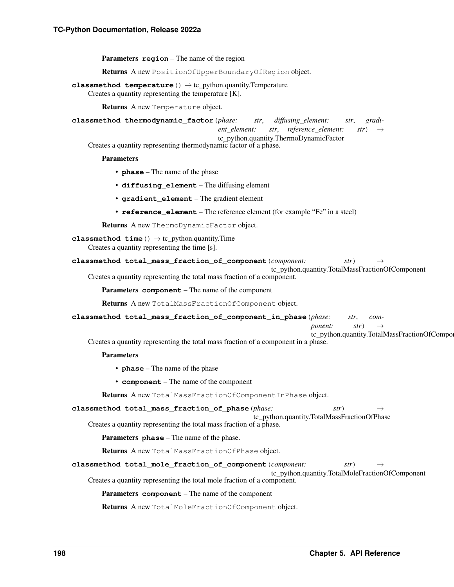Parameters **region** – The name of the region

Returns A new PositionOfUpperBoundaryOfRegion object.

**classmethod temperature**() → tc\_python.quantity.Temperature Creates a quantity representing the temperature [K].

Returns A new Temperature object.

**classmethod thermodynamic\_factor**(*phase: str*, *diffusing\_element: str*, *gradi-*

*ent\_element: str*, *reference\_element: str*) →

tc\_python.quantity.ThermoDynamicFactor

Creates a quantity representing thermodynamic factor of a phase.

### Parameters

- **phase** The name of the phase
- **diffusing\_element** The diffusing element
- **gradient\_element** The gradient element
- **reference\_element** The reference element (for example "Fe" in a steel)

Returns A new ThermoDynamicFactor object.

```
classmethod time () \rightarrow \text{tc} python.quantity.Time
```
Creates a quantity representing the time [s].

```
classmethod total_mass_fraction_of_component(component: str) →
```
tc\_python.quantity.TotalMassFractionOfComponent

Creates a quantity representing the total mass fraction of a component.

Parameters **component** – The name of the component

Returns A new TotalMassFractionOfComponent object.

**classmethod total\_mass\_fraction\_of\_component\_in\_phase**(*phase: str*, *com-*

*ponent:*  $str$   $\rightarrow$ 

tc\_python.quantity.TotalMassFractionOfCompo Creates a quantity representing the total mass fraction of a component in a phase.

# Parameters

- **phase** The name of the phase
- **component** The name of the component

Returns A new TotalMassFractionOfComponentInPhase object.

| classmethod total_mass_fraction_of_phase(phase:<br>str) | $\rightarrow$ |
|---------------------------------------------------------|---------------|
|---------------------------------------------------------|---------------|

tc\_python.quantity.TotalMassFractionOfPhase Creates a quantity representing the total mass fraction of a phase.

Parameters **phase** – The name of the phase.

Returns A new TotalMassFractionOfPhase object.

**classmethod total\_mole\_fraction\_of\_component**(*component: str*) → tc\_python.quantity.TotalMoleFractionOfComponent Creates a quantity representing the total mole fraction of a component.

Parameters **component** – The name of the component

Returns A new TotalMoleFractionOfComponent object.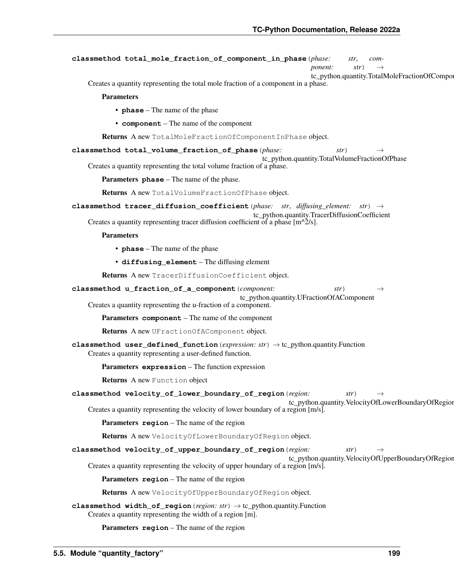```
classmethod total_mole_fraction_of_component_in_phase(phase: str, com-
                                                                    ponent: str \rightarrowtc_python.quantity.TotalMoleFractionOfComponent
    Creates a quantity representing the total mole fraction of a component in a phase.
        Parameters
            • phase – The name of the phase
            • component – The name of the component
        Returns A new TotalMoleFractionOfComponentInPhase object.
classmethod total_volume_fraction_of_phase(phase: str) →
                                                      tc_python.quantity.TotalVolumeFractionOfPhase
    Creates a quantity representing the total volume fraction of a phase.
        Parameters phase – The name of the phase.
        Returns A new TotalVolumeFractionOfPhase object.
classmethod tracer_diffusion_coefficient(phase: str, diffusing_element: str) →
                                                   tc_python.quantity.TracerDiffusionCoefficient
    Creates a quantity representing tracer diffusion coefficient of a phase [m^2/s].
        Parameters
            • phase – The name of the phase
            • diffusing_element – The diffusing element
        Returns A new TracerDiffusionCoefficient object.
classmethod u_fraction_of_a_component(component: str) →
                                                tc_python.quantity.UFractionOfAComponent
    Creates a quantity representing the u-fraction of a component.
        Parameters component – The name of the component
        Returns A new UFractionOfAComponent object.
classmethod user_defined_function(expression: str) → tc_python.quantity.Function
    Creates a quantity representing a user-defined function.
        Parameters expression – The function expression
        Returns A new Function object
classmethod velocity_of_lower_boundary_of_region(region: str) →
                                                              tc_python.quantity.VelocityOfLowerBoundaryOfRegion
    Creates a quantity representing the velocity of lower boundary of a region [m/s].
        Parameters region – The name of the region
        Returns A new VelocityOfLowerBoundaryOfRegion object.
classmethod velocity_of_upper_boundary_of_region(region: str) →
                                                             tc_python.quantity.VelocityOfUpperBoundaryOfRegion
    Creates a quantity representing the velocity of upper boundary of a region [m/s].
        Parameters region – The name of the region
        Returns A new VelocityOfUpperBoundaryOfRegion object.
classmethod width_of_region(region: str) → tc_python.quantity.Function
    Creates a quantity representing the width of a region [m].
```
Parameters **region** – The name of the region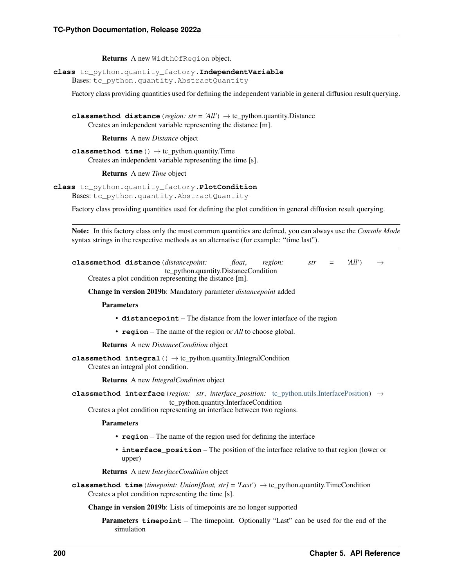Returns A new WidthOfRegion object.

**class** tc\_python.quantity\_factory.**IndependentVariable**

Bases: tc\_python.quantity.AbstractQuantity

Factory class providing quantities used for defining the independent variable in general diffusion result querying.

**classmethod distance** (*region: str* = 'All')  $\rightarrow$  tc\_python.quantity.Distance Creates an independent variable representing the distance [m].

Returns A new *Distance* object

**classmethod time**() → tc\_python.quantity.Time Creates an independent variable representing the time [s].

Returns A new *Time* object

**class** tc\_python.quantity\_factory.**PlotCondition**

Bases: tc\_python.quantity.AbstractQuantity

Factory class providing quantities used for defining the plot condition in general diffusion result querying.

Note: In this factory class only the most common quantities are defined, you can always use the *Console Mode* syntax strings in the respective methods as an alternative (for example: "time last").

| classmethod distance (distancepoint: |                                                         | float. | region: | str | $=$ | 'All' | $\longrightarrow$ |
|--------------------------------------|---------------------------------------------------------|--------|---------|-----|-----|-------|-------------------|
|                                      | tc_python.quantity.DistanceCondition                    |        |         |     |     |       |                   |
|                                      | Creates a plot condition representing the distance [m]. |        |         |     |     |       |                   |

Change in version 2019b: Mandatory parameter *distancepoint* added

Parameters

- **distancepoint** The distance from the lower interface of the region
- **region** The name of the region or *All* to choose global.

Returns A new *DistanceCondition* object

**classmethod integral**() → tc\_python.quantity.IntegralCondition Creates an integral plot condition.

Returns A new *IntegralCondition* object

**classmethod interface**(*region: str*, *interface\_position:* [tc\\_python.utils.InterfacePosition](#page-211-0)) → tc\_python.quantity.InterfaceCondition

Creates a plot condition representing an interface between two regions.

Parameters

- **region** The name of the region used for defining the interface
- **interface** position The position of the interface relative to that region (lower or upper)

Returns A new *InterfaceCondition* object

```
classmethod time(timepoint: Union[float, str] = 'Last') → tc_python.quantity.TimeCondition
     Creates a plot condition representing the time [s].
```
Change in version 2019b: Lists of timepoints are no longer supported

Parameters **timepoint** – The timepoint. Optionally "Last" can be used for the end of the simulation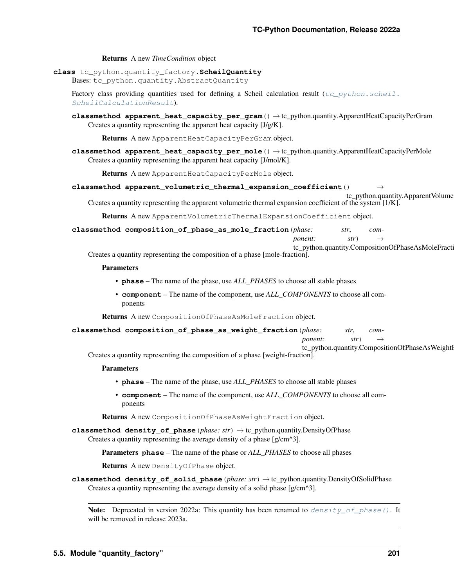Returns A new *TimeCondition* object

**class** tc\_python.quantity\_factory.**ScheilQuantity**

Bases: tc\_python.quantity.AbstractQuantity

Factory class providing quantities used for defining a Scheil calculation result ( $tc<sub>CP</sub>ython.scheil.$ [ScheilCalculationResult](#page-81-0)).

**classmethod apparent\_heat\_capacity\_per\_gram**() → tc\_python.quantity.ApparentHeatCapacityPerGram Creates a quantity representing the apparent heat capacity [J/g/K].

Returns A new ApparentHeatCapacityPerGram object.

**classmethod apparent\_heat\_capacity\_per\_mole**() → tc\_python.quantity.ApparentHeatCapacityPerMole Creates a quantity representing the apparent heat capacity [J/mol/K].

Returns A new ApparentHeatCapacityPerMole object.

**classmethod apparent\_volumetric\_thermal\_expansion\_coefficient**() →

tc\_python.quantity.ApparentVolume Creates a quantity representing the apparent volumetric thermal expansion coefficient of the system [1/K].

Returns A new ApparentVolumetricThermalExpansionCoefficient object.

**classmethod composition\_of\_phase\_as\_mole\_fraction**(*phase: str*, *com-*

*ponent:*  $str) \rightarrow$ 

tc\_python.quantity.CompositionOfPhaseAsMoleFracti Creates a quantity representing the composition of a phase [mole-fraction].

# Parameters

- **phase** The name of the phase, use *ALL\_PHASES* to choose all stable phases
- **component** The name of the component, use *ALL\_COMPONENTS* to choose all components

Returns A new CompositionOfPhaseAsMoleFraction object.

**classmethod composition\_of\_phase\_as\_weight\_fraction**(*phase: str*, *com-*

*ponent:*  $str) \rightarrow$ 

tc\_python.quantity.CompositionOfPhaseAsWeightI

Creates a quantity representing the composition of a phase [weight-fraction].

## Parameters

- **phase** The name of the phase, use *ALL\_PHASES* to choose all stable phases
- **component** The name of the component, use *ALL\_COMPONENTS* to choose all components

Returns A new CompositionOfPhaseAsWeightFraction object.

<span id="page-204-0"></span>**classmethod density\_of\_phase**(*phase: str*) → tc\_python.quantity.DensityOfPhase Creates a quantity representing the average density of a phase [g/cm^3].

Parameters **phase** – The name of the phase or *ALL\_PHASES* to choose all phases

Returns A new DensityOfPhase object.

**classmethod density\_of\_solid\_phase**(*phase: str*) → tc\_python.quantity.DensityOfSolidPhase Creates a quantity representing the average density of a solid phase [g/cm^3].

**Note:** Deprecated in version 2022a: This quantity has been renamed to  $density\_of\_phase($ . It will be removed in release 2023a.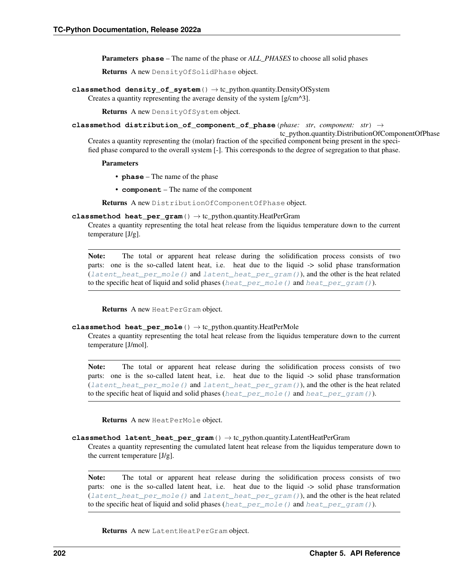Parameters **phase** – The name of the phase or *ALL\_PHASES* to choose all solid phases

Returns A new DensityOfSolidPhase object.

**classmethod density\_of\_system**() → tc\_python.quantity.DensityOfSystem Creates a quantity representing the average density of the system [g/cm^3].

Returns A new DensityOfSystem object.

### **classmethod distribution\_of\_component\_of\_phase**(*phase: str*, *component: str*) →

tc\_python.quantity.DistributionOfComponentOfPhase Creates a quantity representing the (molar) fraction of the specified component being present in the specified phase compared to the overall system [-]. This corresponds to the degree of segregation to that phase.

### Parameters

- **phase** The name of the phase
- **component** The name of the component

Returns A new DistributionOfComponentOfPhase object.

# <span id="page-205-2"></span>**classmethod heat\_per\_gram**() → tc\_python.quantity.HeatPerGram

Creates a quantity representing the total heat release from the liquidus temperature down to the current temperature [J/g].

Note: The total or apparent heat release during the solidification process consists of two parts: one is the so-called latent heat, i.e. heat due to the liquid -> solid phase transformation (latent heat per mole () and latent heat per  $qram(t)$ ), and the other is the heat related to the specific heat of liquid and solid phases ([heat\\_per\\_mole\(\)](#page-205-1) and [heat\\_per\\_gram\(\)](#page-205-2)).

Returns A new HeatPerGram object.

### <span id="page-205-1"></span>**classmethod heat\_per\_mole**() → tc\_python.quantity.HeatPerMole

Creates a quantity representing the total heat release from the liquidus temperature down to the current temperature [J/mol].

Note: The total or apparent heat release during the solidification process consists of two parts: one is the so-called latent heat, i.e. heat due to the liquid -> solid phase transformation ([latent\\_heat\\_per\\_mole\(\)](#page-206-0) and [latent\\_heat\\_per\\_gram\(\)](#page-205-0)), and the other is the heat related to the specific heat of liquid and solid phases ([heat\\_per\\_mole\(\)](#page-205-1) and [heat\\_per\\_gram\(\)](#page-205-2)).

Returns A new HeatPerMole object.

# <span id="page-205-0"></span>**classmethod latent\_heat\_per\_gram**() → tc\_python.quantity.LatentHeatPerGram

Creates a quantity representing the cumulated latent heat release from the liquidus temperature down to the current temperature [J/g].

Note: The total or apparent heat release during the solidification process consists of two parts: one is the so-called latent heat, i.e. heat due to the liquid -> solid phase transformation ([latent\\_heat\\_per\\_mole\(\)](#page-206-0) and [latent\\_heat\\_per\\_gram\(\)](#page-205-0)), and the other is the heat related to the specific heat of liquid and solid phases ([heat\\_per\\_mole\(\)](#page-205-1) and [heat\\_per\\_gram\(\)](#page-205-2)).

Returns A new LatentHeatPerGram object.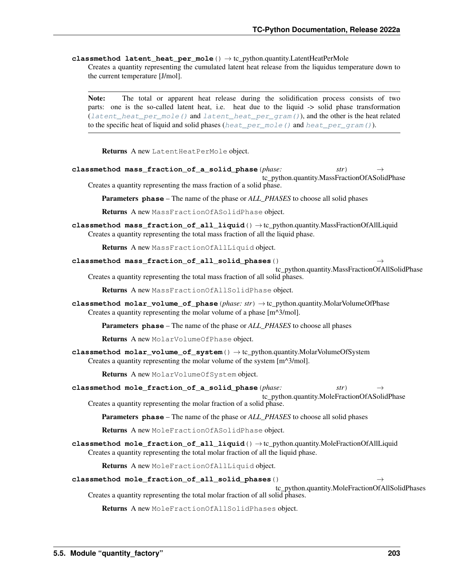<span id="page-206-0"></span>**classmethod latent\_heat\_per\_mole**() → tc\_python.quantity.LatentHeatPerMole Creates a quantity representing the cumulated latent heat release from the liquidus temperature down to the current temperature [J/mol].

Note: The total or apparent heat release during the solidification process consists of two parts: one is the so-called latent heat, i.e. heat due to the liquid -> solid phase transformation ([latent\\_heat\\_per\\_mole\(\)](#page-206-0) and [latent\\_heat\\_per\\_gram\(\)](#page-205-0)), and the other is the heat related to the specific heat of liquid and solid phases ([heat\\_per\\_mole\(\)](#page-205-1) and [heat\\_per\\_gram\(\)](#page-205-2)).

Returns A new LatentHeatPerMole object.

**classmethod mass\_fraction\_of\_a\_solid\_phase**(*phase: str*) → tc\_python.quantity.MassFractionOfASolidPhase Creates a quantity representing the mass fraction of a solid phase.

Parameters **phase** – The name of the phase or *ALL\_PHASES* to choose all solid phases

Returns A new MassFractionOfASolidPhase object.

**classmethod mass\_fraction\_of\_all\_liquid**() → tc\_python.quantity.MassFractionOfAllLiquid Creates a quantity representing the total mass fraction of all the liquid phase.

Returns A new MassFractionOfAllLiquid object.

**classmethod mass\_fraction\_of\_all\_solid\_phases**() →

tc\_python.quantity.MassFractionOfAllSolidPhase Creates a quantity representing the total mass fraction of all solid phases.

Returns A new MassFractionOfAllSolidPhase object.

**classmethod molar\_volume\_of\_phase**(*phase: str*) → tc\_python.quantity.MolarVolumeOfPhase Creates a quantity representing the molar volume of a phase [m^3/mol].

Parameters **phase** – The name of the phase or *ALL\_PHASES* to choose all phases

Returns A new MolarVolumeOfPhase object.

**classmethod molar\_volume\_of\_system**() → tc\_python.quantity.MolarVolumeOfSystem Creates a quantity representing the molar volume of the system [m^3/mol].

Returns A new MolarVolumeOfSystem object.

**classmethod mole\_fraction\_of\_a\_solid\_phase**(*phase: str*) →

tc\_python.quantity.MoleFractionOfASolidPhase Creates a quantity representing the molar fraction of a solid phase.

Parameters **phase** – The name of the phase or *ALL\_PHASES* to choose all solid phases

Returns A new MoleFractionOfASolidPhase object.

**classmethod mole\_fraction\_of\_all\_liquid**() → tc\_python.quantity.MoleFractionOfAllLiquid Creates a quantity representing the total molar fraction of all the liquid phase.

Returns A new MoleFractionOfAllLiquid object.

### **classmethod mole\_fraction\_of\_all\_solid\_phases**() →

tc\_python.quantity.MoleFractionOfAllSolidPhases Creates a quantity representing the total molar fraction of all solid phases.

Returns A new MoleFractionOfAllSolidPhases object.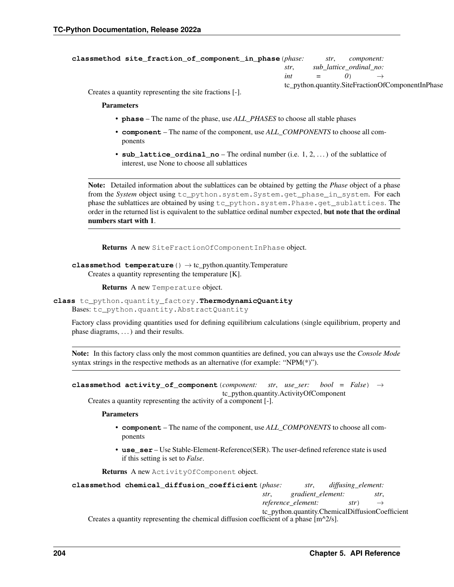```
classmethod site_fraction_of_component_in_phase(phase: str, component:
                                                     str, sub_lattice_ordinal_no:
                                                     int = 0) \rightarrowtc_python.quantity.SiteFractionOfComponentInPhase
```
Creates a quantity representing the site fractions [-].

Parameters

- **phase** The name of the phase, use *ALL\_PHASES* to choose all stable phases
- **component** The name of the component, use *ALL\_COMPONENTS* to choose all components
- **sub\_lattice\_ordinal\_no** The ordinal number (i.e. 1, 2, . . . ) of the sublattice of interest, use None to choose all sublattices

Note: Detailed information about the sublattices can be obtained by getting the *Phase* object of a phase from the *System* object using tc\_python.system.System.get\_phase\_in\_system. For each phase the sublattices are obtained by using tc\_python.system.Phase.get\_sublattices. The order in the returned list is equivalent to the sublattice ordinal number expected, but note that the ordinal numbers start with 1.

Returns A new SiteFractionOfComponentInPhase object.

### **classmethod temperature**() → tc\_python.quantity.Temperature Creates a quantity representing the temperature [K].

Returns A new Temperature object.

<span id="page-207-0"></span>**class** tc\_python.quantity\_factory.**ThermodynamicQuantity** Bases: tc\_python.quantity.AbstractQuantity

Factory class providing quantities used for defining equilibrium calculations (single equilibrium, property and phase diagrams, . . . ) and their results.

Note: In this factory class only the most common quantities are defined, you can always use the *Console Mode* syntax strings in the respective methods as an alternative (for example: "NPM(\*)").

```
classmethod activity_of_component(component: str, use_ser: bool = False) →
                                       tc_python.quantity.ActivityOfComponent
```
Creates a quantity representing the activity of a component [-].

Parameters

- **component** The name of the component, use *ALL\_COMPONENTS* to choose all components
- **use** ser Use Stable-Element-Reference(SER). The user-defined reference state is used if this setting is set to *False*.

Returns A new ActivityOfComponent object.

| classmethod chemical diffusion coefficient (phase:                                                     |      |                         | str, diffusing_element: |                                                 |
|--------------------------------------------------------------------------------------------------------|------|-------------------------|-------------------------|-------------------------------------------------|
|                                                                                                        | str. | gradient_element:       |                         | str.                                            |
|                                                                                                        |      | reference_element: str) |                         |                                                 |
|                                                                                                        |      |                         |                         | tc_python.quantity.ChemicalDiffusionCoefficient |
| Creates a quantity representing the chemical diffusion coefficient of a phase $\lceil m^2/2s \rceil$ . |      |                         |                         |                                                 |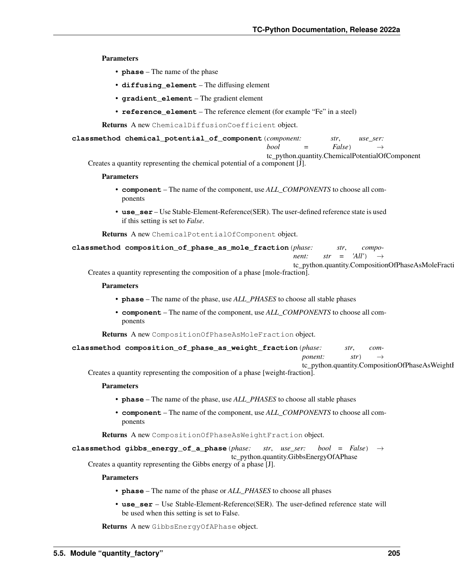# Parameters

- **phase** The name of the phase
- **diffusing\_element** The diffusing element
- **gradient\_element** The gradient element
- **reference\_element** The reference element (for example "Fe" in a steel)

Returns A new ChemicalDiffusionCoefficient object.

**classmethod chemical\_potential\_of\_component**(*component: str*, *use\_ser:*

 $bool = False$ 

tc\_python.quantity.ChemicalPotentialOfComponent

Creates a quantity representing the chemical potential of a component [J].

### Parameters

- **component** The name of the component, use *ALL\_COMPONENTS* to choose all components
- **use\_ser** Use Stable-Element-Reference(SER). The user-defined reference state is used if this setting is set to *False*.

Returns A new ChemicalPotentialOfComponent object.

| classmethod composition_of_phase_as_mole_fraction(phase: |  |  | str, compo-                              |  |
|----------------------------------------------------------|--|--|------------------------------------------|--|
|                                                          |  |  | <i>nent:</i> $str = 'All'$ $\rightarrow$ |  |

tc\_python.quantity.CompositionOfPhaseAsMoleFracti

Creates a quantity representing the composition of a phase [mole-fraction].

# Parameters

- **phase** The name of the phase, use *ALL\_PHASES* to choose all stable phases
- **component** The name of the component, use *ALL\_COMPONENTS* to choose all components

Returns A new CompositionOfPhaseAsMoleFraction object.

**classmethod composition\_of\_phase\_as\_weight\_fraction**(*phase: str*, *com-*

*ponent: str*)

tc\_python.quantity.CompositionOfPhaseAsWeightI

Creates a quantity representing the composition of a phase [weight-fraction].

### Parameters

- **phase** The name of the phase, use *ALL\_PHASES* to choose all stable phases
- **component** The name of the component, use *ALL\_COMPONENTS* to choose all components

Returns A new CompositionOfPhaseAsWeightFraction object.

**classmethod gibbs\_energy\_of\_a\_phase**(*phase: str*, *use\_ser: bool = False*) →

tc\_python.quantity.GibbsEnergyOfAPhase

Creates a quantity representing the Gibbs energy of a phase [J].

### Parameters

- **phase** The name of the phase or *ALL\_PHASES* to choose all phases
- **use\_ser** Use Stable-Element-Reference(SER). The user-defined reference state will be used when this setting is set to False.

Returns A new GibbsEnergyOfAPhase object.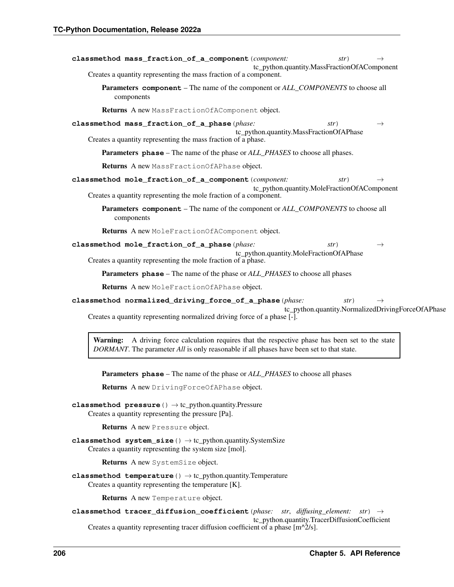| classmethod mass_fraction_of_a_component (component:                                                                                                                                                    | tc_python.quantity.MassFractionOfAComponent | str) | $\rightarrow$                                     |
|---------------------------------------------------------------------------------------------------------------------------------------------------------------------------------------------------------|---------------------------------------------|------|---------------------------------------------------|
| Creates a quantity representing the mass fraction of a component.                                                                                                                                       |                                             |      |                                                   |
| <b>Parameters component</b> – The name of the component or ALL_COMPONENTS to choose all<br>components                                                                                                   |                                             |      |                                                   |
| Returns A new MassFractionOfAComponent object.                                                                                                                                                          |                                             |      |                                                   |
| classmethod mass_fraction_of_a_phase(phase:<br>Creates a quantity representing the mass fraction of a phase.                                                                                            | tc_python.quantity.MassFractionOfAPhase     | str) | $\rightarrow$                                     |
| <b>Parameters phase</b> – The name of the phase or <i>ALL_PHASES</i> to choose all phases.                                                                                                              |                                             |      |                                                   |
| Returns A new MassFractionOfAPhase object.                                                                                                                                                              |                                             |      |                                                   |
| classmethod mole_fraction_of_a_component (component:<br>Creates a quantity representing the mole fraction of a component.                                                                               | tc_python.quantity.MoleFractionOfAComponent | str) | $\rightarrow$                                     |
| Parameters component – The name of the component or ALL_COMPONENTS to choose all<br>components                                                                                                          |                                             |      |                                                   |
| <b>Returns</b> A new MoleFractionOfAComponent object.                                                                                                                                                   |                                             |      |                                                   |
| classmethod mole_fraction_of_a_phase(phase:                                                                                                                                                             | tc_python.quantity.MoleFractionOfAPhase     | str) | $\rightarrow$                                     |
| Creates a quantity representing the mole fraction of a phase.                                                                                                                                           |                                             |      |                                                   |
| <b>Parameters phase</b> – The name of the phase or <i>ALL_PHASES</i> to choose all phases                                                                                                               |                                             |      |                                                   |
| Returns A new MoleFractionOfAPhase object.                                                                                                                                                              |                                             |      |                                                   |
| classmethod normalized_driving_force_of_a_phase(phase:<br>Creates a quantity representing normalized driving force of a phase [-].                                                                      |                                             | str) | tc_python.quantity.NormalizedDrivingForceOfAPhase |
| A driving force calculation requires that the respective phase has been set to the state<br><b>Warning:</b><br>DORMANT. The parameter All is only reasonable if all phases have been set to that state. |                                             |      |                                                   |

Parameters **phase** – The name of the phase or *ALL\_PHASES* to choose all phases

Returns A new DrivingForceOfAPhase object.

**classmethod pressure**() → tc\_python.quantity.Pressure Creates a quantity representing the pressure [Pa].

Returns A new Pressure object.

**classmethod system\_size**() → tc\_python.quantity.SystemSize Creates a quantity representing the system size [mol].

Returns A new SystemSize object.

**classmethod temperature**() → tc\_python.quantity.Temperature Creates a quantity representing the temperature [K].

Returns A new Temperature object.

**classmethod tracer\_diffusion\_coefficient**(*phase: str*, *diffusing\_element: str*) → tc\_python.quantity.TracerDiffusionCoefficient Creates a quantity representing tracer diffusion coefficient of a phase  $[m^{\wedge}2/s]$ .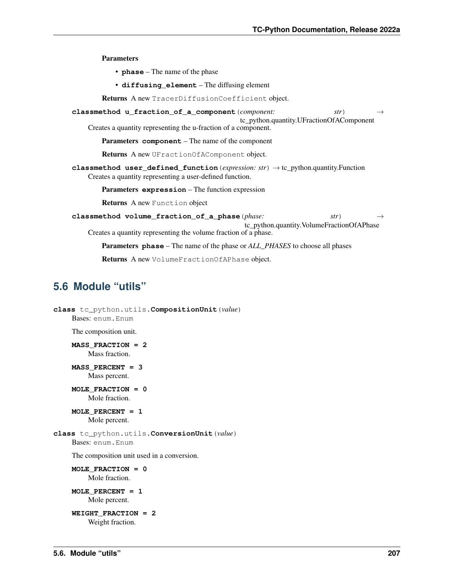Parameters

- **phase** The name of the phase
- **diffusing\_element** The diffusing element

Returns A new TracerDiffusionCoefficient object.

- **classmethod u\_fraction\_of\_a\_component**(*component: str*) → tc\_python.quantity.UFractionOfAComponent
	- Creates a quantity representing the u-fraction of a component.

Parameters **component** – The name of the component

Returns A new UFractionOfAComponent object.

**classmethod user\_defined\_function**(*expression: str*) → tc\_python.quantity.Function Creates a quantity representing a user-defined function.

Parameters **expression** – The function expression

Returns A new Function object

**classmethod volume\_fraction\_of\_a\_phase**(*phase: str*) → tc\_python.quantity.VolumeFractionOfAPhase Creates a quantity representing the volume fraction of a phase.

Parameters **phase** – The name of the phase or *ALL\_PHASES* to choose all phases

Returns A new VolumeFractionOfAPhase object.

# **5.6 Module "utils"**

```
class tc_python.utils.CompositionUnit(value)
    Bases: enum.Enum
    The composition unit.
```

```
MASS_FRACTION = 2
    Mass fraction.
```
**MASS\_PERCENT = 3** Mass percent.

**MOLE\_FRACTION = 0** Mole fraction.

**MOLE\_PERCENT = 1** Mole percent.

<span id="page-210-0"></span>**class** tc\_python.utils.**ConversionUnit**(*value*) Bases: enum.Enum

The composition unit used in a conversion.

**MOLE\_FRACTION = 0** Mole fraction.

**MOLE\_PERCENT = 1** Mole percent.

**WEIGHT\_FRACTION = 2** Weight fraction.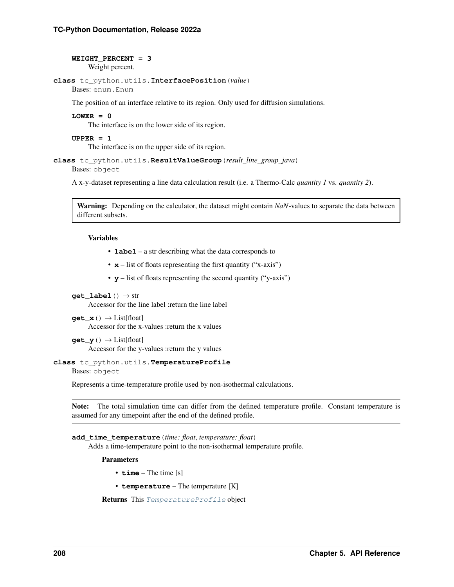# **WEIGHT\_PERCENT = 3** Weight percent.

```
class tc_python.utils.InterfacePosition(value)
```
Bases: enum.Enum

The position of an interface relative to its region. Only used for diffusion simulations.

# **LOWER = 0**

The interface is on the lower side of its region.

# **UPPER = 1**

The interface is on the upper side of its region.

```
class tc_python.utils.ResultValueGroup(result_line_group_java)
```
Bases: object

A x-y-dataset representing a line data calculation result (i.e. a Thermo-Calc *quantity 1* vs. *quantity 2*).

Warning: Depending on the calculator, the dataset might contain *NaN*-values to separate the data between different subsets.

# Variables

- **label** a str describing what the data corresponds to
- $x -$  list of floats representing the first quantity ("x-axis")
- **y** list of floats representing the second quantity ("y-axis")
- **get** label $() \rightarrow str$

Accessor for the line label :return the line label

- **get\_x**() → List[float] Accessor for the x-values :return the x values
- **get**  $y() \rightarrow List[float]$ Accessor for the y-values :return the y values

# <span id="page-211-1"></span>**class** tc\_python.utils.**TemperatureProfile**

Bases: object

Represents a time-temperature profile used by non-isothermal calculations.

Note: The total simulation time can differ from the defined temperature profile. Constant temperature is assumed for any timepoint after the end of the defined profile.

**add\_time\_temperature**(*time: float*, *temperature: float*) Adds a time-temperature point to the non-isothermal temperature profile.

Parameters

- **time** The time [s]
- **temperature** The temperature [K]

Returns This [TemperatureProfile](#page-211-1) object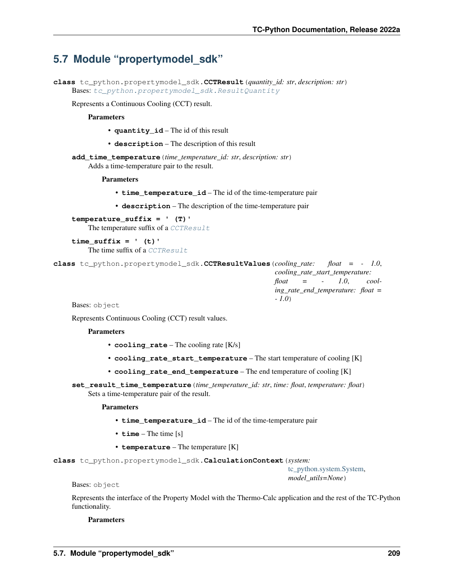# **5.7 Module "propertymodel\_sdk"**

```
class tc_python.propertymodel_sdk.CCTResult(quantity_id: str, description: str)
    tc_python.propertymodel_sdk.ResultQuantity
```
Represents a Continuous Cooling (CCT) result.

Parameters

- **quantity\_id** The id of this result
- **description** The description of this result

**add\_time\_temperature**(*time\_temperature\_id: str*, *description: str*) Adds a time-temperature pair to the result.

Parameters

- **time\_temperature\_id** The id of the time-temperature pair
- **description** The description of the time-temperature pair

**temperature\_suffix = ' (T)'** The temperature suffix of a [CCTResult](#page-212-0)

```
time_suffix = ' (t)'
  CCTResult
```
<span id="page-212-1"></span>**class** tc\_python.propertymodel\_sdk.**CCTResultValues**(*cooling\_rate: float = - 1.0*, *cooling\_rate\_start\_temperature: float = - 1.0*, *cooling\_rate\_end\_temperature: float = - 1.0*)

Bases: object

Represents Continuous Cooling (CCT) result values.

## Parameters

- **cooling\_rate** The cooling rate [K/s]
- **cooling\_rate\_start\_temperature** The start temperature of cooling [K]
- **cooling rate end temperature** The end temperature of cooling [K]
- **set\_result\_time\_temperature**(*time\_temperature\_id: str*, *time: float*, *temperature: float*) Sets a time-temperature pair of the result.

### Parameters

- **time\_temperature\_id** The id of the time-temperature pair
- **time** The time [s]
- **temperature** The temperature [K]

**class** tc\_python.propertymodel\_sdk.**CalculationContext**(*system:*

[tc\\_python.system.System,](#page-183-0) *model\_utils=None*)

### Bases: object

Represents the interface of the Property Model with the Thermo-Calc application and the rest of the TC-Python functionality.

### Parameters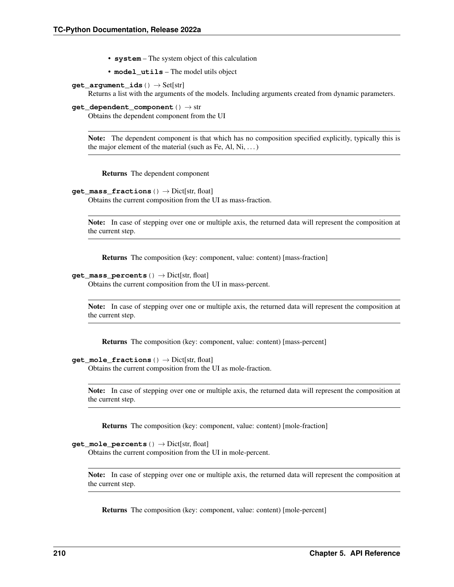- **system** The system object of this calculation
- **model\_utils** The model utils object
- **get\_argument\_ids**() → Set[str]

Returns a list with the arguments of the models. Including arguments created from dynamic parameters.

**get dependent component** ()  $\rightarrow$  str

Obtains the dependent component from the UI

Note: The dependent component is that which has no composition specified explicitly, typically this is the major element of the material (such as Fe, Al, Ni,  $\dots$ )

Returns The dependent component

```
get_mass_fractions() → Dict[str, float]
```
Obtains the current composition from the UI as mass-fraction.

Note: In case of stepping over one or multiple axis, the returned data will represent the composition at the current step.

Returns The composition (key: component, value: content) [mass-fraction]

```
get mass percents () \rightarrow Dict[str, float]
```
Obtains the current composition from the UI in mass-percent.

Note: In case of stepping over one or multiple axis, the returned data will represent the composition at the current step.

Returns The composition (key: component, value: content) [mass-percent]

```
get mole fractions () \rightarrow Dict[str, float]
```
Obtains the current composition from the UI as mole-fraction.

Note: In case of stepping over one or multiple axis, the returned data will represent the composition at the current step.

Returns The composition (key: component, value: content) [mole-fraction]

# **get\_mole\_percents**() → Dict[str, float]

Obtains the current composition from the UI in mole-percent.

Note: In case of stepping over one or multiple axis, the returned data will represent the composition at the current step.

Returns The composition (key: component, value: content) [mole-percent]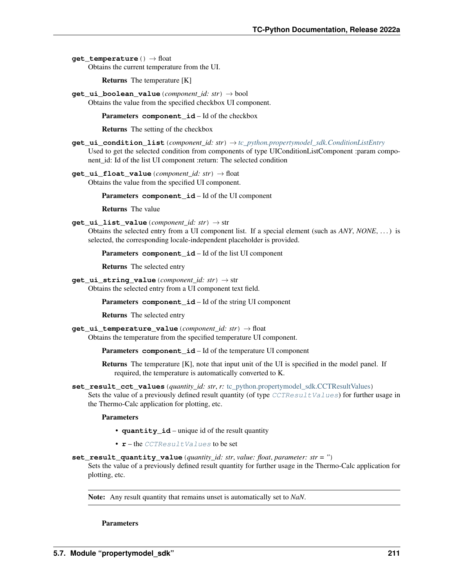**get temperature** () → float

Obtains the current temperature from the UI.

Returns The temperature [K]

**get\_ui\_boolean\_value**(*component\_id: str*) → bool Obtains the value from the specified checkbox UI component.

Parameters **component\_id** – Id of the checkbox

Returns The setting of the checkbox

- **get\_ui\_condition\_list**(*component\_id: str*) → *[tc\\_python.propertymodel\\_sdk.ConditionListEntry](#page-215-0)* Used to get the selected condition from components of type UIConditionListComponent :param component\_id: Id of the list UI component :return: The selected condition
- **get\_ui\_float\_value**(*component\_id: str*) → float Obtains the value from the specified UI component.

Parameters **component\_id** – Id of the UI component

Returns The value

- **get\_ui\_list\_value**(*component\_id: str*) → str
	- Obtains the selected entry from a UI component list. If a special element (such as *ANY*, *NONE*, . . . ) is selected, the corresponding locale-independent placeholder is provided.

Parameters **component\_id** – Id of the list UI component

Returns The selected entry

**get\_ui\_string\_value**(*component\_id: str*) → str Obtains the selected entry from a UI component text field.

Parameters **component\_id** – Id of the string UI component

Returns The selected entry

**get\_ui\_temperature\_value**(*component\_id: str*) → float Obtains the temperature from the specified temperature UI component.

Parameters **component\_id** – Id of the temperature UI component

Returns The temperature [K], note that input unit of the UI is specified in the model panel. If required, the temperature is automatically converted to K.

**set\_result\_cct\_values**(*quantity\_id: str*, *r:* [tc\\_python.propertymodel\\_sdk.CCTResultValues](#page-212-1))

Sets the value of a previously defined result quantity (of type  $CCTResultValues$ ) for further usage in the Thermo-Calc application for plotting, etc.

Parameters

- **quantity\_id** unique id of the result quantity
- **r** the [CCTResultValues](#page-212-1) to be set
- **set\_result\_quantity\_value**(*quantity\_id: str*, *value: float*, *parameter: str = ''*)

Sets the value of a previously defined result quantity for further usage in the Thermo-Calc application for plotting, etc.

Note: Any result quantity that remains unset is automatically set to *NaN*.

Parameters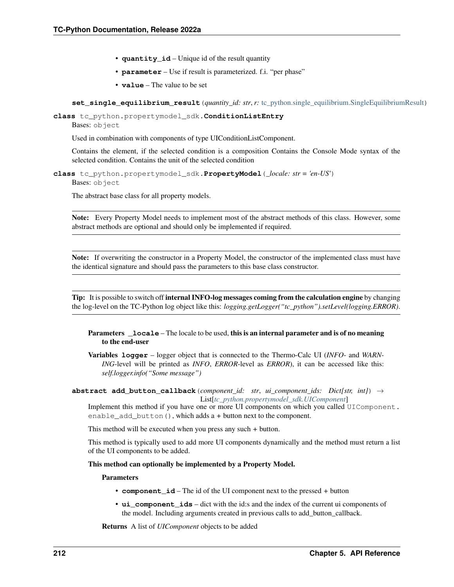- **quantity id** Unique id of the result quantity
- **parameter** Use if result is parameterized. f.i. "per phase"
- **value** The value to be set

**set single equilibrium result** (*quantity id: str, r:* tc python.single equilibrium.SingleEquilibriumResult)

<span id="page-215-0"></span>**class** tc\_python.propertymodel\_sdk.**ConditionListEntry** Bases: object

Used in combination with components of type UIConditionListComponent.

Contains the element, if the selected condition is a composition Contains the Console Mode syntax of the selected condition. Contains the unit of the selected condition

**class** tc\_python.propertymodel\_sdk.**PropertyModel**(*\_locale: str = 'en-US'*) Bases: object

The abstract base class for all property models.

Note: Every Property Model needs to implement most of the abstract methods of this class. However, some abstract methods are optional and should only be implemented if required.

Note: If overwriting the constructor in a Property Model, the constructor of the implemented class must have the identical signature and should pass the parameters to this base class constructor.

Tip: It is possible to switch off internal INFO-log messages coming from the calculation engine by changing the log-level on the TC-Python log object like this: *logging.getLogger("tc\_python").setLevel(logging.ERROR)*.

# **Parameters Locale** – The locale to be used, this is an internal parameter and is of no meaning to the end-user

Variables **logger** – logger object that is connected to the Thermo-Calc UI (*INFO*- and *WARN-ING*-level will be printed as *INFO*, *ERROR*-level as *ERROR*), it can be accessed like this: *self.logger.info("Some message")*

**abstract add\_button\_callback**(*component\_id: str*, *ui\_component\_ids: Dict[str, int]*) → List[*[tc\\_python.propertymodel\\_sdk.UIComponent](#page-219-0)*]

Implement this method if you have one or more UI components on which you called UIComponent. enable\_add\_button(), which adds a *+* button next to the component.

This method will be executed when you press any such *+* button.

This method is typically used to add more UI components dynamically and the method must return a list of the UI components to be added.

This method can optionally be implemented by a Property Model.

### Parameters

- **component\_id** The id of the UI component next to the pressed *+* button
- **ui\_component\_ids** dict with the id:s and the index of the current ui components of the model. Including arguments created in previous calls to add\_button\_callback.

Returns A list of *UIComponent* objects to be added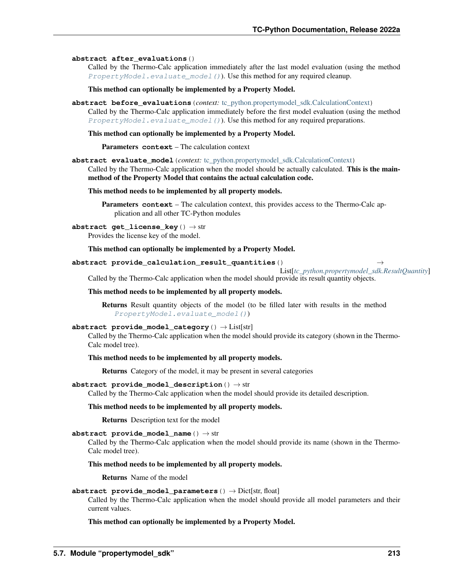## **abstract after\_evaluations**()

Called by the Thermo-Calc application immediately after the last model evaluation (using the method PropertyModel.evaluate model()). Use this method for any required cleanup.

This method can optionally be implemented by a Property Model.

**abstract before\_evaluations**(*context:* [tc\\_python.propertymodel\\_sdk.CalculationContext](#page-212-0)) Called by the Thermo-Calc application immediately before the first model evaluation (using the method [PropertyModel.evaluate\\_model\(\)](#page-216-0)). Use this method for any required preparations.

## This method can optionally be implemented by a Property Model.

Parameters **context** – The calculation context

<span id="page-216-0"></span>**abstract evaluate\_model**(*context:* [tc\\_python.propertymodel\\_sdk.CalculationContext](#page-212-0))

Called by the Thermo-Calc application when the model should be actually calculated. This is the mainmethod of the Property Model that contains the actual calculation code.

## This method needs to be implemented by all property models.

Parameters **context** – The calculation context, this provides access to the Thermo-Calc application and all other TC-Python modules

## **abstract get\_license\_key**() → str

Provides the license key of the model.

## This method can optionally be implemented by a Property Model.

## **abstract provide\_calculation\_result\_quantities**() →

List[*[tc\\_python.propertymodel\\_sdk.ResultQuantity](#page-217-0)*]

Called by the Thermo-Calc application when the model should provide its result quantity objects.

## This method needs to be implemented by all property models.

Returns Result quantity objects of the model (to be filled later with results in the method [PropertyModel.evaluate\\_model\(\)](#page-216-0))

## **abstract provide\_model\_category**() → List[str]

Called by the Thermo-Calc application when the model should provide its category (shown in the Thermo-Calc model tree).

## This method needs to be implemented by all property models.

Returns Category of the model, it may be present in several categories

## **abstract provide model description** ()  $\rightarrow$  str

Called by the Thermo-Calc application when the model should provide its detailed description.

## This method needs to be implemented by all property models.

Returns Description text for the model

## **abstract provide model name** ()  $\rightarrow$  str

Called by the Thermo-Calc application when the model should provide its name (shown in the Thermo-Calc model tree).

## This method needs to be implemented by all property models.

Returns Name of the model

## **abstract provide model parameters**  $() \rightarrow$  Dict[str, float]

Called by the Thermo-Calc application when the model should provide all model parameters and their current values.

## This method can optionally be implemented by a Property Model.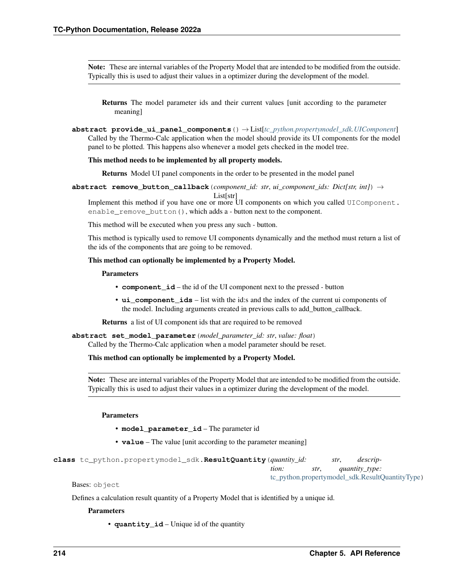Note: These are internal variables of the Property Model that are intended to be modified from the outside. Typically this is used to adjust their values in a optimizer during the development of the model.

Returns The model parameter ids and their current values [unit according to the parameter meaning]

**abstract provide\_ui\_panel\_components**() → List[*[tc\\_python.propertymodel\\_sdk.UIComponent](#page-219-0)*] Called by the Thermo-Calc application when the model should provide its UI components for the model panel to be plotted. This happens also whenever a model gets checked in the model tree.

#### This method needs to be implemented by all property models.

Returns Model UI panel components in the order to be presented in the model panel

**abstract remove\_button\_callback**(*component\_id: str*, *ui\_component\_ids: Dict[str, int]*) →

List[str]

Implement this method if you have one or more UI components on which you called UIComponent. enable\_remove\_button(), which adds a *-* button next to the component.

This method will be executed when you press any such *-* button.

This method is typically used to remove UI components dynamically and the method must return a list of the ids of the components that are going to be removed.

#### This method can optionally be implemented by a Property Model.

#### Parameters

- **component\_id** the id of the UI component next to the pressed *-* button
- **ui\_component\_ids** list with the id:s and the index of the current ui components of the model. Including arguments created in previous calls to add\_button\_callback.

Returns a list of UI component ids that are required to be removed

#### **abstract set\_model\_parameter**(*model\_parameter\_id: str*, *value: float*)

Called by the Thermo-Calc application when a model parameter should be reset.

### This method can optionally be implemented by a Property Model.

Note: These are internal variables of the Property Model that are intended to be modified from the outside. Typically this is used to adjust their values in a optimizer during the development of the model.

## Parameters

- **model\_parameter\_id** The parameter id
- **value** The value [unit according to the parameter meaning]

<span id="page-217-0"></span>**class** tc\_python.propertymodel\_sdk.**ResultQuantity**(*quantity\_id: str*, *description: str*, *quantity\_type:* [tc\\_python.propertymodel\\_sdk.ResultQuantityType](#page-218-0))

Bases: object

Defines a calculation result quantity of a Property Model that is identified by a unique id.

#### **Parameters**

• **quantity\_id** – Unique id of the quantity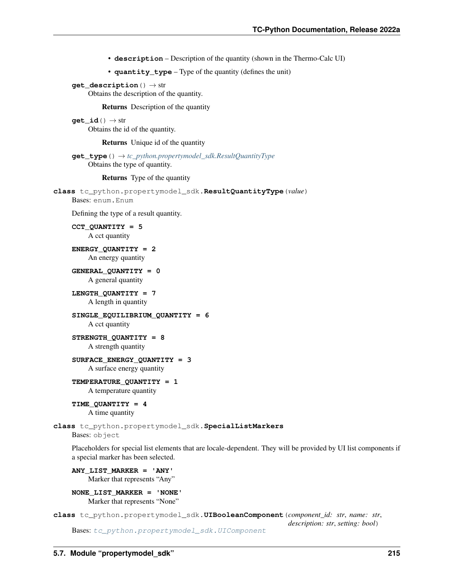- **description** Description of the quantity (shown in the Thermo-Calc UI)
- **quantity\_type** Type of the quantity (defines the unit)

```
get_description() → str
```
Obtains the description of the quantity.

Returns Description of the quantity

**get**  $id() \rightarrow str$ Obtains the id of the quantity.

Returns Unique id of the quantity

**get\_type**() → *[tc\\_python.propertymodel\\_sdk.ResultQuantityType](#page-218-0)* Obtains the type of quantity.

### Returns Type of the quantity

```
class tc_python.propertymodel_sdk.ResultQuantityType(value)
    Bases: enum.Enum
```
Defining the type of a result quantity.

**CCT\_QUANTITY = 5** A cct quantity

**ENERGY\_QUANTITY = 2** An energy quantity

**GENERAL\_QUANTITY = 0** A general quantity

**LENGTH\_QUANTITY = 7** A length in quantity

**SINGLE\_EQUILIBRIUM\_QUANTITY = 6** A cct quantity

**STRENGTH\_QUANTITY = 8** A strength quantity

**SURFACE\_ENERGY\_QUANTITY = 3** A surface energy quantity

**TEMPERATURE\_QUANTITY = 1**

A temperature quantity

**TIME\_QUANTITY = 4** A time quantity

**class** tc\_python.propertymodel\_sdk.**SpecialListMarkers** Bases: object

Placeholders for special list elements that are locale-dependent. They will be provided by UI list components if a special marker has been selected.

**ANY\_LIST\_MARKER = 'ANY'** Marker that represents "Any"

**NONE\_LIST\_MARKER = 'NONE'** Marker that represents "None"

<span id="page-218-1"></span>**class** tc\_python.propertymodel\_sdk.**UIBooleanComponent**(*component\_id: str*, *name: str*, *description: str*, *setting: bool*) Bases: [tc\\_python.propertymodel\\_sdk.UIComponent](#page-219-0)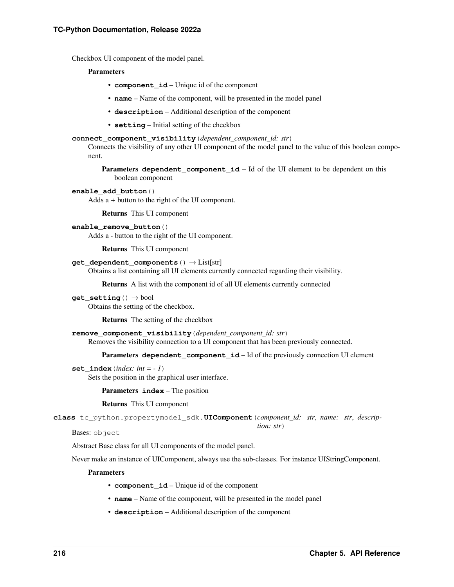Checkbox UI component of the model panel.

### **Parameters**

- **component\_id** Unique id of the component
- **name** Name of the component, will be presented in the model panel
- **description** Additional description of the component
- **setting** Initial setting of the checkbox

#### **connect\_component\_visibility**(*dependent\_component\_id: str*)

Connects the visibility of any other UI component of the model panel to the value of this boolean component.

**Parameters dependent\_component\_id** – Id of the UI element to be dependent on this boolean component

#### **enable\_add\_button**()

Adds a *+* button to the right of the UI component.

Returns This UI component

#### **enable\_remove\_button**()

Adds a *-* button to the right of the UI component.

Returns This UI component

#### **get\_dependent\_components**() → List[str]

Obtains a list containing all UI elements currently connected regarding their visibility.

Returns A list with the component id of all UI elements currently connected

## **get\_setting**() → bool

Obtains the setting of the checkbox.

Returns The setting of the checkbox

**remove\_component\_visibility**(*dependent\_component\_id: str*)

Removes the visibility connection to a UI component that has been previously connected.

Parameters **dependent\_component\_id** – Id of the previously connection UI element

#### set index  $index: int = -1$ )

Sets the position in the graphical user interface.

Parameters **index** – The position

Returns This UI component

<span id="page-219-0"></span>**class** tc\_python.propertymodel\_sdk.**UIComponent**(*component\_id: str*, *name: str*, *descrip-*

Bases: object

Abstract Base class for all UI components of the model panel.

Never make an instance of UIComponent, always use the sub-classes. For instance UIStringComponent.

## **Parameters**

- **component\_id** Unique id of the component
- **name** Name of the component, will be presented in the model panel
- **description** Additional description of the component

*tion: str*)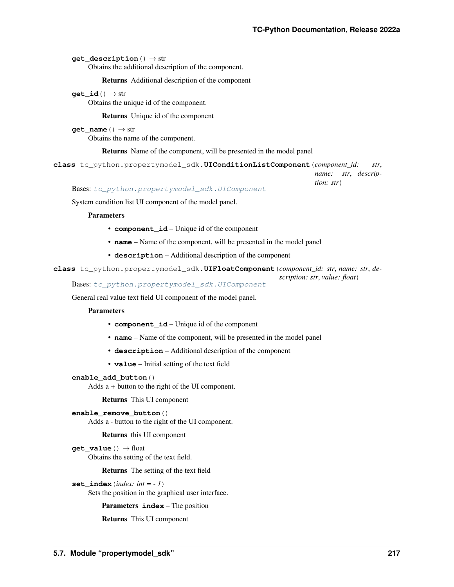**get description**() → str

Obtains the additional description of the component.

Returns Additional description of the component

 $get\_id() \rightarrow str$ 

Obtains the unique id of the component.

Returns Unique id of the component

**get\_name**() → str

Obtains the name of the component.

Returns Name of the component, will be presented in the model panel

```
class tc_python.propertymodel_sdk.UIConditionListComponent(component_id: str,
```
*name: str*, *description: str*)

Bases: [tc\\_python.propertymodel\\_sdk.UIComponent](#page-219-0)

System condition list UI component of the model panel.

## **Parameters**

- **component\_id** Unique id of the component
- **name** Name of the component, will be presented in the model panel
- **description** Additional description of the component

<span id="page-220-1"></span>**class** tc\_python.propertymodel\_sdk.**UIFloatComponent**(*component\_id: str*, *name: str*, *description: str*, *value: float*)

Bases: [tc\\_python.propertymodel\\_sdk.UIComponent](#page-219-0)

General real value text field UI component of the model panel.

#### **Parameters**

- **component\_id** Unique id of the component
- **name** Name of the component, will be presented in the model panel
- **description** Additional description of the component
- **value** Initial setting of the text field

## **enable\_add\_button**()

Adds a *+* button to the right of the UI component.

Returns This UI component

**enable\_remove\_button**() Adds a *-* button to the right of the UI component.

Returns this UI component

**get\_value**() → float Obtains the setting of the text field.

Returns The setting of the text field

```
set_index(index: int = - 1)
```
Sets the position in the graphical user interface.

Parameters **index** – The position

Returns This UI component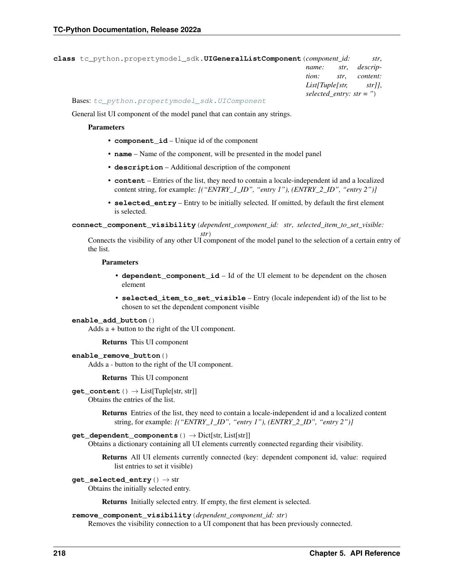| class tc python.propertymodel sdk.UIGeneralListComponent (component id: |                                 |      | str.     |
|-------------------------------------------------------------------------|---------------------------------|------|----------|
|                                                                         | name:                           | str. | descrip- |
|                                                                         | tion:                           | str. | content: |
|                                                                         | $List[Tuple[str, \qquad str]],$ |      |          |
|                                                                         | selected entry: $str =$ ")      |      |          |

Bases: [tc\\_python.propertymodel\\_sdk.UIComponent](#page-219-0)

General list UI component of the model panel that can contain any strings.

#### **Parameters**

- **component** id Unique id of the component
- **name** Name of the component, will be presented in the model panel
- **description** Additional description of the component
- **content** Entries of the list, they need to contain a locale-independent id and a localized content string, for example: *[("ENTRY\_1\_ID", "entry 1"), (ENTRY\_2\_ID", "entry 2")]*
- **selected\_entry** Entry to be initially selected. If omitted, by default the first element is selected.

**connect\_component\_visibility**(*dependent\_component\_id: str*, *selected\_item\_to\_set\_visible:*

*str*) Connects the visibility of any other UI component of the model panel to the selection of a certain entry of the list.

#### Parameters

- **dependent** component id Id of the UI element to be dependent on the chosen element
- **selected\_item\_to\_set\_visible** Entry (locale independent id) of the list to be chosen to set the dependent component visible

#### **enable\_add\_button**()

Adds a *+* button to the right of the UI component.

Returns This UI component

**enable\_remove\_button**()

Adds a *-* button to the right of the UI component.

Returns This UI component

**get\_content**() → List[Tuple[str, str]]

Obtains the entries of the list.

Returns Entries of the list, they need to contain a locale-independent id and a localized content string, for example: *[("ENTRY\_1\_ID", "entry 1"), (ENTRY\_2\_ID", "entry 2")]*

## **get\_dependent\_components**() → Dict[str, List[str]]

Obtains a dictionary containing all UI elements currently connected regarding their visibility.

Returns All UI elements currently connected (key: dependent component id, value: required list entries to set it visible)

#### **get\_selected\_entry**() → str

Obtains the initially selected entry.

Returns Initially selected entry. If empty, the first element is selected.

#### **remove\_component\_visibility**(*dependent\_component\_id: str*)

Removes the visibility connection to a UI component that has been previously connected.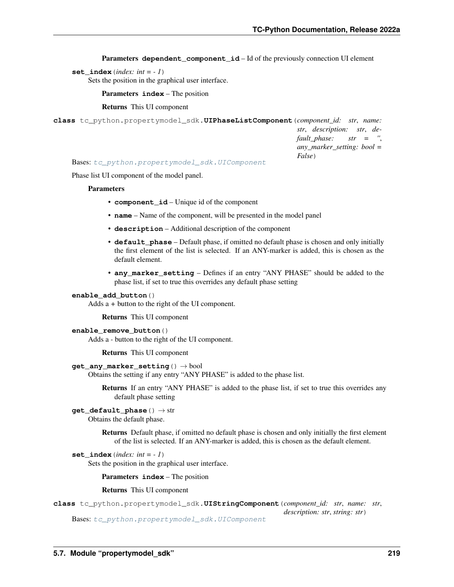**Parameters dependent component id** – Id of the previously connection UI element

**set** index (*index: int = - 1*)

Sets the position in the graphical user interface.

Parameters **index** – The position

Returns This UI component

```
class tc_python.propertymodel_sdk.UIPhaseListComponent(component_id: str, name:
                                                                 str, description: str, de-
                                                                 fault_phase: str = '',
                                                                 any_marker_setting: bool =
                                                                 False)
```
Bases: [tc\\_python.propertymodel\\_sdk.UIComponent](#page-219-0)

Phase list UI component of the model panel.

#### **Parameters**

- **component\_id** Unique id of the component
- **name** Name of the component, will be presented in the model panel
- **description** Additional description of the component
- **default\_phase** Default phase, if omitted no default phase is chosen and only initially the first element of the list is selected. If an ANY-marker is added, this is chosen as the default element.
- **any\_marker\_setting** Defines if an entry "ANY PHASE" should be added to the phase list, if set to true this overrides any default phase setting

#### **enable\_add\_button**()

Adds a *+* button to the right of the UI component.

Returns This UI component

## **enable\_remove\_button**()

Adds a *-* button to the right of the UI component.

Returns This UI component

## **get\_any\_marker\_setting**() → bool

Obtains the setting if any entry "ANY PHASE" is added to the phase list.

Returns If an entry "ANY PHASE" is added to the phase list, if set to true this overrides any default phase setting

## **get\_default\_phase**() → str

Obtains the default phase.

Returns Default phase, if omitted no default phase is chosen and only initially the first element of the list is selected. If an ANY-marker is added, this is chosen as the default element.

#### set index  $index: int = -1$ )

Sets the position in the graphical user interface.

Parameters **index** – The position

#### Returns This UI component

<span id="page-222-1"></span>**class** tc\_python.propertymodel\_sdk.**UIStringComponent**(*component\_id: str*, *name: str*, *description: str*, *string: str*)

Bases: [tc\\_python.propertymodel\\_sdk.UIComponent](#page-219-0)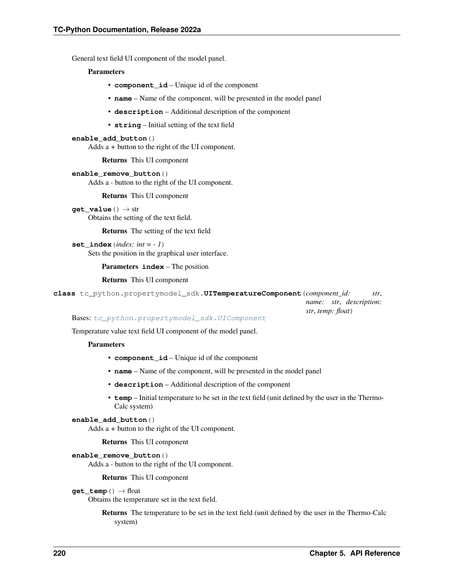General text field UI component of the model panel.

#### **Parameters**

- **component\_id** Unique id of the component
- **name** Name of the component, will be presented in the model panel
- **description** Additional description of the component
- **string** Initial setting of the text field

### **enable\_add\_button**()

Adds a *+* button to the right of the UI component.

Returns This UI component

**enable\_remove\_button**()

Adds a *-* button to the right of the UI component.

Returns This UI component

**get**  $value() \rightarrow str$ Obtains the setting of the text field.

Returns The setting of the text field

set index  $index: int = -1$ ) Sets the position in the graphical user interface.

Parameters **index** – The position

Returns This UI component

<span id="page-223-0"></span>**class** tc\_python.propertymodel\_sdk.**UITemperatureComponent**(*component\_id: str*,

*name: str*, *description: str*, *temp: float*)

Bases: [tc\\_python.propertymodel\\_sdk.UIComponent](#page-219-0)

Temperature value text field UI component of the model panel.

### **Parameters**

- **component\_id** Unique id of the component
- **name** Name of the component, will be presented in the model panel
- **description** Additional description of the component
- **temp** Initial temperature to be set in the text field (unit defined by the user in the Thermo-Calc system)

#### **enable\_add\_button**()

Adds a *+* button to the right of the UI component.

Returns This UI component

#### **enable\_remove\_button**()

Adds a *-* button to the right of the UI component.

Returns This UI component

#### **get**  $temp() \rightarrow float$

Obtains the temperature set in the text field.

Returns The temperature to be set in the text field (unit defined by the user in the Thermo-Calc system)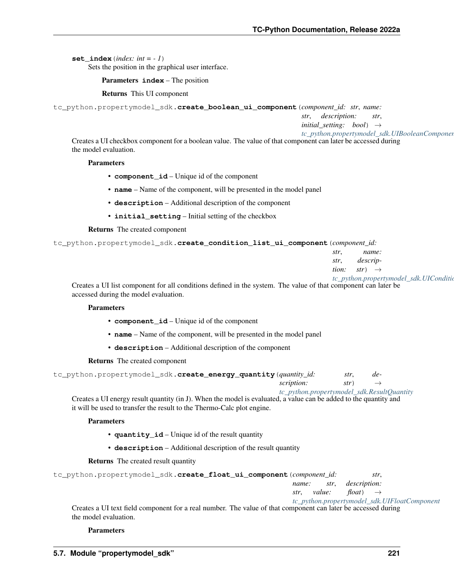**set** index (*index: int = - 1*)

Sets the position in the graphical user interface.

Parameters **index** – The position

Returns This UI component

```
tc_python.propertymodel_sdk.create_boolean_ui_component(component_id: str, name:
```
*str*, *description: str*,

*initial setting: bool*)  $\rightarrow$ 

*[tc\\_python.propertymodel\\_sdk.UIBooleanComponent](#page-218-1)* Creates a UI checkbox component for a boolean value. The value of that component can later be accessed during the model evaluation.

## **Parameters**

- **component\_id** Unique id of the component
- **name** Name of the component, will be presented in the model panel
- **description** Additional description of the component
- **initial\_setting** Initial setting of the checkbox

## Returns The created component

tc\_python.propertymodel\_sdk.**create\_condition\_list\_ui\_component**(*component\_id:*

| str. |                                  | name: |                                        |
|------|----------------------------------|-------|----------------------------------------|
| str, | descrip-                         |       |                                        |
|      | <i>tion:</i> $str$ $\rightarrow$ |       |                                        |
|      |                                  |       | tc_python.propertymodel_sdk.UIConditio |

Creates a UI list component for all conditions defined in the system. The value of that component can later be accessed during the model evaluation.

## **Parameters**

- **component\_id** Unique id of the component
- **name** Name of the component, will be presented in the model panel
- **description** Additional description of the component

Returns The created component

| tc_python.propertymodel_sdk.create_energy_quantity (quantity_id: |                                            | str. | de-               |
|------------------------------------------------------------------|--------------------------------------------|------|-------------------|
|                                                                  | scription:                                 | str) | $\longrightarrow$ |
|                                                                  | tc_python.propertymodel_sdk.ResultQuantity |      |                   |

Creates a UI energy result quantity (in J). When the model is evaluated, a value can be added to the quantity and it will be used to transfer the result to the Thermo-Calc plot engine.

## **Parameters**

- **quantity\_id** Unique id of the result quantity
- **description** Additional description of the result quantity

## Returns The created result quantity

| tc_python.propertymodel_sdk.create_float_ui_component( <i>component_id:</i>                                   |       |             |                       | str.                                         |
|---------------------------------------------------------------------------------------------------------------|-------|-------------|-----------------------|----------------------------------------------|
|                                                                                                               | name: | str.        | <i>description:</i>   |                                              |
|                                                                                                               |       | str. value: | $float() \rightarrow$ |                                              |
|                                                                                                               |       |             |                       | tc_python.propertymodel_sdk.UIFloatComponent |
| Creates a UI text field component for a real number. The value of that component can later be accessed during |       |             |                       |                                              |

Creates a UI text field component for a real number. The value of that component can later be accessed during the model evaluation.

## **Parameters**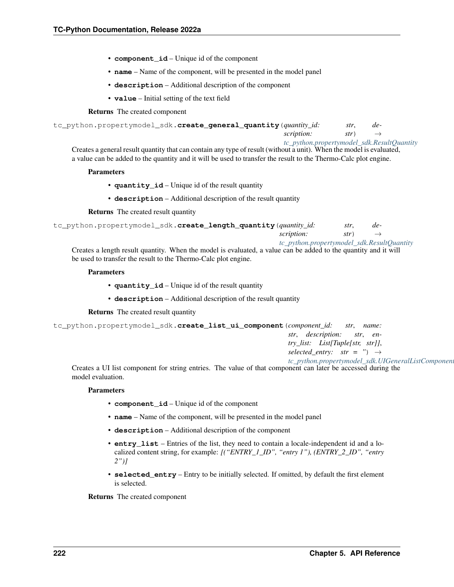- **component** id Unique id of the component
- **name** Name of the component, will be presented in the model panel
- **description** Additional description of the component
- **value** Initial setting of the text field

#### Returns The created component

```
tc_python.propertymodel_sdk.create_general_quantity(quantity_id: str, de-
```
*scription: str*)

*[tc\\_python.propertymodel\\_sdk.ResultQuantity](#page-217-0)* Creates a general result quantity that can contain any type of result (without a unit). When the model is evaluated, a value can be added to the quantity and it will be used to transfer the result to the Thermo-Calc plot engine.

#### **Parameters**

- **quantity\_id** Unique id of the result quantity
- **description** Additional description of the result quantity

Returns The created result quantity

```
tc_python.propertymodel_sdk.create_length_quantity(quantity_id: str, de-
                                                      scription: str)
                                                       tc_python.propertymodel_sdk.ResultQuantity
```
Creates a length result quantity. When the model is evaluated, a value can be added to the quantity and it will be used to transfer the result to the Thermo-Calc plot engine.

#### **Parameters**

- **quantity\_id** Unique id of the result quantity
- **description** Additional description of the result quantity

Returns The created result quantity

```
tc_python.propertymodel_sdk.create_list_ui_component(component_id: str, name:
                                                                   str, description: str, en-
                                                                   try_list: List[Tuple[str, str]],
                                                                   selected_entry: str = '' \rightarrowtc_python.propertymodel_sdk.UIGeneralListComponent
```
Creates a UI list component for string entries. The value of that component can later be accessed during the model evaluation.

#### **Parameters**

- **component\_id** Unique id of the component
- **name** Name of the component, will be presented in the model panel
- **description** Additional description of the component
- **entry\_list** Entries of the list, they need to contain a locale-independent id and a localized content string, for example: *[("ENTRY\_1\_ID", "entry 1"), (ENTRY\_2\_ID", "entry 2")]*
- **selected entry** Entry to be initially selected. If omitted, by default the first element is selected.

Returns The created component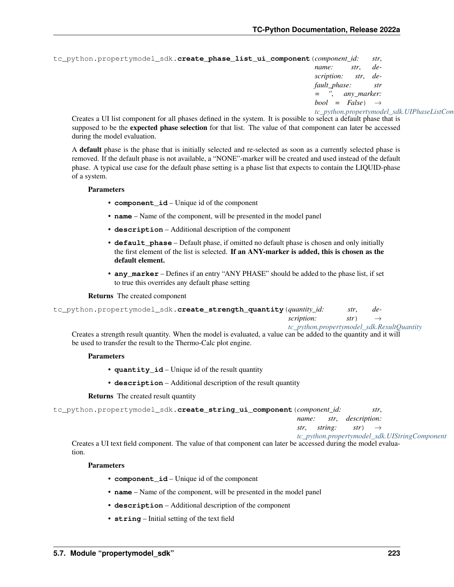```
tc_python.propertymodel_sdk.create_phase_list_ui_component(component_id: str,
                                                                  name: str, de-
                                                                  scription: str, de-
                                                                  fault_phase: str
                                                                         = '', any_marker:
                                                                  bool = False
```
### *[tc\\_python.propertymodel\\_sdk.UIPhaseListComponent](#page-222-0)*

Creates a UI list component for all phases defined in the system. It is possible to select a default phase that is supposed to be the **expected phase selection** for that list. The value of that component can later be accessed during the model evaluation.

A default phase is the phase that is initially selected and re-selected as soon as a currently selected phase is removed. If the default phase is not available, a "NONE"-marker will be created and used instead of the default phase. A typical use case for the default phase setting is a phase list that expects to contain the LIQUID-phase of a system.

#### **Parameters**

- **component\_id** Unique id of the component
- **name** Name of the component, will be presented in the model panel
- **description** Additional description of the component
- **default** phase Default phase, if omitted no default phase is chosen and only initially the first element of the list is selected. If an ANY-marker is added, this is chosen as the default element.
- **any\_marker** Defines if an entry "ANY PHASE" should be added to the phase list, if set to true this overrides any default phase setting

#### Returns The created component

```
tc_python.propertymodel_sdk.create_strength_quantity(quantity_id: str, de-
                                                        scription: str) →
                                                        tc_python.propertymodel_sdk.ResultQuantity
```
Creates a strength result quantity. When the model is evaluated, a value can be added to the quantity and it will be used to transfer the result to the Thermo-Calc plot engine.

## **Parameters**

- **quantity id** Unique id of the result quantity
- **description** Additional description of the result quantity

Returns The created result quantity

```
tc_python.propertymodel_sdk.create_string_ui_component(component_id: str,
```
*name: str*, *description:*

*str*, *string: str*)  $\rightarrow$ 

```
tc_python.propertymodel_sdk.UIStringComponent
```
Creates a UI text field component. The value of that component can later be accessed during the model evaluation.

## **Parameters**

- **component\_id** Unique id of the component
- **name** Name of the component, will be presented in the model panel
- **description** Additional description of the component
- **string** Initial setting of the text field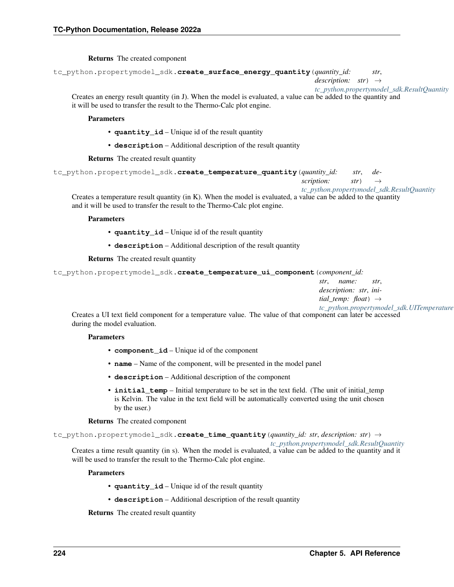## Returns The created component

```
tc_python.propertymodel_sdk.create_surface_energy_quantity(quantity_id: str,
```
*description: str*) →

*[tc\\_python.propertymodel\\_sdk.ResultQuantity](#page-217-0)* Creates an energy result quantity (in J). When the model is evaluated, a value can be added to the quantity and it will be used to transfer the result to the Thermo-Calc plot engine.

#### Parameters

- **quantity\_id** Unique id of the result quantity
- **description** Additional description of the result quantity

Returns The created result quantity

```
tc_python.propertymodel_sdk.create_temperature_quantity(quantity_id: str, de-
```
*scription: str*) →

*[tc\\_python.propertymodel\\_sdk.ResultQuantity](#page-217-0)*

Creates a temperature result quantity (in K). When the model is evaluated, a value can be added to the quantity and it will be used to transfer the result to the Thermo-Calc plot engine.

#### **Parameters**

- **quantity\_id** Unique id of the result quantity
- **description** Additional description of the result quantity

Returns The created result quantity

tc\_python.propertymodel\_sdk.**create\_temperature\_ui\_component**(*component\_id:*

*str*, *name: str*, *description: str*, *initial temp: float*)  $\rightarrow$ 

*tc\_python.propertymodel\_sdk.UITemperature* Creates a UI text field component for a temperature value. The value of that component can later be accessed during the model evaluation.

## Parameters

- **component\_id** Unique id of the component
- **name** Name of the component, will be presented in the model panel
- **description** Additional description of the component
- **initial\_temp** Initial temperature to be set in the text field. (The unit of initial\_temp is Kelvin. The value in the text field will be automatically converted using the unit chosen by the user.)

## Returns The created component

tc\_python.propertymodel\_sdk.**create\_time\_quantity**(*quantity\_id: str*, *description: str*) →

*[tc\\_python.propertymodel\\_sdk.ResultQuantity](#page-217-0)*

Creates a time result quantity (in s). When the model is evaluated, a value can be added to the quantity and it will be used to transfer the result to the Thermo-Calc plot engine.

## **Parameters**

- **quantity\_id** Unique id of the result quantity
- **description** Additional description of the result quantity

Returns The created result quantity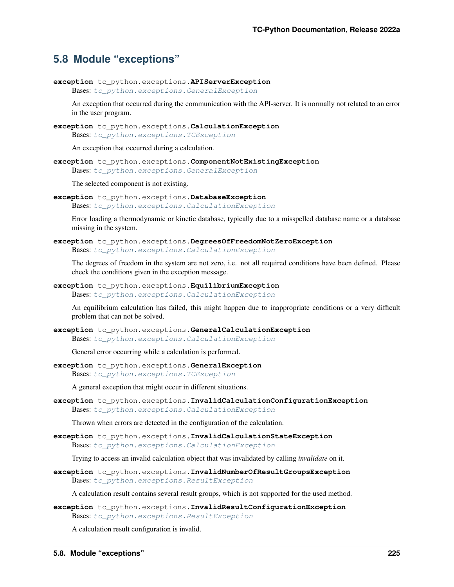## <span id="page-228-2"></span>**5.8 Module "exceptions"**

**exception** tc\_python.exceptions.**APIServerException** Bases: [tc\\_python.exceptions.GeneralException](#page-228-0)

An exception that occurred during the communication with the API-server. It is normally not related to an error in the user program.

<span id="page-228-1"></span>**exception** tc\_python.exceptions.**CalculationException** Bases: [tc\\_python.exceptions.TCException](#page-229-0)

An exception that occurred during a calculation.

**exception** tc\_python.exceptions.**ComponentNotExistingException** Bases: [tc\\_python.exceptions.GeneralException](#page-228-0)

The selected component is not existing.

**exception** tc\_python.exceptions.**DatabaseException** Bases: [tc\\_python.exceptions.CalculationException](#page-228-1)

Error loading a thermodynamic or kinetic database, typically due to a misspelled database name or a database missing in the system.

**exception** tc\_python.exceptions.**DegreesOfFreedomNotZeroException** Bases: [tc\\_python.exceptions.CalculationException](#page-228-1)

The degrees of freedom in the system are not zero, i.e. not all required conditions have been defined. Please check the conditions given in the exception message.

**exception** tc\_python.exceptions.**EquilibriumException** Bases: [tc\\_python.exceptions.CalculationException](#page-228-1)

An equilibrium calculation has failed, this might happen due to inappropriate conditions or a very difficult problem that can not be solved.

**exception** tc\_python.exceptions.**GeneralCalculationException** Bases: [tc\\_python.exceptions.CalculationException](#page-228-1)

General error occurring while a calculation is performed.

<span id="page-228-0"></span>**exception** tc\_python.exceptions.**GeneralException** Bases: [tc\\_python.exceptions.TCException](#page-229-0)

A general exception that might occur in different situations.

**exception** tc\_python.exceptions.**InvalidCalculationConfigurationException** Bases: [tc\\_python.exceptions.CalculationException](#page-228-1)

Thrown when errors are detected in the configuration of the calculation.

**exception** tc\_python.exceptions.**InvalidCalculationStateException** Bases: [tc\\_python.exceptions.CalculationException](#page-228-1)

Trying to access an invalid calculation object that was invalidated by calling *invalidate* on it.

**exception** tc\_python.exceptions.**InvalidNumberOfResultGroupsException** Bases: [tc\\_python.exceptions.ResultException](#page-229-1)

A calculation result contains several result groups, which is not supported for the used method.

**exception** tc\_python.exceptions.**InvalidResultConfigurationException** Bases: [tc\\_python.exceptions.ResultException](#page-229-1)

A calculation result configuration is invalid.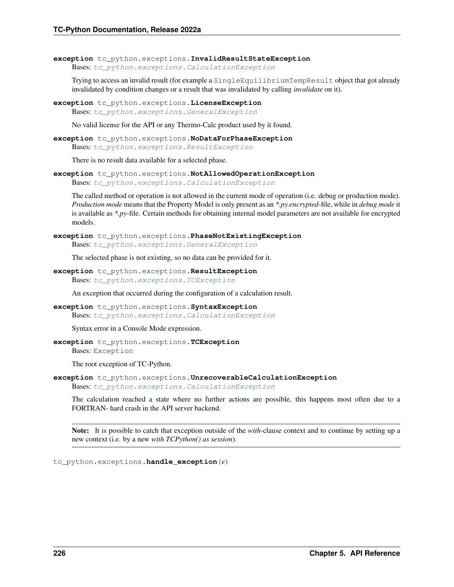```
exception tc_python.exceptions.InvalidResultStateException
    Bases: tc_python.exceptions.CalculationException
```
Trying to access an invalid result (for example a SingleEquilibriumTempResult object that got already invalidated by condition changes or a result that was invalidated by calling *invalidate* on it).

**exception** tc\_python.exceptions.**LicenseException** Bases: [tc\\_python.exceptions.GeneralException](#page-228-0)

No valid license for the API or any Thermo-Calc product used by it found.

**exception** tc\_python.exceptions.**NoDataForPhaseException** Bases: [tc\\_python.exceptions.ResultException](#page-229-1)

There is no result data available for a selected phase.

**exception** tc\_python.exceptions.**NotAllowedOperationException** Bases: [tc\\_python.exceptions.CalculationException](#page-228-1)

The called method or operation is not allowed in the current mode of operation (i.e. debug or production mode). *Production mode* means that the Property Model is only present as an *\*.py.encrypted*-file, while in *debug mode* it is available as *\*.py*-file. Certain methods for obtaining internal model parameters are not available for encrypted models.

**exception** tc\_python.exceptions.**PhaseNotExistingException** Bases: [tc\\_python.exceptions.GeneralException](#page-228-0)

The selected phase is not existing, so no data can be provided for it.

<span id="page-229-1"></span>**exception** tc\_python.exceptions.**ResultException** Bases: [tc\\_python.exceptions.TCException](#page-229-0)

An exception that occurred during the configuration of a calculation result.

**exception** tc\_python.exceptions.**SyntaxException** Bases: [tc\\_python.exceptions.CalculationException](#page-228-1)

Syntax error in a Console Mode expression.

<span id="page-229-0"></span>**exception** tc\_python.exceptions.**TCException** Bases: Exception

The root exception of TC-Python.

**exception** tc\_python.exceptions.**UnrecoverableCalculationException** Bases: [tc\\_python.exceptions.CalculationException](#page-228-1)

The calculation reached a state where no further actions are possible, this happens most often due to a FORTRAN- hard crash in the API server backend.

Note: It is possible to catch that exception outside of the *with*-clause context and to continue by setting up a new context (i.e. by a new *with TCPython() as session*).

tc\_python.exceptions.**handle\_exception**(*e*)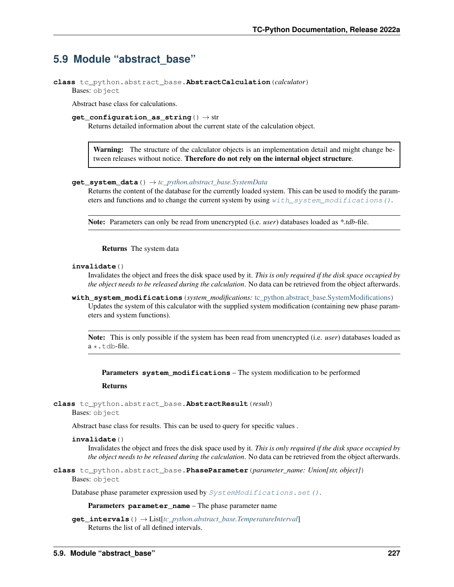## <span id="page-230-2"></span>**5.9 Module "abstract\_base"**

```
class tc_python.abstract_base.AbstractCalculation(calculator)
    Bases: object
```
Abstract base class for calculations.

```
get configuration as string() \rightarrow str
```
Returns detailed information about the current state of the calculation object.

Warning: The structure of the calculator objects is an implementation detail and might change between releases without notice. Therefore do not rely on the internal object structure.

## **get\_system\_data**() → *[tc\\_python.abstract\\_base.SystemData](#page-232-0)*

Returns the content of the database for the currently loaded system. This can be used to modify the parameters and functions and to change the current system by using  $with\_system\_modifications()$ .

Note: Parameters can only be read from unencrypted (i.e. *user*) databases loaded as *\*.tdb*-file.

Returns The system data

### **invalidate**()

Invalidates the object and frees the disk space used by it. *This is only required if the disk space occupied by the object needs to be released during the calculation*. No data can be retrieved from the object afterwards.

<span id="page-230-0"></span>**with\_system\_modifications**(*system\_modifications:* [tc\\_python.abstract\\_base.SystemModifications](#page-234-0)) Updates the system of this calculator with the supplied system modification (containing new phase parameters and system functions).

Note: This is only possible if the system has been read from unencrypted (i.e. *user*) databases loaded as  $a \star$ .tdb-file.

Parameters **system\_modifications** – The system modification to be performed

#### Returns

```
class tc_python.abstract_base.AbstractResult(result)
    Bases: object
```
Abstract base class for results. This can be used to query for specific values .

## **invalidate**()

Invalidates the object and frees the disk space used by it. *This is only required if the disk space occupied by the object needs to be released during the calculation*. No data can be retrieved from the object afterwards.

<span id="page-230-1"></span>**class** tc\_python.abstract\_base.**PhaseParameter**(*parameter\_name: Union[str, object]*) Bases: object

Database phase parameter expression used by [SystemModifications.set\(\)](#page-235-0).

Parameters **parameter\_name** – The phase parameter name

```
get_intervals() → List[tc_python.abstract_base.TemperatureInterval]
     Returns the list of all defined intervals.
```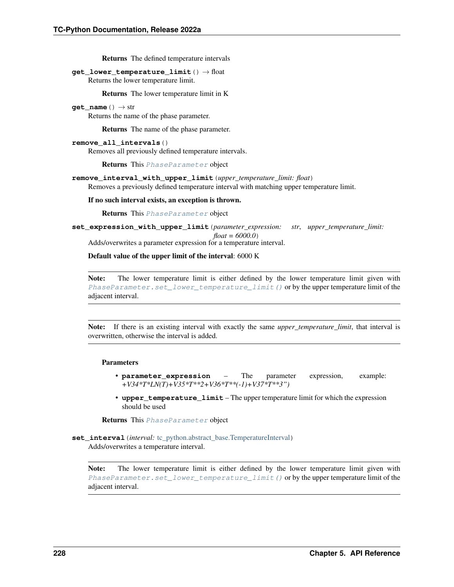Returns The defined temperature intervals

**get\_lower\_temperature\_limit**() → float Returns the lower temperature limit.

Returns The lower temperature limit in K

**get** name ()  $\rightarrow$  str

Returns the name of the phase parameter.

Returns The name of the phase parameter.

**remove\_all\_intervals**()

Removes all previously defined temperature intervals.

Returns This [PhaseParameter](#page-230-1) object

**remove\_interval\_with\_upper\_limit**(*upper\_temperature\_limit: float*)

Removes a previously defined temperature interval with matching upper temperature limit.

If no such interval exists, an exception is thrown.

Returns This [PhaseParameter](#page-230-1) object

**set\_expression\_with\_upper\_limit**(*parameter\_expression: str*, *upper\_temperature\_limit: float = 6000.0*)

Adds/overwrites a parameter expression for a temperature interval.

Default value of the upper limit of the interval: 6000 K

Note: The lower temperature limit is either defined by the lower temperature limit given with [PhaseParameter.set\\_lower\\_temperature\\_limit\(\)](#page-232-1) or by the upper temperature limit of the adjacent interval.

Note: If there is an existing interval with exactly the same *upper\_temperature\_limit*, that interval is overwritten, otherwise the interval is added.

#### Parameters

- **parameter\_expression** The parameter expression, example: *+V34\*T\*LN(T)+V35\*T\*\*2+V36\*T\*\*(-1)+V37\*T\*\*3")*
- **upper\_temperature\_limit** The upper temperature limit for which the expression should be used

Returns This [PhaseParameter](#page-230-1) object

**set\_interval**(*interval:* [tc\\_python.abstract\\_base.TemperatureInterval](#page-235-1)) Adds/overwrites a temperature interval.

Note: The lower temperature limit is either defined by the lower temperature limit given with [PhaseParameter.set\\_lower\\_temperature\\_limit\(\)](#page-232-1) or by the upper temperature limit of the adjacent interval.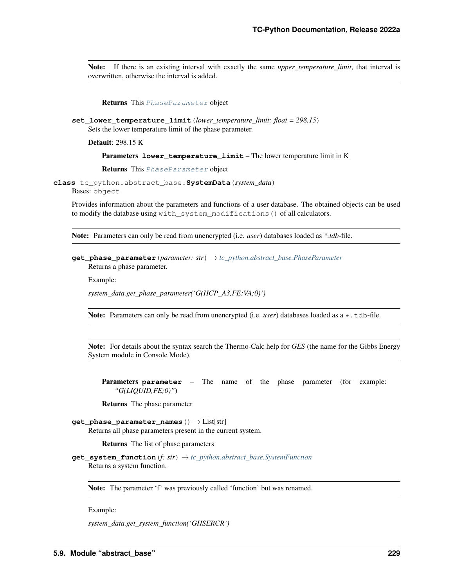Note: If there is an existing interval with exactly the same *upper\_temperature\_limit*, that interval is overwritten, otherwise the interval is added.

#### Returns This [PhaseParameter](#page-230-1) object

<span id="page-232-1"></span>**set\_lower\_temperature\_limit**(*lower\_temperature\_limit: float = 298.15*) Sets the lower temperature limit of the phase parameter.

Default: 298.15 K

#### Parameters **lower\_temperature\_limit** – The lower temperature limit in K

Returns This [PhaseParameter](#page-230-1) object

<span id="page-232-0"></span>**class** tc\_python.abstract\_base.**SystemData**(*system\_data*) Bases: object

Provides information about the parameters and functions of a user database. The obtained objects can be used to modify the database using with\_system\_modifications() of all calculators.

Note: Parameters can only be read from unencrypted (i.e. *user*) databases loaded as *\*.tdb*-file.

## **get\_phase\_parameter**(*parameter: str*) → *[tc\\_python.abstract\\_base.PhaseParameter](#page-230-1)* Returns a phase parameter.

Example:

*system\_data.get\_phase\_parameter('G(HCP\_A3,FE:VA;0)')*

Note: Parameters can only be read from unencrypted (i.e. *user*) databases loaded as a  $\star$ .tdb-file.

Note: For details about the syntax search the Thermo-Calc help for *GES* (the name for the Gibbs Energy System module in Console Mode).

**Parameters parameter** – The name of the phase parameter (for example: *"G(LIQUID,FE;0)"*)

Returns The phase parameter

## **get\_phase\_parameter\_names**() → List[str]

Returns all phase parameters present in the current system.

Returns The list of phase parameters

**get\_system\_function**(*f: str*) → *[tc\\_python.abstract\\_base.SystemFunction](#page-233-0)* Returns a system function.

Note: The parameter 'f' was previously called 'function' but was renamed.

Example:

*system\_data.get\_system\_function('GHSERCR')*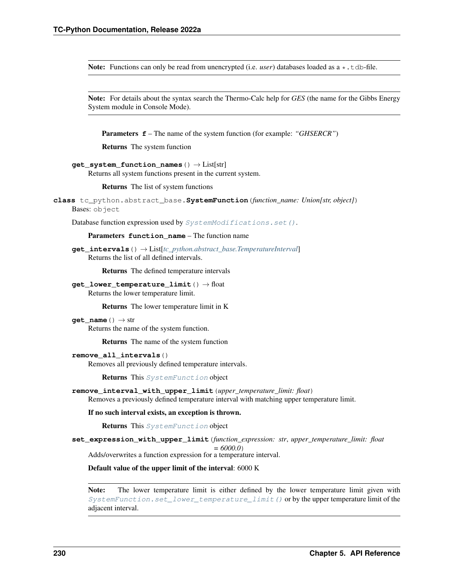Note: Functions can only be read from unencrypted (i.e. *user*) databases loaded as a  $\star$ .tdb-file.

Note: For details about the syntax search the Thermo-Calc help for *GES* (the name for the Gibbs Energy System module in Console Mode).

Parameters **f** – The name of the system function (for example: *"GHSERCR"*)

Returns The system function

```
get_system_function_names() → List[str]
```
Returns all system functions present in the current system.

Returns The list of system functions

```
class tc_python.abstract_base.SystemFunction(function_name: Union[str, object])
    Bases: object
```
Database function expression used by [SystemModifications.set\(\)](#page-235-0).

Parameters **function\_name** – The function name

**get\_intervals**() → List[*[tc\\_python.abstract\\_base.TemperatureInterval](#page-235-1)*] Returns the list of all defined intervals.

Returns The defined temperature intervals

**get\_lower\_temperature\_limit**() → float Returns the lower temperature limit.

Returns The lower temperature limit in K

 $get_name() \rightarrow str$ 

Returns the name of the system function.

Returns The name of the system function

### **remove\_all\_intervals**()

Removes all previously defined temperature intervals.

Returns This [SystemFunction](#page-233-0) object

**remove\_interval\_with\_upper\_limit**(*upper\_temperature\_limit: float*) Removes a previously defined temperature interval with matching upper temperature limit.

If no such interval exists, an exception is thrown.

Returns This [SystemFunction](#page-233-0) object

**set\_expression\_with\_upper\_limit**(*function\_expression: str*, *upper\_temperature\_limit: float = 6000.0*) Adds/overwrites a function expression for a temperature interval.

Default value of the upper limit of the interval: 6000 K

Note: The lower temperature limit is either defined by the lower temperature limit given with [SystemFunction.set\\_lower\\_temperature\\_limit\(\)](#page-234-1) or by the upper temperature limit of the adjacent interval.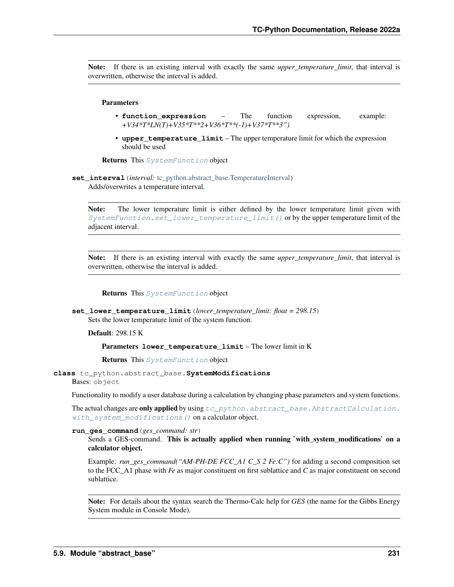Note: If there is an existing interval with exactly the same *upper\_temperature\_limit*, that interval is overwritten, otherwise the interval is added.

## Parameters

- **function\_expression** The function expression, example: *+V34\*T\*LN(T)+V35\*T\*\*2+V36\*T\*\*(-1)+V37\*T\*\*3")*
- **upper\_temperature\_limit** The upper temperature limit for which the expression should be used

Returns This [SystemFunction](#page-233-0) object

**set interval** (*interval*: [tc\\_python.abstract\\_base.TemperatureInterval](#page-235-1)) Adds/overwrites a temperature interval.

Note: The lower temperature limit is either defined by the lower temperature limit given with [SystemFunction.set\\_lower\\_temperature\\_limit\(\)](#page-234-1) or by the upper temperature limit of the adjacent interval.

Note: If there is an existing interval with exactly the same *upper temperature limit*, that interval is overwritten, otherwise the interval is added.

### Returns This [SystemFunction](#page-233-0) object

<span id="page-234-1"></span>**set\_lower\_temperature\_limit**(*lower\_temperature\_limit: float = 298.15*) Sets the lower temperature limit of the system function.

Default: 298.15 K

Parameters **lower\_temperature\_limit** – The lower limit in K

Returns This [SystemFunction](#page-233-0) object

<span id="page-234-0"></span>**class** tc\_python.abstract\_base.**SystemModifications** Bases: object

Functionality to modify a user database during a calculation by changing phase parameters and system functions.

The actual changes are only applied by using  $tc$  python.abstract base.AbstractCalculation. [with\\_system\\_modifications\(\)](#page-230-0) on a calculator object.

**run\_ges\_command**(*ges\_command: str*)

Sends a GES-command. This is actually applied when running `with\_system\_modifications` on a calculator object.

Example: *run\_ges\_command("AM-PH-DE FCC\_A1 C\_S 2 Fe:C")* for adding a second composition set to the FCC\_A1 phase with *Fe* as major constituent on first sublattice and *C* as major constituent on second sublattice.

Note: For details about the syntax search the Thermo-Calc help for *GES* (the name for the Gibbs Energy System module in Console Mode).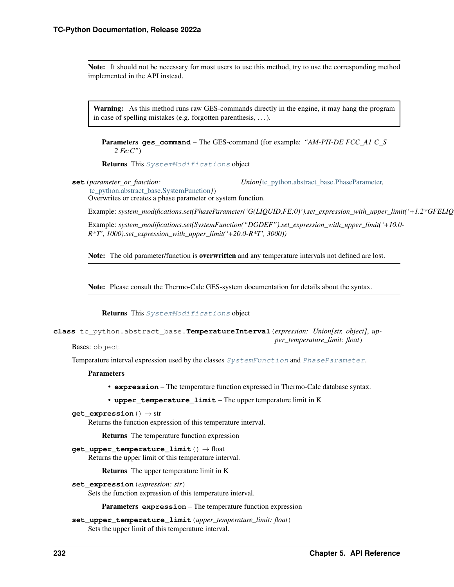Note: It should not be necessary for most users to use this method, try to use the corresponding method implemented in the API instead.

Warning: As this method runs raw GES-commands directly in the engine, it may hang the program in case of spelling mistakes (e.g. forgotten parenthesis, . . . ).

Parameters **ges\_command** – The GES-command (for example: *"AM-PH-DE FCC\_A1 C\_S 2 Fe:C"*)

Returns This [SystemModifications](#page-234-0) object

<span id="page-235-0"></span>**set**(*parameter\_or\_function: Union[*[tc\\_python.abstract\\_base.PhaseParameter](#page-230-1)*,*

*per\_temperature\_limit: float*)

[tc\\_python.abstract\\_base.SystemFunction](#page-233-0)*]*) Overwrites or creates a phase parameter or system function.

Example: system\_modifications.set(PhaseParameter('G(LIQUID,FE;0)').set\_expression\_with\_upper\_limit('+1.2\*GFELIQ

Example: *system\_modifications.set(SystemFunction("DGDEF").set\_expression\_with\_upper\_limit('+10.0- R\*T', 1000).set\_expression\_with\_upper\_limit('+20.0-R\*T', 3000))*

Note: The old parameter/function is overwritten and any temperature intervals not defined are lost.

Note: Please consult the Thermo-Calc GES-system documentation for details about the syntax.

Returns This [SystemModifications](#page-234-0) object

<span id="page-235-1"></span>**class** tc\_python.abstract\_base.**TemperatureInterval**(*expression: Union[str, object]*, *up-*

Bases: object

Temperature interval expression used by the classes [SystemFunction](#page-233-0) and [PhaseParameter](#page-230-1).

**Parameters** 

- **expression** The temperature function expressed in Thermo-Calc database syntax.
- **upper\_temperature\_limit** The upper temperature limit in K

**get\_expression**() → str

Returns the function expression of this temperature interval.

Returns The temperature function expression

**get\_upper\_temperature\_limit**() → float Returns the upper limit of this temperature interval.

Returns The upper temperature limit in K

**set\_expression**(*expression: str*)

Sets the function expression of this temperature interval.

Parameters **expression** – The temperature function expression

**set\_upper\_temperature\_limit**(*upper\_temperature\_limit: float*) Sets the upper limit of this temperature interval.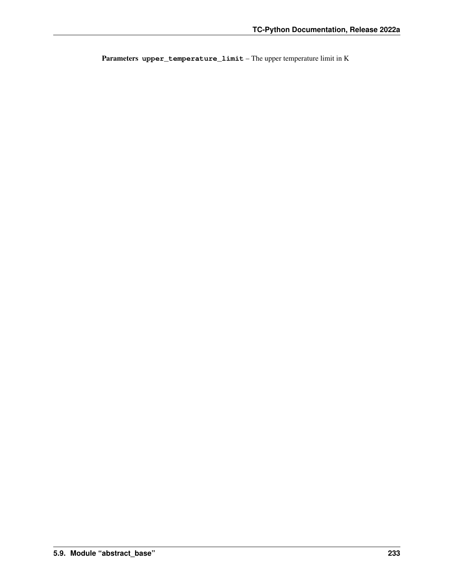Parameters **upper\_temperature\_limit** – The upper temperature limit in K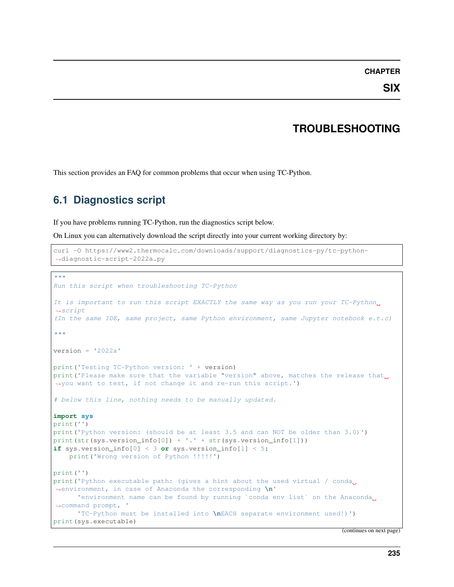## **CHAPTER**

## **TROUBLESHOOTING**

This section provides an FAQ for common problems that occur when using TC-Python.

# **6.1 Diagnostics script**

If you have problems running TC-Python, run the diagnostics script below.

On Linux you can alternatively download the script directly into your current working directory by:

```
curl -O https://www2.thermocalc.com/downloads/support/diagnostics-py/tc-python-
,→diagnostic-script-2022a.py
```

```
"''"Run this script when troubleshooting TC-Python
It is important to run this script EXACTLY the same way as you run your TC-Python,
\rightarrowscript
(In the same IDE, same project, same Python environment, same Jupyter notebook e.t.c)
"''"version = '2022a'print('Testing TC-Python version: ' + version)
print ('Please make sure that the variable "version" above, matches the release that
,→you want to test, if not change it and re-run this script.')
# below this line, nothing needs to be manually updated.
import sys
print('')
print('Python version: (should be at least 3.5 and can NOT be older than 3.0)')
print(str(sys.version_info[0]) + '.' + str(sys.version_info[1]))
if sys.version_info[0] < 3 or sys.version_info[1] < 5:
   print('Wrong version of Python !!!!!')
print('')
print('Python executable path: (gives a hint about the used virtual / conda
,→environment, in case of Anaconda the corresponding \n'
      'environment name can be found by running `conda env list` on the Anaconda
,→command prompt, '
      'TC-Python must be installed into \nEACH separate environment used!)')
print(sys.executable)
```
(continues on next page)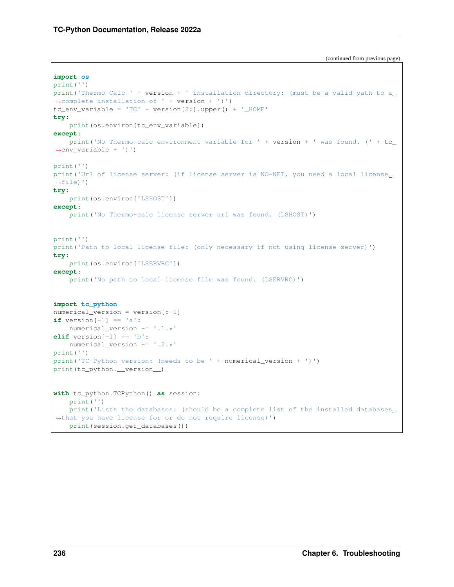```
(continued from previous page)
```

```
import os
print('')
print ('Thermo-Calc ' + version + ' installation directory: (must be a valid path to a
,→complete installation of ' + version + ')')
tc\_env\_variable = 'TC' + version[2:] .upper() + '\_HOME'try:
   print(os.environ[tc_env_variable])
except:
   print('No Thermo-calc environment variable for ' + version + ' was found. (' + tc\rightarrowenv_variable + ')')
print('')
print('Url of license server: (if license server is NO-NET, you need a local license
\rightarrowfile)')
try:
    print(os.environ['LSHOST'])
except:
    print('No Thermo-calc license server url was found. (LSHOST)')
print('')
print ('Path to local license file: (only necessary if not using license server)')
try:
    print(os.environ['LSERVRC'])
except:
    print('No path to local license file was found. (LSERVRC)')
import tc_python
numerical_version = version[:-1]if version[-1] == 'a:
    numerical_version += '.1.*'
elif version[-1] == 'b':
    numerical_version += '.2.*'
print('')
print('TC-Python version: (needs to be ' + numerical_version + ')')
print(tc_python.__version__)
with tc python.TCPython() as session:
    print('')
    print ('Lists the databases: (should be a complete list of the installed databases
,→that you have license for or do not require license)')
    print(session.get_databases())
```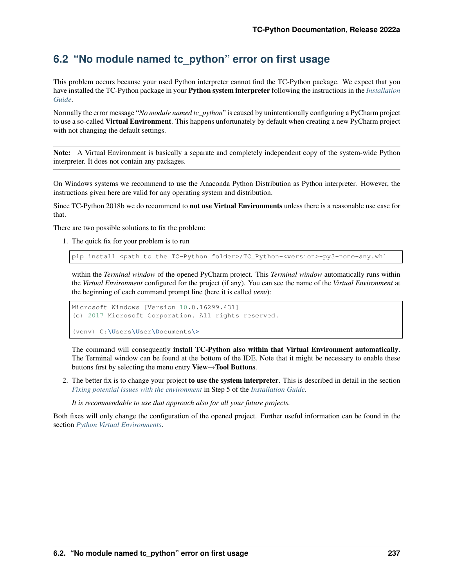# **6.2 "No module named tc\_python" error on first usage**

This problem occurs because your used Python interpreter cannot find the TC-Python package. We expect that you have installed the TC-Python package in your Python system interpreter following the instructions in the *[Installation](#page-4-0) [Guide](#page-4-0)*.

Normally the error message "*No module named tc\_python*" is caused by unintentionally configuring a PyCharm project to use a so-called Virtual Environment. This happens unfortunately by default when creating a new PyCharm project with not changing the default settings.

Note: A Virtual Environment is basically a separate and completely independent copy of the system-wide Python interpreter. It does not contain any packages.

On Windows systems we recommend to use the Anaconda Python Distribution as Python interpreter. However, the instructions given here are valid for any operating system and distribution.

Since TC-Python 2018b we do recommend to not use Virtual Environments unless there is a reasonable use case for that.

There are two possible solutions to fix the problem:

1. The quick fix for your problem is to run

pip install <path to the TC-Python folder>/TC\_Python-<version>-py3-none-any.whl

within the *Terminal window* of the opened PyCharm project. This *Terminal window* automatically runs within the *Virtual Environment* configured for the project (if any). You can see the name of the *Virtual Environment* at the beginning of each command prompt line (here it is called *venv*):

```
Microsoft Windows [Version 10.0.16299.431]
(c) 2017 Microsoft Corporation. All rights reserved.
(venv) C:\Users\User\Documents\>
```
The command will consequently install TC-Python also within that Virtual Environment automatically. The Terminal window can be found at the bottom of the IDE. Note that it might be necessary to enable these buttons first by selecting the menu entry View→Tool Buttons.

- 2. The better fix is to change your project to use the system interpreter. This is described in detail in the section *[Fixing potential issues with the environment](#page-9-0)* in Step 5 of the *[Installation Guide](#page-4-0)*.
	- *It is recommendable to use that approach also for all your future projects.*

Both fixes will only change the configuration of the opened project. Further useful information can be found in the section *[Python Virtual Environments](#page-28-0)*.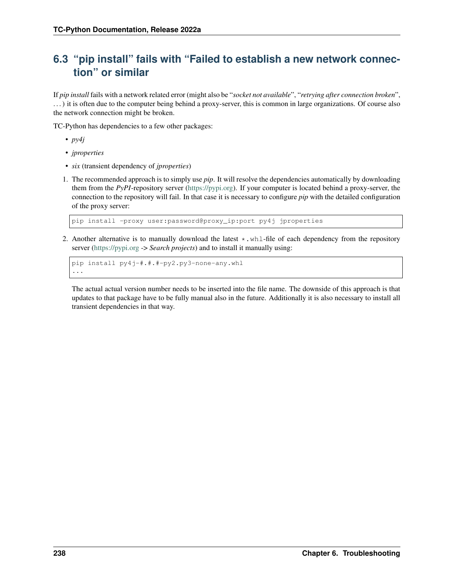# **6.3 "pip install" fails with "Failed to establish a new network connection" or similar**

If *pip install* fails with a network related error (might also be "*socket not available*", "*retrying after connection broken*", . . . ) it is often due to the computer being behind a proxy-server, this is common in large organizations. Of course also the network connection might be broken.

TC-Python has dependencies to a few other packages:

- *py4j*
- *jproperties*
- *six* (transient dependency of *jproperties*)
- 1. The recommended approach is to simply use *pip*. It will resolve the dependencies automatically by downloading them from the *PyPI*-repository server [\(https://pypi.org\)](https://pypi.org). If your computer is located behind a proxy-server, the connection to the repository will fail. In that case it is necessary to configure *pip* with the detailed configuration of the proxy server:

pip install -proxy user:password@proxy\_ip:port py4j jproperties

2. Another alternative is to manually download the latest  $\star$ .whl-file of each dependency from the repository server [\(https://pypi.org](https://pypi.org) -> *Search projects*) and to install it manually using:

```
pip install py4j-#.#.#-py2.py3-none-any.whl
...
```
The actual actual version number needs to be inserted into the file name. The downside of this approach is that updates to that package have to be fully manual also in the future. Additionally it is also necessary to install all transient dependencies in that way.